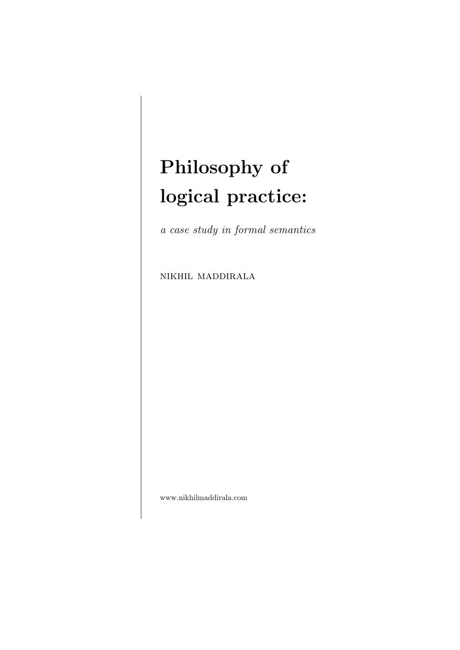# Philosophy of logical practice:

a case study in formal semantics

nikhil maddirala

www.nikhilmaddirala.com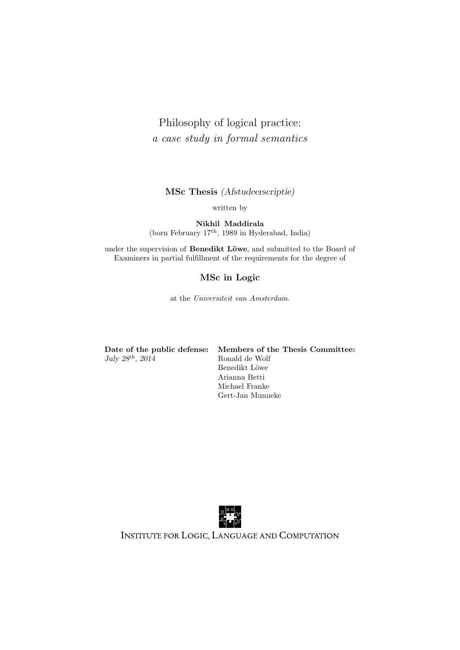### Philosophy of logical practice: a case study in formal semantics

MSc Thesis (Afstudeerscriptie)

written by

Nikhil Maddirala (born February 17th, 1989 in Hyderabad, India)

under the supervision of Benedikt Löwe, and submitted to the Board of Examiners in partial fulfillment of the requirements for the degree of

### MSc in Logic

at the Universiteit van Amsterdam.

|                         | Date of the public defense: Members of the Thesis Committee: |
|-------------------------|--------------------------------------------------------------|
| July $28^{th}$ , $2014$ | Ronald de Wolf                                               |
|                         | Benedikt Löwe                                                |
|                         | $\mathbf{A}$ . $\mathbf{B}$ $\mathbf{B}$                     |

Arianna Betti Michael Franke Gert-Jan Munneke



INSTITUTE FOR LOGIC, LANGUAGE AND COMPUTATION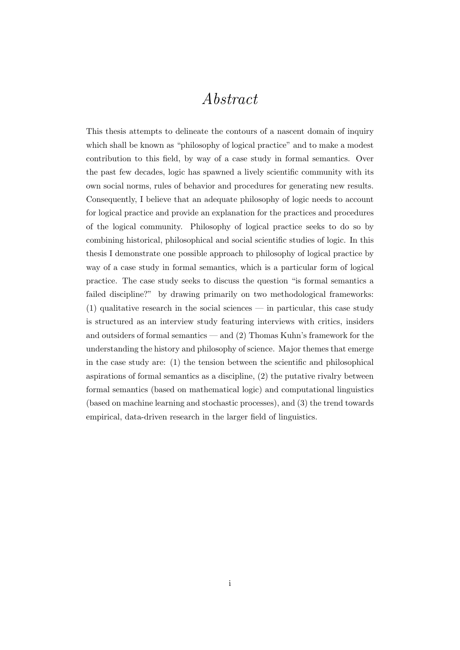## Abstract

<span id="page-2-0"></span>This thesis attempts to delineate the contours of a nascent domain of inquiry which shall be known as "philosophy of logical practice" and to make a modest contribution to this field, by way of a case study in formal semantics. Over the past few decades, logic has spawned a lively scientific community with its own social norms, rules of behavior and procedures for generating new results. Consequently, I believe that an adequate philosophy of logic needs to account for logical practice and provide an explanation for the practices and procedures of the logical community. Philosophy of logical practice seeks to do so by combining historical, philosophical and social scientific studies of logic. In this thesis I demonstrate one possible approach to philosophy of logical practice by way of a case study in formal semantics, which is a particular form of logical practice. The case study seeks to discuss the question "is formal semantics a failed discipline?" by drawing primarily on two methodological frameworks:  $(1)$  qualitative research in the social sciences — in particular, this case study is structured as an interview study featuring interviews with critics, insiders and outsiders of formal semantics — and  $(2)$  Thomas Kuhn's framework for the understanding the history and philosophy of science. Major themes that emerge in the case study are: (1) the tension between the scientific and philosophical aspirations of formal semantics as a discipline, (2) the putative rivalry between formal semantics (based on mathematical logic) and computational linguistics (based on machine learning and stochastic processes), and (3) the trend towards empirical, data-driven research in the larger field of linguistics.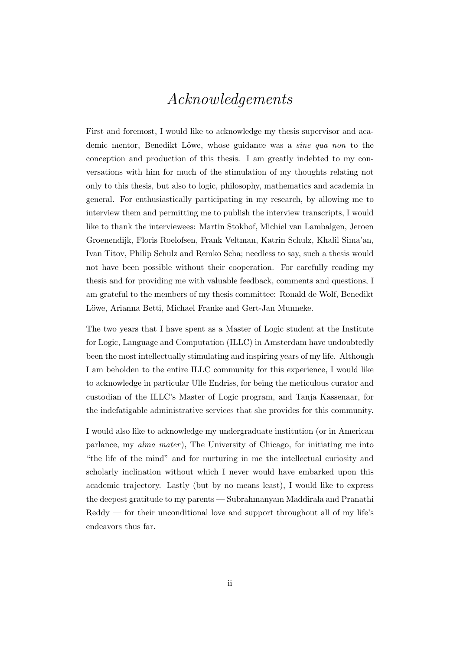## Acknowledgements

<span id="page-3-0"></span>First and foremost, I would like to acknowledge my thesis supervisor and academic mentor, Benedikt Löwe, whose guidance was a *sine qua non* to the conception and production of this thesis. I am greatly indebted to my conversations with him for much of the stimulation of my thoughts relating not only to this thesis, but also to logic, philosophy, mathematics and academia in general. For enthusiastically participating in my research, by allowing me to interview them and permitting me to publish the interview transcripts, I would like to thank the interviewees: Martin Stokhof, Michiel van Lambalgen, Jeroen Groenendijk, Floris Roelofsen, Frank Veltman, Katrin Schulz, Khalil Sima'an, Ivan Titov, Philip Schulz and Remko Scha; needless to say, such a thesis would not have been possible without their cooperation. For carefully reading my thesis and for providing me with valuable feedback, comments and questions, I am grateful to the members of my thesis committee: Ronald de Wolf, Benedikt Löwe, Arianna Betti, Michael Franke and Gert-Jan Munneke.

The two years that I have spent as a Master of Logic student at the Institute for Logic, Language and Computation (ILLC) in Amsterdam have undoubtedly been the most intellectually stimulating and inspiring years of my life. Although I am beholden to the entire ILLC community for this experience, I would like to acknowledge in particular Ulle Endriss, for being the meticulous curator and custodian of the ILLC's Master of Logic program, and Tanja Kassenaar, for the indefatigable administrative services that she provides for this community.

I would also like to acknowledge my undergraduate institution (or in American parlance, my *alma mater*), The University of Chicago, for initiating me into "the life of the mind" and for nurturing in me the intellectual curiosity and scholarly inclination without which I never would have embarked upon this academic trajectory. Lastly (but by no means least), I would like to express the deepest gratitude to my parents — Subrahmanyam Maddirala and Pranathi Reddy — for their unconditional love and support throughout all of my life's endeavors thus far.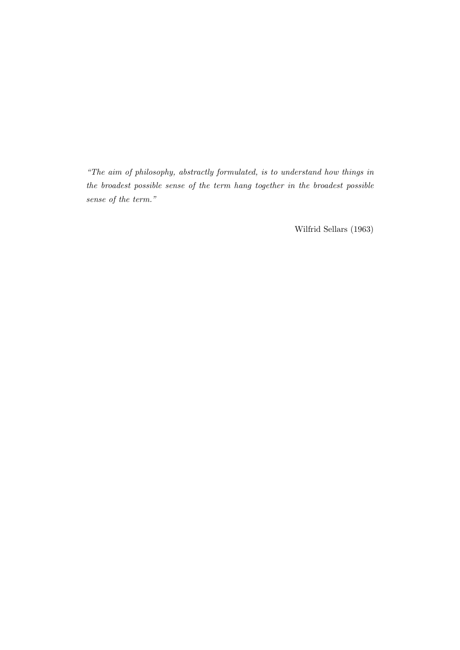"The aim of philosophy, abstractly formulated, is to understand how things in the broadest possible sense of the term hang together in the broadest possible sense of the term."

Wilfrid [Sellars](#page-232-0) [\(1963\)](#page-232-0)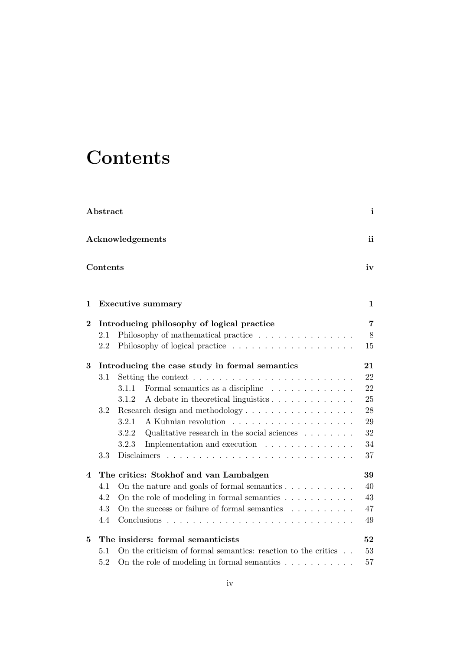## <span id="page-5-0"></span>**Contents**

|          | Abstract |                                                                                   | $\mathbf{i}$ |
|----------|----------|-----------------------------------------------------------------------------------|--------------|
|          |          | Acknowledgements                                                                  | ii           |
|          | Contents |                                                                                   | iv           |
| 1        |          | <b>Executive summary</b>                                                          | $\mathbf 1$  |
| $\bf{2}$ |          | Introducing philosophy of logical practice                                        | 7            |
|          | 2.1      | Philosophy of mathematical practice $\ldots \ldots \ldots \ldots \ldots$          | $8\,$        |
|          | 2.2      | Philosophy of logical practice                                                    | 15           |
| 3        |          | Introducing the case study in formal semantics                                    | 21           |
|          | 3.1      | Setting the context $\dots \dots \dots \dots \dots \dots \dots \dots \dots \dots$ | 22           |
|          |          | Formal semantics as a discipline<br>3.1.1                                         | 22           |
|          |          | 3.1.2<br>A debate in theoretical linguistics                                      | 25           |
|          | 3.2      | Research design and methodology                                                   | 28           |
|          |          | 3.2.1                                                                             | 29           |
|          |          | 3.2.2<br>Qualitative research in the social sciences $\hfill\ldots\ldots\ldots$   | 32           |
|          |          | 3.2.3<br>Implementation and execution                                             | 34           |
|          | 3.3      | Disclaimers                                                                       | 37           |
| 4        |          | The critics: Stokhof and van Lambalgen                                            | 39           |
|          | 4.1      | On the nature and goals of formal semantics $\dots \dots \dots$                   | 40           |
|          | 4.2      | On the role of modeling in formal semantics $\dots \dots \dots$                   | 43           |
|          | 4.3      | On the success or failure of formal semantics $\ldots \ldots \ldots$              | 47           |
|          | 4.4      | Conclusions                                                                       | 49           |
| 5        |          | The insiders: formal semanticists                                                 | 52           |
|          | 5.1      | On the criticism of formal semantics: reaction to the critics $\ldots$            | 53           |
|          | 5.2      | On the role of modeling in formal semantics $\dots \dots \dots$                   | 57           |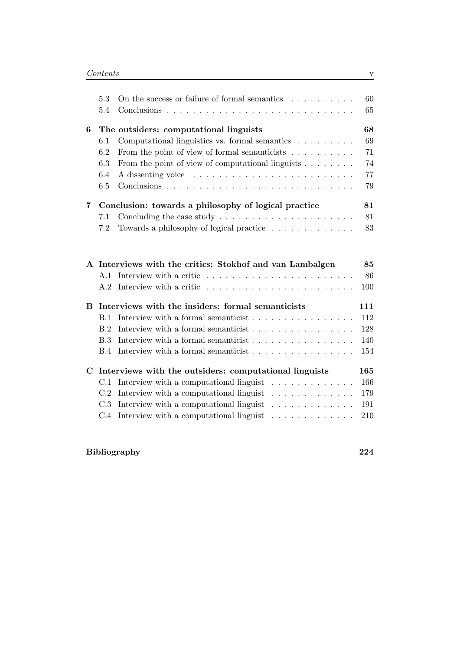|             | 5.3<br>5.4 | On the success or failure of formal semantics $\dots \dots \dots$            | 60<br>65        |
|-------------|------------|------------------------------------------------------------------------------|-----------------|
| 6           |            | The outsiders: computational linguists                                       | 68              |
|             | 6.1        | Computational linguistics vs. formal semantics $\ldots \ldots \ldots$        | 69              |
|             | 6.2        | From the point of view of formal semanticists $\ldots \ldots \ldots$         | 71              |
|             | 6.3        | From the point of view of computational linguists $\ldots \ldots$            | 74              |
|             | 6.4        |                                                                              | 77              |
|             | 6.5        |                                                                              | 79              |
| 7           |            | Conclusion: towards a philosophy of logical practice                         | 81              |
|             | 7.1        | Concluding the case study $\ldots \ldots \ldots \ldots \ldots \ldots \ldots$ | 81              |
|             | 7.2        | Towards a philosophy of logical practice                                     | 83              |
|             |            |                                                                              |                 |
| A           | A.1<br>A.2 | Interviews with the critics: Stokhof and van Lambalgen                       | 85<br>86<br>100 |
| в           |            | Interviews with the insiders: formal semanticists                            | 111             |
|             | B.1        | Interview with a formal semanticist $\ldots \ldots \ldots \ldots \ldots$     | 112             |
|             | B.2        | Interview with a formal semanticist                                          | 128             |
|             | <b>B.3</b> | Interview with a formal semanticist                                          | 140             |
|             | B.4        | Interview with a formal semanticist                                          | 154             |
| $\mathbf C$ |            | Interviews with the outsiders: computational linguists                       | 165             |
|             | C.1        | Interview with a computational linguist<br>.                                 | 166             |
|             | C.2        | Interview with a computational linguist<br>.                                 | 179             |
|             | C.3        | Interview with a computational linguist<br>.                                 | 191             |

### [Bibliography](#page-230-0) 224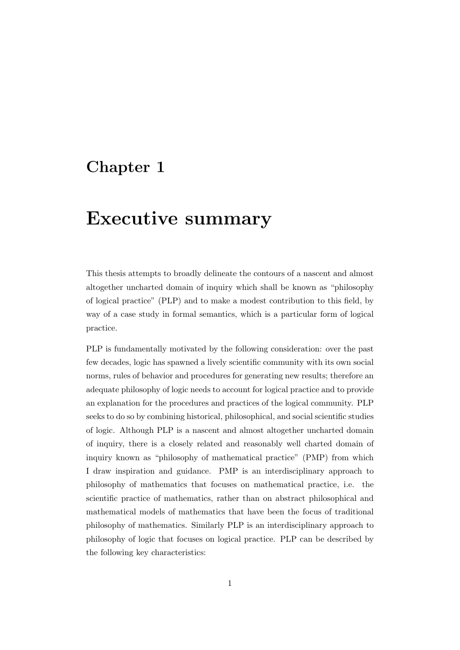## <span id="page-7-0"></span>Chapter 1

## Executive summary

This thesis attempts to broadly delineate the contours of a nascent and almost altogether uncharted domain of inquiry which shall be known as "philosophy of logical practice" (PLP) and to make a modest contribution to this field, by way of a case study in formal semantics, which is a particular form of logical practice.

PLP is fundamentally motivated by the following consideration: over the past few decades, logic has spawned a lively scientific community with its own social norms, rules of behavior and procedures for generating new results; therefore an adequate philosophy of logic needs to account for logical practice and to provide an explanation for the procedures and practices of the logical community. PLP seeks to do so by combining historical, philosophical, and social scientific studies of logic. Although PLP is a nascent and almost altogether uncharted domain of inquiry, there is a closely related and reasonably well charted domain of inquiry known as "philosophy of mathematical practice" (PMP) from which I draw inspiration and guidance. PMP is an interdisciplinary approach to philosophy of mathematics that focuses on mathematical practice, i.e. the scientific practice of mathematics, rather than on abstract philosophical and mathematical models of mathematics that have been the focus of traditional philosophy of mathematics. Similarly PLP is an interdisciplinary approach to philosophy of logic that focuses on logical practice. PLP can be described by the following key characteristics: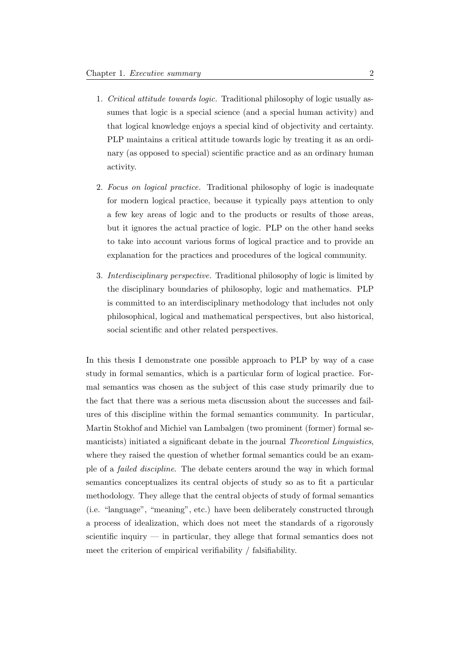- 1. Critical attitude towards logic. Traditional philosophy of logic usually assumes that logic is a special science (and a special human activity) and that logical knowledge enjoys a special kind of objectivity and certainty. PLP maintains a critical attitude towards logic by treating it as an ordinary (as opposed to special) scientific practice and as an ordinary human activity.
- 2. Focus on logical practice. Traditional philosophy of logic is inadequate for modern logical practice, because it typically pays attention to only a few key areas of logic and to the products or results of those areas, but it ignores the actual practice of logic. PLP on the other hand seeks to take into account various forms of logical practice and to provide an explanation for the practices and procedures of the logical community.
- 3. Interdisciplinary perspective. Traditional philosophy of logic is limited by the disciplinary boundaries of philosophy, logic and mathematics. PLP is committed to an interdisciplinary methodology that includes not only philosophical, logical and mathematical perspectives, but also historical, social scientific and other related perspectives.

In this thesis I demonstrate one possible approach to PLP by way of a case study in formal semantics, which is a particular form of logical practice. Formal semantics was chosen as the subject of this case study primarily due to the fact that there was a serious meta discussion about the successes and failures of this discipline within the formal semantics community. In particular, Martin Stokhof and Michiel van Lambalgen (two prominent (former) formal semanticists) initiated a significant debate in the journal Theoretical Linguistics, where they raised the question of whether formal semantics could be an example of a failed discipline. The debate centers around the way in which formal semantics conceptualizes its central objects of study so as to fit a particular methodology. They allege that the central objects of study of formal semantics (i.e. "language", "meaning", etc.) have been deliberately constructed through a process of idealization, which does not meet the standards of a rigorously scientific inquiry — in particular, they allege that formal semantics does not meet the criterion of empirical verifiability / falsifiability.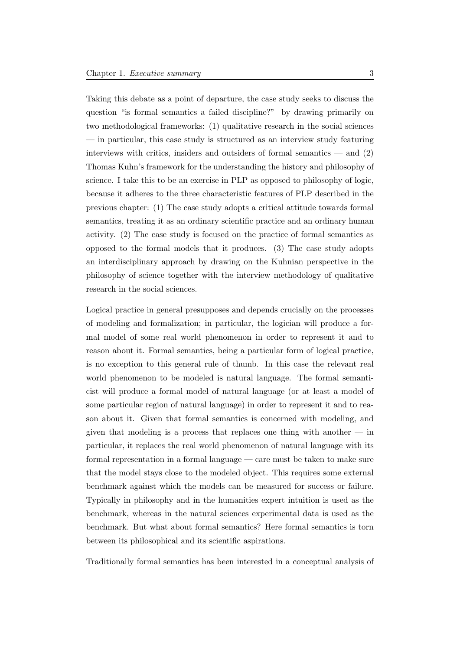Taking this debate as a point of departure, the case study seeks to discuss the question "is formal semantics a failed discipline?" by drawing primarily on two methodological frameworks: (1) qualitative research in the social sciences — in particular, this case study is structured as an interview study featuring interviews with critics, insiders and outsiders of formal semantics — and (2) Thomas Kuhn's framework for the understanding the history and philosophy of science. I take this to be an exercise in PLP as opposed to philosophy of logic, because it adheres to the three characteristic features of PLP described in the previous chapter: (1) The case study adopts a critical attitude towards formal semantics, treating it as an ordinary scientific practice and an ordinary human activity. (2) The case study is focused on the practice of formal semantics as opposed to the formal models that it produces. (3) The case study adopts an interdisciplinary approach by drawing on the Kuhnian perspective in the philosophy of science together with the interview methodology of qualitative research in the social sciences.

Logical practice in general presupposes and depends crucially on the processes of modeling and formalization; in particular, the logician will produce a formal model of some real world phenomenon in order to represent it and to reason about it. Formal semantics, being a particular form of logical practice, is no exception to this general rule of thumb. In this case the relevant real world phenomenon to be modeled is natural language. The formal semanticist will produce a formal model of natural language (or at least a model of some particular region of natural language) in order to represent it and to reason about it. Given that formal semantics is concerned with modeling, and given that modeling is a process that replaces one thing with another  $-$  in particular, it replaces the real world phenomenon of natural language with its formal representation in a formal language — care must be taken to make sure that the model stays close to the modeled object. This requires some external benchmark against which the models can be measured for success or failure. Typically in philosophy and in the humanities expert intuition is used as the benchmark, whereas in the natural sciences experimental data is used as the benchmark. But what about formal semantics? Here formal semantics is torn between its philosophical and its scientific aspirations.

Traditionally formal semantics has been interested in a conceptual analysis of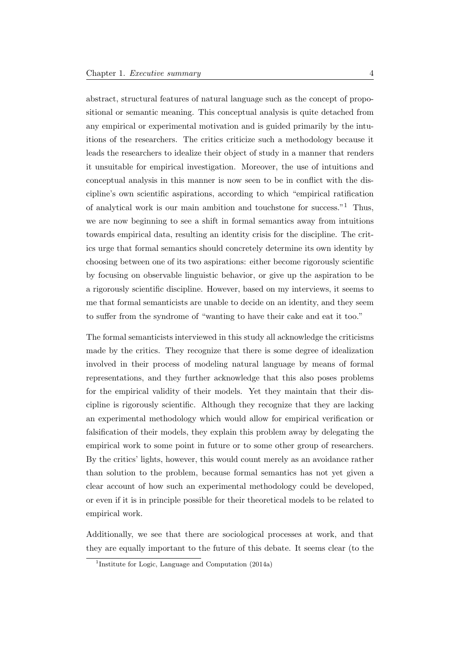abstract, structural features of natural language such as the concept of propositional or semantic meaning. This conceptual analysis is quite detached from any empirical or experimental motivation and is guided primarily by the intuitions of the researchers. The critics criticize such a methodology because it leads the researchers to idealize their object of study in a manner that renders it unsuitable for empirical investigation. Moreover, the use of intuitions and conceptual analysis in this manner is now seen to be in conflict with the discipline's own scientific aspirations, according to which "empirical ratification of analytical work is our main ambition and touchstone for success."[1](#page-10-0) Thus, we are now beginning to see a shift in formal semantics away from intuitions towards empirical data, resulting an identity crisis for the discipline. The critics urge that formal semantics should concretely determine its own identity by choosing between one of its two aspirations: either become rigorously scientific by focusing on observable linguistic behavior, or give up the aspiration to be a rigorously scientific discipline. However, based on my interviews, it seems to me that formal semanticists are unable to decide on an identity, and they seem to suffer from the syndrome of "wanting to have their cake and eat it too."

The formal semanticists interviewed in this study all acknowledge the criticisms made by the critics. They recognize that there is some degree of idealization involved in their process of modeling natural language by means of formal representations, and they further acknowledge that this also poses problems for the empirical validity of their models. Yet they maintain that their discipline is rigorously scientific. Although they recognize that they are lacking an experimental methodology which would allow for empirical verification or falsification of their models, they explain this problem away by delegating the empirical work to some point in future or to some other group of researchers. By the critics' lights, however, this would count merely as an avoidance rather than solution to the problem, because formal semantics has not yet given a clear account of how such an experimental methodology could be developed, or even if it is in principle possible for their theoretical models to be related to empirical work.

Additionally, we see that there are sociological processes at work, and that they are equally important to the future of this debate. It seems clear (to the

<span id="page-10-0"></span><sup>&</sup>lt;sup>1</sup>[Institute for Logic, Language and Computation](#page-231-0) [\(2014a\)](#page-231-0)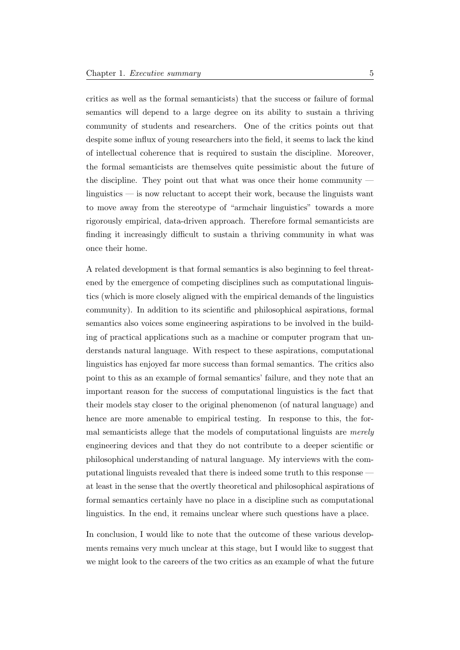critics as well as the formal semanticists) that the success or failure of formal semantics will depend to a large degree on its ability to sustain a thriving community of students and researchers. One of the critics points out that despite some influx of young researchers into the field, it seems to lack the kind of intellectual coherence that is required to sustain the discipline. Moreover, the formal semanticists are themselves quite pessimistic about the future of the discipline. They point out that what was once their home community linguistics — is now reluctant to accept their work, because the linguists want to move away from the stereotype of "armchair linguistics" towards a more rigorously empirical, data-driven approach. Therefore formal semanticists are finding it increasingly difficult to sustain a thriving community in what was once their home.

A related development is that formal semantics is also beginning to feel threatened by the emergence of competing disciplines such as computational linguistics (which is more closely aligned with the empirical demands of the linguistics community). In addition to its scientific and philosophical aspirations, formal semantics also voices some engineering aspirations to be involved in the building of practical applications such as a machine or computer program that understands natural language. With respect to these aspirations, computational linguistics has enjoyed far more success than formal semantics. The critics also point to this as an example of formal semantics' failure, and they note that an important reason for the success of computational linguistics is the fact that their models stay closer to the original phenomenon (of natural language) and hence are more amenable to empirical testing. In response to this, the formal semanticists allege that the models of computational linguists are merely engineering devices and that they do not contribute to a deeper scientific or philosophical understanding of natural language. My interviews with the computational linguists revealed that there is indeed some truth to this response at least in the sense that the overtly theoretical and philosophical aspirations of formal semantics certainly have no place in a discipline such as computational linguistics. In the end, it remains unclear where such questions have a place.

In conclusion, I would like to note that the outcome of these various developments remains very much unclear at this stage, but I would like to suggest that we might look to the careers of the two critics as an example of what the future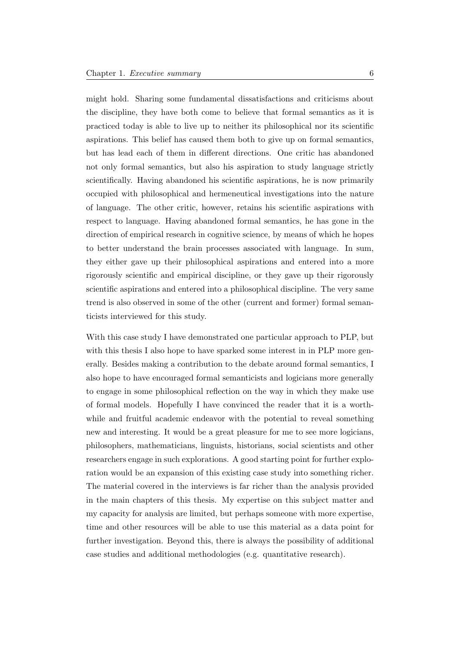might hold. Sharing some fundamental dissatisfactions and criticisms about the discipline, they have both come to believe that formal semantics as it is practiced today is able to live up to neither its philosophical nor its scientific aspirations. This belief has caused them both to give up on formal semantics, but has lead each of them in different directions. One critic has abandoned not only formal semantics, but also his aspiration to study language strictly scientifically. Having abandoned his scientific aspirations, he is now primarily occupied with philosophical and hermeneutical investigations into the nature of language. The other critic, however, retains his scientific aspirations with respect to language. Having abandoned formal semantics, he has gone in the direction of empirical research in cognitive science, by means of which he hopes to better understand the brain processes associated with language. In sum, they either gave up their philosophical aspirations and entered into a more rigorously scientific and empirical discipline, or they gave up their rigorously scientific aspirations and entered into a philosophical discipline. The very same trend is also observed in some of the other (current and former) formal semanticists interviewed for this study.

With this case study I have demonstrated one particular approach to PLP, but with this thesis I also hope to have sparked some interest in in PLP more generally. Besides making a contribution to the debate around formal semantics, I also hope to have encouraged formal semanticists and logicians more generally to engage in some philosophical reflection on the way in which they make use of formal models. Hopefully I have convinced the reader that it is a worthwhile and fruitful academic endeavor with the potential to reveal something new and interesting. It would be a great pleasure for me to see more logicians, philosophers, mathematicians, linguists, historians, social scientists and other researchers engage in such explorations. A good starting point for further exploration would be an expansion of this existing case study into something richer. The material covered in the interviews is far richer than the analysis provided in the main chapters of this thesis. My expertise on this subject matter and my capacity for analysis are limited, but perhaps someone with more expertise, time and other resources will be able to use this material as a data point for further investigation. Beyond this, there is always the possibility of additional case studies and additional methodologies (e.g. quantitative research).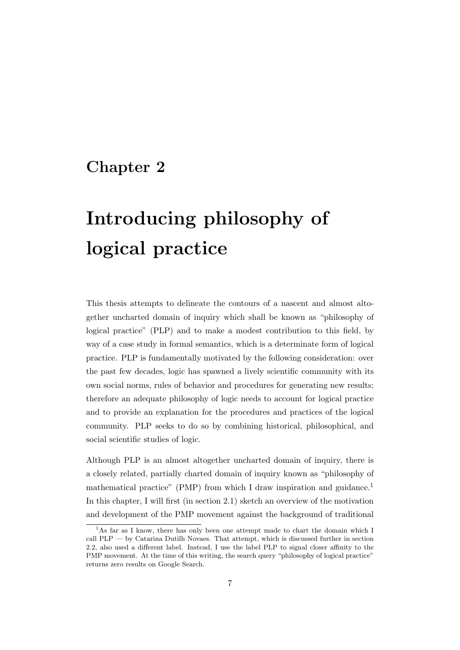## <span id="page-13-0"></span>Chapter 2

# Introducing philosophy of logical practice

This thesis attempts to delineate the contours of a nascent and almost altogether uncharted domain of inquiry which shall be known as "philosophy of logical practice" (PLP) and to make a modest contribution to this field, by way of a case study in formal semantics, which is a determinate form of logical practice. PLP is fundamentally motivated by the following consideration: over the past few decades, logic has spawned a lively scientific community with its own social norms, rules of behavior and procedures for generating new results; therefore an adequate philosophy of logic needs to account for logical practice and to provide an explanation for the procedures and practices of the logical community. PLP seeks to do so by combining historical, philosophical, and social scientific studies of logic.

Although PLP is an almost altogether uncharted domain of inquiry, there is a closely related, partially charted domain of inquiry known as "philosophy of mathematical practice" (PMP) from which I draw inspiration and guidance.<sup>[1](#page-13-1)</sup> In this chapter, I will first (in section 2.1) sketch an overview of the motivation and development of the PMP movement against the background of traditional

<span id="page-13-1"></span><sup>&</sup>lt;sup>1</sup>As far as I know, there has only been one attempt made to chart the domain which I call PLP — by Catarina Dutilh Novaes. That attempt, which is discussed further in section 2.2, also used a different label. Instead, I use the label PLP to signal closer affinity to the PMP movement. At the time of this writing, the search query "philosophy of logical practice" returns zero results on Google Search.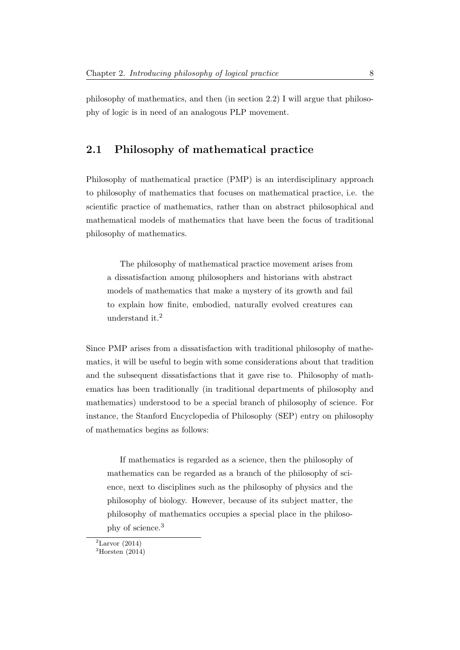philosophy of mathematics, and then (in section 2.2) I will argue that philosophy of logic is in need of an analogous PLP movement.

### <span id="page-14-0"></span>2.1 Philosophy of mathematical practice

Philosophy of mathematical practice (PMP) is an interdisciplinary approach to philosophy of mathematics that focuses on mathematical practice, i.e. the scientific practice of mathematics, rather than on abstract philosophical and mathematical models of mathematics that have been the focus of traditional philosophy of mathematics.

The philosophy of mathematical practice movement arises from a dissatisfaction among philosophers and historians with abstract models of mathematics that make a mystery of its growth and fail to explain how finite, embodied, naturally evolved creatures can understand it.[2](#page-14-1)

Since PMP arises from a dissatisfaction with traditional philosophy of mathematics, it will be useful to begin with some considerations about that tradition and the subsequent dissatisfactions that it gave rise to. Philosophy of mathematics has been traditionally (in traditional departments of philosophy and mathematics) understood to be a special branch of philosophy of science. For instance, the Stanford Encyclopedia of Philosophy (SEP) entry on philosophy of mathematics begins as follows:

If mathematics is regarded as a science, then the philosophy of mathematics can be regarded as a branch of the philosophy of science, next to disciplines such as the philosophy of physics and the philosophy of biology. However, because of its subject matter, the philosophy of mathematics occupies a special place in the philosophy of science.[3](#page-14-2)

<span id="page-14-1"></span> ${}^{2}$ [Larvor](#page-231-1) [\(2014\)](#page-231-1)

<span id="page-14-2"></span> ${}^{3}$ [Horsten](#page-231-2) [\(2014\)](#page-231-2)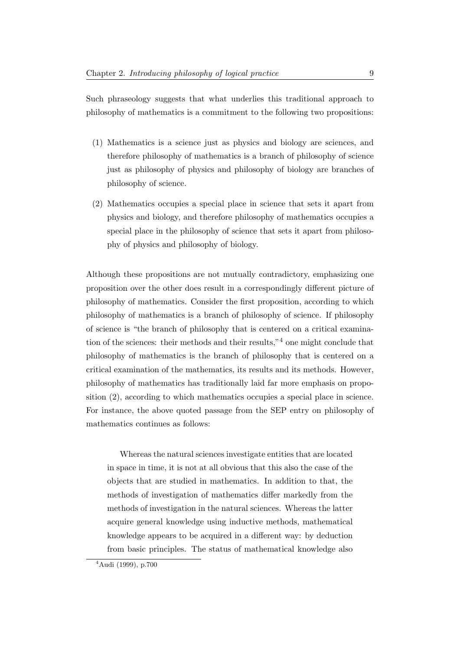Such phraseology suggests that what underlies this traditional approach to philosophy of mathematics is a commitment to the following two propositions:

- (1) Mathematics is a science just as physics and biology are sciences, and therefore philosophy of mathematics is a branch of philosophy of science just as philosophy of physics and philosophy of biology are branches of philosophy of science.
- (2) Mathematics occupies a special place in science that sets it apart from physics and biology, and therefore philosophy of mathematics occupies a special place in the philosophy of science that sets it apart from philosophy of physics and philosophy of biology.

Although these propositions are not mutually contradictory, emphasizing one proposition over the other does result in a correspondingly different picture of philosophy of mathematics. Consider the first proposition, according to which philosophy of mathematics is a branch of philosophy of science. If philosophy of science is "the branch of philosophy that is centered on a critical examination of the sciences: their methods and their results,"[4](#page-15-0) one might conclude that philosophy of mathematics is the branch of philosophy that is centered on a critical examination of the mathematics, its results and its methods. However, philosophy of mathematics has traditionally laid far more emphasis on proposition (2), according to which mathematics occupies a special place in science. For instance, the above quoted passage from the SEP entry on philosophy of mathematics continues as follows:

Whereas the natural sciences investigate entities that are located in space in time, it is not at all obvious that this also the case of the objects that are studied in mathematics. In addition to that, the methods of investigation of mathematics differ markedly from the methods of investigation in the natural sciences. Whereas the latter acquire general knowledge using inductive methods, mathematical knowledge appears to be acquired in a different way: by deduction from basic principles. The status of mathematical knowledge also

<span id="page-15-0"></span><sup>4</sup>[Audi](#page-230-1) [\(1999\)](#page-230-1), p.700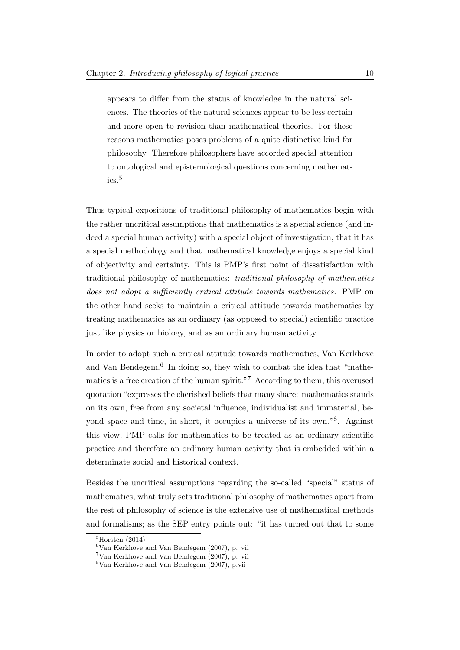appears to differ from the status of knowledge in the natural sciences. The theories of the natural sciences appear to be less certain and more open to revision than mathematical theories. For these reasons mathematics poses problems of a quite distinctive kind for philosophy. Therefore philosophers have accorded special attention to ontological and epistemological questions concerning mathematics.[5](#page-16-0)

Thus typical expositions of traditional philosophy of mathematics begin with the rather uncritical assumptions that mathematics is a special science (and indeed a special human activity) with a special object of investigation, that it has a special methodology and that mathematical knowledge enjoys a special kind of objectivity and certainty. This is PMP's first point of dissatisfaction with traditional philosophy of mathematics: traditional philosophy of mathematics does not adopt a sufficiently critical attitude towards mathematics. PMP on the other hand seeks to maintain a critical attitude towards mathematics by treating mathematics as an ordinary (as opposed to special) scientific practice just like physics or biology, and as an ordinary human activity.

In order to adopt such a critical attitude towards mathematics, Van Kerkhove and Van Bendegem.<sup>[6](#page-16-1)</sup> In doing so, they wish to combat the idea that "mathe-matics is a free creation of the human spirit."<sup>[7](#page-16-2)</sup> According to them, this overused quotation "expresses the cherished beliefs that many share: mathematics stands on its own, free from any societal influence, individualist and immaterial, beyond space and time, in short, it occupies a universe of its own."[8](#page-16-3) . Against this view, PMP calls for mathematics to be treated as an ordinary scientific practice and therefore an ordinary human activity that is embedded within a determinate social and historical context.

Besides the uncritical assumptions regarding the so-called "special" status of mathematics, what truly sets traditional philosophy of mathematics apart from the rest of philosophy of science is the extensive use of mathematical methods and formalisms; as the SEP entry points out: "it has turned out that to some

<span id="page-16-0"></span> ${}^{5}$ [Horsten](#page-231-2) [\(2014\)](#page-231-2)

<span id="page-16-1"></span> $6$ [Van Kerkhove and Van Bendegem](#page-233-0) [\(2007\)](#page-233-0), p. vii

<span id="page-16-2"></span><sup>7</sup>[Van Kerkhove and Van Bendegem](#page-233-0) [\(2007\)](#page-233-0), p. vii

<span id="page-16-3"></span><sup>8</sup>[Van Kerkhove and Van Bendegem](#page-233-0) [\(2007\)](#page-233-0), p.vii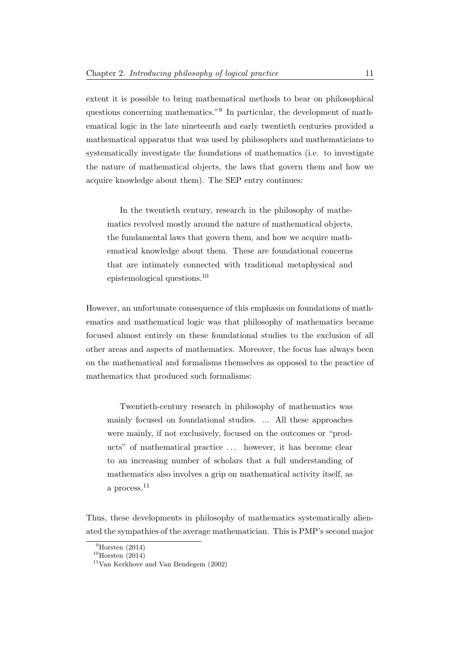extent it is possible to bring mathematical methods to bear on philosophical questions concerning mathematics."[9](#page-17-0) In particular, the development of mathematical logic in the late nineteenth and early twentieth centuries provided a mathematical apparatus that was used by philosophers and mathematicians to systematically investigate the foundations of mathematics (i.e. to investigate the nature of mathematical objects, the laws that govern them and how we acquire knowledge about them). The SEP entry continues:

In the twentieth century, research in the philosophy of mathematics revolved mostly around the nature of mathematical objects, the fundamental laws that govern them, and how we acquire mathematical knowledge about them. These are foundational concerns that are intimately connected with traditional metaphysical and epistemological questions.[10](#page-17-1)

However, an unfortunate consequence of this emphasis on foundations of mathematics and mathematical logic was that philosophy of mathematics became focused almost entirely on these foundational studies to the exclusion of all other areas and aspects of mathematics. Moreover, the focus has always been on the mathematical and formalisms themselves as opposed to the practice of mathematics that produced such formalisms:

Twentieth-century research in philosophy of mathematics was mainly focused on foundational studies. ... All these approaches were mainly, if not exclusively, focused on the outcomes or "products" of mathematical practice . . . however, it has become clear to an increasing number of scholars that a full understanding of mathematics also involves a grip on mathematical activity itself, as a process.<sup>[11](#page-17-2)</sup>

Thus, these developments in philosophy of mathematics systematically alienated the sympathies of the average mathematician. This is PMP's second major

<span id="page-17-0"></span> $9$ [Horsten](#page-231-2) [\(2014\)](#page-231-2)

<span id="page-17-1"></span> $10$ [Horsten](#page-231-2) [\(2014\)](#page-231-2)

<span id="page-17-2"></span> $11$ [Van Kerkhove and Van Bendegem](#page-233-1) [\(2002\)](#page-233-1)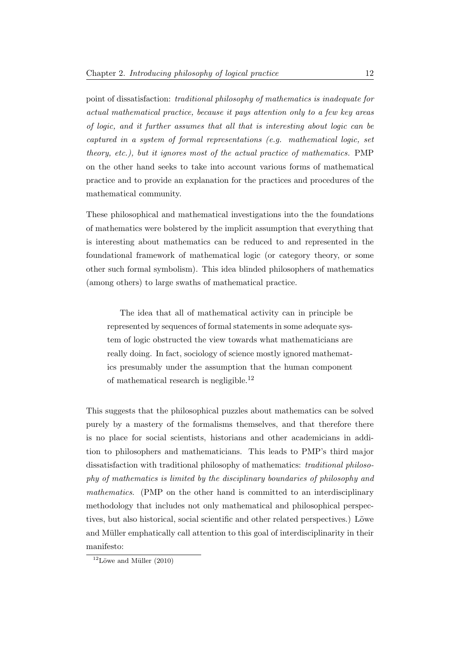point of dissatisfaction: traditional philosophy of mathematics is inadequate for actual mathematical practice, because it pays attention only to a few key areas of logic, and it further assumes that all that is interesting about logic can be captured in a system of formal representations (e.g. mathematical logic, set theory, etc.), but it ignores most of the actual practice of mathematics. PMP on the other hand seeks to take into account various forms of mathematical practice and to provide an explanation for the practices and procedures of the mathematical community.

These philosophical and mathematical investigations into the the foundations of mathematics were bolstered by the implicit assumption that everything that is interesting about mathematics can be reduced to and represented in the foundational framework of mathematical logic (or category theory, or some other such formal symbolism). This idea blinded philosophers of mathematics (among others) to large swaths of mathematical practice.

The idea that all of mathematical activity can in principle be represented by sequences of formal statements in some adequate system of logic obstructed the view towards what mathematicians are really doing. In fact, sociology of science mostly ignored mathematics presumably under the assumption that the human component of mathematical research is negligible.[12](#page-18-0)

This suggests that the philosophical puzzles about mathematics can be solved purely by a mastery of the formalisms themselves, and that therefore there is no place for social scientists, historians and other academicians in addition to philosophers and mathematicians. This leads to PMP's third major dissatisfaction with traditional philosophy of mathematics: traditional philosophy of mathematics is limited by the disciplinary boundaries of philosophy and mathematics. (PMP on the other hand is committed to an interdisciplinary methodology that includes not only mathematical and philosophical perspectives, but also historical, social scientific and other related perspectives.) Löwe and Müller emphatically call attention to this goal of interdisciplinarity in their manifesto:

<span id="page-18-0"></span> $12$ Löwe and Müller [\(2010\)](#page-232-1)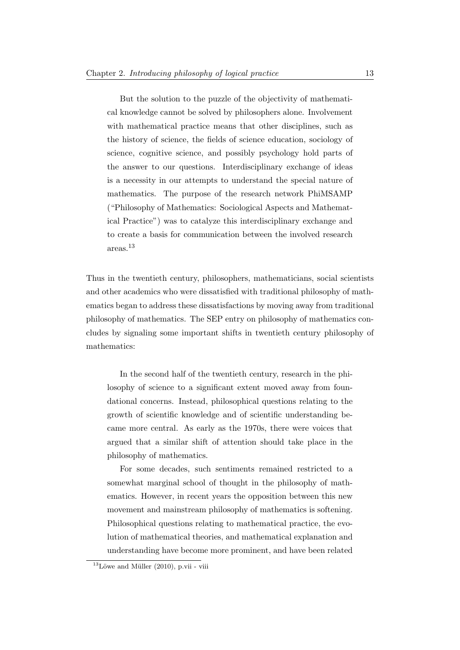But the solution to the puzzle of the objectivity of mathematical knowledge cannot be solved by philosophers alone. Involvement with mathematical practice means that other disciplines, such as the history of science, the fields of science education, sociology of science, cognitive science, and possibly psychology hold parts of the answer to our questions. Interdisciplinary exchange of ideas is a necessity in our attempts to understand the special nature of mathematics. The purpose of the research network PhiMSAMP ("Philosophy of Mathematics: Sociological Aspects and Mathematical Practice") was to catalyze this interdisciplinary exchange and to create a basis for communication between the involved research areas.[13](#page-19-0)

Thus in the twentieth century, philosophers, mathematicians, social scientists and other academics who were dissatisfied with traditional philosophy of mathematics began to address these dissatisfactions by moving away from traditional philosophy of mathematics. The SEP entry on philosophy of mathematics concludes by signaling some important shifts in twentieth century philosophy of mathematics:

In the second half of the twentieth century, research in the philosophy of science to a significant extent moved away from foundational concerns. Instead, philosophical questions relating to the growth of scientific knowledge and of scientific understanding became more central. As early as the 1970s, there were voices that argued that a similar shift of attention should take place in the philosophy of mathematics.

For some decades, such sentiments remained restricted to a somewhat marginal school of thought in the philosophy of mathematics. However, in recent years the opposition between this new movement and mainstream philosophy of mathematics is softening. Philosophical questions relating to mathematical practice, the evolution of mathematical theories, and mathematical explanation and understanding have become more prominent, and have been related

<span id="page-19-0"></span> $13$ Löwe and Müller [\(2010\)](#page-232-1), p.vii - viii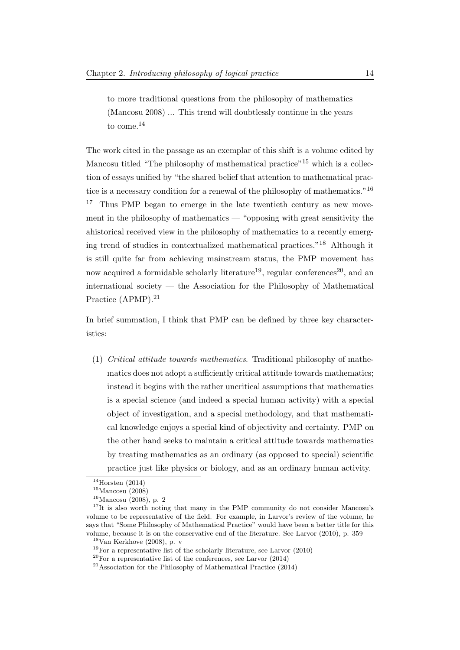to more traditional questions from the philosophy of mathematics (Mancosu 2008) ... This trend will doubtlessly continue in the years to come. $^{14}$  $^{14}$  $^{14}$ 

The work cited in the passage as an exemplar of this shift is a volume edited by Mancosu titled "The philosophy of mathematical practice"<sup>[15](#page-20-1)</sup> which is a collection of essays unified by "the shared belief that attention to mathematical prac-tice is a necessary condition for a renewal of the philosophy of mathematics."<sup>[16](#page-20-2)</sup> <sup>[17](#page-20-3)</sup> Thus PMP began to emerge in the late twentieth century as new movement in the philosophy of mathematics — "opposing with great sensitivity the ahistorical received view in the philosophy of mathematics to a recently emerging trend of studies in contextualized mathematical practices."[18](#page-20-4) Although it is still quite far from achieving mainstream status, the PMP movement has now acquired a formidable scholarly literature<sup>[19](#page-20-5)</sup>, regular conferences<sup>[20](#page-20-6)</sup>, and an international society — the Association for the Philosophy of Mathematical Practice (APMP).<sup>[21](#page-20-7)</sup>

In brief summation, I think that PMP can be defined by three key characteristics:

(1) Critical attitude towards mathematics. Traditional philosophy of mathematics does not adopt a sufficiently critical attitude towards mathematics; instead it begins with the rather uncritical assumptions that mathematics is a special science (and indeed a special human activity) with a special object of investigation, and a special methodology, and that mathematical knowledge enjoys a special kind of objectivity and certainty. PMP on the other hand seeks to maintain a critical attitude towards mathematics by treating mathematics as an ordinary (as opposed to special) scientific practice just like physics or biology, and as an ordinary human activity.

<span id="page-20-0"></span> $14$ [Horsten](#page-231-2) [\(2014\)](#page-231-2)

<span id="page-20-1"></span> $15$ [Mancosu](#page-232-2) [\(2008\)](#page-232-2)

<span id="page-20-3"></span><span id="page-20-2"></span> $16$ [Mancosu](#page-232-2) [\(2008\)](#page-232-2), p. 2

<sup>&</sup>lt;sup>17</sup>It is also worth noting that many in the PMP community do not consider Mancosu's volume to be representative of the field. For example, in Larvor's review of the volume, he says that "Some Philosophy of Mathematical Practice" would have been a better title for this volume, because it is on the conservative end of the literature. See [Larvor](#page-231-3) [\(2010\)](#page-231-3), p. 359

<span id="page-20-4"></span> $18$ [Van Kerkhove](#page-233-2) [\(2008\)](#page-233-2), p. v

<span id="page-20-5"></span> $19$ For a representative list of the scholarly literature, see [Larvor](#page-231-3) [\(2010\)](#page-231-3)

<span id="page-20-6"></span> $^{20}\rm{For}$  a representative list of the conferences, see [Larvor](#page-231-1) [\(2014\)](#page-231-1)

<span id="page-20-7"></span> $21$ [Association for the Philosophy of Mathematical Practice](#page-230-2) [\(2014\)](#page-230-2)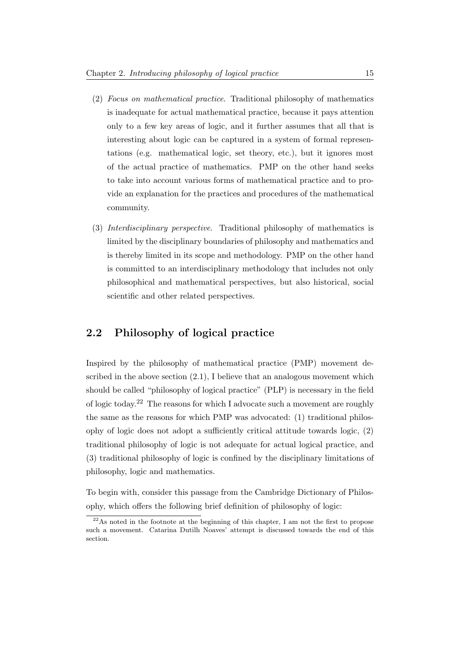- (2) Focus on mathematical practice. Traditional philosophy of mathematics is inadequate for actual mathematical practice, because it pays attention only to a few key areas of logic, and it further assumes that all that is interesting about logic can be captured in a system of formal representations (e.g. mathematical logic, set theory, etc.), but it ignores most of the actual practice of mathematics. PMP on the other hand seeks to take into account various forms of mathematical practice and to provide an explanation for the practices and procedures of the mathematical community.
- (3) Interdisciplinary perspective. Traditional philosophy of mathematics is limited by the disciplinary boundaries of philosophy and mathematics and is thereby limited in its scope and methodology. PMP on the other hand is committed to an interdisciplinary methodology that includes not only philosophical and mathematical perspectives, but also historical, social scientific and other related perspectives.

### <span id="page-21-0"></span>2.2 Philosophy of logical practice

Inspired by the philosophy of mathematical practice (PMP) movement described in the above section  $(2.1)$ , I believe that an analogous movement which should be called "philosophy of logical practice" (PLP) is necessary in the field of logic today.[22](#page-21-1) The reasons for which I advocate such a movement are roughly the same as the reasons for which PMP was advocated: (1) traditional philosophy of logic does not adopt a sufficiently critical attitude towards logic, (2) traditional philosophy of logic is not adequate for actual logical practice, and (3) traditional philosophy of logic is confined by the disciplinary limitations of philosophy, logic and mathematics.

To begin with, consider this passage from the Cambridge Dictionary of Philosophy, which offers the following brief definition of philosophy of logic:

<span id="page-21-1"></span> $^{22}$ As noted in the footnote at the beginning of this chapter, I am not the first to propose such a movement. Catarina Dutilh Noaves' attempt is discussed towards the end of this section.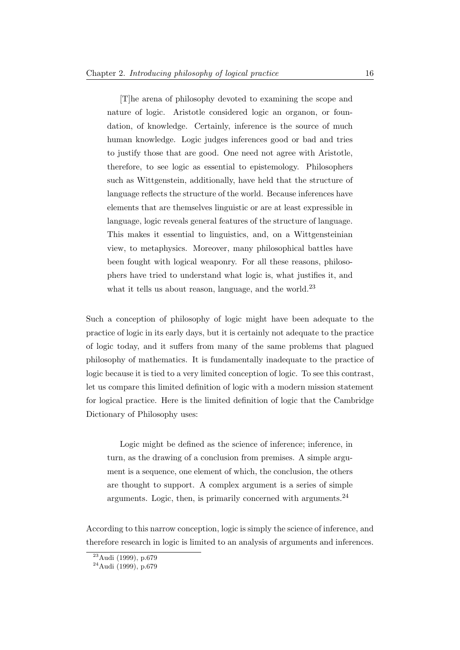[T]he arena of philosophy devoted to examining the scope and nature of logic. Aristotle considered logic an organon, or foundation, of knowledge. Certainly, inference is the source of much human knowledge. Logic judges inferences good or bad and tries to justify those that are good. One need not agree with Aristotle, therefore, to see logic as essential to epistemology. Philosophers such as Wittgenstein, additionally, have held that the structure of language reflects the structure of the world. Because inferences have elements that are themselves linguistic or are at least expressible in language, logic reveals general features of the structure of language. This makes it essential to linguistics, and, on a Wittgensteinian view, to metaphysics. Moreover, many philosophical battles have been fought with logical weaponry. For all these reasons, philosophers have tried to understand what logic is, what justifies it, and what it tells us about reason, language, and the world.<sup>[23](#page-22-0)</sup>

Such a conception of philosophy of logic might have been adequate to the practice of logic in its early days, but it is certainly not adequate to the practice of logic today, and it suffers from many of the same problems that plagued philosophy of mathematics. It is fundamentally inadequate to the practice of logic because it is tied to a very limited conception of logic. To see this contrast, let us compare this limited definition of logic with a modern mission statement for logical practice. Here is the limited definition of logic that the Cambridge Dictionary of Philosophy uses:

Logic might be defined as the science of inference; inference, in turn, as the drawing of a conclusion from premises. A simple argument is a sequence, one element of which, the conclusion, the others are thought to support. A complex argument is a series of simple arguments. Logic, then, is primarily concerned with arguments.  $^{24}$  $^{24}$  $^{24}$ 

According to this narrow conception, logic is simply the science of inference, and therefore research in logic is limited to an analysis of arguments and inferences.

<span id="page-22-0"></span><sup>23</sup>[Audi](#page-230-1) [\(1999\)](#page-230-1), p.679

<span id="page-22-1"></span> $24$ [Audi](#page-230-1) [\(1999\)](#page-230-1), p.679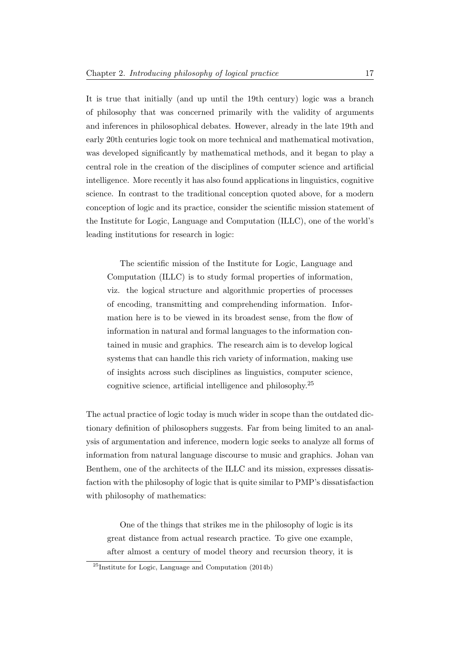It is true that initially (and up until the 19th century) logic was a branch of philosophy that was concerned primarily with the validity of arguments and inferences in philosophical debates. However, already in the late 19th and early 20th centuries logic took on more technical and mathematical motivation, was developed significantly by mathematical methods, and it began to play a central role in the creation of the disciplines of computer science and artificial intelligence. More recently it has also found applications in linguistics, cognitive science. In contrast to the traditional conception quoted above, for a modern conception of logic and its practice, consider the scientific mission statement of the Institute for Logic, Language and Computation (ILLC), one of the world's leading institutions for research in logic:

The scientific mission of the Institute for Logic, Language and Computation (ILLC) is to study formal properties of information, viz. the logical structure and algorithmic properties of processes of encoding, transmitting and comprehending information. Information here is to be viewed in its broadest sense, from the flow of information in natural and formal languages to the information contained in music and graphics. The research aim is to develop logical systems that can handle this rich variety of information, making use of insights across such disciplines as linguistics, computer science, cognitive science, artificial intelligence and philosophy.[25](#page-23-0)

The actual practice of logic today is much wider in scope than the outdated dictionary definition of philosophers suggests. Far from being limited to an analysis of argumentation and inference, modern logic seeks to analyze all forms of information from natural language discourse to music and graphics. Johan van Benthem, one of the architects of the ILLC and its mission, expresses dissatisfaction with the philosophy of logic that is quite similar to PMP's dissatisfaction with philosophy of mathematics:

One of the things that strikes me in the philosophy of logic is its great distance from actual research practice. To give one example, after almost a century of model theory and recursion theory, it is

<span id="page-23-0"></span> $^{25}$ [Institute for Logic, Language and Computation](#page-231-4) [\(2014b\)](#page-231-4)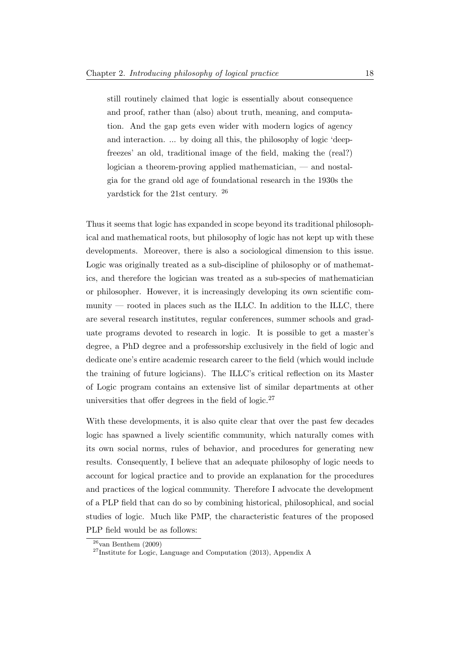still routinely claimed that logic is essentially about consequence and proof, rather than (also) about truth, meaning, and computation. And the gap gets even wider with modern logics of agency and interaction. ... by doing all this, the philosophy of logic 'deepfreezes' an old, traditional image of the field, making the (real?) logician a theorem-proving applied mathematician, — and nostalgia for the grand old age of foundational research in the 1930s the yardstick for the 21st century. [26](#page-24-0)

Thus it seems that logic has expanded in scope beyond its traditional philosophical and mathematical roots, but philosophy of logic has not kept up with these developments. Moreover, there is also a sociological dimension to this issue. Logic was originally treated as a sub-discipline of philosophy or of mathematics, and therefore the logician was treated as a sub-species of mathematician or philosopher. However, it is increasingly developing its own scientific community — rooted in places such as the ILLC. In addition to the ILLC, there are several research institutes, regular conferences, summer schools and graduate programs devoted to research in logic. It is possible to get a master's degree, a PhD degree and a professorship exclusively in the field of logic and dedicate one's entire academic research career to the field (which would include the training of future logicians). The ILLC's critical reflection on its Master of Logic program contains an extensive list of similar departments at other universities that offer degrees in the field of logic.<sup>[27](#page-24-1)</sup>

With these developments, it is also quite clear that over the past few decades logic has spawned a lively scientific community, which naturally comes with its own social norms, rules of behavior, and procedures for generating new results. Consequently, I believe that an adequate philosophy of logic needs to account for logical practice and to provide an explanation for the procedures and practices of the logical community. Therefore I advocate the development of a PLP field that can do so by combining historical, philosophical, and social studies of logic. Much like PMP, the characteristic features of the proposed PLP field would be as follows:

<span id="page-24-0"></span> $26$ [van Benthem](#page-233-3) [\(2009\)](#page-233-3)

<span id="page-24-1"></span><sup>27</sup>[Institute for Logic, Language and Computation](#page-231-5) [\(2013\)](#page-231-5), Appendix A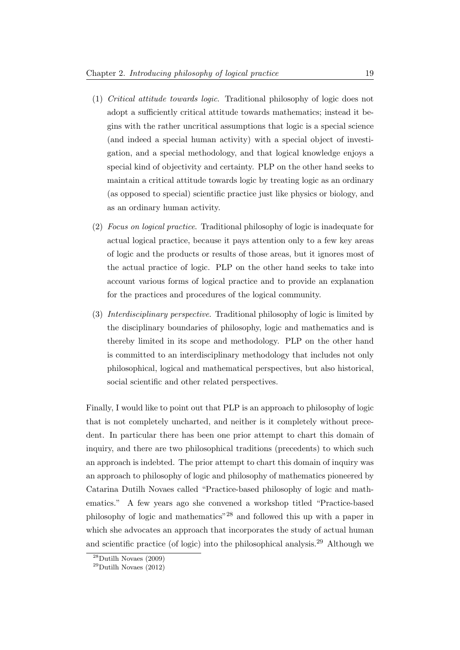- (1) Critical attitude towards logic. Traditional philosophy of logic does not adopt a sufficiently critical attitude towards mathematics; instead it begins with the rather uncritical assumptions that logic is a special science (and indeed a special human activity) with a special object of investigation, and a special methodology, and that logical knowledge enjoys a special kind of objectivity and certainty. PLP on the other hand seeks to maintain a critical attitude towards logic by treating logic as an ordinary (as opposed to special) scientific practice just like physics or biology, and as an ordinary human activity.
- (2) Focus on logical practice. Traditional philosophy of logic is inadequate for actual logical practice, because it pays attention only to a few key areas of logic and the products or results of those areas, but it ignores most of the actual practice of logic. PLP on the other hand seeks to take into account various forms of logical practice and to provide an explanation for the practices and procedures of the logical community.
- (3) Interdisciplinary perspective. Traditional philosophy of logic is limited by the disciplinary boundaries of philosophy, logic and mathematics and is thereby limited in its scope and methodology. PLP on the other hand is committed to an interdisciplinary methodology that includes not only philosophical, logical and mathematical perspectives, but also historical, social scientific and other related perspectives.

Finally, I would like to point out that PLP is an approach to philosophy of logic that is not completely uncharted, and neither is it completely without precedent. In particular there has been one prior attempt to chart this domain of inquiry, and there are two philosophical traditions (precedents) to which such an approach is indebted. The prior attempt to chart this domain of inquiry was an approach to philosophy of logic and philosophy of mathematics pioneered by Catarina Dutilh Novaes called "Practice-based philosophy of logic and mathematics." A few years ago she convened a workshop titled "Practice-based philosophy of logic and mathematics"[28](#page-25-0) and followed this up with a paper in which she advocates an approach that incorporates the study of actual human and scientific practice (of logic) into the philosophical analysis.[29](#page-25-1) Although we

<span id="page-25-0"></span> $^{28}$ [Dutilh Novaes](#page-230-3) [\(2009\)](#page-230-3)

<span id="page-25-1"></span> $^{29}$ [Dutilh Novaes](#page-230-4) [\(2012\)](#page-230-4)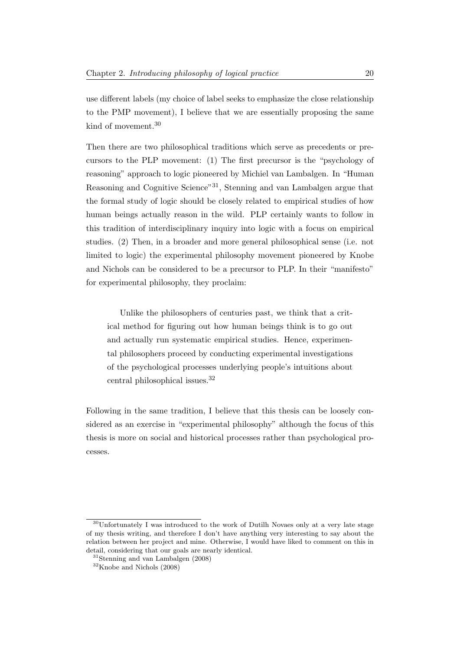use different labels (my choice of label seeks to emphasize the close relationship to the PMP movement), I believe that we are essentially proposing the same kind of movement.[30](#page-26-0)

Then there are two philosophical traditions which serve as precedents or precursors to the PLP movement: (1) The first precursor is the "psychology of reasoning" approach to logic pioneered by Michiel van Lambalgen. In "Human Reasoning and Cognitive Science"[31](#page-26-1), Stenning and van Lambalgen argue that the formal study of logic should be closely related to empirical studies of how human beings actually reason in the wild. PLP certainly wants to follow in this tradition of interdisciplinary inquiry into logic with a focus on empirical studies. (2) Then, in a broader and more general philosophical sense (i.e. not limited to logic) the experimental philosophy movement pioneered by Knobe and Nichols can be considered to be a precursor to PLP. In their "manifesto" for experimental philosophy, they proclaim:

Unlike the philosophers of centuries past, we think that a critical method for figuring out how human beings think is to go out and actually run systematic empirical studies. Hence, experimental philosophers proceed by conducting experimental investigations of the psychological processes underlying people's intuitions about central philosophical issues.[32](#page-26-2)

Following in the same tradition, I believe that this thesis can be loosely considered as an exercise in "experimental philosophy" although the focus of this thesis is more on social and historical processes rather than psychological processes.

<span id="page-26-0"></span><sup>30</sup>Unfortunately I was introduced to the work of Dutilh Novaes only at a very late stage of my thesis writing, and therefore I don't have anything very interesting to say about the relation between her project and mine. Otherwise, I would have liked to comment on this in detail, considering that our goals are nearly identical.

<span id="page-26-1"></span><sup>31</sup>[Stenning and van Lambalgen](#page-232-3) [\(2008\)](#page-232-3)

<span id="page-26-2"></span> $^{32}\rm{K}$ nobe and Nichols [\(2008\)](#page-231-6)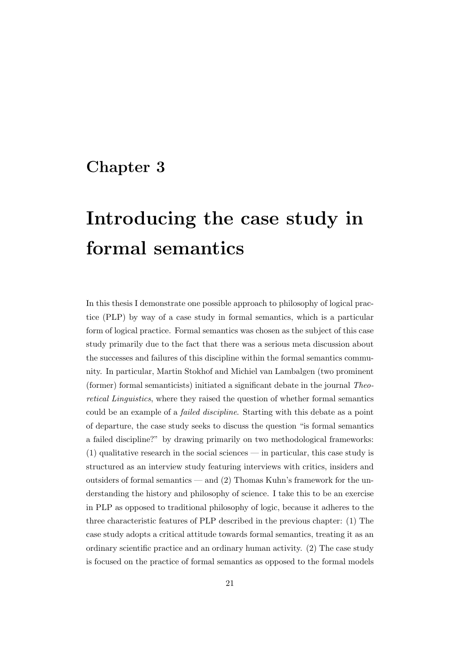### <span id="page-27-0"></span>Chapter 3

## Introducing the case study in formal semantics

In this thesis I demonstrate one possible approach to philosophy of logical practice (PLP) by way of a case study in formal semantics, which is a particular form of logical practice. Formal semantics was chosen as the subject of this case study primarily due to the fact that there was a serious meta discussion about the successes and failures of this discipline within the formal semantics community. In particular, Martin Stokhof and Michiel van Lambalgen (two prominent (former) formal semanticists) initiated a significant debate in the journal Theoretical Linguistics, where they raised the question of whether formal semantics could be an example of a failed discipline. Starting with this debate as a point of departure, the case study seeks to discuss the question "is formal semantics a failed discipline?" by drawing primarily on two methodological frameworks: (1) qualitative research in the social sciences — in particular, this case study is structured as an interview study featuring interviews with critics, insiders and outsiders of formal semantics — and (2) Thomas Kuhn's framework for the understanding the history and philosophy of science. I take this to be an exercise in PLP as opposed to traditional philosophy of logic, because it adheres to the three characteristic features of PLP described in the previous chapter: (1) The case study adopts a critical attitude towards formal semantics, treating it as an ordinary scientific practice and an ordinary human activity. (2) The case study is focused on the practice of formal semantics as opposed to the formal models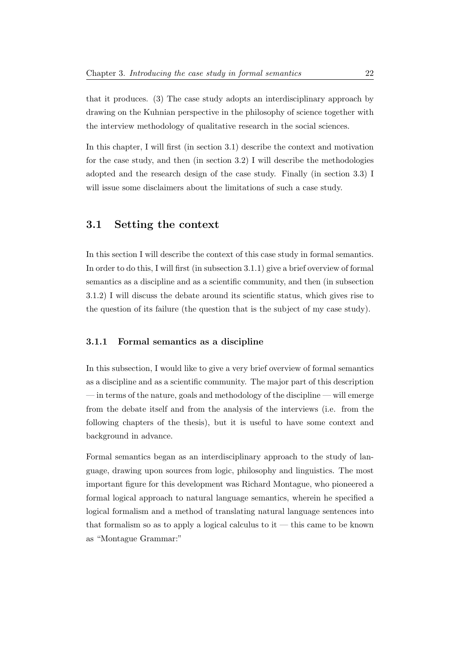that it produces. (3) The case study adopts an interdisciplinary approach by drawing on the Kuhnian perspective in the philosophy of science together with the interview methodology of qualitative research in the social sciences.

In this chapter, I will first (in section 3.1) describe the context and motivation for the case study, and then (in section 3.2) I will describe the methodologies adopted and the research design of the case study. Finally (in section 3.3) I will issue some disclaimers about the limitations of such a case study.

### <span id="page-28-0"></span>3.1 Setting the context

In this section I will describe the context of this case study in formal semantics. In order to do this, I will first (in subsection 3.1.1) give a brief overview of formal semantics as a discipline and as a scientific community, and then (in subsection 3.1.2) I will discuss the debate around its scientific status, which gives rise to the question of its failure (the question that is the subject of my case study).

#### <span id="page-28-1"></span>3.1.1 Formal semantics as a discipline

In this subsection, I would like to give a very brief overview of formal semantics as a discipline and as a scientific community. The major part of this description — in terms of the nature, goals and methodology of the discipline — will emerge from the debate itself and from the analysis of the interviews (i.e. from the following chapters of the thesis), but it is useful to have some context and background in advance.

Formal semantics began as an interdisciplinary approach to the study of language, drawing upon sources from logic, philosophy and linguistics. The most important figure for this development was Richard Montague, who pioneered a formal logical approach to natural language semantics, wherein he specified a logical formalism and a method of translating natural language sentences into that formalism so as to apply a logical calculus to  $it$  — this came to be known as "Montague Grammar:"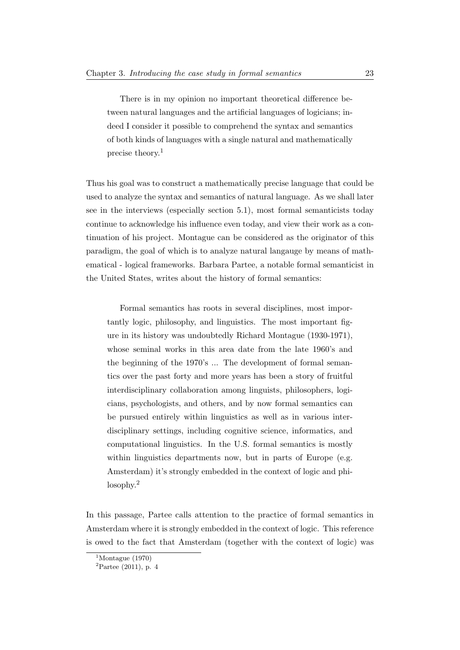There is in my opinion no important theoretical difference between natural languages and the artificial languages of logicians; indeed I consider it possible to comprehend the syntax and semantics of both kinds of languages with a single natural and mathematically precise theory.[1](#page-29-0)

Thus his goal was to construct a mathematically precise language that could be used to analyze the syntax and semantics of natural language. As we shall later see in the interviews (especially section 5.1), most formal semanticists today continue to acknowledge his influence even today, and view their work as a continuation of his project. Montague can be considered as the originator of this paradigm, the goal of which is to analyze natural langauge by means of mathematical - logical frameworks. Barbara Partee, a notable formal semanticist in the United States, writes about the history of formal semantics:

Formal semantics has roots in several disciplines, most importantly logic, philosophy, and linguistics. The most important figure in its history was undoubtedly Richard Montague (1930-1971), whose seminal works in this area date from the late 1960's and the beginning of the 1970's ... The development of formal semantics over the past forty and more years has been a story of fruitful interdisciplinary collaboration among linguists, philosophers, logicians, psychologists, and others, and by now formal semantics can be pursued entirely within linguistics as well as in various interdisciplinary settings, including cognitive science, informatics, and computational linguistics. In the U.S. formal semantics is mostly within linguistics departments now, but in parts of Europe (e.g. Amsterdam) it's strongly embedded in the context of logic and philosophy.[2](#page-29-1)

In this passage, Partee calls attention to the practice of formal semantics in Amsterdam where it is strongly embedded in the context of logic. This reference is owed to the fact that Amsterdam (together with the context of logic) was

<span id="page-29-0"></span> $1$ [Montague](#page-232-4) [\(1970\)](#page-232-4)

<span id="page-29-1"></span> ${}^{2}$ [Partee](#page-232-5) [\(2011\)](#page-232-5), p. 4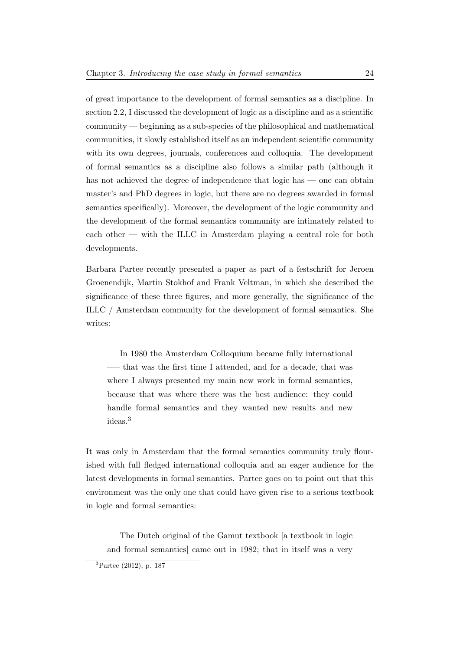of great importance to the development of formal semantics as a discipline. In section 2.2, I discussed the development of logic as a discipline and as a scientific community — beginning as a sub-species of the philosophical and mathematical communities, it slowly established itself as an independent scientific community with its own degrees, journals, conferences and colloquia. The development of formal semantics as a discipline also follows a similar path (although it has not achieved the degree of independence that logic has — one can obtain master's and PhD degrees in logic, but there are no degrees awarded in formal semantics specifically). Moreover, the development of the logic community and the development of the formal semantics community are intimately related to each other — with the ILLC in Amsterdam playing a central role for both developments.

Barbara Partee recently presented a paper as part of a festschrift for Jeroen Groenendijk, Martin Stokhof and Frank Veltman, in which she described the significance of these three figures, and more generally, the significance of the ILLC / Amsterdam community for the development of formal semantics. She writes:

In 1980 the Amsterdam Colloquium became fully international —– that was the first time I attended, and for a decade, that was where I always presented my main new work in formal semantics, because that was where there was the best audience: they could handle formal semantics and they wanted new results and new ideas.[3](#page-30-0)

It was only in Amsterdam that the formal semantics community truly flourished with full fledged international colloquia and an eager audience for the latest developments in formal semantics. Partee goes on to point out that this environment was the only one that could have given rise to a serious textbook in logic and formal semantics:

The Dutch original of the Gamut textbook [a textbook in logic and formal semantics] came out in 1982; that in itself was a very

<span id="page-30-0"></span><sup>3</sup>[Partee](#page-232-6) [\(2012\)](#page-232-6), p. 187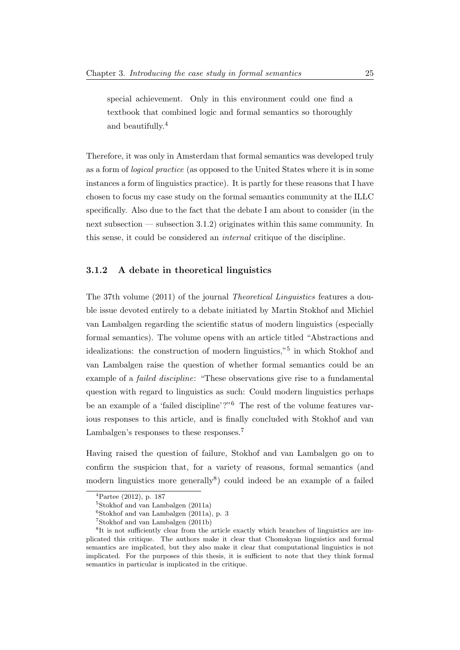special achievement. Only in this environment could one find a textbook that combined logic and formal semantics so thoroughly and beautifully.[4](#page-31-1)

Therefore, it was only in Amsterdam that formal semantics was developed truly as a form of logical practice (as opposed to the United States where it is in some instances a form of linguistics practice). It is partly for these reasons that I have chosen to focus my case study on the formal semantics community at the ILLC specifically. Also due to the fact that the debate I am about to consider (in the next subsection — subsection 3.1.2) originates within this same community. In this sense, it could be considered an internal critique of the discipline.

#### <span id="page-31-0"></span>3.1.2 A debate in theoretical linguistics

The 37th volume (2011) of the journal Theoretical Linguistics features a double issue devoted entirely to a debate initiated by Martin Stokhof and Michiel van Lambalgen regarding the scientific status of modern linguistics (especially formal semantics). The volume opens with an article titled "Abstractions and idealizations: the construction of modern linguistics,"<sup>[5](#page-31-2)</sup> in which Stokhof and van Lambalgen raise the question of whether formal semantics could be an example of a failed discipline: "These observations give rise to a fundamental question with regard to linguistics as such: Could modern linguistics perhaps be an example of a 'failed discipline'?"[6](#page-31-3) The rest of the volume features various responses to this article, and is finally concluded with Stokhof and van Lambalgen's responses to these responses.<sup>[7](#page-31-4)</sup>

Having raised the question of failure, Stokhof and van Lambalgen go on to confirm the suspicion that, for a variety of reasons, formal semantics (and modern linguistics more generally<sup>[8](#page-31-5)</sup>) could indeed be an example of a failed

<span id="page-31-1"></span><sup>4</sup>[Partee](#page-232-6) [\(2012\)](#page-232-6), p. 187

<span id="page-31-2"></span><sup>5</sup>[Stokhof and van Lambalgen](#page-232-7) [\(2011a\)](#page-232-7)

<span id="page-31-3"></span> $6$ [Stokhof and van Lambalgen](#page-232-7) [\(2011a\)](#page-232-7), p. 3

<span id="page-31-5"></span><span id="page-31-4"></span><sup>7</sup>[Stokhof and van Lambalgen](#page-233-4) [\(2011b\)](#page-233-4)

<sup>&</sup>lt;sup>8</sup>It is not sufficiently clear from the article exactly which branches of linguistics are implicated this critique. The authors make it clear that Chomskyan linguistics and formal semantics are implicated, but they also make it clear that computational linguistics is not implicated. For the purposes of this thesis, it is sufficient to note that they think formal semantics in particular is implicated in the critique.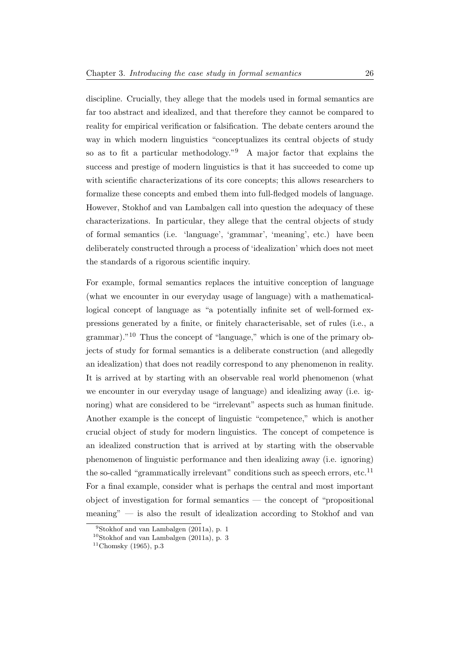discipline. Crucially, they allege that the models used in formal semantics are far too abstract and idealized, and that therefore they cannot be compared to reality for empirical verification or falsification. The debate centers around the way in which modern linguistics "conceptualizes its central objects of study so as to fit a particular methodology."[9](#page-32-0) A major factor that explains the success and prestige of modern linguistics is that it has succeeded to come up with scientific characterizations of its core concepts; this allows researchers to formalize these concepts and embed them into full-fledged models of language. However, Stokhof and van Lambalgen call into question the adequacy of these characterizations. In particular, they allege that the central objects of study of formal semantics (i.e. 'language', 'grammar', 'meaning', etc.) have been deliberately constructed through a process of 'idealization' which does not meet the standards of a rigorous scientific inquiry.

For example, formal semantics replaces the intuitive conception of language (what we encounter in our everyday usage of language) with a mathematicallogical concept of language as "a potentially infinite set of well-formed expressions generated by a finite, or finitely characterisable, set of rules (i.e., a grammar)."[10](#page-32-1) Thus the concept of "language," which is one of the primary objects of study for formal semantics is a deliberate construction (and allegedly an idealization) that does not readily correspond to any phenomenon in reality. It is arrived at by starting with an observable real world phenomenon (what we encounter in our everyday usage of language) and idealizing away (i.e. ignoring) what are considered to be "irrelevant" aspects such as human finitude. Another example is the concept of linguistic "competence," which is another crucial object of study for modern linguistics. The concept of competence is an idealized construction that is arrived at by starting with the observable phenomenon of linguistic performance and then idealizing away (i.e. ignoring) the so-called "grammatically irrelevant" conditions such as speech errors, etc.<sup>[11](#page-32-2)</sup> For a final example, consider what is perhaps the central and most important object of investigation for formal semantics — the concept of "propositional meaning" — is also the result of idealization according to Stokhof and van

<span id="page-32-0"></span> $9$ [Stokhof and van Lambalgen](#page-232-7) [\(2011a\)](#page-232-7), p. 1

<span id="page-32-1"></span> $10$ [Stokhof and van Lambalgen](#page-232-7) [\(2011a\)](#page-232-7), p. 3

<span id="page-32-2"></span> $11$ [Chomsky](#page-230-5) [\(1965\)](#page-230-5), p.3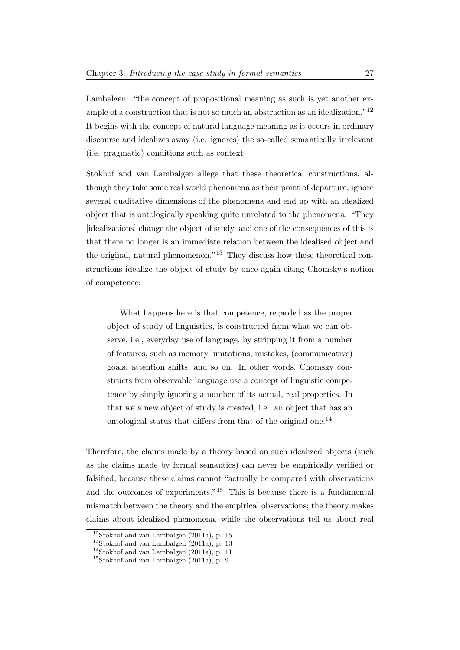Lambalgen: "the concept of propositional meaning as such is yet another ex-ample of a construction that is not so much an abstraction as an idealization."<sup>[12](#page-33-0)</sup> It begins with the concept of natural language meaning as it occurs in ordinary discourse and idealizes away (i.e. ignores) the so-called semantically irrelevant (i.e. pragmatic) conditions such as context.

Stokhof and van Lambalgen allege that these theoretical constructions, although they take some real world phenomena as their point of departure, ignore several qualitative dimensions of the phenomena and end up with an idealized object that is ontologically speaking quite unrelated to the phenomena: "They [idealizations] change the object of study, and one of the consequences of this is that there no longer is an immediate relation between the idealised object and the original, natural phenomenon."[13](#page-33-1) They discuss how these theoretical constructions idealize the object of study by once again citing Chomsky's notion of competence:

What happens here is that competence, regarded as the proper object of study of linguistics, is constructed from what we can observe, i.e., everyday use of language, by stripping it from a number of features, such as memory limitations, mistakes, (communicative) goals, attention shifts, and so on. In other words, Chomsky constructs from observable language use a concept of linguistic competence by simply ignoring a number of its actual, real properties. In that we a new object of study is created, i.e., an object that has an ontological status that differs from that of the original one.[14](#page-33-2)

Therefore, the claims made by a theory based on such idealized objects (such as the claims made by formal semantics) can never be empirically verified or falsified, because these claims cannot "actually be compared with observations and the outcomes of experiments."[15](#page-33-3) This is because there is a fundamental mismatch between the theory and the empirical observations; the theory makes claims about idealized phenomena, while the observations tell us about real

<span id="page-33-0"></span> $12$ [Stokhof and van Lambalgen](#page-232-7) [\(2011a\)](#page-232-7), p. 15

<span id="page-33-1"></span> $13$ [Stokhof and van Lambalgen](#page-232-7) [\(2011a\)](#page-232-7), p. 13

<span id="page-33-2"></span><sup>14</sup>[Stokhof and van Lambalgen](#page-232-7) [\(2011a\)](#page-232-7), p. 11

<span id="page-33-3"></span><sup>15</sup>[Stokhof and van Lambalgen](#page-232-7) [\(2011a\)](#page-232-7), p. 9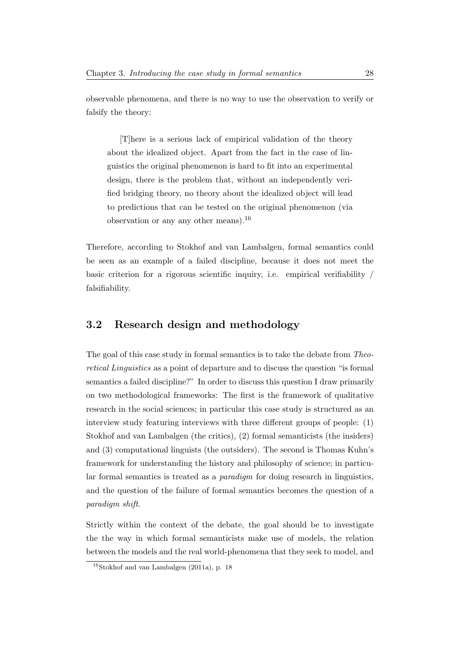observable phenomena, and there is no way to use the observation to verify or falsify the theory:

[T]here is a serious lack of empirical validation of the theory about the idealized object. Apart from the fact in the case of linguistics the original phenomenon is hard to fit into an experimental design, there is the problem that, without an independently verified bridging theory, no theory about the idealized object will lead to predictions that can be tested on the original phenomenon (via observation or any any other means).[16](#page-34-1)

Therefore, according to Stokhof and van Lambalgen, formal semantics could be seen as an example of a failed discipline, because it does not meet the basic criterion for a rigorous scientific inquiry, i.e. empirical verifiability / falsifiability.

### <span id="page-34-0"></span>3.2 Research design and methodology

The goal of this case study in formal semantics is to take the debate from Theoretical Linguistics as a point of departure and to discuss the question "is formal semantics a failed discipline?" In order to discuss this question I draw primarily on two methodological frameworks: The first is the framework of qualitative research in the social sciences; in particular this case study is structured as an interview study featuring interviews with three different groups of people: (1) Stokhof and van Lambalgen (the critics), (2) formal semanticists (the insiders) and (3) computational linguists (the outsiders). The second is Thomas Kuhn's framework for understanding the history and philosophy of science; in particular formal semantics is treated as a paradigm for doing research in linguistics, and the question of the failure of formal semantics becomes the question of a paradigm shift.

Strictly within the context of the debate, the goal should be to investigate the the way in which formal semanticists make use of models, the relation between the models and the real world-phenomena that they seek to model, and

<span id="page-34-1"></span> $16$ [Stokhof and van Lambalgen](#page-232-7) [\(2011a\)](#page-232-7), p. 18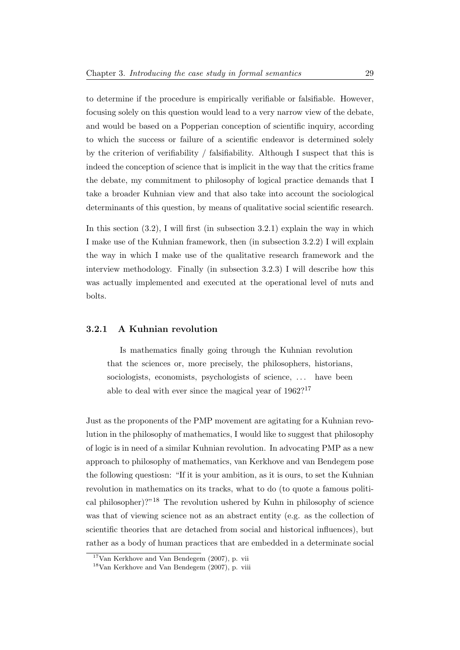to determine if the procedure is empirically verifiable or falsifiable. However, focusing solely on this question would lead to a very narrow view of the debate, and would be based on a Popperian conception of scientific inquiry, according to which the success or failure of a scientific endeavor is determined solely by the criterion of verifiability / falsifiability. Although I suspect that this is indeed the conception of science that is implicit in the way that the critics frame the debate, my commitment to philosophy of logical practice demands that I take a broader Kuhnian view and that also take into account the sociological determinants of this question, by means of qualitative social scientific research.

In this section (3.2), I will first (in subsection 3.2.1) explain the way in which I make use of the Kuhnian framework, then (in subsection 3.2.2) I will explain the way in which I make use of the qualitative research framework and the interview methodology. Finally (in subsection 3.2.3) I will describe how this was actually implemented and executed at the operational level of nuts and bolts.

#### <span id="page-35-0"></span>3.2.1 A Kuhnian revolution

Is mathematics finally going through the Kuhnian revolution that the sciences or, more precisely, the philosophers, historians, sociologists, economists, psychologists of science, ... have been able to deal with ever since the magical year of  $1962$ ?<sup>[17](#page-35-1)</sup>

Just as the proponents of the PMP movement are agitating for a Kuhnian revolution in the philosophy of mathematics, I would like to suggest that philosophy of logic is in need of a similar Kuhnian revolution. In advocating PMP as a new approach to philosophy of mathematics, van Kerkhove and van Bendegem pose the following questiosn: "If it is your ambition, as it is ours, to set the Kuhnian revolution in mathematics on its tracks, what to do (to quote a famous politi-cal philosopher)?"<sup>[18](#page-35-2)</sup> The revolution ushered by Kuhn in philosophy of science was that of viewing science not as an abstract entity (e.g. as the collection of scientific theories that are detached from social and historical influences), but rather as a body of human practices that are embedded in a determinate social

<span id="page-35-1"></span> $17$ [Van Kerkhove and Van Bendegem](#page-233-0) [\(2007\)](#page-233-0), p. vii

<span id="page-35-2"></span> $18$ [Van Kerkhove and Van Bendegem](#page-233-0) [\(2007\)](#page-233-0), p. viii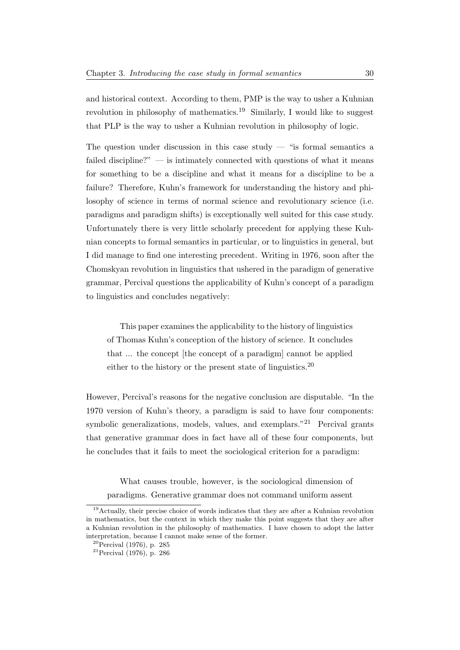and historical context. According to them, PMP is the way to usher a Kuhnian revolution in philosophy of mathematics.<sup>[19](#page-36-0)</sup> Similarly, I would like to suggest that PLP is the way to usher a Kuhnian revolution in philosophy of logic.

The question under discussion in this case study  $-$  "is formal semantics a failed discipline?"  $\overline{\phantom{a}}$  is intimately connected with questions of what it means for something to be a discipline and what it means for a discipline to be a failure? Therefore, Kuhn's framework for understanding the history and philosophy of science in terms of normal science and revolutionary science (i.e. paradigms and paradigm shifts) is exceptionally well suited for this case study. Unfortunately there is very little scholarly precedent for applying these Kuhnian concepts to formal semantics in particular, or to linguistics in general, but I did manage to find one interesting precedent. Writing in 1976, soon after the Chomskyan revolution in linguistics that ushered in the paradigm of generative grammar, Percival questions the applicability of Kuhn's concept of a paradigm to linguistics and concludes negatively:

This paper examines the applicability to the history of linguistics of Thomas Kuhn's conception of the history of science. It concludes that ... the concept [the concept of a paradigm] cannot be applied either to the history or the present state of linguistics.<sup>[20](#page-36-1)</sup>

However, Percival's reasons for the negative conclusion are disputable. "In the 1970 version of Kuhn's theory, a paradigm is said to have four components: symbolic generalizations, models, values, and exemplars.<sup>"[21](#page-36-2)</sup> Percival grants that generative grammar does in fact have all of these four components, but he concludes that it fails to meet the sociological criterion for a paradigm:

What causes trouble, however, is the sociological dimension of paradigms. Generative grammar does not command uniform assent

<span id="page-36-0"></span><sup>&</sup>lt;sup>19</sup>Actually, their precise choice of words indicates that they are after a Kuhnian revolution in mathematics, but the context in which they make this point suggests that they are after a Kuhnian revolution in the philosophy of mathematics. I have chosen to adopt the latter interpretation, because I cannot make sense of the former.

<span id="page-36-1"></span> $20$ [Percival](#page-232-0) [\(1976\)](#page-232-0), p. 285

<span id="page-36-2"></span> $^{21}$ [Percival](#page-232-0) [\(1976\)](#page-232-0), p. 286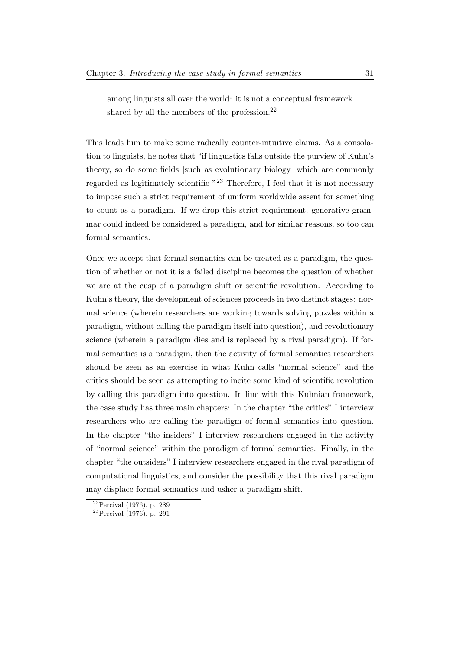among linguists all over the world: it is not a conceptual framework shared by all the members of the profession. $^{22}$  $^{22}$  $^{22}$ 

This leads him to make some radically counter-intuitive claims. As a consolation to linguists, he notes that "if linguistics falls outside the purview of Kuhn's theory, so do some fields [such as evolutionary biology] which are commonly regarded as legitimately scientific "[23](#page-37-1) Therefore, I feel that it is not necessary to impose such a strict requirement of uniform worldwide assent for something to count as a paradigm. If we drop this strict requirement, generative grammar could indeed be considered a paradigm, and for similar reasons, so too can formal semantics.

Once we accept that formal semantics can be treated as a paradigm, the question of whether or not it is a failed discipline becomes the question of whether we are at the cusp of a paradigm shift or scientific revolution. According to Kuhn's theory, the development of sciences proceeds in two distinct stages: normal science (wherein researchers are working towards solving puzzles within a paradigm, without calling the paradigm itself into question), and revolutionary science (wherein a paradigm dies and is replaced by a rival paradigm). If formal semantics is a paradigm, then the activity of formal semantics researchers should be seen as an exercise in what Kuhn calls "normal science" and the critics should be seen as attempting to incite some kind of scientific revolution by calling this paradigm into question. In line with this Kuhnian framework, the case study has three main chapters: In the chapter "the critics" I interview researchers who are calling the paradigm of formal semantics into question. In the chapter "the insiders" I interview researchers engaged in the activity of "normal science" within the paradigm of formal semantics. Finally, in the chapter "the outsiders" I interview researchers engaged in the rival paradigm of computational linguistics, and consider the possibility that this rival paradigm may displace formal semantics and usher a paradigm shift.

<span id="page-37-0"></span> $22$ [Percival](#page-232-0) [\(1976\)](#page-232-0), p. 289

<span id="page-37-1"></span> $23$ [Percival](#page-232-0) [\(1976\)](#page-232-0), p. 291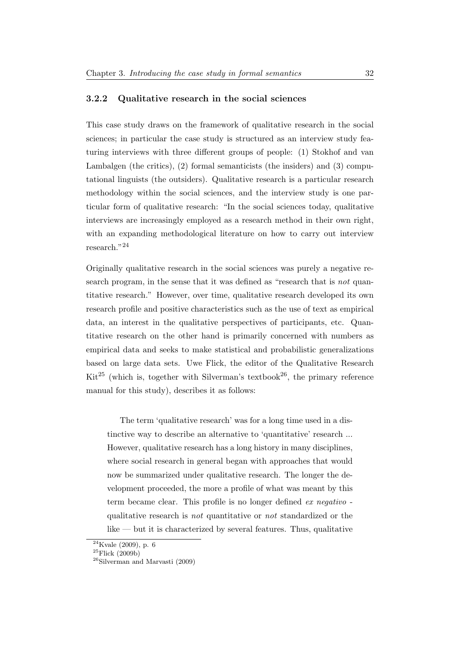#### 3.2.2 Qualitative research in the social sciences

This case study draws on the framework of qualitative research in the social sciences; in particular the case study is structured as an interview study featuring interviews with three different groups of people: (1) Stokhof and van Lambalgen (the critics), (2) formal semanticists (the insiders) and (3) computational linguists (the outsiders). Qualitative research is a particular research methodology within the social sciences, and the interview study is one particular form of qualitative research: "In the social sciences today, qualitative interviews are increasingly employed as a research method in their own right, with an expanding methodological literature on how to carry out interview research."[24](#page-38-0)

Originally qualitative research in the social sciences was purely a negative research program, in the sense that it was defined as "research that is *not* quantitative research." However, over time, qualitative research developed its own research profile and positive characteristics such as the use of text as empirical data, an interest in the qualitative perspectives of participants, etc. Quantitative research on the other hand is primarily concerned with numbers as empirical data and seeks to make statistical and probabilistic generalizations based on large data sets. Uwe Flick, the editor of the Qualitative Research Kit<sup>[25](#page-38-1)</sup> (which is, together with Silverman's textbook<sup>[26](#page-38-2)</sup>, the primary reference manual for this study), describes it as follows:

The term 'qualitative research' was for a long time used in a distinctive way to describe an alternative to 'quantitative' research ... However, qualitative research has a long history in many disciplines, where social research in general began with approaches that would now be summarized under qualitative research. The longer the development proceeded, the more a profile of what was meant by this term became clear. This profile is no longer defined ex negativo qualitative research is not quantitative or not standardized or the like — but it is characterized by several features. Thus, qualitative

<span id="page-38-0"></span> $24$ [Kvale](#page-231-0) [\(2009\)](#page-231-0), p. 6

<span id="page-38-1"></span> $^{25}$ [Flick](#page-230-0) [\(2009b\)](#page-230-0)

<span id="page-38-2"></span><sup>26</sup>[Silverman and Marvasti](#page-232-1) [\(2009\)](#page-232-1)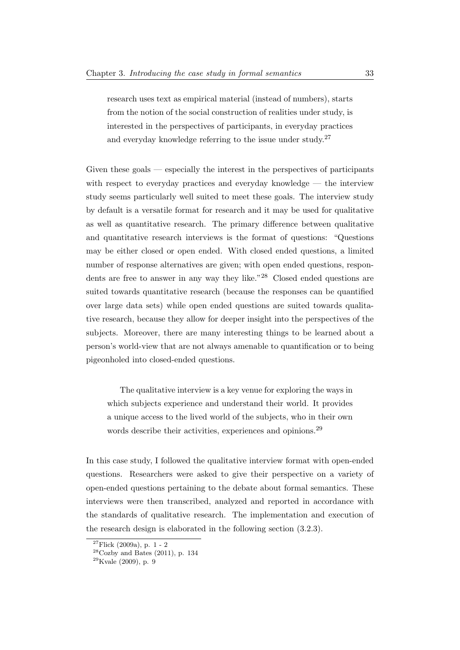research uses text as empirical material (instead of numbers), starts from the notion of the social construction of realities under study, is interested in the perspectives of participants, in everyday practices and everyday knowledge referring to the issue under study.<sup>[27](#page-39-0)</sup>

Given these goals — especially the interest in the perspectives of participants with respect to everyday practices and everyday knowledge — the interview study seems particularly well suited to meet these goals. The interview study by default is a versatile format for research and it may be used for qualitative as well as quantitative research. The primary difference between qualitative and quantitative research interviews is the format of questions: "Questions may be either closed or open ended. With closed ended questions, a limited number of response alternatives are given; with open ended questions, respon-dents are free to answer in any way they like."<sup>[28](#page-39-1)</sup> Closed ended questions are suited towards quantitative research (because the responses can be quantified over large data sets) while open ended questions are suited towards qualitative research, because they allow for deeper insight into the perspectives of the subjects. Moreover, there are many interesting things to be learned about a person's world-view that are not always amenable to quantification or to being pigeonholed into closed-ended questions.

The qualitative interview is a key venue for exploring the ways in which subjects experience and understand their world. It provides a unique access to the lived world of the subjects, who in their own words describe their activities, experiences and opinions.<sup>[29](#page-39-2)</sup>

In this case study, I followed the qualitative interview format with open-ended questions. Researchers were asked to give their perspective on a variety of open-ended questions pertaining to the debate about formal semantics. These interviews were then transcribed, analyzed and reported in accordance with the standards of qualitative research. The implementation and execution of the research design is elaborated in the following section (3.2.3).

<span id="page-39-0"></span> $27$ [Flick](#page-230-1) [\(2009a\)](#page-230-1), p. 1 - 2

<span id="page-39-1"></span> $28$ [Cozby and Bates](#page-230-2) [\(2011\)](#page-230-2), p. 134

<span id="page-39-2"></span> $29$ [Kvale](#page-231-0) [\(2009\)](#page-231-0), p. 9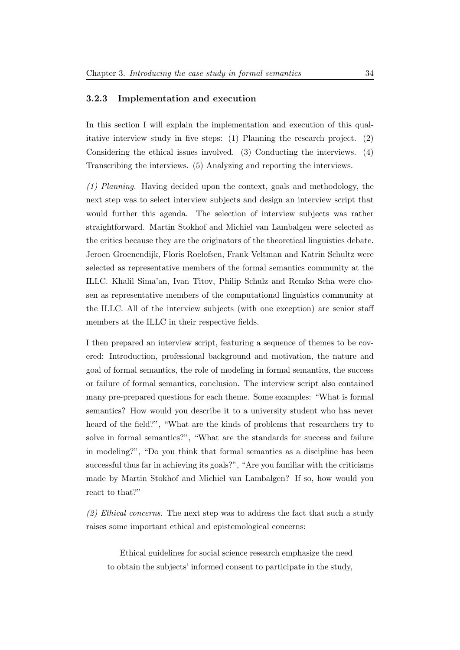#### 3.2.3 Implementation and execution

In this section I will explain the implementation and execution of this qualitative interview study in five steps: (1) Planning the research project. (2) Considering the ethical issues involved. (3) Conducting the interviews. (4) Transcribing the interviews. (5) Analyzing and reporting the interviews.

(1) Planning. Having decided upon the context, goals and methodology, the next step was to select interview subjects and design an interview script that would further this agenda. The selection of interview subjects was rather straightforward. Martin Stokhof and Michiel van Lambalgen were selected as the critics because they are the originators of the theoretical linguistics debate. Jeroen Groenendijk, Floris Roelofsen, Frank Veltman and Katrin Schultz were selected as representative members of the formal semantics community at the ILLC. Khalil Sima'an, Ivan Titov, Philip Schulz and Remko Scha were chosen as representative members of the computational linguistics community at the ILLC. All of the interview subjects (with one exception) are senior staff members at the ILLC in their respective fields.

I then prepared an interview script, featuring a sequence of themes to be covered: Introduction, professional background and motivation, the nature and goal of formal semantics, the role of modeling in formal semantics, the success or failure of formal semantics, conclusion. The interview script also contained many pre-prepared questions for each theme. Some examples: "What is formal semantics? How would you describe it to a university student who has never heard of the field?", "What are the kinds of problems that researchers try to solve in formal semantics?", "What are the standards for success and failure in modeling?", "Do you think that formal semantics as a discipline has been successful thus far in achieving its goals?", "Are you familiar with the criticisms made by Martin Stokhof and Michiel van Lambalgen? If so, how would you react to that?"

 $(2)$  Ethical concerns. The next step was to address the fact that such a study raises some important ethical and epistemological concerns:

Ethical guidelines for social science research emphasize the need to obtain the subjects' informed consent to participate in the study,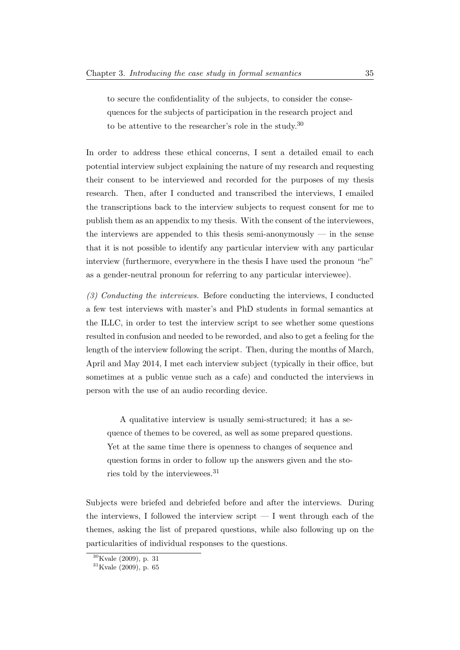to secure the confidentiality of the subjects, to consider the consequences for the subjects of participation in the research project and to be attentive to the researcher's role in the study.[30](#page-41-0)

In order to address these ethical concerns, I sent a detailed email to each potential interview subject explaining the nature of my research and requesting their consent to be interviewed and recorded for the purposes of my thesis research. Then, after I conducted and transcribed the interviews, I emailed the transcriptions back to the interview subjects to request consent for me to publish them as an appendix to my thesis. With the consent of the interviewees, the interviews are appended to this thesis semi-anonymously  $-$  in the sense that it is not possible to identify any particular interview with any particular interview (furthermore, everywhere in the thesis I have used the pronoun "he" as a gender-neutral pronoun for referring to any particular interviewee).

(3) Conducting the interviews. Before conducting the interviews, I conducted a few test interviews with master's and PhD students in formal semantics at the ILLC, in order to test the interview script to see whether some questions resulted in confusion and needed to be reworded, and also to get a feeling for the length of the interview following the script. Then, during the months of March, April and May 2014, I met each interview subject (typically in their office, but sometimes at a public venue such as a cafe) and conducted the interviews in person with the use of an audio recording device.

A qualitative interview is usually semi-structured; it has a sequence of themes to be covered, as well as some prepared questions. Yet at the same time there is openness to changes of sequence and question forms in order to follow up the answers given and the stories told by the interviewees.[31](#page-41-1)

Subjects were briefed and debriefed before and after the interviews. During the interviews, I followed the interview script  $- I$  went through each of the themes, asking the list of prepared questions, while also following up on the particularities of individual responses to the questions.

<span id="page-41-0"></span> $30$ [Kvale](#page-231-0) [\(2009\)](#page-231-0), p. 31

<span id="page-41-1"></span> $31$ [Kvale](#page-231-0) [\(2009\)](#page-231-0), p. 65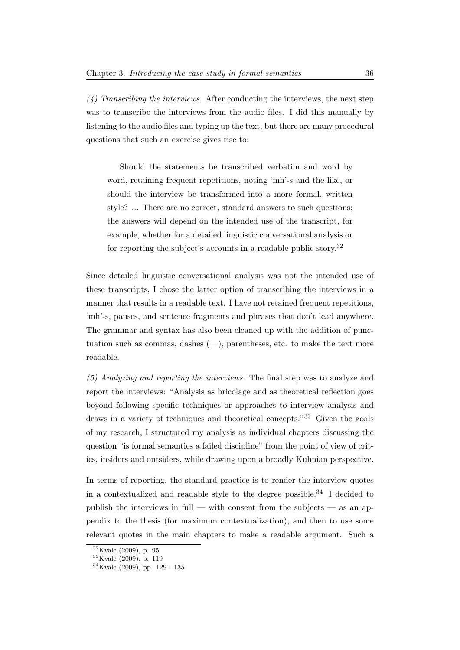$(4)$  Transcribing the interviews. After conducting the interviews, the next step was to transcribe the interviews from the audio files. I did this manually by listening to the audio files and typing up the text, but there are many procedural questions that such an exercise gives rise to:

Should the statements be transcribed verbatim and word by word, retaining frequent repetitions, noting 'mh'-s and the like, or should the interview be transformed into a more formal, written style? ... There are no correct, standard answers to such questions; the answers will depend on the intended use of the transcript, for example, whether for a detailed linguistic conversational analysis or for reporting the subject's accounts in a readable public story.[32](#page-42-0)

Since detailed linguistic conversational analysis was not the intended use of these transcripts, I chose the latter option of transcribing the interviews in a manner that results in a readable text. I have not retained frequent repetitions, 'mh'-s, pauses, and sentence fragments and phrases that don't lead anywhere. The grammar and syntax has also been cleaned up with the addition of punctuation such as commas, dashes  $(-)$ , parentheses, etc. to make the text more readable.

(5) Analyzing and reporting the interviews. The final step was to analyze and report the interviews: "Analysis as bricolage and as theoretical reflection goes beyond following specific techniques or approaches to interview analysis and draws in a variety of techniques and theoretical concepts."[33](#page-42-1) Given the goals of my research, I structured my analysis as individual chapters discussing the question "is formal semantics a failed discipline" from the point of view of critics, insiders and outsiders, while drawing upon a broadly Kuhnian perspective.

In terms of reporting, the standard practice is to render the interview quotes in a contextualized and readable style to the degree possible.<sup>[34](#page-42-2)</sup> I decided to publish the interviews in full — with consent from the subjects — as an appendix to the thesis (for maximum contextualization), and then to use some relevant quotes in the main chapters to make a readable argument. Such a

<span id="page-42-0"></span><sup>32</sup>[Kvale](#page-231-0) [\(2009\)](#page-231-0), p. 95

<span id="page-42-1"></span><sup>33</sup>[Kvale](#page-231-0) [\(2009\)](#page-231-0), p. 119

<span id="page-42-2"></span><sup>34</sup>[Kvale](#page-231-0) [\(2009\)](#page-231-0), pp. 129 - 135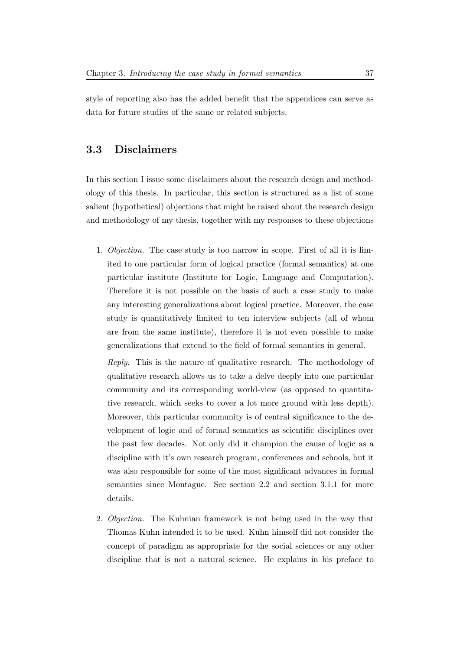style of reporting also has the added benefit that the appendices can serve as data for future studies of the same or related subjects.

### 3.3 Disclaimers

In this section I issue some disclaimers about the research design and methodology of this thesis. In particular, this section is structured as a list of some salient (hypothetical) objections that might be raised about the research design and methodology of my thesis, together with my responses to these objections

1. Objection. The case study is too narrow in scope. First of all it is limited to one particular form of logical practice (formal semantics) at one particular institute (Institute for Logic, Language and Computation). Therefore it is not possible on the basis of such a case study to make any interesting generalizations about logical practice. Moreover, the case study is quantitatively limited to ten interview subjects (all of whom are from the same institute), therefore it is not even possible to make generalizations that extend to the field of formal semantics in general.

Reply. This is the nature of qualitative research. The methodology of qualitative research allows us to take a delve deeply into one particular community and its corresponding world-view (as opposed to quantitative research, which seeks to cover a lot more ground with less depth). Moreover, this particular community is of central significance to the development of logic and of formal semantics as scientific disciplines over the past few decades. Not only did it champion the cause of logic as a discipline with it's own research program, conferences and schools, but it was also responsible for some of the most significant advances in formal semantics since Montague. See section 2.2 and section 3.1.1 for more details.

2. Objection. The Kuhnian framework is not being used in the way that Thomas Kuhn intended it to be used. Kuhn himself did not consider the concept of paradigm as appropriate for the social sciences or any other discipline that is not a natural science. He explains in his preface to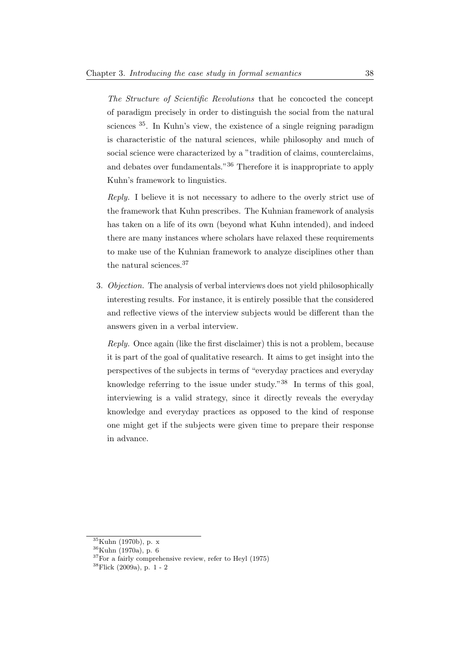The Structure of Scientific Revolutions that he concocted the concept of paradigm precisely in order to distinguish the social from the natural sciences [35](#page-44-0). In Kuhn's view, the existence of a single reigning paradigm is characteristic of the natural sciences, while philosophy and much of social science were characterized by a "tradition of claims, counterclaims, and debates over fundamentals."[36](#page-44-1) Therefore it is inappropriate to apply Kuhn's framework to linguistics.

Reply. I believe it is not necessary to adhere to the overly strict use of the framework that Kuhn prescribes. The Kuhnian framework of analysis has taken on a life of its own (beyond what Kuhn intended), and indeed there are many instances where scholars have relaxed these requirements to make use of the Kuhnian framework to analyze disciplines other than the natural sciences.[37](#page-44-2)

3. Objection. The analysis of verbal interviews does not yield philosophically interesting results. For instance, it is entirely possible that the considered and reflective views of the interview subjects would be different than the answers given in a verbal interview.

Reply. Once again (like the first disclaimer) this is not a problem, because it is part of the goal of qualitative research. It aims to get insight into the perspectives of the subjects in terms of "everyday practices and everyday knowledge referring to the issue under study."[38](#page-44-3) In terms of this goal, interviewing is a valid strategy, since it directly reveals the everyday knowledge and everyday practices as opposed to the kind of response one might get if the subjects were given time to prepare their response in advance.

<span id="page-44-0"></span><sup>35</sup>[Kuhn](#page-231-1) [\(1970b\)](#page-231-1), p. x

<span id="page-44-1"></span> $36 \,$ [Kuhn](#page-231-2) [\(1970a\)](#page-231-2), p. 6

<span id="page-44-2"></span><sup>37</sup>For a fairly comprehensive review, refer to [Heyl](#page-230-3) [\(1975\)](#page-230-3)

<span id="page-44-3"></span><sup>38</sup>[Flick](#page-230-1) [\(2009a\)](#page-230-1), p. 1 - 2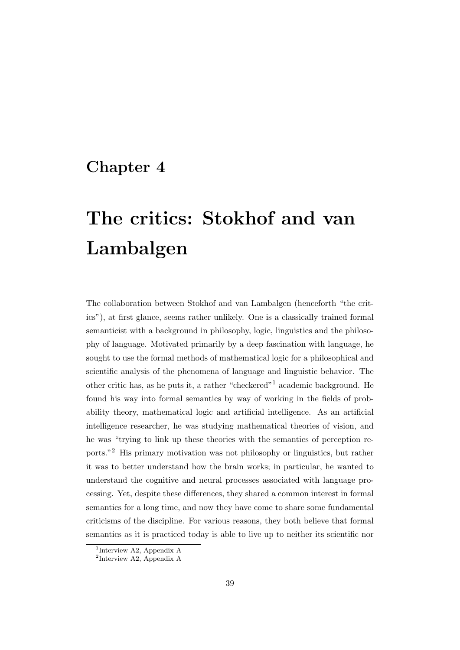## Chapter 4

# The critics: Stokhof and van Lambalgen

The collaboration between Stokhof and van Lambalgen (henceforth "the critics"), at first glance, seems rather unlikely. One is a classically trained formal semanticist with a background in philosophy, logic, linguistics and the philosophy of language. Motivated primarily by a deep fascination with language, he sought to use the formal methods of mathematical logic for a philosophical and scientific analysis of the phenomena of language and linguistic behavior. The other critic has, as he puts it, a rather "checkered"[1](#page-45-0) academic background. He found his way into formal semantics by way of working in the fields of probability theory, mathematical logic and artificial intelligence. As an artificial intelligence researcher, he was studying mathematical theories of vision, and he was "trying to link up these theories with the semantics of perception reports."[2](#page-45-1) His primary motivation was not philosophy or linguistics, but rather it was to better understand how the brain works; in particular, he wanted to understand the cognitive and neural processes associated with language processing. Yet, despite these differences, they shared a common interest in formal semantics for a long time, and now they have come to share some fundamental criticisms of the discipline. For various reasons, they both believe that formal semantics as it is practiced today is able to live up to neither its scientific nor

<span id="page-45-0"></span><sup>1</sup> Interview A2, Appendix A

<span id="page-45-1"></span><sup>2</sup> Interview A2, Appendix A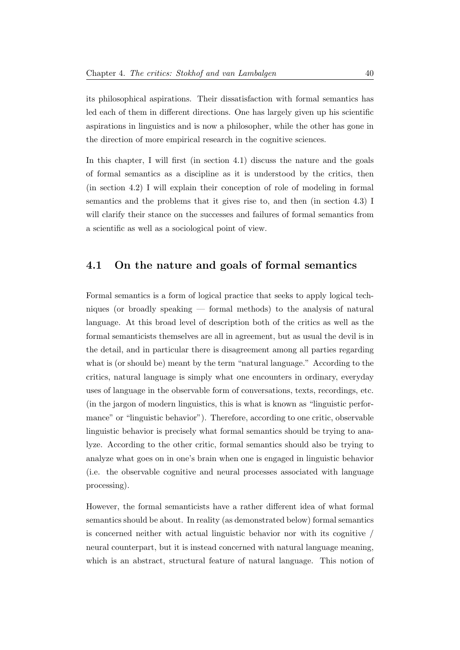its philosophical aspirations. Their dissatisfaction with formal semantics has led each of them in different directions. One has largely given up his scientific aspirations in linguistics and is now a philosopher, while the other has gone in the direction of more empirical research in the cognitive sciences.

In this chapter, I will first (in section 4.1) discuss the nature and the goals of formal semantics as a discipline as it is understood by the critics, then (in section 4.2) I will explain their conception of role of modeling in formal semantics and the problems that it gives rise to, and then (in section 4.3) I will clarify their stance on the successes and failures of formal semantics from a scientific as well as a sociological point of view.

#### 4.1 On the nature and goals of formal semantics

Formal semantics is a form of logical practice that seeks to apply logical techniques (or broadly speaking — formal methods) to the analysis of natural language. At this broad level of description both of the critics as well as the formal semanticists themselves are all in agreement, but as usual the devil is in the detail, and in particular there is disagreement among all parties regarding what is (or should be) meant by the term "natural language." According to the critics, natural language is simply what one encounters in ordinary, everyday uses of language in the observable form of conversations, texts, recordings, etc. (in the jargon of modern linguistics, this is what is known as "linguistic performance" or "linguistic behavior"). Therefore, according to one critic, observable linguistic behavior is precisely what formal semantics should be trying to analyze. According to the other critic, formal semantics should also be trying to analyze what goes on in one's brain when one is engaged in linguistic behavior (i.e. the observable cognitive and neural processes associated with language processing).

However, the formal semanticists have a rather different idea of what formal semantics should be about. In reality (as demonstrated below) formal semantics is concerned neither with actual linguistic behavior nor with its cognitive / neural counterpart, but it is instead concerned with natural language meaning, which is an abstract, structural feature of natural language. This notion of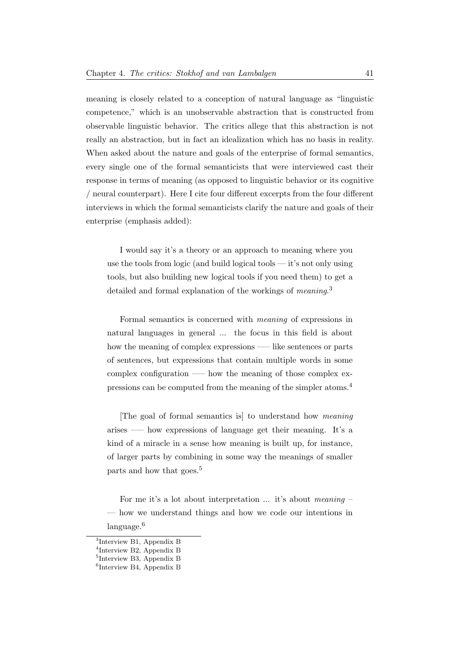meaning is closely related to a conception of natural language as "linguistic competence," which is an unobservable abstraction that is constructed from observable linguistic behavior. The critics allege that this abstraction is not really an abstraction, but in fact an idealization which has no basis in reality. When asked about the nature and goals of the enterprise of formal semantics, every single one of the formal semanticists that were interviewed cast their response in terms of meaning (as opposed to linguistic behavior or its cognitive / neural counterpart). Here I cite four different excerpts from the four different interviews in which the formal semanticists clarify the nature and goals of their enterprise (emphasis added):

I would say it's a theory or an approach to meaning where you use the tools from logic (and build logical tools  $-$  it's not only using tools, but also building new logical tools if you need them) to get a detailed and formal explanation of the workings of *meaning*.<sup>[3](#page-47-0)</sup>

Formal semantics is concerned with meaning of expressions in natural languages in general ... the focus in this field is about how the meaning of complex expressions —– like sentences or parts of sentences, but expressions that contain multiple words in some complex configuration —– how the meaning of those complex expressions can be computed from the meaning of the simpler atoms.[4](#page-47-1)

[The goal of formal semantics is] to understand how meaning arises –— how expressions of language get their meaning. It's a kind of a miracle in a sense how meaning is built up, for instance, of larger parts by combining in some way the meanings of smaller parts and how that goes.<sup>[5](#page-47-2)</sup>

For me it's a lot about interpretation ... it's about meaning – — how we understand things and how we code our intentions in language.<sup>[6](#page-47-3)</sup>

<span id="page-47-0"></span><sup>3</sup> Interview B1, Appendix B

<span id="page-47-1"></span><sup>4</sup> Interview B2, Appendix B

<span id="page-47-2"></span><sup>5</sup> Interview B3, Appendix B

<span id="page-47-3"></span><sup>6</sup> Interview B4, Appendix B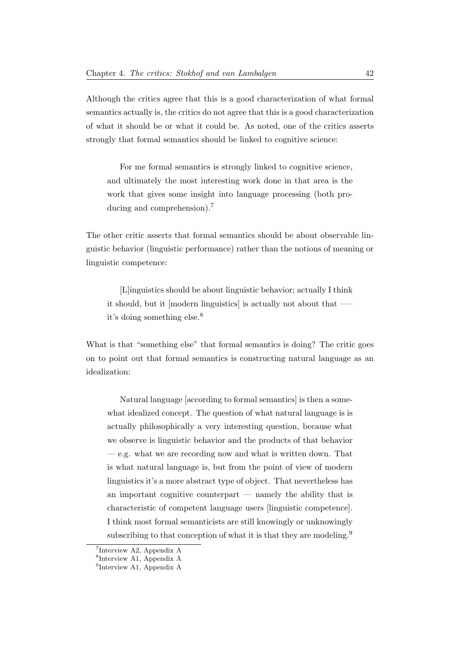Although the critics agree that this is a good characterization of what formal semantics actually is, the critics do not agree that this is a good characterization of what it should be or what it could be. As noted, one of the critics asserts strongly that formal semantics should be linked to cognitive science:

For me formal semantics is strongly linked to cognitive science, and ultimately the most interesting work done in that area is the work that gives some insight into language processing (both producing and comprehension).[7](#page-48-0)

The other critic asserts that formal semantics should be about observable linguistic behavior (linguistic performance) rather than the notions of meaning or linguistic competence:

[L]inguistics should be about linguistic behavior; actually I think it should, but it [modern linguistics] is actually not about that —– it's doing something else.[8](#page-48-1)

What is that "something else" that formal semantics is doing? The critic goes on to point out that formal semantics is constructing natural language as an idealization:

Natural language [according to formal semantics] is then a somewhat idealized concept. The question of what natural language is is actually philosophically a very interesting question, because what we observe is linguistic behavior and the products of that behavior — e.g. what we are recording now and what is written down. That is what natural language is, but from the point of view of modern linguistics it's a more abstract type of object. That nevertheless has an important cognitive counterpart — namely the ability that is characteristic of competent language users [linguistic competence]. I think most formal semanticists are still knowingly or unknowingly subscribing to that conception of what it is that they are modeling.<sup>[9](#page-48-2)</sup>

<span id="page-48-0"></span><sup>7</sup> Interview A2, Appendix A

<span id="page-48-1"></span><sup>8</sup> Interview A1, Appendix A

<span id="page-48-2"></span><sup>&</sup>lt;sup>9</sup>Interview A1, Appendix A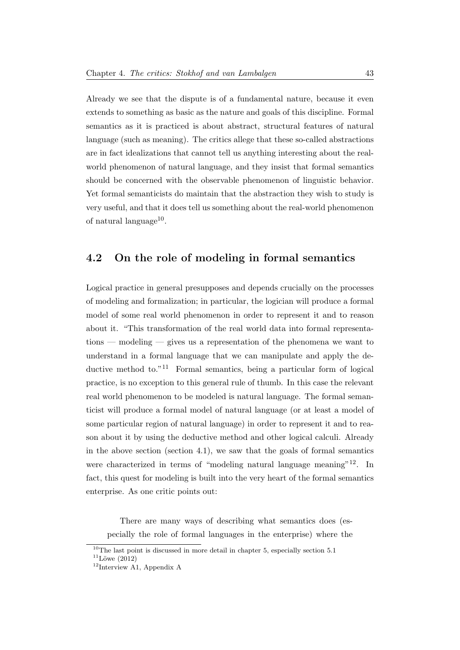Already we see that the dispute is of a fundamental nature, because it even extends to something as basic as the nature and goals of this discipline. Formal semantics as it is practiced is about abstract, structural features of natural language (such as meaning). The critics allege that these so-called abstractions are in fact idealizations that cannot tell us anything interesting about the realworld phenomenon of natural language, and they insist that formal semantics should be concerned with the observable phenomenon of linguistic behavior. Yet formal semanticists do maintain that the abstraction they wish to study is very useful, and that it does tell us something about the real-world phenomenon of natural language<sup>[10](#page-49-0)</sup>.

#### 4.2 On the role of modeling in formal semantics

Logical practice in general presupposes and depends crucially on the processes of modeling and formalization; in particular, the logician will produce a formal model of some real world phenomenon in order to represent it and to reason about it. "This transformation of the real world data into formal representations — modeling — gives us a representation of the phenomena we want to understand in a formal language that we can manipulate and apply the de-ductive method to."<sup>[11](#page-49-1)</sup> Formal semantics, being a particular form of logical practice, is no exception to this general rule of thumb. In this case the relevant real world phenomenon to be modeled is natural language. The formal semanticist will produce a formal model of natural language (or at least a model of some particular region of natural language) in order to represent it and to reason about it by using the deductive method and other logical calculi. Already in the above section (section 4.1), we saw that the goals of formal semantics were characterized in terms of "modeling natural language meaning"<sup>[12](#page-49-2)</sup>. In fact, this quest for modeling is built into the very heart of the formal semantics enterprise. As one critic points out:

There are many ways of describing what semantics does (especially the role of formal languages in the enterprise) where the

<span id="page-49-1"></span><span id="page-49-0"></span> $^{10}\mathrm{The}$  last point is discussed in more detail in chapter 5, especially section 5.1  $11$ Löwe [\(2012\)](#page-232-2)

<span id="page-49-2"></span><sup>12</sup>Interview A1, Appendix A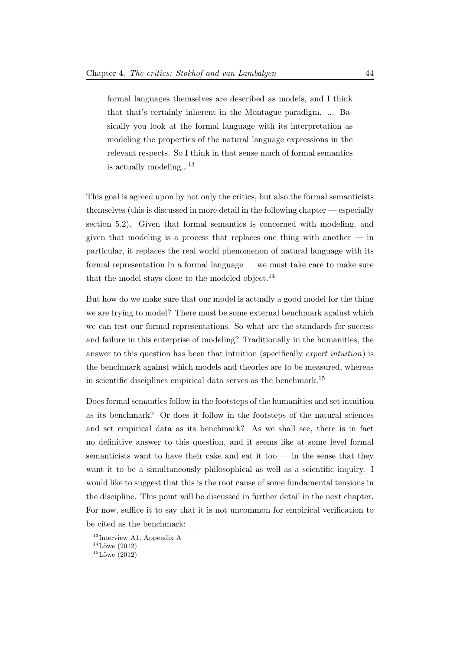formal languages themselves are described as models, and I think that that's certainly inherent in the Montague paradigm. ... Basically you look at the formal language with its interpretation as modeling the properties of the natural language expressions in the relevant respects. So I think in that sense much of formal semantics is actually modeling...<sup>[13](#page-50-0)</sup>

This goal is agreed upon by not only the critics, but also the formal semanticists themselves (this is discussed in more detail in the following chapter — especially section 5.2). Given that formal semantics is concerned with modeling, and given that modeling is a process that replaces one thing with another  $-$  in particular, it replaces the real world phenomenon of natural language with its formal representation in a formal language — we must take care to make sure that the model stays close to the modeled object. $^{14}$  $^{14}$  $^{14}$ 

But how do we make sure that our model is actually a good model for the thing we are trying to model? There must be some external benchmark against which we can test our formal representations. So what are the standards for success and failure in this enterprise of modeling? Traditionally in the humanities, the answer to this question has been that intuition (specifically *expert intuition*) is the benchmark against which models and theories are to be measured, whereas in scientific disciplines empirical data serves as the benchmark.[15](#page-50-2)

Does formal semantics follow in the footsteps of the humanities and set intuition as its benchmark? Or does it follow in the footsteps of the natural sciences and set empirical data as its benchmark? As we shall see, there is in fact no definitive answer to this question, and it seems like at some level formal semanticists want to have their cake and eat it too — in the sense that they want it to be a simultaneously philosophical as well as a scientific inquiry. I would like to suggest that this is the root cause of some fundamental tensions in the discipline. This point will be discussed in further detail in the next chapter. For now, suffice it to say that it is not uncommon for empirical verification to be cited as the benchmark:

<span id="page-50-0"></span><sup>&</sup>lt;sup>13</sup>Interview A1, Appendix A

<span id="page-50-1"></span> $14$ Löwe [\(2012\)](#page-232-2)

<span id="page-50-2"></span> $15$ Löwe [\(2012\)](#page-232-2)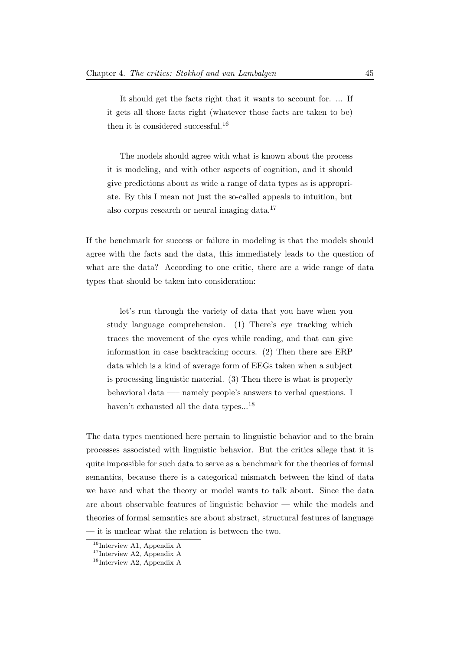It should get the facts right that it wants to account for. ... If it gets all those facts right (whatever those facts are taken to be) then it is considered successful.<sup>[16](#page-51-0)</sup>

The models should agree with what is known about the process it is modeling, and with other aspects of cognition, and it should give predictions about as wide a range of data types as is appropriate. By this I mean not just the so-called appeals to intuition, but also corpus research or neural imaging data.[17](#page-51-1)

If the benchmark for success or failure in modeling is that the models should agree with the facts and the data, this immediately leads to the question of what are the data? According to one critic, there are a wide range of data types that should be taken into consideration:

let's run through the variety of data that you have when you study language comprehension. (1) There's eye tracking which traces the movement of the eyes while reading, and that can give information in case backtracking occurs. (2) Then there are ERP data which is a kind of average form of EEGs taken when a subject is processing linguistic material. (3) Then there is what is properly behavioral data —– namely people's answers to verbal questions. I haven't exhausted all the data types...<sup>[18](#page-51-2)</sup>

The data types mentioned here pertain to linguistic behavior and to the brain processes associated with linguistic behavior. But the critics allege that it is quite impossible for such data to serve as a benchmark for the theories of formal semantics, because there is a categorical mismatch between the kind of data we have and what the theory or model wants to talk about. Since the data are about observable features of linguistic behavior — while the models and theories of formal semantics are about abstract, structural features of language — it is unclear what the relation is between the two.

<span id="page-51-0"></span> $16$ Interview A1, Appendix A

<span id="page-51-1"></span><sup>17</sup>Interview A2, Appendix A

<span id="page-51-2"></span> $^{18}{\rm Interview}$  A2, Appendix A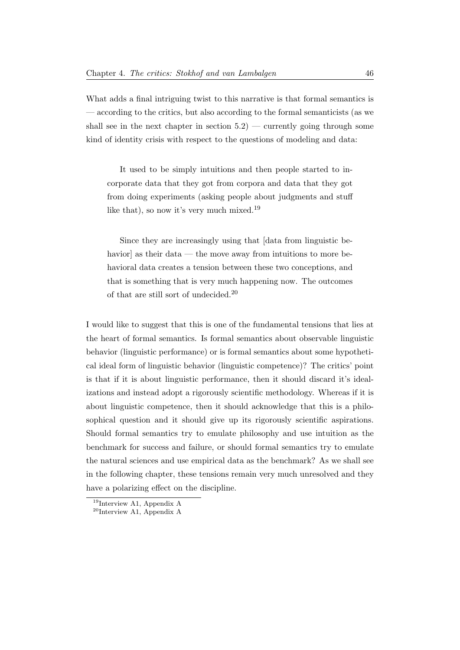What adds a final intriguing twist to this narrative is that formal semantics is — according to the critics, but also according to the formal semanticists (as we shall see in the next chapter in section  $5.2$ ) — currently going through some kind of identity crisis with respect to the questions of modeling and data:

It used to be simply intuitions and then people started to incorporate data that they got from corpora and data that they got from doing experiments (asking people about judgments and stuff like that), so now it's very much mixed.<sup>[19](#page-52-0)</sup>

Since they are increasingly using that [data from linguistic behavior] as their data — the move away from intuitions to more behavioral data creates a tension between these two conceptions, and that is something that is very much happening now. The outcomes of that are still sort of undecided.[20](#page-52-1)

I would like to suggest that this is one of the fundamental tensions that lies at the heart of formal semantics. Is formal semantics about observable linguistic behavior (linguistic performance) or is formal semantics about some hypothetical ideal form of linguistic behavior (linguistic competence)? The critics' point is that if it is about linguistic performance, then it should discard it's idealizations and instead adopt a rigorously scientific methodology. Whereas if it is about linguistic competence, then it should acknowledge that this is a philosophical question and it should give up its rigorously scientific aspirations. Should formal semantics try to emulate philosophy and use intuition as the benchmark for success and failure, or should formal semantics try to emulate the natural sciences and use empirical data as the benchmark? As we shall see in the following chapter, these tensions remain very much unresolved and they have a polarizing effect on the discipline.

<span id="page-52-0"></span><sup>19</sup>Interview A1, Appendix A

<span id="page-52-1"></span> $^{20}$ Interview A1, Appendix A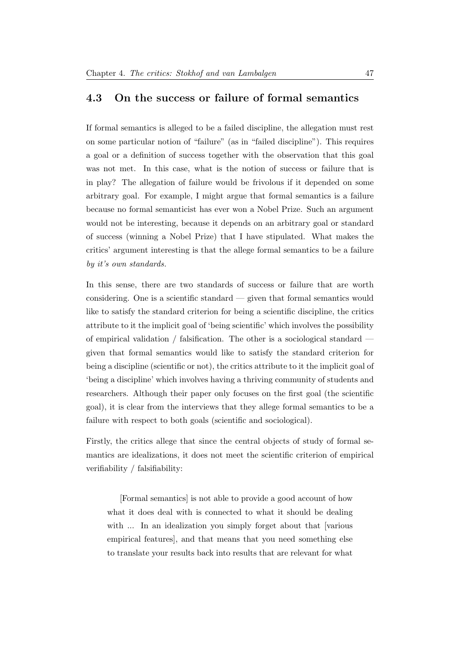#### 4.3 On the success or failure of formal semantics

If formal semantics is alleged to be a failed discipline, the allegation must rest on some particular notion of "failure" (as in "failed discipline"). This requires a goal or a definition of success together with the observation that this goal was not met. In this case, what is the notion of success or failure that is in play? The allegation of failure would be frivolous if it depended on some arbitrary goal. For example, I might argue that formal semantics is a failure because no formal semanticist has ever won a Nobel Prize. Such an argument would not be interesting, because it depends on an arbitrary goal or standard of success (winning a Nobel Prize) that I have stipulated. What makes the critics' argument interesting is that the allege formal semantics to be a failure by it's own standards.

In this sense, there are two standards of success or failure that are worth considering. One is a scientific standard — given that formal semantics would like to satisfy the standard criterion for being a scientific discipline, the critics attribute to it the implicit goal of 'being scientific' which involves the possibility of empirical validation / falsification. The other is a sociological standard given that formal semantics would like to satisfy the standard criterion for being a discipline (scientific or not), the critics attribute to it the implicit goal of 'being a discipline' which involves having a thriving community of students and researchers. Although their paper only focuses on the first goal (the scientific goal), it is clear from the interviews that they allege formal semantics to be a failure with respect to both goals (scientific and sociological).

Firstly, the critics allege that since the central objects of study of formal semantics are idealizations, it does not meet the scientific criterion of empirical verifiability / falsifiability:

[Formal semantics] is not able to provide a good account of how what it does deal with is connected to what it should be dealing with ... In an idealization you simply forget about that [various] empirical features], and that means that you need something else to translate your results back into results that are relevant for what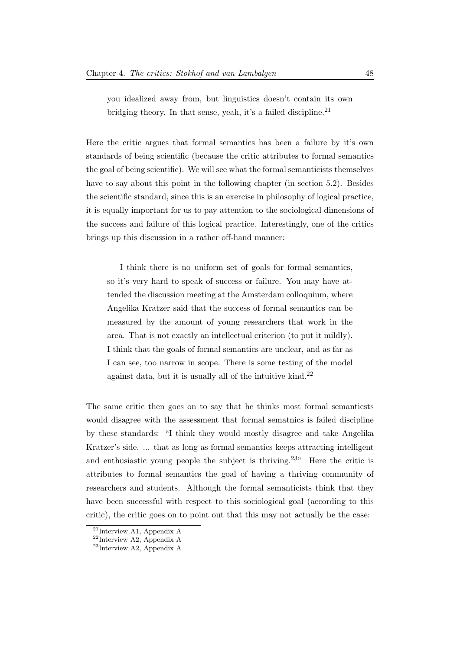you idealized away from, but linguistics doesn't contain its own bridging theory. In that sense, yeah, it's a failed discipline.<sup>[21](#page-54-0)</sup>

Here the critic argues that formal semantics has been a failure by it's own standards of being scientific (because the critic attributes to formal semantics the goal of being scientific). We will see what the formal semanticists themselves have to say about this point in the following chapter (in section 5.2). Besides the scientific standard, since this is an exercise in philosophy of logical practice, it is equally important for us to pay attention to the sociological dimensions of the success and failure of this logical practice. Interestingly, one of the critics brings up this discussion in a rather off-hand manner:

I think there is no uniform set of goals for formal semantics, so it's very hard to speak of success or failure. You may have attended the discussion meeting at the Amsterdam colloquium, where Angelika Kratzer said that the success of formal semantics can be measured by the amount of young researchers that work in the area. That is not exactly an intellectual criterion (to put it mildly). I think that the goals of formal semantics are unclear, and as far as I can see, too narrow in scope. There is some testing of the model against data, but it is usually all of the intuitive kind.[22](#page-54-1)

The same critic then goes on to say that he thinks most formal semanticsts would disagree with the assessment that formal sematnics is failed discipline by these standards: "I think they would mostly disagree and take Angelika Kratzer's side. ... that as long as formal semantics keeps attracting intelligent and enthusiastic young people the subject is thriving.<sup>[23](#page-54-2)</sup> Here the critic is attributes to formal semantics the goal of having a thriving community of researchers and students. Although the formal semanticists think that they have been successful with respect to this sociological goal (according to this critic), the critic goes on to point out that this may not actually be the case:

<span id="page-54-0"></span><sup>21</sup>Interview A1, Appendix A

<span id="page-54-1"></span> $^{22}\rm{Interview}$  A2, Appendix A

<span id="page-54-2"></span><sup>23</sup>Interview A2, Appendix A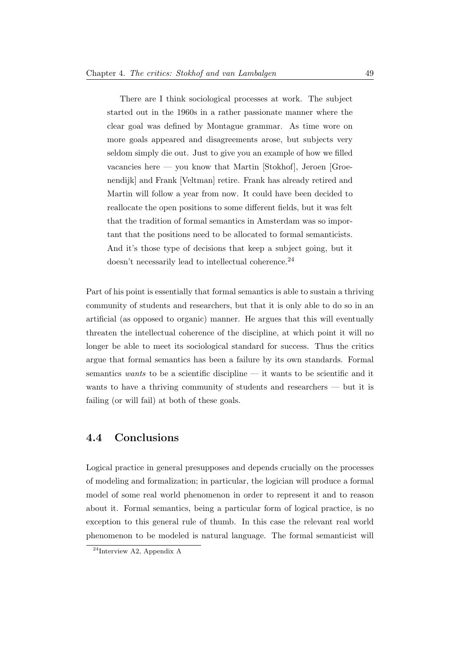There are I think sociological processes at work. The subject started out in the 1960s in a rather passionate manner where the clear goal was defined by Montague grammar. As time wore on more goals appeared and disagreements arose, but subjects very seldom simply die out. Just to give you an example of how we filled vacancies here — you know that Martin [Stokhof], Jeroen [Groenendijk] and Frank [Veltman] retire. Frank has already retired and Martin will follow a year from now. It could have been decided to reallocate the open positions to some different fields, but it was felt that the tradition of formal semantics in Amsterdam was so important that the positions need to be allocated to formal semanticists. And it's those type of decisions that keep a subject going, but it doesn't necessarily lead to intellectual coherence.<sup>[24](#page-55-0)</sup>

Part of his point is essentially that formal semantics is able to sustain a thriving community of students and researchers, but that it is only able to do so in an artificial (as opposed to organic) manner. He argues that this will eventually threaten the intellectual coherence of the discipline, at which point it will no longer be able to meet its sociological standard for success. Thus the critics argue that formal semantics has been a failure by its own standards. Formal semantics wants to be a scientific discipline — it wants to be scientific and it wants to have a thriving community of students and researchers — but it is failing (or will fail) at both of these goals.

#### 4.4 Conclusions

Logical practice in general presupposes and depends crucially on the processes of modeling and formalization; in particular, the logician will produce a formal model of some real world phenomenon in order to represent it and to reason about it. Formal semantics, being a particular form of logical practice, is no exception to this general rule of thumb. In this case the relevant real world phenomenon to be modeled is natural language. The formal semanticist will

<span id="page-55-0"></span> $24$ Interview A2, Appendix A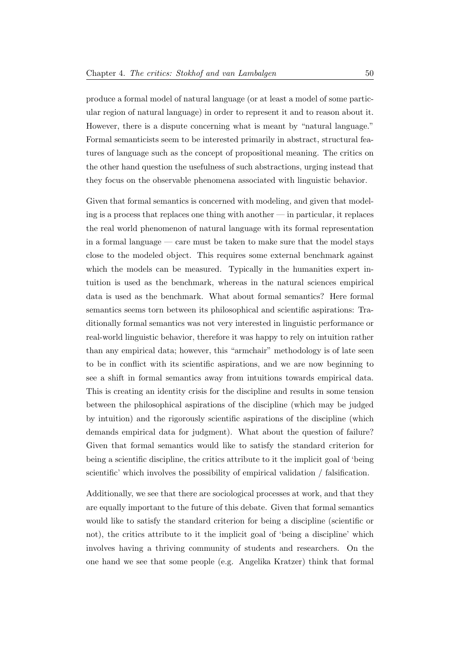produce a formal model of natural language (or at least a model of some particular region of natural language) in order to represent it and to reason about it. However, there is a dispute concerning what is meant by "natural language." Formal semanticists seem to be interested primarily in abstract, structural features of language such as the concept of propositional meaning. The critics on the other hand question the usefulness of such abstractions, urging instead that they focus on the observable phenomena associated with linguistic behavior.

Given that formal semantics is concerned with modeling, and given that modeling is a process that replaces one thing with another — in particular, it replaces the real world phenomenon of natural language with its formal representation in a formal language — care must be taken to make sure that the model stays close to the modeled object. This requires some external benchmark against which the models can be measured. Typically in the humanities expert intuition is used as the benchmark, whereas in the natural sciences empirical data is used as the benchmark. What about formal semantics? Here formal semantics seems torn between its philosophical and scientific aspirations: Traditionally formal semantics was not very interested in linguistic performance or real-world linguistic behavior, therefore it was happy to rely on intuition rather than any empirical data; however, this "armchair" methodology is of late seen to be in conflict with its scientific aspirations, and we are now beginning to see a shift in formal semantics away from intuitions towards empirical data. This is creating an identity crisis for the discipline and results in some tension between the philosophical aspirations of the discipline (which may be judged by intuition) and the rigorously scientific aspirations of the discipline (which demands empirical data for judgment). What about the question of failure? Given that formal semantics would like to satisfy the standard criterion for being a scientific discipline, the critics attribute to it the implicit goal of 'being scientific' which involves the possibility of empirical validation / falsification.

Additionally, we see that there are sociological processes at work, and that they are equally important to the future of this debate. Given that formal semantics would like to satisfy the standard criterion for being a discipline (scientific or not), the critics attribute to it the implicit goal of 'being a discipline' which involves having a thriving community of students and researchers. On the one hand we see that some people (e.g. Angelika Kratzer) think that formal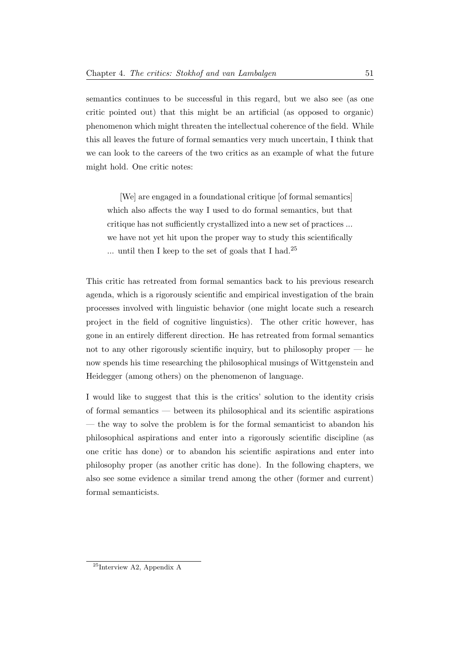semantics continues to be successful in this regard, but we also see (as one critic pointed out) that this might be an artificial (as opposed to organic) phenomenon which might threaten the intellectual coherence of the field. While this all leaves the future of formal semantics very much uncertain, I think that we can look to the careers of the two critics as an example of what the future might hold. One critic notes:

[We] are engaged in a foundational critique [of formal semantics] which also affects the way I used to do formal semantics, but that critique has not sufficiently crystallized into a new set of practices ... we have not yet hit upon the proper way to study this scientifically ... until then I keep to the set of goals that I had.<sup>[25](#page-57-0)</sup>

This critic has retreated from formal semantics back to his previous research agenda, which is a rigorously scientific and empirical investigation of the brain processes involved with linguistic behavior (one might locate such a research project in the field of cognitive linguistics). The other critic however, has gone in an entirely different direction. He has retreated from formal semantics not to any other rigorously scientific inquiry, but to philosophy proper — he now spends his time researching the philosophical musings of Wittgenstein and Heidegger (among others) on the phenomenon of language.

I would like to suggest that this is the critics' solution to the identity crisis of formal semantics — between its philosophical and its scientific aspirations — the way to solve the problem is for the formal semanticist to abandon his philosophical aspirations and enter into a rigorously scientific discipline (as one critic has done) or to abandon his scientific aspirations and enter into philosophy proper (as another critic has done). In the following chapters, we also see some evidence a similar trend among the other (former and current) formal semanticists.

<span id="page-57-0"></span><sup>25</sup>Interview A2, Appendix A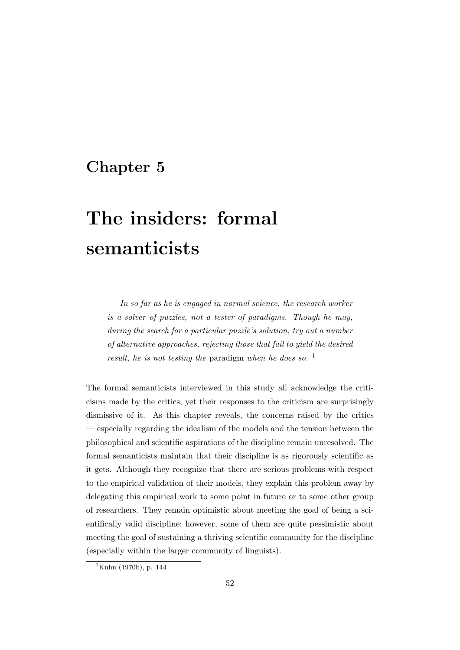## Chapter 5

# The insiders: formal semanticists

In so far as he is engaged in normal science, the research worker is a solver of puzzles, not a tester of paradigms. Though he may, during the search for a particular puzzle's solution, try out a number of alternative approaches, rejecting those that fail to yield the desired result, he is not testing the paradigm when he does so.  $<sup>1</sup>$  $<sup>1</sup>$  $<sup>1</sup>$ </sup>

The formal semanticists interviewed in this study all acknowledge the criticisms made by the critics, yet their responses to the criticism are surprisingly dismissive of it. As this chapter reveals, the concerns raised by the critics — especially regarding the idealism of the models and the tension between the philosophical and scientific aspirations of the discipline remain unresolved. The formal semanticists maintain that their discipline is as rigorously scientific as it gets. Although they recognize that there are serious problems with respect to the empirical validation of their models, they explain this problem away by delegating this empirical work to some point in future or to some other group of researchers. They remain optimistic about meeting the goal of being a scientifically valid discipline; however, some of them are quite pessimistic about meeting the goal of sustaining a thriving scientific community for the discipline (especially within the larger community of linguists).

<span id="page-58-0"></span> $1$ [Kuhn](#page-231-1) [\(1970b\)](#page-231-1), p. 144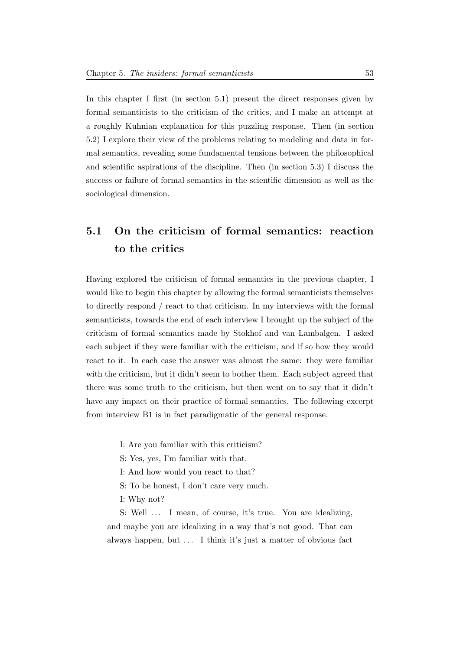In this chapter I first (in section 5.1) present the direct responses given by formal semanticists to the criticism of the critics, and I make an attempt at a roughly Kuhnian explanation for this puzzling response. Then (in section 5.2) I explore their view of the problems relating to modeling and data in formal semantics, revealing some fundamental tensions between the philosophical and scientific aspirations of the discipline. Then (in section 5.3) I discuss the success or failure of formal semantics in the scientific dimension as well as the sociological dimension.

## 5.1 On the criticism of formal semantics: reaction to the critics

Having explored the criticism of formal semantics in the previous chapter, I would like to begin this chapter by allowing the formal semanticists themselves to directly respond / react to that criticism. In my interviews with the formal semanticists, towards the end of each interview I brought up the subject of the criticism of formal semantics made by Stokhof and van Lambalgen. I asked each subject if they were familiar with the criticism, and if so how they would react to it. In each case the answer was almost the same: they were familiar with the criticism, but it didn't seem to bother them. Each subject agreed that there was some truth to the criticism, but then went on to say that it didn't have any impact on their practice of formal semantics. The following excerpt from interview B1 is in fact paradigmatic of the general response.

I: Are you familiar with this criticism?

S: Yes, yes, I'm familiar with that.

- I: And how would you react to that?
- S: To be honest, I don't care very much.
- I: Why not?

S: Well ... I mean, of course, it's true. You are idealizing, and maybe you are idealizing in a way that's not good. That can always happen, but . . . I think it's just a matter of obvious fact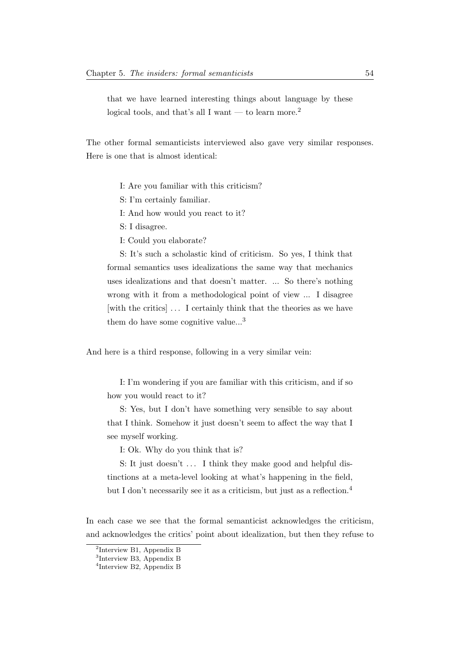that we have learned interesting things about language by these logical tools, and that's all I want — to learn more.<sup>[2](#page-60-0)</sup>

The other formal semanticists interviewed also gave very similar responses. Here is one that is almost identical:

I: Are you familiar with this criticism?

S: I'm certainly familiar.

I: And how would you react to it?

S: I disagree.

I: Could you elaborate?

S: It's such a scholastic kind of criticism. So yes, I think that formal semantics uses idealizations the same way that mechanics uses idealizations and that doesn't matter. ... So there's nothing wrong with it from a methodological point of view ... I disagree [with the critics] ... I certainly think that the theories as we have them do have some cognitive value...<sup>[3](#page-60-1)</sup>

And here is a third response, following in a very similar vein:

I: I'm wondering if you are familiar with this criticism, and if so how you would react to it?

S: Yes, but I don't have something very sensible to say about that I think. Somehow it just doesn't seem to affect the way that I see myself working.

I: Ok. Why do you think that is?

S: It just doesn't  $\dots$  I think they make good and helpful distinctions at a meta-level looking at what's happening in the field, but I don't necessarily see it as a criticism, but just as a reflection.<sup>[4](#page-60-2)</sup>

In each case we see that the formal semanticist acknowledges the criticism, and acknowledges the critics' point about idealization, but then they refuse to

<span id="page-60-0"></span><sup>2</sup> Interview B1, Appendix B

<span id="page-60-1"></span><sup>3</sup> Interview B3, Appendix B

<span id="page-60-2"></span><sup>4</sup> Interview B2, Appendix B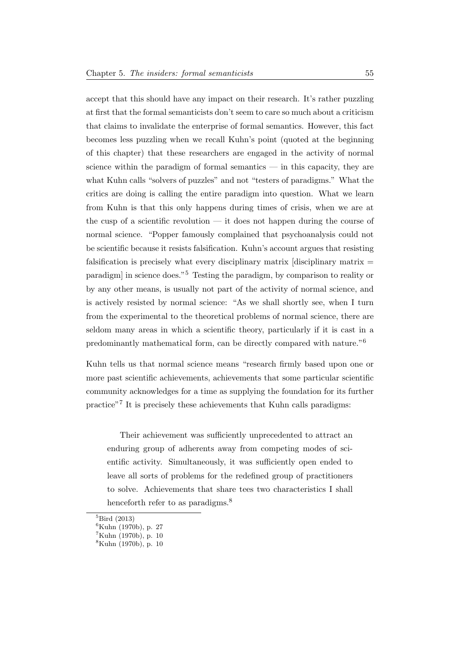accept that this should have any impact on their research. It's rather puzzling at first that the formal semanticists don't seem to care so much about a criticism that claims to invalidate the enterprise of formal semantics. However, this fact becomes less puzzling when we recall Kuhn's point (quoted at the beginning of this chapter) that these researchers are engaged in the activity of normal science within the paradigm of formal semantics  $-$  in this capacity, they are what Kuhn calls "solvers of puzzles" and not "testers of paradigms." What the critics are doing is calling the entire paradigm into question. What we learn from Kuhn is that this only happens during times of crisis, when we are at the cusp of a scientific revolution — it does not happen during the course of normal science. "Popper famously complained that psychoanalysis could not be scientific because it resists falsification. Kuhn's account argues that resisting falsification is precisely what every disciplinary matrix  $[disciplinary matrix =$ paradigm] in science does."[5](#page-61-0) Testing the paradigm, by comparison to reality or by any other means, is usually not part of the activity of normal science, and is actively resisted by normal science: "As we shall shortly see, when I turn from the experimental to the theoretical problems of normal science, there are seldom many areas in which a scientific theory, particularly if it is cast in a predominantly mathematical form, can be directly compared with nature."[6](#page-61-1)

Kuhn tells us that normal science means "research firmly based upon one or more past scientific achievements, achievements that some particular scientific community acknowledges for a time as supplying the foundation for its further practice"[7](#page-61-2) It is precisely these achievements that Kuhn calls paradigms:

Their achievement was sufficiently unprecedented to attract an enduring group of adherents away from competing modes of scientific activity. Simultaneously, it was sufficiently open ended to leave all sorts of problems for the redefined group of practitioners to solve. Achievements that share tees two characteristics I shall henceforth refer to as paradigms.<sup>[8](#page-61-3)</sup>

<span id="page-61-0"></span> ${}^{5}$ [Bird](#page-230-4) [\(2013\)](#page-230-4)

<span id="page-61-1"></span> ${}^{6}$ [Kuhn](#page-231-1) [\(1970b\)](#page-231-1), p. 27

<span id="page-61-2"></span><sup>7</sup>[Kuhn](#page-231-1) [\(1970b\)](#page-231-1), p. 10

<span id="page-61-3"></span><sup>8</sup>[Kuhn](#page-231-1) [\(1970b\)](#page-231-1), p. 10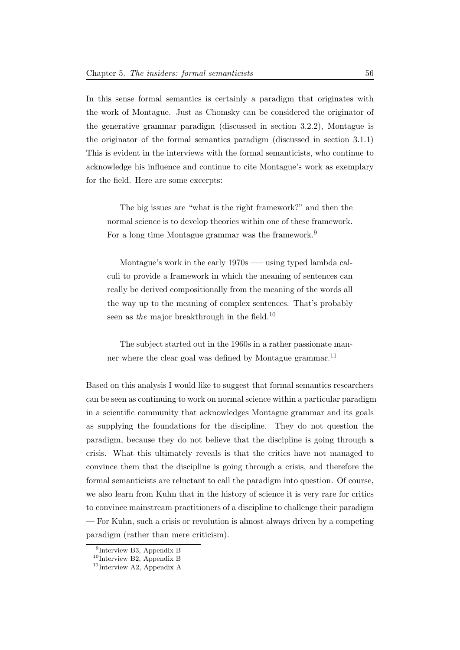In this sense formal semantics is certainly a paradigm that originates with the work of Montague. Just as Chomsky can be considered the originator of the generative grammar paradigm (discussed in section 3.2.2), Montague is the originator of the formal semantics paradigm (discussed in section 3.1.1) This is evident in the interviews with the formal semanticists, who continue to acknowledge his influence and continue to cite Montague's work as exemplary for the field. Here are some excerpts:

The big issues are "what is the right framework?" and then the normal science is to develop theories within one of these framework. For a long time Montague grammar was the framework.<sup>[9](#page-62-0)</sup>

Montague's work in the early 1970s —– using typed lambda calculi to provide a framework in which the meaning of sentences can really be derived compositionally from the meaning of the words all the way up to the meaning of complex sentences. That's probably seen as the major breakthrough in the field.<sup>[10](#page-62-1)</sup>

The subject started out in the 1960s in a rather passionate man-ner where the clear goal was defined by Montague grammar.<sup>[11](#page-62-2)</sup>

Based on this analysis I would like to suggest that formal semantics researchers can be seen as continuing to work on normal science within a particular paradigm in a scientific community that acknowledges Montague grammar and its goals as supplying the foundations for the discipline. They do not question the paradigm, because they do not believe that the discipline is going through a crisis. What this ultimately reveals is that the critics have not managed to convince them that the discipline is going through a crisis, and therefore the formal semanticists are reluctant to call the paradigm into question. Of course, we also learn from Kuhn that in the history of science it is very rare for critics to convince mainstream practitioners of a discipline to challenge their paradigm — For Kuhn, such a crisis or revolution is almost always driven by a competing paradigm (rather than mere criticism).

<span id="page-62-0"></span><sup>&</sup>lt;sup>9</sup>Interview B3, Appendix B

<span id="page-62-1"></span> $^{10}$  Interview B2, Appendix B

<span id="page-62-2"></span><sup>&</sup>lt;sup>11</sup>Interview A2, Appendix A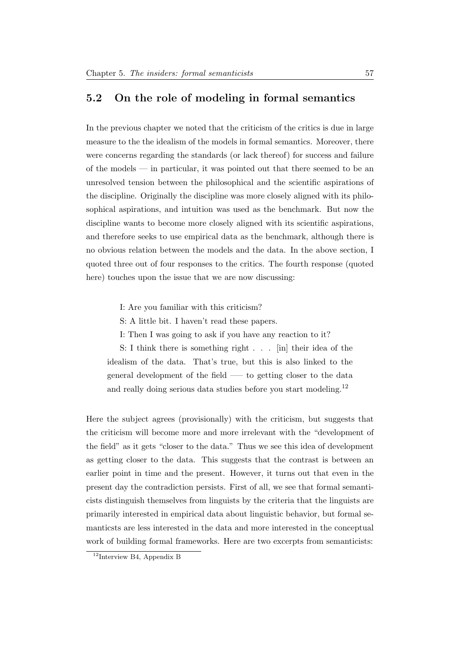### 5.2 On the role of modeling in formal semantics

In the previous chapter we noted that the criticism of the critics is due in large measure to the the idealism of the models in formal semantics. Moreover, there were concerns regarding the standards (or lack thereof) for success and failure of the models — in particular, it was pointed out that there seemed to be an unresolved tension between the philosophical and the scientific aspirations of the discipline. Originally the discipline was more closely aligned with its philosophical aspirations, and intuition was used as the benchmark. But now the discipline wants to become more closely aligned with its scientific aspirations, and therefore seeks to use empirical data as the benchmark, although there is no obvious relation between the models and the data. In the above section, I quoted three out of four responses to the critics. The fourth response (quoted here) touches upon the issue that we are now discussing:

I: Are you familiar with this criticism?

S: A little bit. I haven't read these papers.

I: Then I was going to ask if you have any reaction to it?

S: I think there is something right . . . [in] their idea of the idealism of the data. That's true, but this is also linked to the general development of the field —– to getting closer to the data and really doing serious data studies before you start modeling.<sup>[12](#page-63-0)</sup>

Here the subject agrees (provisionally) with the criticism, but suggests that the criticism will become more and more irrelevant with the "development of the field" as it gets "closer to the data." Thus we see this idea of development as getting closer to the data. This suggests that the contrast is between an earlier point in time and the present. However, it turns out that even in the present day the contradiction persists. First of all, we see that formal semanticists distinguish themselves from linguists by the criteria that the linguists are primarily interested in empirical data about linguistic behavior, but formal semanticsts are less interested in the data and more interested in the conceptual work of building formal frameworks. Here are two excerpts from semanticists:

<span id="page-63-0"></span> $12$ Interview B4, Appendix B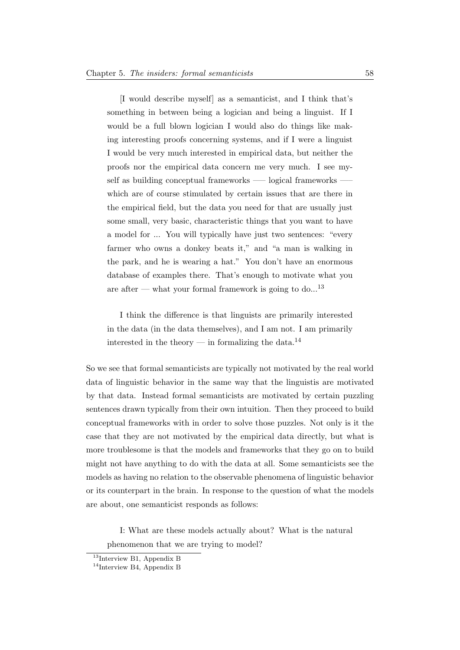[I would describe myself] as a semanticist, and I think that's something in between being a logician and being a linguist. If I would be a full blown logician I would also do things like making interesting proofs concerning systems, and if I were a linguist I would be very much interested in empirical data, but neither the proofs nor the empirical data concern me very much. I see myself as building conceptual frameworks —– logical frameworks —– which are of course stimulated by certain issues that are there in the empirical field, but the data you need for that are usually just some small, very basic, characteristic things that you want to have a model for ... You will typically have just two sentences: "every farmer who owns a donkey beats it," and "a man is walking in the park, and he is wearing a hat." You don't have an enormous database of examples there. That's enough to motivate what you are after — what your formal framework is going to do...<sup>[13](#page-64-0)</sup>

I think the difference is that linguists are primarily interested in the data (in the data themselves), and I am not. I am primarily interested in the theory — in formalizing the data.<sup>[14](#page-64-1)</sup>

So we see that formal semanticists are typically not motivated by the real world data of linguistic behavior in the same way that the linguistis are motivated by that data. Instead formal semanticists are motivated by certain puzzling sentences drawn typically from their own intuition. Then they proceed to build conceptual frameworks with in order to solve those puzzles. Not only is it the case that they are not motivated by the empirical data directly, but what is more troublesome is that the models and frameworks that they go on to build might not have anything to do with the data at all. Some semanticists see the models as having no relation to the observable phenomena of linguistic behavior or its counterpart in the brain. In response to the question of what the models are about, one semanticist responds as follows:

I: What are these models actually about? What is the natural phenomenon that we are trying to model?

<span id="page-64-0"></span><sup>13</sup>Interview B1, Appendix B

<span id="page-64-1"></span><sup>&</sup>lt;sup>14</sup>Interview B4, Appendix B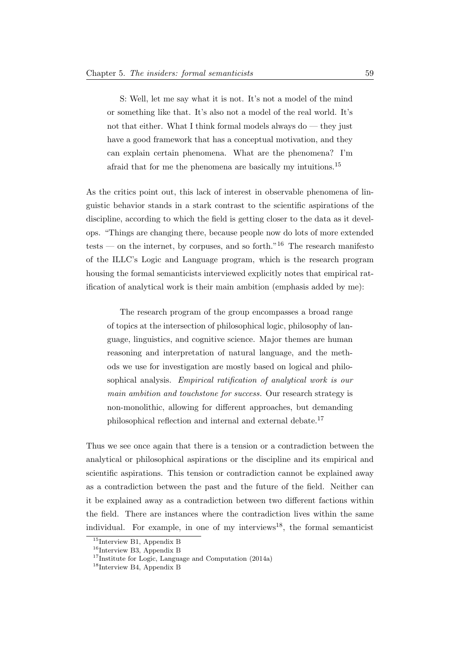S: Well, let me say what it is not. It's not a model of the mind or something like that. It's also not a model of the real world. It's not that either. What I think formal models always do — they just have a good framework that has a conceptual motivation, and they can explain certain phenomena. What are the phenomena? I'm afraid that for me the phenomena are basically my intuitions.[15](#page-65-0)

As the critics point out, this lack of interest in observable phenomena of linguistic behavior stands in a stark contrast to the scientific aspirations of the discipline, according to which the field is getting closer to the data as it develops. "Things are changing there, because people now do lots of more extended tests — on the internet, by corpuses, and so forth."<sup>[16](#page-65-1)</sup> The research manifesto of the ILLC's Logic and Language program, which is the research program housing the formal semanticists interviewed explicitly notes that empirical ratification of analytical work is their main ambition (emphasis added by me):

The research program of the group encompasses a broad range of topics at the intersection of philosophical logic, philosophy of language, linguistics, and cognitive science. Major themes are human reasoning and interpretation of natural language, and the methods we use for investigation are mostly based on logical and philosophical analysis. Empirical ratification of analytical work is our main ambition and touchstone for success. Our research strategy is non-monolithic, allowing for different approaches, but demanding philosophical reflection and internal and external debate.[17](#page-65-2)

Thus we see once again that there is a tension or a contradiction between the analytical or philosophical aspirations or the discipline and its empirical and scientific aspirations. This tension or contradiction cannot be explained away as a contradiction between the past and the future of the field. Neither can it be explained away as a contradiction between two different factions within the field. There are instances where the contradiction lives within the same individual. For example, in one of my interviews<sup>[18](#page-65-3)</sup>, the formal semanticist

<span id="page-65-0"></span><sup>&</sup>lt;sup>15</sup>Interview B1, Appendix B

<span id="page-65-1"></span><sup>&</sup>lt;sup>16</sup>Interview B3, Appendix B

<span id="page-65-2"></span><sup>&</sup>lt;sup>17</sup>[Institute for Logic, Language and Computation](#page-231-3) [\(2014a\)](#page-231-3)

<span id="page-65-3"></span><sup>18</sup>Interview B4, Appendix B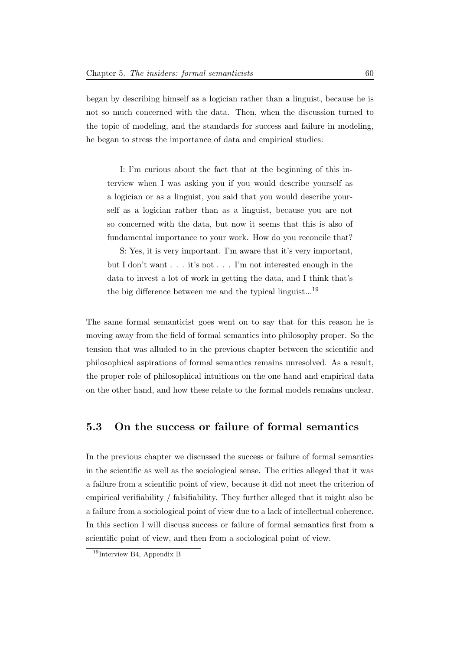began by describing himself as a logician rather than a linguist, because he is not so much concerned with the data. Then, when the discussion turned to the topic of modeling, and the standards for success and failure in modeling, he began to stress the importance of data and empirical studies:

I: I'm curious about the fact that at the beginning of this interview when I was asking you if you would describe yourself as a logician or as a linguist, you said that you would describe yourself as a logician rather than as a linguist, because you are not so concerned with the data, but now it seems that this is also of fundamental importance to your work. How do you reconcile that?

S: Yes, it is very important. I'm aware that it's very important, but I don't want . . . it's not . . . I'm not interested enough in the data to invest a lot of work in getting the data, and I think that's the big difference between me and the typical linguist...<sup>[19](#page-66-0)</sup>

The same formal semanticist goes went on to say that for this reason he is moving away from the field of formal semantics into philosophy proper. So the tension that was alluded to in the previous chapter between the scientific and philosophical aspirations of formal semantics remains unresolved. As a result, the proper role of philosophical intuitions on the one hand and empirical data on the other hand, and how these relate to the formal models remains unclear.

### 5.3 On the success or failure of formal semantics

In the previous chapter we discussed the success or failure of formal semantics in the scientific as well as the sociological sense. The critics alleged that it was a failure from a scientific point of view, because it did not meet the criterion of empirical verifiability / falsifiability. They further alleged that it might also be a failure from a sociological point of view due to a lack of intellectual coherence. In this section I will discuss success or failure of formal semantics first from a scientific point of view, and then from a sociological point of view.

<span id="page-66-0"></span> $19$ Interview B4, Appendix B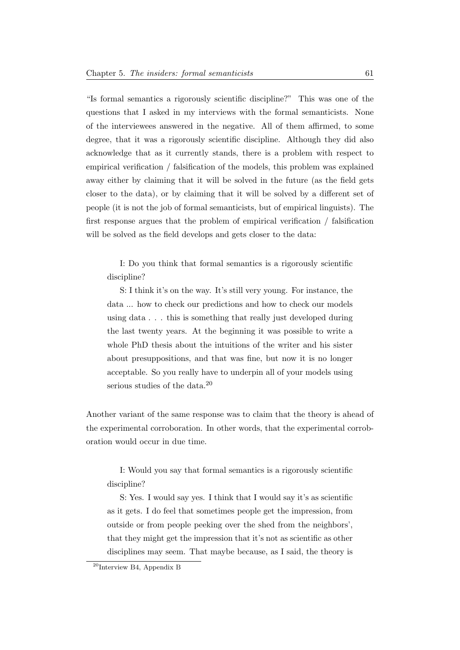"Is formal semantics a rigorously scientific discipline?" This was one of the questions that I asked in my interviews with the formal semanticists. None of the interviewees answered in the negative. All of them affirmed, to some degree, that it was a rigorously scientific discipline. Although they did also acknowledge that as it currently stands, there is a problem with respect to empirical verification / falsification of the models, this problem was explained away either by claiming that it will be solved in the future (as the field gets closer to the data), or by claiming that it will be solved by a different set of people (it is not the job of formal semanticists, but of empirical linguists). The first response argues that the problem of empirical verification / falsification will be solved as the field develops and gets closer to the data:

I: Do you think that formal semantics is a rigorously scientific discipline?

S: I think it's on the way. It's still very young. For instance, the data ... how to check our predictions and how to check our models using data . . . this is something that really just developed during the last twenty years. At the beginning it was possible to write a whole PhD thesis about the intuitions of the writer and his sister about presuppositions, and that was fine, but now it is no longer acceptable. So you really have to underpin all of your models using serious studies of the data.<sup>[20](#page-67-0)</sup>

Another variant of the same response was to claim that the theory is ahead of the experimental corroboration. In other words, that the experimental corroboration would occur in due time.

I: Would you say that formal semantics is a rigorously scientific discipline?

S: Yes. I would say yes. I think that I would say it's as scientific as it gets. I do feel that sometimes people get the impression, from outside or from people peeking over the shed from the neighbors', that they might get the impression that it's not as scientific as other disciplines may seem. That maybe because, as I said, the theory is

<span id="page-67-0"></span> $^{20}$ Interview B4, Appendix B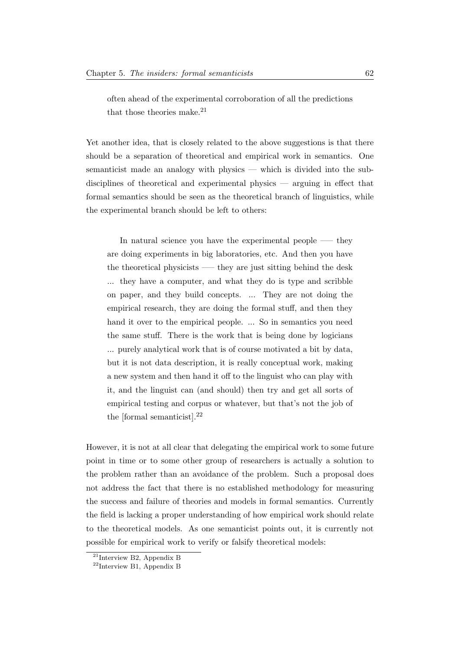often ahead of the experimental corroboration of all the predictions that those theories make.<sup>[21](#page-68-0)</sup>

Yet another idea, that is closely related to the above suggestions is that there should be a separation of theoretical and empirical work in semantics. One semanticist made an analogy with physics — which is divided into the subdisciplines of theoretical and experimental physics — arguing in effect that formal semantics should be seen as the theoretical branch of linguistics, while the experimental branch should be left to others:

In natural science you have the experimental people  $-$  they are doing experiments in big laboratories, etc. And then you have the theoretical physicists —– they are just sitting behind the desk ... they have a computer, and what they do is type and scribble on paper, and they build concepts. ... They are not doing the empirical research, they are doing the formal stuff, and then they hand it over to the empirical people. ... So in semantics you need the same stuff. There is the work that is being done by logicians ... purely analytical work that is of course motivated a bit by data, but it is not data description, it is really conceptual work, making a new system and then hand it off to the linguist who can play with it, and the linguist can (and should) then try and get all sorts of empirical testing and corpus or whatever, but that's not the job of the [formal semanticist].[22](#page-68-1)

However, it is not at all clear that delegating the empirical work to some future point in time or to some other group of researchers is actually a solution to the problem rather than an avoidance of the problem. Such a proposal does not address the fact that there is no established methodology for measuring the success and failure of theories and models in formal semantics. Currently the field is lacking a proper understanding of how empirical work should relate to the theoretical models. As one semanticist points out, it is currently not possible for empirical work to verify or falsify theoretical models:

<span id="page-68-0"></span><sup>21</sup>Interview B2, Appendix B

<span id="page-68-1"></span> $22$ Interview B1, Appendix B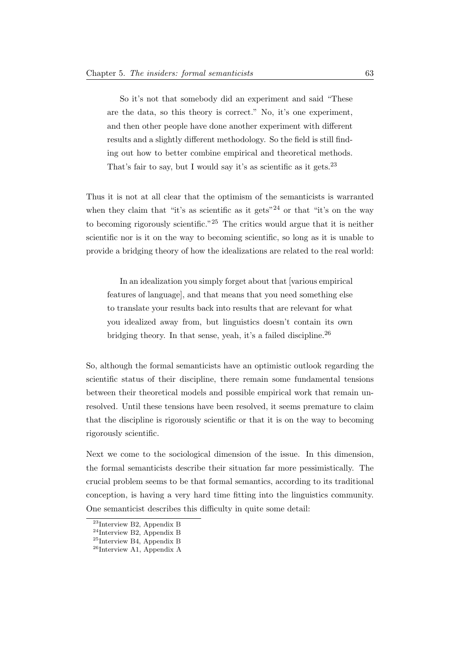So it's not that somebody did an experiment and said "These are the data, so this theory is correct." No, it's one experiment, and then other people have done another experiment with different results and a slightly different methodology. So the field is still finding out how to better combine empirical and theoretical methods. That's fair to say, but I would say it's as scientific as it gets.<sup>[23](#page-69-0)</sup>

Thus it is not at all clear that the optimism of the semanticists is warranted when they claim that "it's as scientific as it gets"<sup>[24](#page-69-1)</sup> or that "it's on the way to becoming rigorously scientific."[25](#page-69-2) The critics would argue that it is neither scientific nor is it on the way to becoming scientific, so long as it is unable to provide a bridging theory of how the idealizations are related to the real world:

In an idealization you simply forget about that [various empirical features of language], and that means that you need something else to translate your results back into results that are relevant for what you idealized away from, but linguistics doesn't contain its own bridging theory. In that sense, yeah, it's a failed discipline.<sup>[26](#page-69-3)</sup>

So, although the formal semanticists have an optimistic outlook regarding the scientific status of their discipline, there remain some fundamental tensions between their theoretical models and possible empirical work that remain unresolved. Until these tensions have been resolved, it seems premature to claim that the discipline is rigorously scientific or that it is on the way to becoming rigorously scientific.

Next we come to the sociological dimension of the issue. In this dimension, the formal semanticists describe their situation far more pessimistically. The crucial problem seems to be that formal semantics, according to its traditional conception, is having a very hard time fitting into the linguistics community. One semanticist describes this difficulty in quite some detail:

<span id="page-69-0"></span><sup>23</sup>Interview B2, Appendix B

<span id="page-69-1"></span><sup>24</sup>Interview B2, Appendix B

<span id="page-69-2"></span><sup>25</sup>Interview B4, Appendix B

<span id="page-69-3"></span><sup>&</sup>lt;sup>26</sup>Interview A1, Appendix A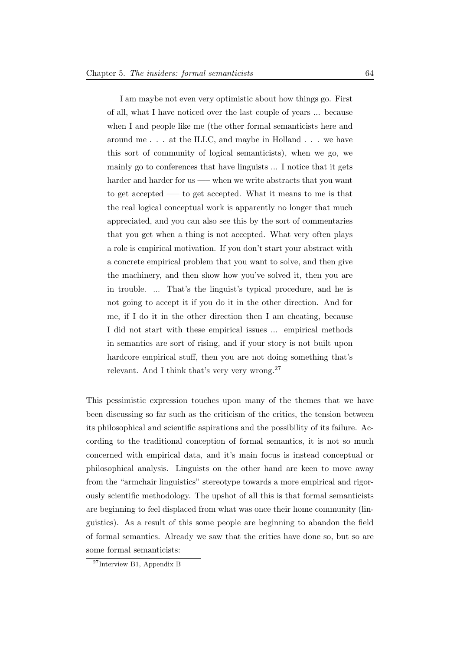I am maybe not even very optimistic about how things go. First of all, what I have noticed over the last couple of years ... because when I and people like me (the other formal semanticists here and around me . . . at the ILLC, and maybe in Holland . . . we have this sort of community of logical semanticists), when we go, we mainly go to conferences that have linguists ... I notice that it gets harder and harder for us —– when we write abstracts that you want to get accepted —– to get accepted. What it means to me is that the real logical conceptual work is apparently no longer that much appreciated, and you can also see this by the sort of commentaries that you get when a thing is not accepted. What very often plays a role is empirical motivation. If you don't start your abstract with a concrete empirical problem that you want to solve, and then give the machinery, and then show how you've solved it, then you are in trouble. ... That's the linguist's typical procedure, and he is not going to accept it if you do it in the other direction. And for me, if I do it in the other direction then I am cheating, because I did not start with these empirical issues ... empirical methods in semantics are sort of rising, and if your story is not built upon hardcore empirical stuff, then you are not doing something that's relevant. And I think that's very very wrong. $27$ 

This pessimistic expression touches upon many of the themes that we have been discussing so far such as the criticism of the critics, the tension between its philosophical and scientific aspirations and the possibility of its failure. According to the traditional conception of formal semantics, it is not so much concerned with empirical data, and it's main focus is instead conceptual or philosophical analysis. Linguists on the other hand are keen to move away from the "armchair linguistics" stereotype towards a more empirical and rigorously scientific methodology. The upshot of all this is that formal semanticists are beginning to feel displaced from what was once their home community (linguistics). As a result of this some people are beginning to abandon the field of formal semantics. Already we saw that the critics have done so, but so are some formal semanticists:

<span id="page-70-0"></span><sup>27</sup>Interview B1, Appendix B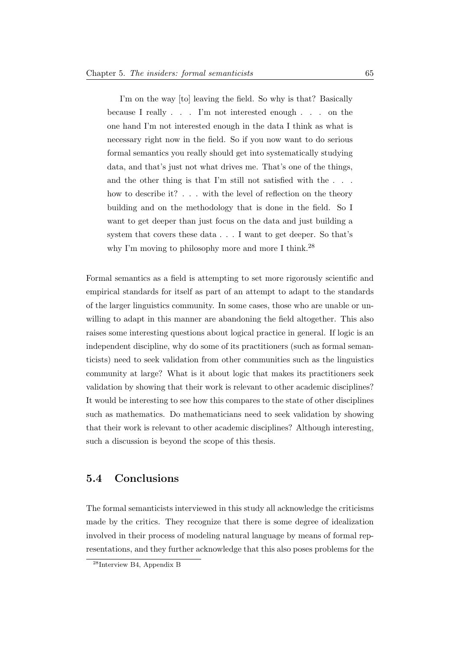I'm on the way [to] leaving the field. So why is that? Basically because I really . . . I'm not interested enough . . . on the one hand I'm not interested enough in the data I think as what is necessary right now in the field. So if you now want to do serious formal semantics you really should get into systematically studying data, and that's just not what drives me. That's one of the things, and the other thing is that I'm still not satisfied with the  $\ldots$ . how to describe it? . . . with the level of reflection on the theory building and on the methodology that is done in the field. So I want to get deeper than just focus on the data and just building a system that covers these data . . . I want to get deeper. So that's why I'm moving to philosophy more and more I think.<sup>[28](#page-71-0)</sup>

Formal semantics as a field is attempting to set more rigorously scientific and empirical standards for itself as part of an attempt to adapt to the standards of the larger linguistics community. In some cases, those who are unable or unwilling to adapt in this manner are abandoning the field altogether. This also raises some interesting questions about logical practice in general. If logic is an independent discipline, why do some of its practitioners (such as formal semanticists) need to seek validation from other communities such as the linguistics community at large? What is it about logic that makes its practitioners seek validation by showing that their work is relevant to other academic disciplines? It would be interesting to see how this compares to the state of other disciplines such as mathematics. Do mathematicians need to seek validation by showing that their work is relevant to other academic disciplines? Although interesting, such a discussion is beyond the scope of this thesis.

#### 5.4 Conclusions

The formal semanticists interviewed in this study all acknowledge the criticisms made by the critics. They recognize that there is some degree of idealization involved in their process of modeling natural language by means of formal representations, and they further acknowledge that this also poses problems for the

<span id="page-71-0"></span><sup>28</sup>Interview B4, Appendix B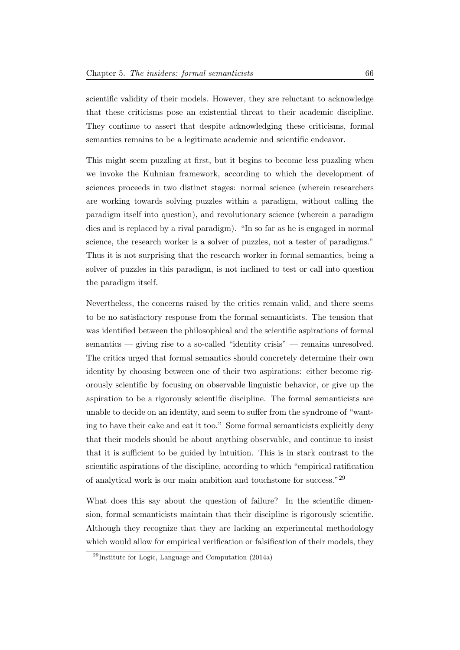scientific validity of their models. However, they are reluctant to acknowledge that these criticisms pose an existential threat to their academic discipline. They continue to assert that despite acknowledging these criticisms, formal semantics remains to be a legitimate academic and scientific endeavor.

This might seem puzzling at first, but it begins to become less puzzling when we invoke the Kuhnian framework, according to which the development of sciences proceeds in two distinct stages: normal science (wherein researchers are working towards solving puzzles within a paradigm, without calling the paradigm itself into question), and revolutionary science (wherein a paradigm dies and is replaced by a rival paradigm). "In so far as he is engaged in normal science, the research worker is a solver of puzzles, not a tester of paradigms." Thus it is not surprising that the research worker in formal semantics, being a solver of puzzles in this paradigm, is not inclined to test or call into question the paradigm itself.

Nevertheless, the concerns raised by the critics remain valid, and there seems to be no satisfactory response from the formal semanticists. The tension that was identified between the philosophical and the scientific aspirations of formal semantics — giving rise to a so-called "identity crisis" — remains unresolved. The critics urged that formal semantics should concretely determine their own identity by choosing between one of their two aspirations: either become rigorously scientific by focusing on observable linguistic behavior, or give up the aspiration to be a rigorously scientific discipline. The formal semanticists are unable to decide on an identity, and seem to suffer from the syndrome of "wanting to have their cake and eat it too." Some formal semanticists explicitly deny that their models should be about anything observable, and continue to insist that it is sufficient to be guided by intuition. This is in stark contrast to the scientific aspirations of the discipline, according to which "empirical ratification of analytical work is our main ambition and touchstone for success."[29](#page-72-0)

What does this say about the question of failure? In the scientific dimension, formal semanticists maintain that their discipline is rigorously scientific. Although they recognize that they are lacking an experimental methodology which would allow for empirical verification or falsification of their models, they

<span id="page-72-0"></span><sup>29</sup>[Institute for Logic, Language and Computation](#page-231-0) [\(2014a\)](#page-231-0)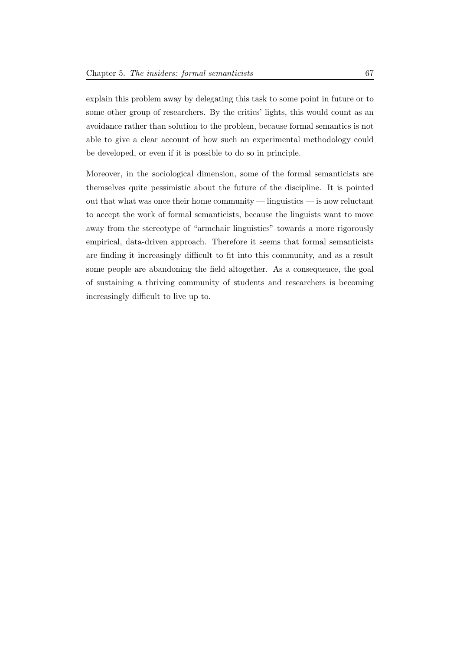explain this problem away by delegating this task to some point in future or to some other group of researchers. By the critics' lights, this would count as an avoidance rather than solution to the problem, because formal semantics is not able to give a clear account of how such an experimental methodology could be developed, or even if it is possible to do so in principle.

Moreover, in the sociological dimension, some of the formal semanticists are themselves quite pessimistic about the future of the discipline. It is pointed out that what was once their home community — linguistics — is now reluctant to accept the work of formal semanticists, because the linguists want to move away from the stereotype of "armchair linguistics" towards a more rigorously empirical, data-driven approach. Therefore it seems that formal semanticists are finding it increasingly difficult to fit into this community, and as a result some people are abandoning the field altogether. As a consequence, the goal of sustaining a thriving community of students and researchers is becoming increasingly difficult to live up to.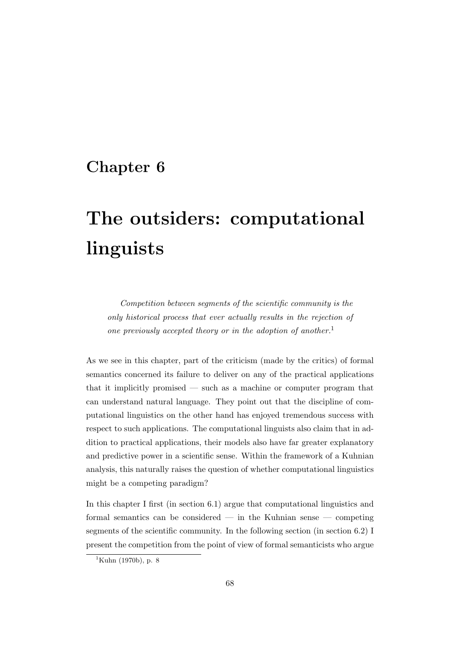# Chapter 6

# The outsiders: computational linguists

Competition between segments of the scientific community is the only historical process that ever actually results in the rejection of one previously accepted theory or in the adoption of another.<sup>[1](#page-74-0)</sup>

As we see in this chapter, part of the criticism (made by the critics) of formal semantics concerned its failure to deliver on any of the practical applications that it implicitly promised — such as a machine or computer program that can understand natural language. They point out that the discipline of computational linguistics on the other hand has enjoyed tremendous success with respect to such applications. The computational linguists also claim that in addition to practical applications, their models also have far greater explanatory and predictive power in a scientific sense. Within the framework of a Kuhnian analysis, this naturally raises the question of whether computational linguistics might be a competing paradigm?

In this chapter I first (in section 6.1) argue that computational linguistics and formal semantics can be considered — in the Kuhnian sense — competing segments of the scientific community. In the following section (in section 6.2) I present the competition from the point of view of formal semanticists who argue

<span id="page-74-0"></span> $1$ [Kuhn](#page-231-1) [\(1970b\)](#page-231-1), p. 8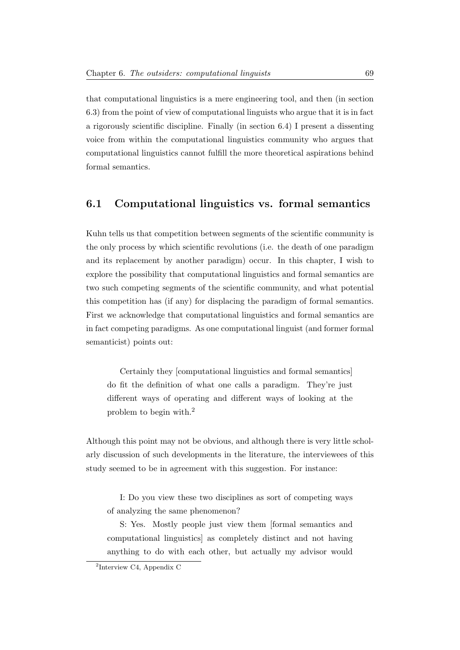that computational linguistics is a mere engineering tool, and then (in section 6.3) from the point of view of computational linguists who argue that it is in fact a rigorously scientific discipline. Finally (in section 6.4) I present a dissenting voice from within the computational linguistics community who argues that computational linguistics cannot fulfill the more theoretical aspirations behind formal semantics.

### 6.1 Computational linguistics vs. formal semantics

Kuhn tells us that competition between segments of the scientific community is the only process by which scientific revolutions (i.e. the death of one paradigm and its replacement by another paradigm) occur. In this chapter, I wish to explore the possibility that computational linguistics and formal semantics are two such competing segments of the scientific community, and what potential this competition has (if any) for displacing the paradigm of formal semantics. First we acknowledge that computational linguistics and formal semantics are in fact competing paradigms. As one computational linguist (and former formal semanticist) points out:

Certainly they [computational linguistics and formal semantics] do fit the definition of what one calls a paradigm. They're just different ways of operating and different ways of looking at the problem to begin with.[2](#page-75-0)

Although this point may not be obvious, and although there is very little scholarly discussion of such developments in the literature, the interviewees of this study seemed to be in agreement with this suggestion. For instance:

I: Do you view these two disciplines as sort of competing ways of analyzing the same phenomenon?

S: Yes. Mostly people just view them [formal semantics and computational linguistics] as completely distinct and not having anything to do with each other, but actually my advisor would

<span id="page-75-0"></span><sup>2</sup> Interview C4, Appendix C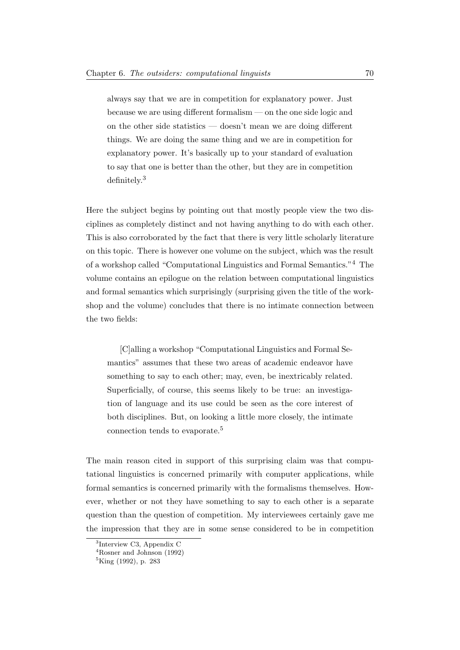always say that we are in competition for explanatory power. Just because we are using different formalism — on the one side logic and on the other side statistics — doesn't mean we are doing different things. We are doing the same thing and we are in competition for explanatory power. It's basically up to your standard of evaluation to say that one is better than the other, but they are in competition definitely.[3](#page-76-0)

Here the subject begins by pointing out that mostly people view the two disciplines as completely distinct and not having anything to do with each other. This is also corroborated by the fact that there is very little scholarly literature on this topic. There is however one volume on the subject, which was the result of a workshop called "Computational Linguistics and Formal Semantics."[4](#page-76-1) The volume contains an epilogue on the relation between computational linguistics and formal semantics which surprisingly (surprising given the title of the workshop and the volume) concludes that there is no intimate connection between the two fields:

[C]alling a workshop "Computational Linguistics and Formal Semantics" assumes that these two areas of academic endeavor have something to say to each other; may, even, be inextricably related. Superficially, of course, this seems likely to be true: an investigation of language and its use could be seen as the core interest of both disciplines. But, on looking a little more closely, the intimate connection tends to evaporate.[5](#page-76-2)

The main reason cited in support of this surprising claim was that computational linguistics is concerned primarily with computer applications, while formal semantics is concerned primarily with the formalisms themselves. However, whether or not they have something to say to each other is a separate question than the question of competition. My interviewees certainly gave me the impression that they are in some sense considered to be in competition

<span id="page-76-0"></span><sup>3</sup> Interview C3, Appendix C

<span id="page-76-1"></span> $4$ [Rosner and Johnson](#page-232-0) [\(1992\)](#page-232-0)

<span id="page-76-2"></span> ${}^{5}$ [King](#page-231-2) [\(1992\)](#page-231-2), p. 283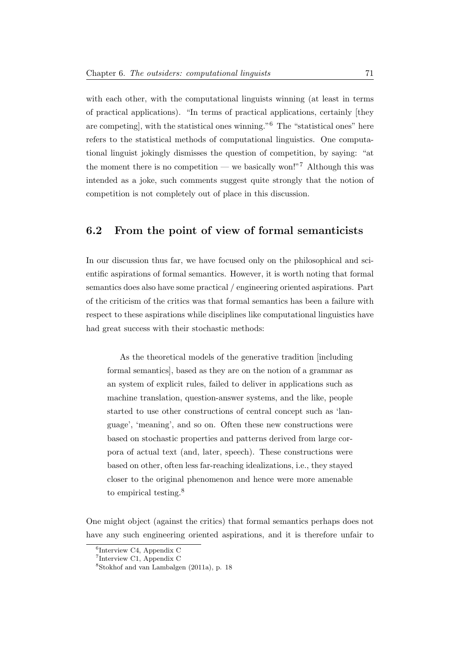with each other, with the computational linguists winning (at least in terms of practical applications). "In terms of practical applications, certainly [they are competing], with the statistical ones winning."[6](#page-77-0) The "statistical ones" here refers to the statistical methods of computational linguistics. One computational linguist jokingly dismisses the question of competition, by saying: "at the moment there is no competition — we basically won!"<sup>[7](#page-77-1)</sup> Although this was intended as a joke, such comments suggest quite strongly that the notion of competition is not completely out of place in this discussion.

## 6.2 From the point of view of formal semanticists

In our discussion thus far, we have focused only on the philosophical and scientific aspirations of formal semantics. However, it is worth noting that formal semantics does also have some practical / engineering oriented aspirations. Part of the criticism of the critics was that formal semantics has been a failure with respect to these aspirations while disciplines like computational linguistics have had great success with their stochastic methods:

As the theoretical models of the generative tradition [including formal semantics], based as they are on the notion of a grammar as an system of explicit rules, failed to deliver in applications such as machine translation, question-answer systems, and the like, people started to use other constructions of central concept such as 'language', 'meaning', and so on. Often these new constructions were based on stochastic properties and patterns derived from large corpora of actual text (and, later, speech). These constructions were based on other, often less far-reaching idealizations, i.e., they stayed closer to the original phenomenon and hence were more amenable to empirical testing.<sup>[8](#page-77-2)</sup>

One might object (against the critics) that formal semantics perhaps does not have any such engineering oriented aspirations, and it is therefore unfair to

<span id="page-77-0"></span><sup>6</sup> Interview C4, Appendix C

<span id="page-77-1"></span><sup>7</sup> Interview C1, Appendix C

<span id="page-77-2"></span> $8$ [Stokhof and van Lambalgen](#page-232-1) [\(2011a\)](#page-232-1), p. 18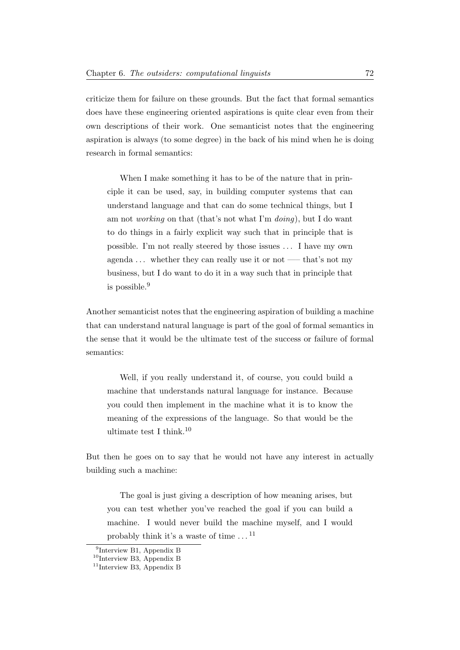criticize them for failure on these grounds. But the fact that formal semantics does have these engineering oriented aspirations is quite clear even from their own descriptions of their work. One semanticist notes that the engineering aspiration is always (to some degree) in the back of his mind when he is doing research in formal semantics:

When I make something it has to be of the nature that in principle it can be used, say, in building computer systems that can understand language and that can do some technical things, but I am not working on that (that's not what I'm doing), but I do want to do things in a fairly explicit way such that in principle that is possible. I'm not really steered by those issues . . . I have my own agenda  $\dots$  whether they can really use it or not —– that's not my business, but I do want to do it in a way such that in principle that is possible.[9](#page-78-0)

Another semanticist notes that the engineering aspiration of building a machine that can understand natural language is part of the goal of formal semantics in the sense that it would be the ultimate test of the success or failure of formal semantics:

Well, if you really understand it, of course, you could build a machine that understands natural language for instance. Because you could then implement in the machine what it is to know the meaning of the expressions of the language. So that would be the ultimate test I think.[10](#page-78-1)

But then he goes on to say that he would not have any interest in actually building such a machine:

The goal is just giving a description of how meaning arises, but you can test whether you've reached the goal if you can build a machine. I would never build the machine myself, and I would probably think it's a waste of time  $\dots$  <sup>[11](#page-78-2)</sup>

<span id="page-78-0"></span><sup>9</sup> Interview B1, Appendix B

<span id="page-78-1"></span> $^{10}\rm{Interview}$  B3, Appendix B

<span id="page-78-2"></span><sup>11</sup>Interview B3, Appendix B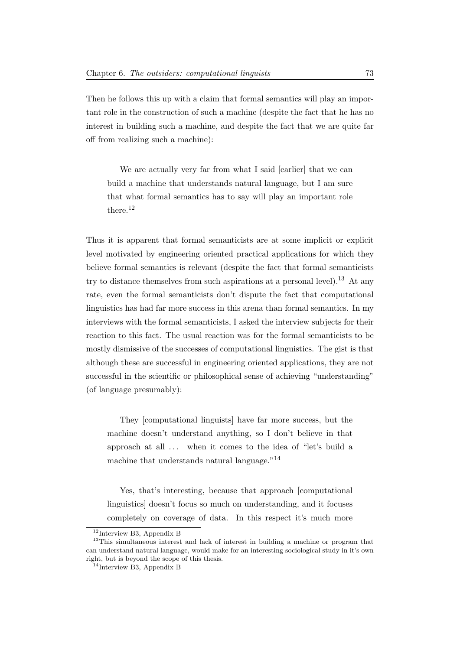Then he follows this up with a claim that formal semantics will play an important role in the construction of such a machine (despite the fact that he has no interest in building such a machine, and despite the fact that we are quite far off from realizing such a machine):

We are actually very far from what I said [earlier] that we can build a machine that understands natural language, but I am sure that what formal semantics has to say will play an important role there.<sup>[12](#page-79-0)</sup>

Thus it is apparent that formal semanticists are at some implicit or explicit level motivated by engineering oriented practical applications for which they believe formal semantics is relevant (despite the fact that formal semanticists try to distance themselves from such aspirations at a personal level).<sup>[13](#page-79-1)</sup> At any rate, even the formal semanticists don't dispute the fact that computational linguistics has had far more success in this arena than formal semantics. In my interviews with the formal semanticists, I asked the interview subjects for their reaction to this fact. The usual reaction was for the formal semanticists to be mostly dismissive of the successes of computational linguistics. The gist is that although these are successful in engineering oriented applications, they are not successful in the scientific or philosophical sense of achieving "understanding" (of language presumably):

They [computational linguists] have far more success, but the machine doesn't understand anything, so I don't believe in that approach at all ... when it comes to the idea of "let's build a machine that understands natural language."<sup>[14](#page-79-2)</sup>

Yes, that's interesting, because that approach [computational linguistics] doesn't focus so much on understanding, and it focuses completely on coverage of data. In this respect it's much more

<span id="page-79-1"></span><span id="page-79-0"></span> $12$ Interview B3, Appendix B

<sup>&</sup>lt;sup>13</sup>This simultaneous interest and lack of interest in building a machine or program that can understand natural language, would make for an interesting sociological study in it's own right, but is beyond the scope of this thesis.

<span id="page-79-2"></span><sup>&</sup>lt;sup>14</sup>Interview B3, Appendix B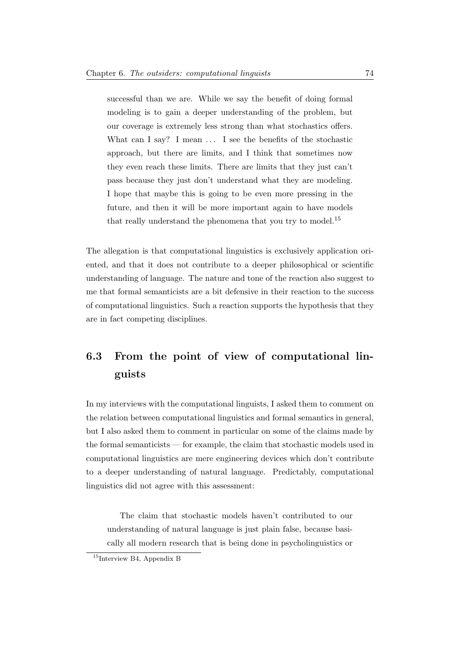successful than we are. While we say the benefit of doing formal modeling is to gain a deeper understanding of the problem, but our coverage is extremely less strong than what stochastics offers. What can I say? I mean ... I see the benefits of the stochastic approach, but there are limits, and I think that sometimes now they even reach these limits. There are limits that they just can't pass because they just don't understand what they are modeling. I hope that maybe this is going to be even more pressing in the future, and then it will be more important again to have models that really understand the phenomena that you try to model.<sup>[15](#page-80-0)</sup>

The allegation is that computational linguistics is exclusively application oriented, and that it does not contribute to a deeper philosophical or scientific understanding of language. The nature and tone of the reaction also suggest to me that formal semanticists are a bit defensive in their reaction to the success of computational linguistics. Such a reaction supports the hypothesis that they are in fact competing disciplines.

# 6.3 From the point of view of computational linguists

In my interviews with the computational linguists, I asked them to comment on the relation between computational linguistics and formal semantics in general, but I also asked them to comment in particular on some of the claims made by the formal semanticists — for example, the claim that stochastic models used in computational linguistics are mere engineering devices which don't contribute to a deeper understanding of natural language. Predictably, computational linguistics did not agree with this assessment:

The claim that stochastic models haven't contributed to our understanding of natural language is just plain false, because basically all modern research that is being done in psycholinguistics or

<span id="page-80-0"></span> $15$ Interview B4, Appendix B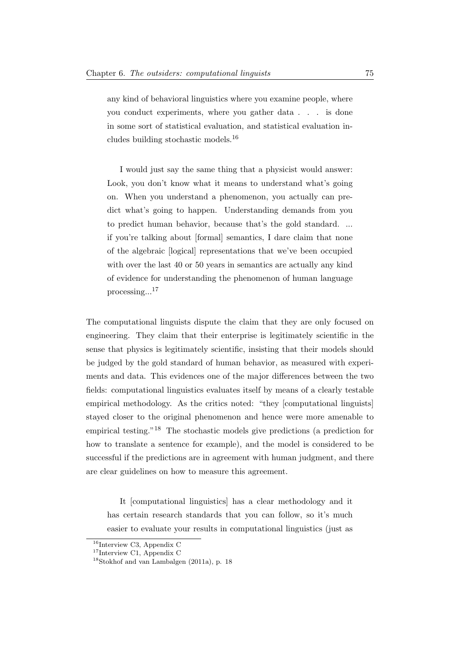any kind of behavioral linguistics where you examine people, where you conduct experiments, where you gather data . . . is done in some sort of statistical evaluation, and statistical evaluation includes building stochastic models.[16](#page-81-0)

I would just say the same thing that a physicist would answer: Look, you don't know what it means to understand what's going on. When you understand a phenomenon, you actually can predict what's going to happen. Understanding demands from you to predict human behavior, because that's the gold standard. ... if you're talking about [formal] semantics, I dare claim that none of the algebraic [logical] representations that we've been occupied with over the last 40 or 50 years in semantics are actually any kind of evidence for understanding the phenomenon of human language processing...[17](#page-81-1)

The computational linguists dispute the claim that they are only focused on engineering. They claim that their enterprise is legitimately scientific in the sense that physics is legitimately scientific, insisting that their models should be judged by the gold standard of human behavior, as measured with experiments and data. This evidences one of the major differences between the two fields: computational linguistics evaluates itself by means of a clearly testable empirical methodology. As the critics noted: "they [computational linguists] stayed closer to the original phenomenon and hence were more amenable to empirical testing."[18](#page-81-2) The stochastic models give predictions (a prediction for how to translate a sentence for example), and the model is considered to be successful if the predictions are in agreement with human judgment, and there are clear guidelines on how to measure this agreement.

It [computational linguistics] has a clear methodology and it has certain research standards that you can follow, so it's much easier to evaluate your results in computational linguistics (just as

<span id="page-81-0"></span> $16$ Interview C3, Appendix C

<span id="page-81-1"></span><sup>&</sup>lt;sup>17</sup>Interview C1, Appendix C

<span id="page-81-2"></span><sup>18</sup>[Stokhof and van Lambalgen](#page-232-1) [\(2011a\)](#page-232-1), p. 18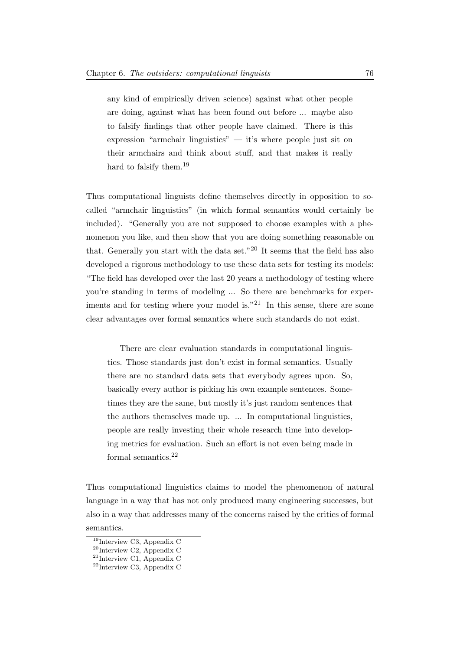any kind of empirically driven science) against what other people are doing, against what has been found out before ... maybe also to falsify findings that other people have claimed. There is this expression "armchair linguistics"  $-$  it's where people just sit on their armchairs and think about stuff, and that makes it really hard to falsify them.<sup>[19](#page-82-0)</sup>

Thus computational linguists define themselves directly in opposition to socalled "armchair linguistics" (in which formal semantics would certainly be included). "Generally you are not supposed to choose examples with a phenomenon you like, and then show that you are doing something reasonable on that. Generally you start with the data set."<sup>[20](#page-82-1)</sup> It seems that the field has also developed a rigorous methodology to use these data sets for testing its models: "The field has developed over the last 20 years a methodology of testing where you're standing in terms of modeling ... So there are benchmarks for exper-iments and for testing where your model is."<sup>[21](#page-82-2)</sup> In this sense, there are some clear advantages over formal semantics where such standards do not exist.

There are clear evaluation standards in computational linguistics. Those standards just don't exist in formal semantics. Usually there are no standard data sets that everybody agrees upon. So, basically every author is picking his own example sentences. Sometimes they are the same, but mostly it's just random sentences that the authors themselves made up. ... In computational linguistics, people are really investing their whole research time into developing metrics for evaluation. Such an effort is not even being made in formal semantics.[22](#page-82-3)

Thus computational linguistics claims to model the phenomenon of natural language in a way that has not only produced many engineering successes, but also in a way that addresses many of the concerns raised by the critics of formal semantics.

<span id="page-82-0"></span><sup>19</sup>Interview C3, Appendix C

<span id="page-82-1"></span> $^{20}$ Interview C2, Appendix C

<span id="page-82-2"></span> $21$ Interview C1, Appendix C

<span id="page-82-3"></span> $22$ Interview C3, Appendix C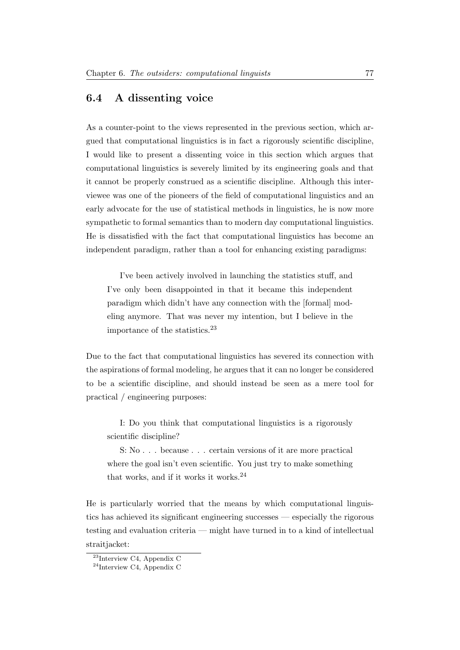### 6.4 A dissenting voice

As a counter-point to the views represented in the previous section, which argued that computational linguistics is in fact a rigorously scientific discipline, I would like to present a dissenting voice in this section which argues that computational linguistics is severely limited by its engineering goals and that it cannot be properly construed as a scientific discipline. Although this interviewee was one of the pioneers of the field of computational linguistics and an early advocate for the use of statistical methods in linguistics, he is now more sympathetic to formal semantics than to modern day computational linguistics. He is dissatisfied with the fact that computational linguistics has become an independent paradigm, rather than a tool for enhancing existing paradigms:

I've been actively involved in launching the statistics stuff, and I've only been disappointed in that it became this independent paradigm which didn't have any connection with the [formal] modeling anymore. That was never my intention, but I believe in the importance of the statistics.[23](#page-83-0)

Due to the fact that computational linguistics has severed its connection with the aspirations of formal modeling, he argues that it can no longer be considered to be a scientific discipline, and should instead be seen as a mere tool for practical / engineering purposes:

I: Do you think that computational linguistics is a rigorously scientific discipline?

S: No . . . because . . . certain versions of it are more practical where the goal isn't even scientific. You just try to make something that works, and if it works it works.<sup>[24](#page-83-1)</sup>

He is particularly worried that the means by which computational linguistics has achieved its significant engineering successes — especially the rigorous testing and evaluation criteria — might have turned in to a kind of intellectual straitjacket:

<span id="page-83-0"></span> $23$ Interview C4, Appendix C

<span id="page-83-1"></span><sup>24</sup>Interview C4, Appendix C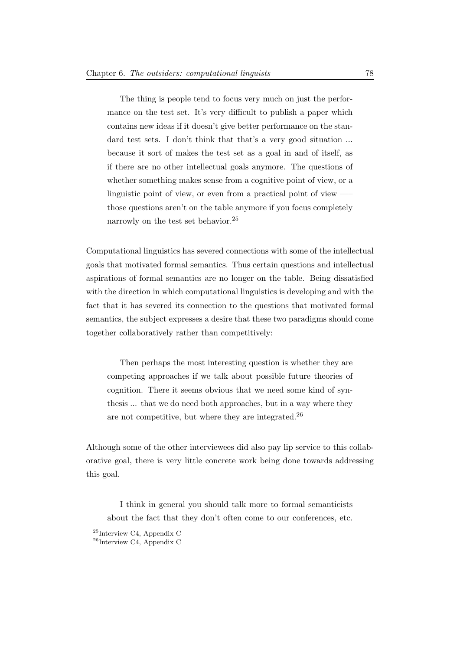The thing is people tend to focus very much on just the performance on the test set. It's very difficult to publish a paper which contains new ideas if it doesn't give better performance on the standard test sets. I don't think that that's a very good situation ... because it sort of makes the test set as a goal in and of itself, as if there are no other intellectual goals anymore. The questions of whether something makes sense from a cognitive point of view, or a linguistic point of view, or even from a practical point of view —– those questions aren't on the table anymore if you focus completely narrowly on the test set behavior.[25](#page-84-0)

Computational linguistics has severed connections with some of the intellectual goals that motivated formal semantics. Thus certain questions and intellectual aspirations of formal semantics are no longer on the table. Being dissatisfied with the direction in which computational linguistics is developing and with the fact that it has severed its connection to the questions that motivated formal semantics, the subject expresses a desire that these two paradigms should come together collaboratively rather than competitively:

Then perhaps the most interesting question is whether they are competing approaches if we talk about possible future theories of cognition. There it seems obvious that we need some kind of synthesis ... that we do need both approaches, but in a way where they are not competitive, but where they are integrated.[26](#page-84-1)

Although some of the other interviewees did also pay lip service to this collaborative goal, there is very little concrete work being done towards addressing this goal.

I think in general you should talk more to formal semanticists about the fact that they don't often come to our conferences, etc.

<span id="page-84-0"></span><sup>25</sup>Interview C4, Appendix C

<span id="page-84-1"></span> $^{26}$  Interview C4, Appendix C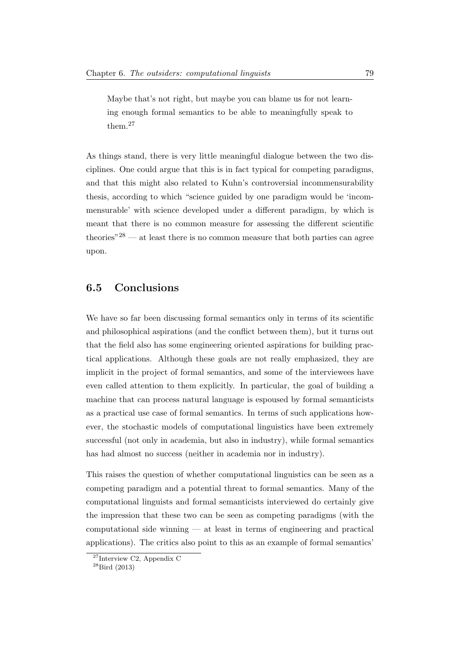Maybe that's not right, but maybe you can blame us for not learning enough formal semantics to be able to meaningfully speak to them.[27](#page-85-0)

As things stand, there is very little meaningful dialogue between the two disciplines. One could argue that this is in fact typical for competing paradigms, and that this might also related to Kuhn's controversial incommensurability thesis, according to which "science guided by one paradigm would be 'incommensurable' with science developed under a different paradigm, by which is meant that there is no common measure for assessing the different scientific theories<sup> $28$ </sup> — at least there is no common measure that both parties can agree upon.

## 6.5 Conclusions

We have so far been discussing formal semantics only in terms of its scientific and philosophical aspirations (and the conflict between them), but it turns out that the field also has some engineering oriented aspirations for building practical applications. Although these goals are not really emphasized, they are implicit in the project of formal semantics, and some of the interviewees have even called attention to them explicitly. In particular, the goal of building a machine that can process natural language is espoused by formal semanticists as a practical use case of formal semantics. In terms of such applications however, the stochastic models of computational linguistics have been extremely successful (not only in academia, but also in industry), while formal semantics has had almost no success (neither in academia nor in industry).

This raises the question of whether computational linguistics can be seen as a competing paradigm and a potential threat to formal semantics. Many of the computational linguists and formal semanticists interviewed do certainly give the impression that these two can be seen as competing paradigms (with the computational side winning — at least in terms of engineering and practical applications). The critics also point to this as an example of formal semantics'

<span id="page-85-0"></span> $27$ Interview C2, Appendix C

<span id="page-85-1"></span> $^{28}$ [Bird](#page-230-0) [\(2013\)](#page-230-0)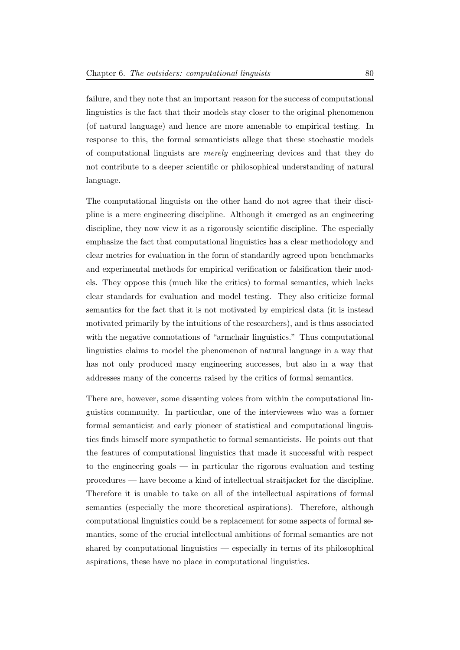failure, and they note that an important reason for the success of computational linguistics is the fact that their models stay closer to the original phenomenon (of natural language) and hence are more amenable to empirical testing. In response to this, the formal semanticists allege that these stochastic models of computational linguists are merely engineering devices and that they do not contribute to a deeper scientific or philosophical understanding of natural language.

The computational linguists on the other hand do not agree that their discipline is a mere engineering discipline. Although it emerged as an engineering discipline, they now view it as a rigorously scientific discipline. The especially emphasize the fact that computational linguistics has a clear methodology and clear metrics for evaluation in the form of standardly agreed upon benchmarks and experimental methods for empirical verification or falsification their models. They oppose this (much like the critics) to formal semantics, which lacks clear standards for evaluation and model testing. They also criticize formal semantics for the fact that it is not motivated by empirical data (it is instead motivated primarily by the intuitions of the researchers), and is thus associated with the negative connotations of "armchair linguistics." Thus computational linguistics claims to model the phenomenon of natural language in a way that has not only produced many engineering successes, but also in a way that addresses many of the concerns raised by the critics of formal semantics.

There are, however, some dissenting voices from within the computational linguistics community. In particular, one of the interviewees who was a former formal semanticist and early pioneer of statistical and computational linguistics finds himself more sympathetic to formal semanticists. He points out that the features of computational linguistics that made it successful with respect to the engineering goals — in particular the rigorous evaluation and testing procedures — have become a kind of intellectual straitjacket for the discipline. Therefore it is unable to take on all of the intellectual aspirations of formal semantics (especially the more theoretical aspirations). Therefore, although computational linguistics could be a replacement for some aspects of formal semantics, some of the crucial intellectual ambitions of formal semantics are not shared by computational linguistics — especially in terms of its philosophical aspirations, these have no place in computational linguistics.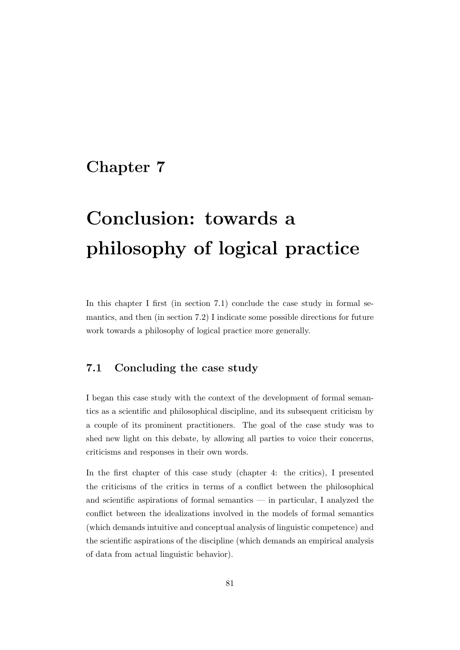# Chapter 7

# Conclusion: towards a philosophy of logical practice

In this chapter I first (in section 7.1) conclude the case study in formal semantics, and then (in section 7.2) I indicate some possible directions for future work towards a philosophy of logical practice more generally.

## 7.1 Concluding the case study

I began this case study with the context of the development of formal semantics as a scientific and philosophical discipline, and its subsequent criticism by a couple of its prominent practitioners. The goal of the case study was to shed new light on this debate, by allowing all parties to voice their concerns, criticisms and responses in their own words.

In the first chapter of this case study (chapter 4: the critics), I presented the criticisms of the critics in terms of a conflict between the philosophical and scientific aspirations of formal semantics — in particular, I analyzed the conflict between the idealizations involved in the models of formal semantics (which demands intuitive and conceptual analysis of linguistic competence) and the scientific aspirations of the discipline (which demands an empirical analysis of data from actual linguistic behavior).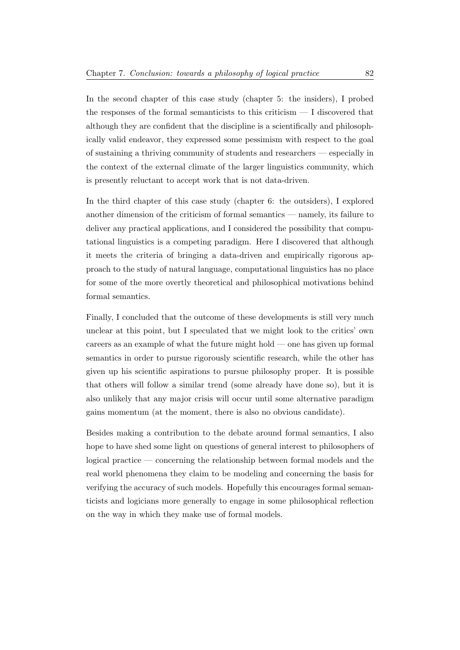In the second chapter of this case study (chapter 5: the insiders), I probed the responses of the formal semanticists to this criticism  $-1$  discovered that although they are confident that the discipline is a scientifically and philosophically valid endeavor, they expressed some pessimism with respect to the goal of sustaining a thriving community of students and researchers — especially in the context of the external climate of the larger linguistics community, which is presently reluctant to accept work that is not data-driven.

In the third chapter of this case study (chapter 6: the outsiders), I explored another dimension of the criticism of formal semantics — namely, its failure to deliver any practical applications, and I considered the possibility that computational linguistics is a competing paradigm. Here I discovered that although it meets the criteria of bringing a data-driven and empirically rigorous approach to the study of natural language, computational linguistics has no place for some of the more overtly theoretical and philosophical motivations behind formal semantics.

Finally, I concluded that the outcome of these developments is still very much unclear at this point, but I speculated that we might look to the critics' own careers as an example of what the future might hold — one has given up formal semantics in order to pursue rigorously scientific research, while the other has given up his scientific aspirations to pursue philosophy proper. It is possible that others will follow a similar trend (some already have done so), but it is also unlikely that any major crisis will occur until some alternative paradigm gains momentum (at the moment, there is also no obvious candidate).

Besides making a contribution to the debate around formal semantics, I also hope to have shed some light on questions of general interest to philosophers of logical practice — concerning the relationship between formal models and the real world phenomena they claim to be modeling and concerning the basis for verifying the accuracy of such models. Hopefully this encourages formal semanticists and logicians more generally to engage in some philosophical reflection on the way in which they make use of formal models.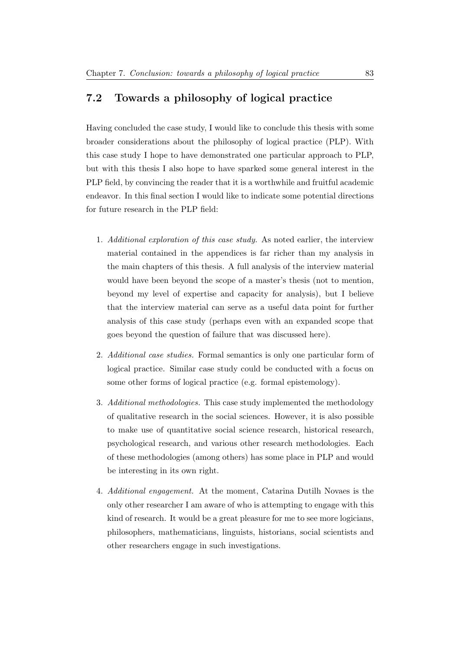## 7.2 Towards a philosophy of logical practice

Having concluded the case study, I would like to conclude this thesis with some broader considerations about the philosophy of logical practice (PLP). With this case study I hope to have demonstrated one particular approach to PLP, but with this thesis I also hope to have sparked some general interest in the PLP field, by convincing the reader that it is a worthwhile and fruitful academic endeavor. In this final section I would like to indicate some potential directions for future research in the PLP field:

- 1. Additional exploration of this case study. As noted earlier, the interview material contained in the appendices is far richer than my analysis in the main chapters of this thesis. A full analysis of the interview material would have been beyond the scope of a master's thesis (not to mention, beyond my level of expertise and capacity for analysis), but I believe that the interview material can serve as a useful data point for further analysis of this case study (perhaps even with an expanded scope that goes beyond the question of failure that was discussed here).
- 2. Additional case studies. Formal semantics is only one particular form of logical practice. Similar case study could be conducted with a focus on some other forms of logical practice (e.g. formal epistemology).
- 3. Additional methodologies. This case study implemented the methodology of qualitative research in the social sciences. However, it is also possible to make use of quantitative social science research, historical research, psychological research, and various other research methodologies. Each of these methodologies (among others) has some place in PLP and would be interesting in its own right.
- 4. Additional engagement. At the moment, Catarina Dutilh Novaes is the only other researcher I am aware of who is attempting to engage with this kind of research. It would be a great pleasure for me to see more logicians, philosophers, mathematicians, linguists, historians, social scientists and other researchers engage in such investigations.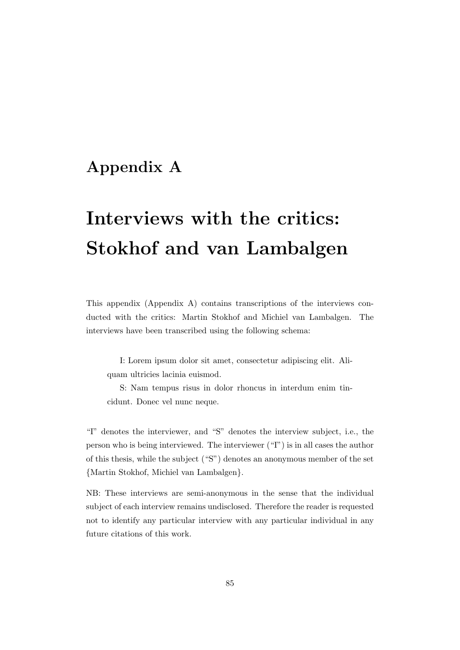# Appendix A

# Interviews with the critics: Stokhof and van Lambalgen

This appendix (Appendix A) contains transcriptions of the interviews conducted with the critics: Martin Stokhof and Michiel van Lambalgen. The interviews have been transcribed using the following schema:

I: Lorem ipsum dolor sit amet, consectetur adipiscing elit. Aliquam ultricies lacinia euismod.

S: Nam tempus risus in dolor rhoncus in interdum enim tincidunt. Donec vel nunc neque.

"I" denotes the interviewer, and "S" denotes the interview subject, i.e., the person who is being interviewed. The interviewer ("I") is in all cases the author of this thesis, while the subject ("S") denotes an anonymous member of the set {Martin Stokhof, Michiel van Lambalgen}.

NB: These interviews are semi-anonymous in the sense that the individual subject of each interview remains undisclosed. Therefore the reader is requested not to identify any particular interview with any particular individual in any future citations of this work.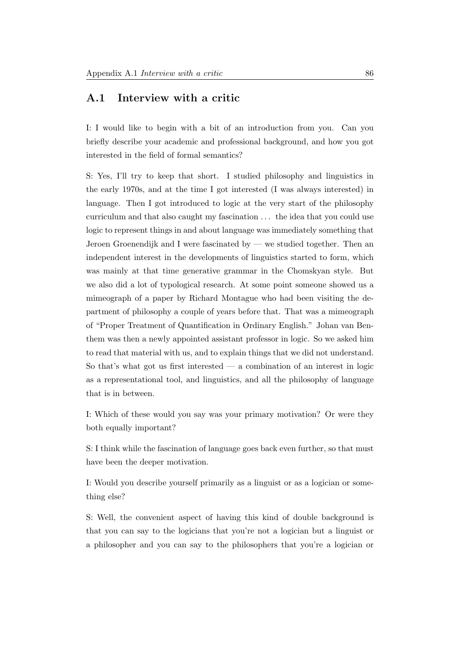#### A.1 Interview with a critic

I: I would like to begin with a bit of an introduction from you. Can you briefly describe your academic and professional background, and how you got interested in the field of formal semantics?

S: Yes, I'll try to keep that short. I studied philosophy and linguistics in the early 1970s, and at the time I got interested (I was always interested) in language. Then I got introduced to logic at the very start of the philosophy curriculum and that also caught my fascination . . . the idea that you could use logic to represent things in and about language was immediately something that Jeroen Groenendijk and I were fascinated by — we studied together. Then an independent interest in the developments of linguistics started to form, which was mainly at that time generative grammar in the Chomskyan style. But we also did a lot of typological research. At some point someone showed us a mimeograph of a paper by Richard Montague who had been visiting the department of philosophy a couple of years before that. That was a mimeograph of "Proper Treatment of Quantification in Ordinary English." Johan van Benthem was then a newly appointed assistant professor in logic. So we asked him to read that material with us, and to explain things that we did not understand. So that's what got us first interested  $-$  a combination of an interest in logic as a representational tool, and linguistics, and all the philosophy of language that is in between.

I: Which of these would you say was your primary motivation? Or were they both equally important?

S: I think while the fascination of language goes back even further, so that must have been the deeper motivation.

I: Would you describe yourself primarily as a linguist or as a logician or something else?

S: Well, the convenient aspect of having this kind of double background is that you can say to the logicians that you're not a logician but a linguist or a philosopher and you can say to the philosophers that you're a logician or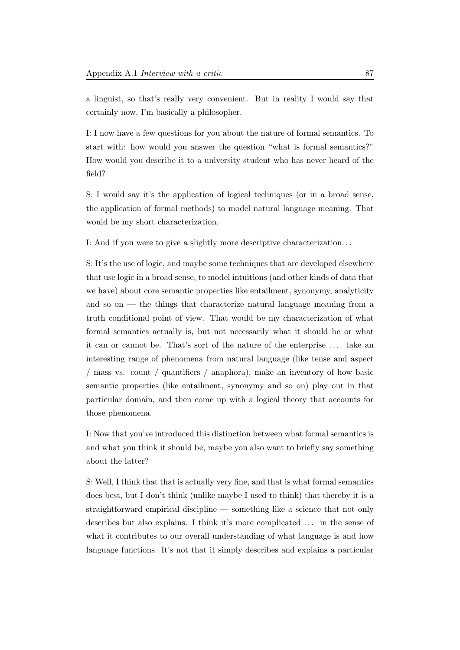a linguist, so that's really very convenient. But in reality I would say that certainly now, I'm basically a philosopher.

I: I now have a few questions for you about the nature of formal semantics. To start with: how would you answer the question "what is formal semantics?" How would you describe it to a university student who has never heard of the field?

S: I would say it's the application of logical techniques (or in a broad sense, the application of formal methods) to model natural language meaning. That would be my short characterization.

I: And if you were to give a slightly more descriptive characterization. . .

S: It's the use of logic, and maybe some techniques that are developed elsewhere that use logic in a broad sense, to model intuitions (and other kinds of data that we have) about core semantic properties like entailment, synonymy, analyticity and so on — the things that characterize natural language meaning from a truth conditional point of view. That would be my characterization of what formal semantics actually is, but not necessarily what it should be or what it can or cannot be. That's sort of the nature of the enterprise . . . take an interesting range of phenomena from natural language (like tense and aspect / mass vs. count / quantifiers / anaphora), make an inventory of how basic semantic properties (like entailment, synonymy and so on) play out in that particular domain, and then come up with a logical theory that accounts for those phenomena.

I: Now that you've introduced this distinction between what formal semantics is and what you think it should be, maybe you also want to briefly say something about the latter?

S: Well, I think that that is actually very fine, and that is what formal semantics does best, but I don't think (unlike maybe I used to think) that thereby it is a straightforward empirical discipline — something like a science that not only describes but also explains. I think it's more complicated . . . in the sense of what it contributes to our overall understanding of what language is and how language functions. It's not that it simply describes and explains a particular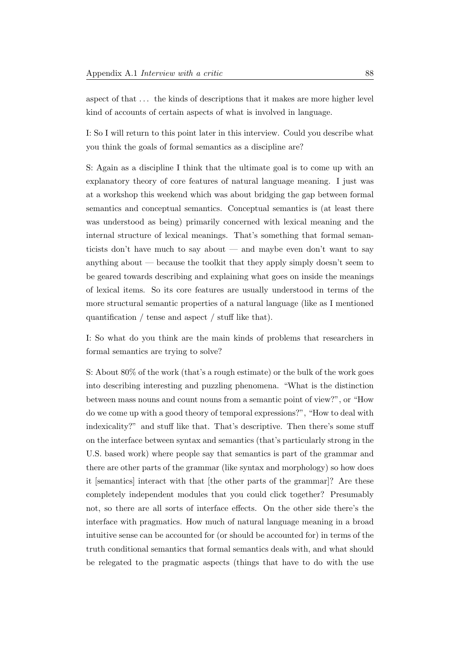aspect of that . . . the kinds of descriptions that it makes are more higher level kind of accounts of certain aspects of what is involved in language.

I: So I will return to this point later in this interview. Could you describe what you think the goals of formal semantics as a discipline are?

S: Again as a discipline I think that the ultimate goal is to come up with an explanatory theory of core features of natural language meaning. I just was at a workshop this weekend which was about bridging the gap between formal semantics and conceptual semantics. Conceptual semantics is (at least there was understood as being) primarily concerned with lexical meaning and the internal structure of lexical meanings. That's something that formal semanticists don't have much to say about — and maybe even don't want to say anything about — because the toolkit that they apply simply doesn't seem to be geared towards describing and explaining what goes on inside the meanings of lexical items. So its core features are usually understood in terms of the more structural semantic properties of a natural language (like as I mentioned quantification / tense and aspect / stuff like that).

I: So what do you think are the main kinds of problems that researchers in formal semantics are trying to solve?

S: About 80% of the work (that's a rough estimate) or the bulk of the work goes into describing interesting and puzzling phenomena. "What is the distinction between mass nouns and count nouns from a semantic point of view?", or "How do we come up with a good theory of temporal expressions?", "How to deal with indexicality?" and stuff like that. That's descriptive. Then there's some stuff on the interface between syntax and semantics (that's particularly strong in the U.S. based work) where people say that semantics is part of the grammar and there are other parts of the grammar (like syntax and morphology) so how does it [semantics] interact with that [the other parts of the grammar]? Are these completely independent modules that you could click together? Presumably not, so there are all sorts of interface effects. On the other side there's the interface with pragmatics. How much of natural language meaning in a broad intuitive sense can be accounted for (or should be accounted for) in terms of the truth conditional semantics that formal semantics deals with, and what should be relegated to the pragmatic aspects (things that have to do with the use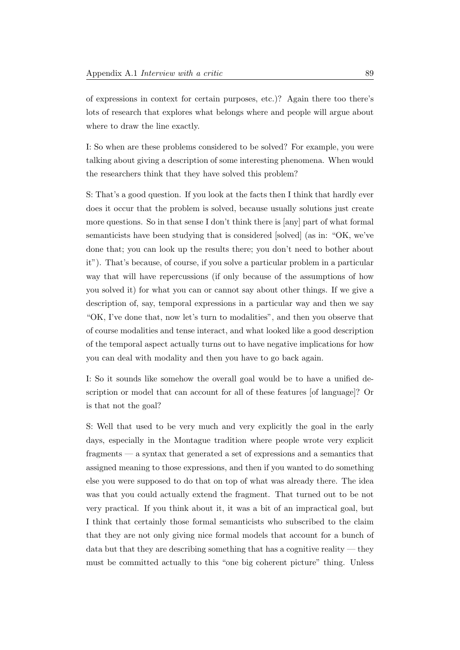of expressions in context for certain purposes, etc.)? Again there too there's lots of research that explores what belongs where and people will argue about where to draw the line exactly.

I: So when are these problems considered to be solved? For example, you were talking about giving a description of some interesting phenomena. When would the researchers think that they have solved this problem?

S: That's a good question. If you look at the facts then I think that hardly ever does it occur that the problem is solved, because usually solutions just create more questions. So in that sense I don't think there is [any] part of what formal semanticists have been studying that is considered [solved] (as in: "OK, we've done that; you can look up the results there; you don't need to bother about it"). That's because, of course, if you solve a particular problem in a particular way that will have repercussions (if only because of the assumptions of how you solved it) for what you can or cannot say about other things. If we give a description of, say, temporal expressions in a particular way and then we say "OK, I've done that, now let's turn to modalities", and then you observe that of course modalities and tense interact, and what looked like a good description of the temporal aspect actually turns out to have negative implications for how you can deal with modality and then you have to go back again.

I: So it sounds like somehow the overall goal would be to have a unified description or model that can account for all of these features [of language]? Or is that not the goal?

S: Well that used to be very much and very explicitly the goal in the early days, especially in the Montague tradition where people wrote very explicit fragments — a syntax that generated a set of expressions and a semantics that assigned meaning to those expressions, and then if you wanted to do something else you were supposed to do that on top of what was already there. The idea was that you could actually extend the fragment. That turned out to be not very practical. If you think about it, it was a bit of an impractical goal, but I think that certainly those formal semanticists who subscribed to the claim that they are not only giving nice formal models that account for a bunch of data but that they are describing something that has a cognitive reality — they must be committed actually to this "one big coherent picture" thing. Unless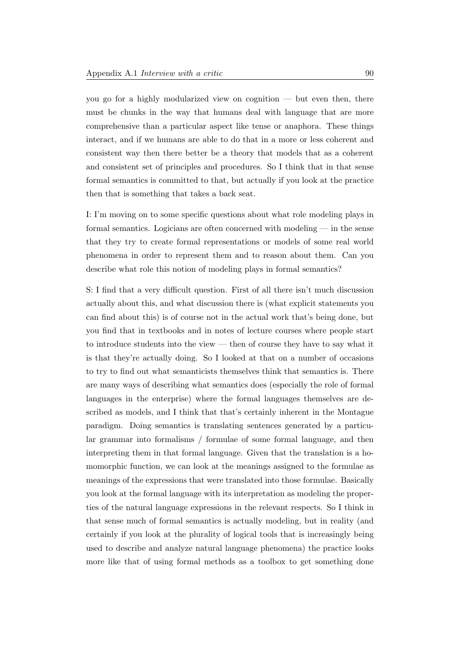you go for a highly modularized view on cognition — but even then, there must be chunks in the way that humans deal with language that are more comprehensive than a particular aspect like tense or anaphora. These things interact, and if we humans are able to do that in a more or less coherent and consistent way then there better be a theory that models that as a coherent and consistent set of principles and procedures. So I think that in that sense formal semantics is committed to that, but actually if you look at the practice then that is something that takes a back seat.

I: I'm moving on to some specific questions about what role modeling plays in formal semantics. Logicians are often concerned with modeling — in the sense that they try to create formal representations or models of some real world phenomena in order to represent them and to reason about them. Can you describe what role this notion of modeling plays in formal semantics?

S: I find that a very difficult question. First of all there isn't much discussion actually about this, and what discussion there is (what explicit statements you can find about this) is of course not in the actual work that's being done, but you find that in textbooks and in notes of lecture courses where people start to introduce students into the view — then of course they have to say what it is that they're actually doing. So I looked at that on a number of occasions to try to find out what semanticists themselves think that semantics is. There are many ways of describing what semantics does (especially the role of formal languages in the enterprise) where the formal languages themselves are described as models, and I think that that's certainly inherent in the Montague paradigm. Doing semantics is translating sentences generated by a particular grammar into formalisms / formulae of some formal language, and then interpreting them in that formal language. Given that the translation is a homomorphic function, we can look at the meanings assigned to the formulae as meanings of the expressions that were translated into those formulae. Basically you look at the formal language with its interpretation as modeling the properties of the natural language expressions in the relevant respects. So I think in that sense much of formal semantics is actually modeling, but in reality (and certainly if you look at the plurality of logical tools that is increasingly being used to describe and analyze natural language phenomena) the practice looks more like that of using formal methods as a toolbox to get something done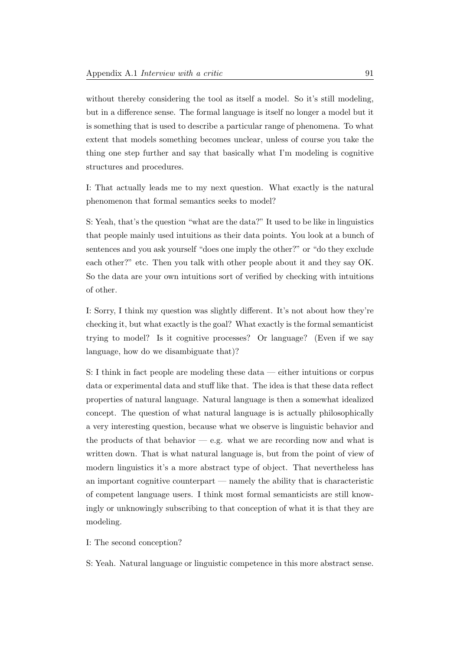without thereby considering the tool as itself a model. So it's still modeling, but in a difference sense. The formal language is itself no longer a model but it is something that is used to describe a particular range of phenomena. To what extent that models something becomes unclear, unless of course you take the thing one step further and say that basically what I'm modeling is cognitive structures and procedures.

I: That actually leads me to my next question. What exactly is the natural phenomenon that formal semantics seeks to model?

S: Yeah, that's the question "what are the data?" It used to be like in linguistics that people mainly used intuitions as their data points. You look at a bunch of sentences and you ask yourself "does one imply the other?" or "do they exclude each other?" etc. Then you talk with other people about it and they say OK. So the data are your own intuitions sort of verified by checking with intuitions of other.

I: Sorry, I think my question was slightly different. It's not about how they're checking it, but what exactly is the goal? What exactly is the formal semanticist trying to model? Is it cognitive processes? Or language? (Even if we say language, how do we disambiguate that)?

S: I think in fact people are modeling these data — either intuitions or corpus data or experimental data and stuff like that. The idea is that these data reflect properties of natural language. Natural language is then a somewhat idealized concept. The question of what natural language is is actually philosophically a very interesting question, because what we observe is linguistic behavior and the products of that behavior  $-$  e.g. what we are recording now and what is written down. That is what natural language is, but from the point of view of modern linguistics it's a more abstract type of object. That nevertheless has an important cognitive counterpart — namely the ability that is characteristic of competent language users. I think most formal semanticists are still knowingly or unknowingly subscribing to that conception of what it is that they are modeling.

I: The second conception?

S: Yeah. Natural language or linguistic competence in this more abstract sense.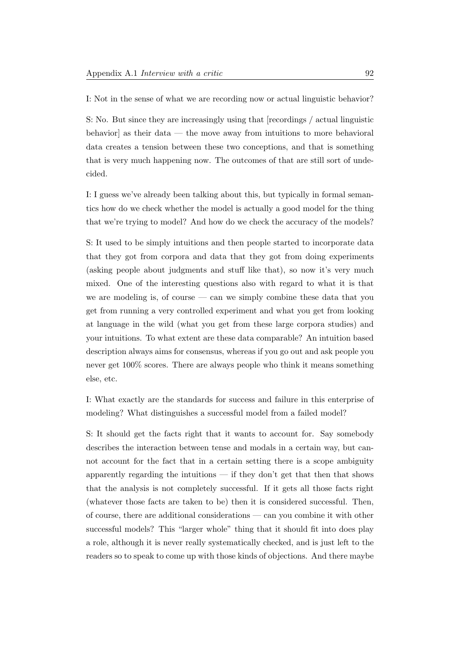I: Not in the sense of what we are recording now or actual linguistic behavior?

S: No. But since they are increasingly using that [recordings / actual linguistic behavior] as their data — the move away from intuitions to more behavioral data creates a tension between these two conceptions, and that is something that is very much happening now. The outcomes of that are still sort of undecided.

I: I guess we've already been talking about this, but typically in formal semantics how do we check whether the model is actually a good model for the thing that we're trying to model? And how do we check the accuracy of the models?

S: It used to be simply intuitions and then people started to incorporate data that they got from corpora and data that they got from doing experiments (asking people about judgments and stuff like that), so now it's very much mixed. One of the interesting questions also with regard to what it is that we are modeling is, of course  $\sim$  can we simply combine these data that you get from running a very controlled experiment and what you get from looking at language in the wild (what you get from these large corpora studies) and your intuitions. To what extent are these data comparable? An intuition based description always aims for consensus, whereas if you go out and ask people you never get 100% scores. There are always people who think it means something else, etc.

I: What exactly are the standards for success and failure in this enterprise of modeling? What distinguishes a successful model from a failed model?

S: It should get the facts right that it wants to account for. Say somebody describes the interaction between tense and modals in a certain way, but cannot account for the fact that in a certain setting there is a scope ambiguity apparently regarding the intuitions — if they don't get that then that shows that the analysis is not completely successful. If it gets all those facts right (whatever those facts are taken to be) then it is considered successful. Then, of course, there are additional considerations — can you combine it with other successful models? This "larger whole" thing that it should fit into does play a role, although it is never really systematically checked, and is just left to the readers so to speak to come up with those kinds of objections. And there maybe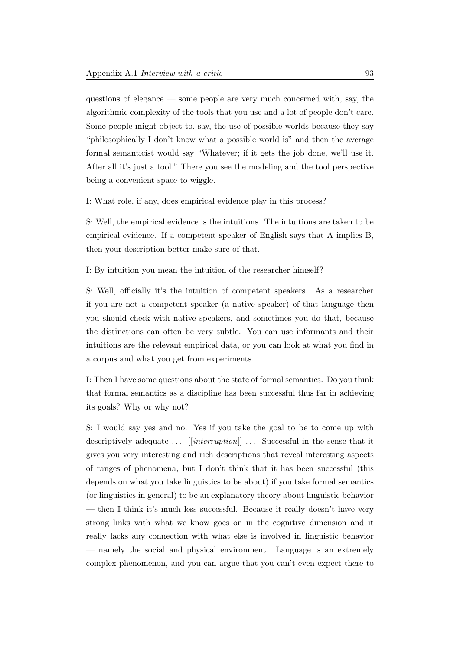questions of elegance — some people are very much concerned with, say, the algorithmic complexity of the tools that you use and a lot of people don't care. Some people might object to, say, the use of possible worlds because they say "philosophically I don't know what a possible world is" and then the average formal semanticist would say "Whatever; if it gets the job done, we'll use it. After all it's just a tool." There you see the modeling and the tool perspective being a convenient space to wiggle.

I: What role, if any, does empirical evidence play in this process?

S: Well, the empirical evidence is the intuitions. The intuitions are taken to be empirical evidence. If a competent speaker of English says that A implies B, then your description better make sure of that.

I: By intuition you mean the intuition of the researcher himself?

S: Well, officially it's the intuition of competent speakers. As a researcher if you are not a competent speaker (a native speaker) of that language then you should check with native speakers, and sometimes you do that, because the distinctions can often be very subtle. You can use informants and their intuitions are the relevant empirical data, or you can look at what you find in a corpus and what you get from experiments.

I: Then I have some questions about the state of formal semantics. Do you think that formal semantics as a discipline has been successful thus far in achieving its goals? Why or why not?

S: I would say yes and no. Yes if you take the goal to be to come up with descriptively adequate  $\ldots$  [[interruption]]  $\ldots$  Successful in the sense that it gives you very interesting and rich descriptions that reveal interesting aspects of ranges of phenomena, but I don't think that it has been successful (this depends on what you take linguistics to be about) if you take formal semantics (or linguistics in general) to be an explanatory theory about linguistic behavior — then I think it's much less successful. Because it really doesn't have very strong links with what we know goes on in the cognitive dimension and it really lacks any connection with what else is involved in linguistic behavior — namely the social and physical environment. Language is an extremely complex phenomenon, and you can argue that you can't even expect there to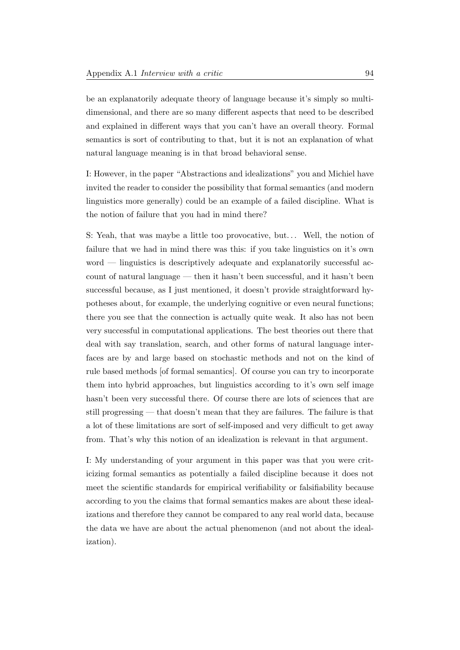be an explanatorily adequate theory of language because it's simply so multidimensional, and there are so many different aspects that need to be described and explained in different ways that you can't have an overall theory. Formal semantics is sort of contributing to that, but it is not an explanation of what natural language meaning is in that broad behavioral sense.

I: However, in the paper "Abstractions and idealizations" you and Michiel have invited the reader to consider the possibility that formal semantics (and modern linguistics more generally) could be an example of a failed discipline. What is the notion of failure that you had in mind there?

S: Yeah, that was maybe a little too provocative, but. . . Well, the notion of failure that we had in mind there was this: if you take linguistics on it's own word — linguistics is descriptively adequate and explanatorily successful account of natural language — then it hasn't been successful, and it hasn't been successful because, as I just mentioned, it doesn't provide straightforward hypotheses about, for example, the underlying cognitive or even neural functions; there you see that the connection is actually quite weak. It also has not been very successful in computational applications. The best theories out there that deal with say translation, search, and other forms of natural language interfaces are by and large based on stochastic methods and not on the kind of rule based methods [of formal semantics]. Of course you can try to incorporate them into hybrid approaches, but linguistics according to it's own self image hasn't been very successful there. Of course there are lots of sciences that are still progressing — that doesn't mean that they are failures. The failure is that a lot of these limitations are sort of self-imposed and very difficult to get away from. That's why this notion of an idealization is relevant in that argument.

I: My understanding of your argument in this paper was that you were criticizing formal semantics as potentially a failed discipline because it does not meet the scientific standards for empirical verifiability or falsifiability because according to you the claims that formal semantics makes are about these idealizations and therefore they cannot be compared to any real world data, because the data we have are about the actual phenomenon (and not about the idealization).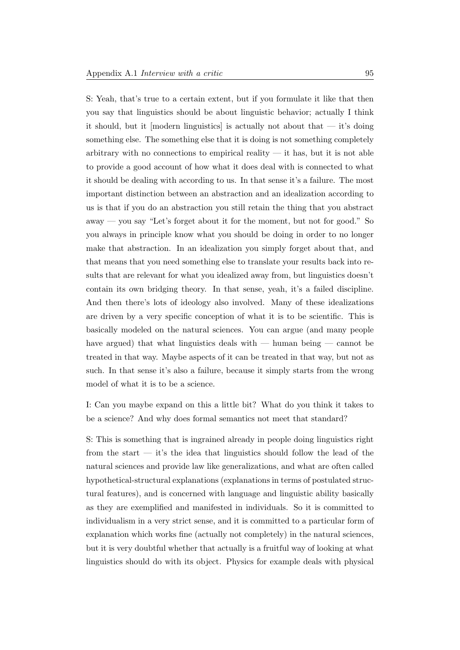S: Yeah, that's true to a certain extent, but if you formulate it like that then you say that linguistics should be about linguistic behavior; actually I think it should, but it [modern linguistics] is actually not about that — it's doing something else. The something else that it is doing is not something completely arbitrary with no connections to empirical reality  $-$  it has, but it is not able to provide a good account of how what it does deal with is connected to what it should be dealing with according to us. In that sense it's a failure. The most important distinction between an abstraction and an idealization according to us is that if you do an abstraction you still retain the thing that you abstract away — you say "Let's forget about it for the moment, but not for good." So you always in principle know what you should be doing in order to no longer make that abstraction. In an idealization you simply forget about that, and that means that you need something else to translate your results back into results that are relevant for what you idealized away from, but linguistics doesn't contain its own bridging theory. In that sense, yeah, it's a failed discipline. And then there's lots of ideology also involved. Many of these idealizations are driven by a very specific conception of what it is to be scientific. This is basically modeled on the natural sciences. You can argue (and many people have argued) that what linguistics deals with — human being — cannot be treated in that way. Maybe aspects of it can be treated in that way, but not as such. In that sense it's also a failure, because it simply starts from the wrong model of what it is to be a science.

I: Can you maybe expand on this a little bit? What do you think it takes to be a science? And why does formal semantics not meet that standard?

S: This is something that is ingrained already in people doing linguistics right from the start  $-$  it's the idea that linguistics should follow the lead of the natural sciences and provide law like generalizations, and what are often called hypothetical-structural explanations (explanations in terms of postulated structural features), and is concerned with language and linguistic ability basically as they are exemplified and manifested in individuals. So it is committed to individualism in a very strict sense, and it is committed to a particular form of explanation which works fine (actually not completely) in the natural sciences, but it is very doubtful whether that actually is a fruitful way of looking at what linguistics should do with its object. Physics for example deals with physical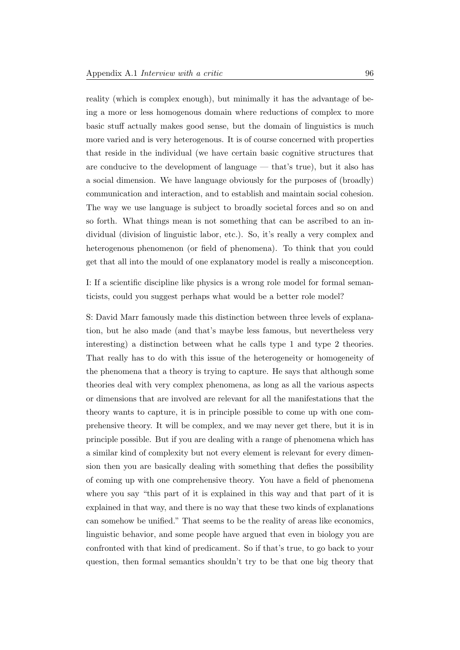reality (which is complex enough), but minimally it has the advantage of being a more or less homogenous domain where reductions of complex to more basic stuff actually makes good sense, but the domain of linguistics is much more varied and is very heterogenous. It is of course concerned with properties that reside in the individual (we have certain basic cognitive structures that are conducive to the development of language — that's true), but it also has a social dimension. We have language obviously for the purposes of (broadly) communication and interaction, and to establish and maintain social cohesion. The way we use language is subject to broadly societal forces and so on and so forth. What things mean is not something that can be ascribed to an individual (division of linguistic labor, etc.). So, it's really a very complex and heterogenous phenomenon (or field of phenomena). To think that you could get that all into the mould of one explanatory model is really a misconception.

I: If a scientific discipline like physics is a wrong role model for formal semanticists, could you suggest perhaps what would be a better role model?

S: David Marr famously made this distinction between three levels of explanation, but he also made (and that's maybe less famous, but nevertheless very interesting) a distinction between what he calls type 1 and type 2 theories. That really has to do with this issue of the heterogeneity or homogeneity of the phenomena that a theory is trying to capture. He says that although some theories deal with very complex phenomena, as long as all the various aspects or dimensions that are involved are relevant for all the manifestations that the theory wants to capture, it is in principle possible to come up with one comprehensive theory. It will be complex, and we may never get there, but it is in principle possible. But if you are dealing with a range of phenomena which has a similar kind of complexity but not every element is relevant for every dimension then you are basically dealing with something that defies the possibility of coming up with one comprehensive theory. You have a field of phenomena where you say "this part of it is explained in this way and that part of it is explained in that way, and there is no way that these two kinds of explanations can somehow be unified." That seems to be the reality of areas like economics, linguistic behavior, and some people have argued that even in biology you are confronted with that kind of predicament. So if that's true, to go back to your question, then formal semantics shouldn't try to be that one big theory that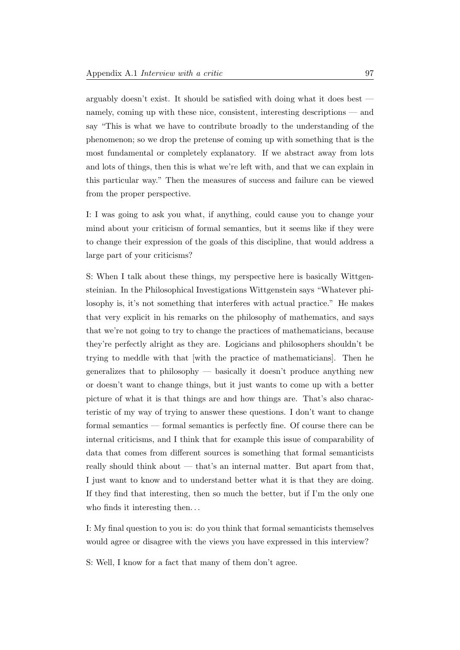arguably doesn't exist. It should be satisfied with doing what it does best namely, coming up with these nice, consistent, interesting descriptions — and say "This is what we have to contribute broadly to the understanding of the phenomenon; so we drop the pretense of coming up with something that is the most fundamental or completely explanatory. If we abstract away from lots and lots of things, then this is what we're left with, and that we can explain in this particular way." Then the measures of success and failure can be viewed from the proper perspective.

I: I was going to ask you what, if anything, could cause you to change your mind about your criticism of formal semantics, but it seems like if they were to change their expression of the goals of this discipline, that would address a large part of your criticisms?

S: When I talk about these things, my perspective here is basically Wittgensteinian. In the Philosophical Investigations Wittgenstein says "Whatever philosophy is, it's not something that interferes with actual practice." He makes that very explicit in his remarks on the philosophy of mathematics, and says that we're not going to try to change the practices of mathematicians, because they're perfectly alright as they are. Logicians and philosophers shouldn't be trying to meddle with that [with the practice of mathematicians]. Then he generalizes that to philosophy — basically it doesn't produce anything new or doesn't want to change things, but it just wants to come up with a better picture of what it is that things are and how things are. That's also characteristic of my way of trying to answer these questions. I don't want to change formal semantics — formal semantics is perfectly fine. Of course there can be internal criticisms, and I think that for example this issue of comparability of data that comes from different sources is something that formal semanticists really should think about — that's an internal matter. But apart from that, I just want to know and to understand better what it is that they are doing. If they find that interesting, then so much the better, but if I'm the only one who finds it interesting then...

I: My final question to you is: do you think that formal semanticists themselves would agree or disagree with the views you have expressed in this interview?

S: Well, I know for a fact that many of them don't agree.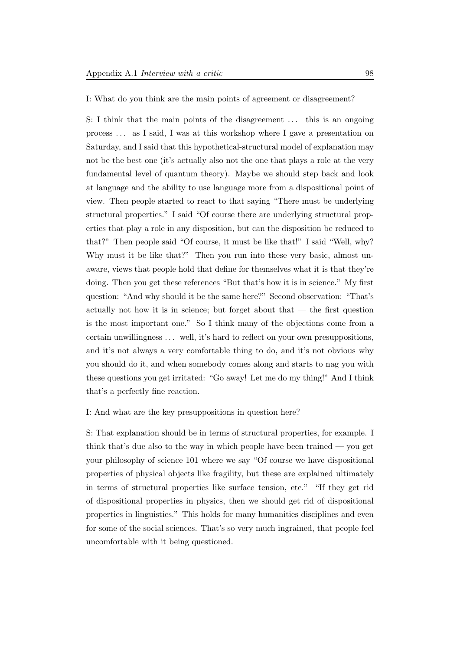I: What do you think are the main points of agreement or disagreement?

S: I think that the main points of the disagreement . . . this is an ongoing process . . . as I said, I was at this workshop where I gave a presentation on Saturday, and I said that this hypothetical-structural model of explanation may not be the best one (it's actually also not the one that plays a role at the very fundamental level of quantum theory). Maybe we should step back and look at language and the ability to use language more from a dispositional point of view. Then people started to react to that saying "There must be underlying structural properties." I said "Of course there are underlying structural properties that play a role in any disposition, but can the disposition be reduced to that?" Then people said "Of course, it must be like that!" I said "Well, why? Why must it be like that?" Then you run into these very basic, almost unaware, views that people hold that define for themselves what it is that they're doing. Then you get these references "But that's how it is in science." My first question: "And why should it be the same here?" Second observation: "That's actually not how it is in science; but forget about that  $-$  the first question is the most important one." So I think many of the objections come from a certain unwillingness . . . well, it's hard to reflect on your own presuppositions, and it's not always a very comfortable thing to do, and it's not obvious why you should do it, and when somebody comes along and starts to nag you with these questions you get irritated: "Go away! Let me do my thing!" And I think that's a perfectly fine reaction.

I: And what are the key presuppositions in question here?

S: That explanation should be in terms of structural properties, for example. I think that's due also to the way in which people have been trained — you get your philosophy of science 101 where we say "Of course we have dispositional properties of physical objects like fragility, but these are explained ultimately in terms of structural properties like surface tension, etc." "If they get rid of dispositional properties in physics, then we should get rid of dispositional properties in linguistics." This holds for many humanities disciplines and even for some of the social sciences. That's so very much ingrained, that people feel uncomfortable with it being questioned.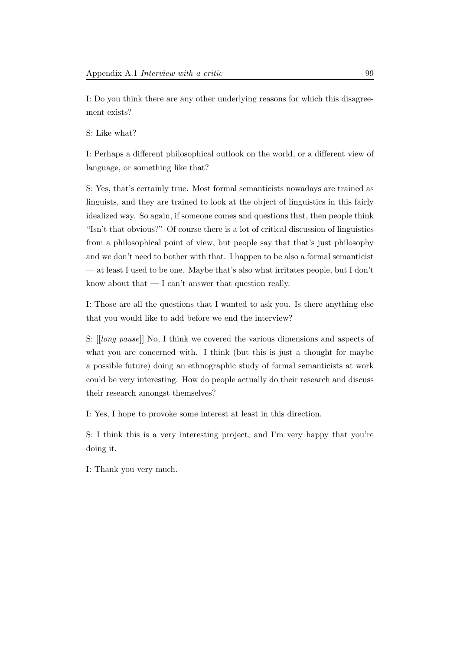I: Do you think there are any other underlying reasons for which this disagreement exists?

S: Like what?

I: Perhaps a different philosophical outlook on the world, or a different view of language, or something like that?

S: Yes, that's certainly true. Most formal semanticists nowadays are trained as linguists, and they are trained to look at the object of linguistics in this fairly idealized way. So again, if someone comes and questions that, then people think "Isn't that obvious?" Of course there is a lot of critical discussion of linguistics from a philosophical point of view, but people say that that's just philosophy and we don't need to bother with that. I happen to be also a formal semanticist — at least I used to be one. Maybe that's also what irritates people, but I don't know about that — I can't answer that question really.

I: Those are all the questions that I wanted to ask you. Is there anything else that you would like to add before we end the interview?

S: [[long pause]] No, I think we covered the various dimensions and aspects of what you are concerned with. I think (but this is just a thought for maybe a possible future) doing an ethnographic study of formal semanticists at work could be very interesting. How do people actually do their research and discuss their research amongst themselves?

I: Yes, I hope to provoke some interest at least in this direction.

S: I think this is a very interesting project, and I'm very happy that you're doing it.

I: Thank you very much.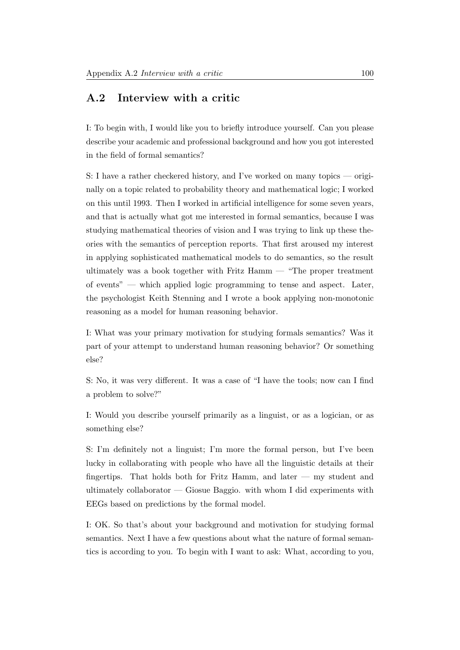### A.2 Interview with a critic

I: To begin with, I would like you to briefly introduce yourself. Can you please describe your academic and professional background and how you got interested in the field of formal semantics?

S: I have a rather checkered history, and I've worked on many topics — originally on a topic related to probability theory and mathematical logic; I worked on this until 1993. Then I worked in artificial intelligence for some seven years, and that is actually what got me interested in formal semantics, because I was studying mathematical theories of vision and I was trying to link up these theories with the semantics of perception reports. That first aroused my interest in applying sophisticated mathematical models to do semantics, so the result ultimately was a book together with Fritz Hamm — "The proper treatment of events" — which applied logic programming to tense and aspect. Later, the psychologist Keith Stenning and I wrote a book applying non-monotonic reasoning as a model for human reasoning behavior.

I: What was your primary motivation for studying formals semantics? Was it part of your attempt to understand human reasoning behavior? Or something else?

S: No, it was very different. It was a case of "I have the tools; now can I find a problem to solve?"

I: Would you describe yourself primarily as a linguist, or as a logician, or as something else?

S: I'm definitely not a linguist; I'm more the formal person, but I've been lucky in collaborating with people who have all the linguistic details at their fingertips. That holds both for Fritz Hamm, and later  $-$  my student and ultimately collaborator — Giosue Baggio. with whom I did experiments with EEGs based on predictions by the formal model.

I: OK. So that's about your background and motivation for studying formal semantics. Next I have a few questions about what the nature of formal semantics is according to you. To begin with I want to ask: What, according to you,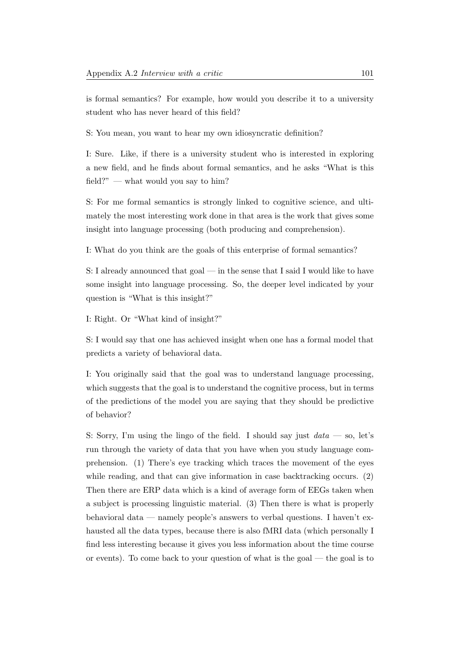is formal semantics? For example, how would you describe it to a university student who has never heard of this field?

S: You mean, you want to hear my own idiosyncratic definition?

I: Sure. Like, if there is a university student who is interested in exploring a new field, and he finds about formal semantics, and he asks "What is this field?" — what would you say to him?

S: For me formal semantics is strongly linked to cognitive science, and ultimately the most interesting work done in that area is the work that gives some insight into language processing (both producing and comprehension).

I: What do you think are the goals of this enterprise of formal semantics?

S: I already announced that goal — in the sense that I said I would like to have some insight into language processing. So, the deeper level indicated by your question is "What is this insight?"

I: Right. Or "What kind of insight?"

S: I would say that one has achieved insight when one has a formal model that predicts a variety of behavioral data.

I: You originally said that the goal was to understand language processing, which suggests that the goal is to understand the cognitive process, but in terms of the predictions of the model you are saying that they should be predictive of behavior?

S: Sorry, I'm using the lingo of the field. I should say just  $data - so$ , let's run through the variety of data that you have when you study language comprehension. (1) There's eye tracking which traces the movement of the eyes while reading, and that can give information in case backtracking occurs. (2) Then there are ERP data which is a kind of average form of EEGs taken when a subject is processing linguistic material. (3) Then there is what is properly behavioral data — namely people's answers to verbal questions. I haven't exhausted all the data types, because there is also fMRI data (which personally I find less interesting because it gives you less information about the time course or events). To come back to your question of what is the goal — the goal is to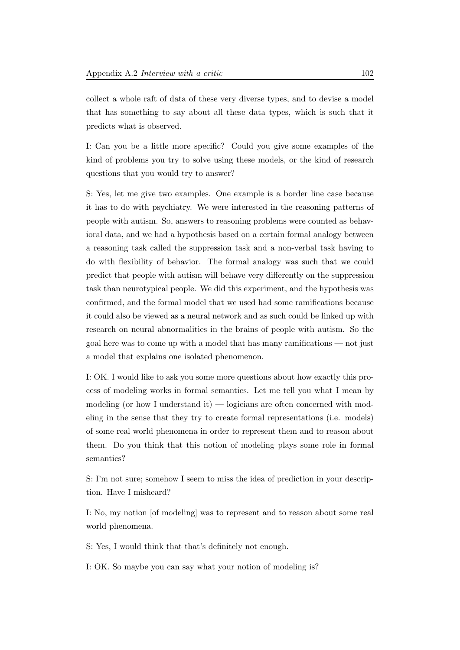collect a whole raft of data of these very diverse types, and to devise a model that has something to say about all these data types, which is such that it predicts what is observed.

I: Can you be a little more specific? Could you give some examples of the kind of problems you try to solve using these models, or the kind of research questions that you would try to answer?

S: Yes, let me give two examples. One example is a border line case because it has to do with psychiatry. We were interested in the reasoning patterns of people with autism. So, answers to reasoning problems were counted as behavioral data, and we had a hypothesis based on a certain formal analogy between a reasoning task called the suppression task and a non-verbal task having to do with flexibility of behavior. The formal analogy was such that we could predict that people with autism will behave very differently on the suppression task than neurotypical people. We did this experiment, and the hypothesis was confirmed, and the formal model that we used had some ramifications because it could also be viewed as a neural network and as such could be linked up with research on neural abnormalities in the brains of people with autism. So the goal here was to come up with a model that has many ramifications — not just a model that explains one isolated phenomenon.

I: OK. I would like to ask you some more questions about how exactly this process of modeling works in formal semantics. Let me tell you what I mean by modeling (or how I understand it) — logicians are often concerned with modeling in the sense that they try to create formal representations (i.e. models) of some real world phenomena in order to represent them and to reason about them. Do you think that this notion of modeling plays some role in formal semantics?

S: I'm not sure; somehow I seem to miss the idea of prediction in your description. Have I misheard?

I: No, my notion [of modeling] was to represent and to reason about some real world phenomena.

S: Yes, I would think that that's definitely not enough.

I: OK. So maybe you can say what your notion of modeling is?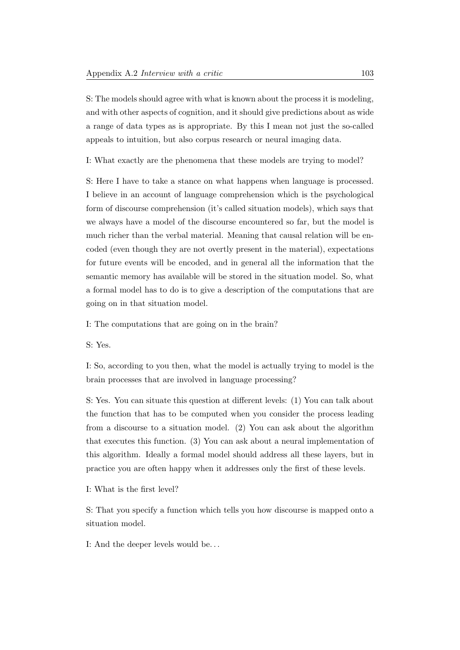S: The models should agree with what is known about the process it is modeling, and with other aspects of cognition, and it should give predictions about as wide a range of data types as is appropriate. By this I mean not just the so-called appeals to intuition, but also corpus research or neural imaging data.

I: What exactly are the phenomena that these models are trying to model?

S: Here I have to take a stance on what happens when language is processed. I believe in an account of language comprehension which is the psychological form of discourse comprehension (it's called situation models), which says that we always have a model of the discourse encountered so far, but the model is much richer than the verbal material. Meaning that causal relation will be encoded (even though they are not overtly present in the material), expectations for future events will be encoded, and in general all the information that the semantic memory has available will be stored in the situation model. So, what a formal model has to do is to give a description of the computations that are going on in that situation model.

I: The computations that are going on in the brain?

S: Yes.

I: So, according to you then, what the model is actually trying to model is the brain processes that are involved in language processing?

S: Yes. You can situate this question at different levels: (1) You can talk about the function that has to be computed when you consider the process leading from a discourse to a situation model. (2) You can ask about the algorithm that executes this function. (3) You can ask about a neural implementation of this algorithm. Ideally a formal model should address all these layers, but in practice you are often happy when it addresses only the first of these levels.

I: What is the first level?

S: That you specify a function which tells you how discourse is mapped onto a situation model.

I: And the deeper levels would be. . .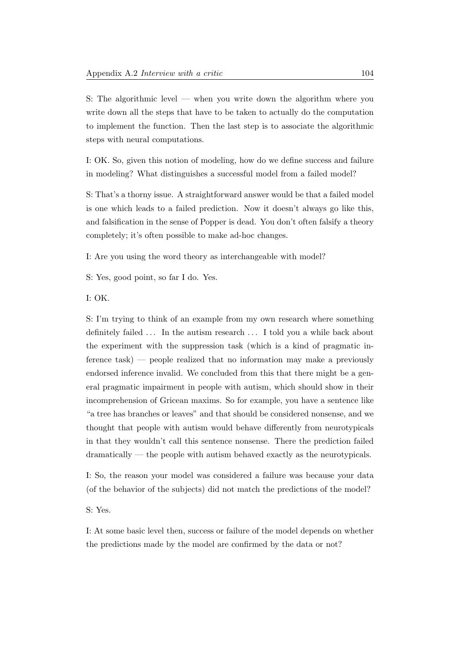S: The algorithmic level — when you write down the algorithm where you write down all the steps that have to be taken to actually do the computation to implement the function. Then the last step is to associate the algorithmic steps with neural computations.

I: OK. So, given this notion of modeling, how do we define success and failure in modeling? What distinguishes a successful model from a failed model?

S: That's a thorny issue. A straightforward answer would be that a failed model is one which leads to a failed prediction. Now it doesn't always go like this, and falsification in the sense of Popper is dead. You don't often falsify a theory completely; it's often possible to make ad-hoc changes.

I: Are you using the word theory as interchangeable with model?

S: Yes, good point, so far I do. Yes.

I: OK.

S: I'm trying to think of an example from my own research where something definitely failed ... In the autism research ... I told you a while back about the experiment with the suppression task (which is a kind of pragmatic inference task) — people realized that no information may make a previously endorsed inference invalid. We concluded from this that there might be a general pragmatic impairment in people with autism, which should show in their incomprehension of Gricean maxims. So for example, you have a sentence like "a tree has branches or leaves" and that should be considered nonsense, and we thought that people with autism would behave differently from neurotypicals in that they wouldn't call this sentence nonsense. There the prediction failed dramatically — the people with autism behaved exactly as the neurotypicals.

I: So, the reason your model was considered a failure was because your data (of the behavior of the subjects) did not match the predictions of the model?

S: Yes.

I: At some basic level then, success or failure of the model depends on whether the predictions made by the model are confirmed by the data or not?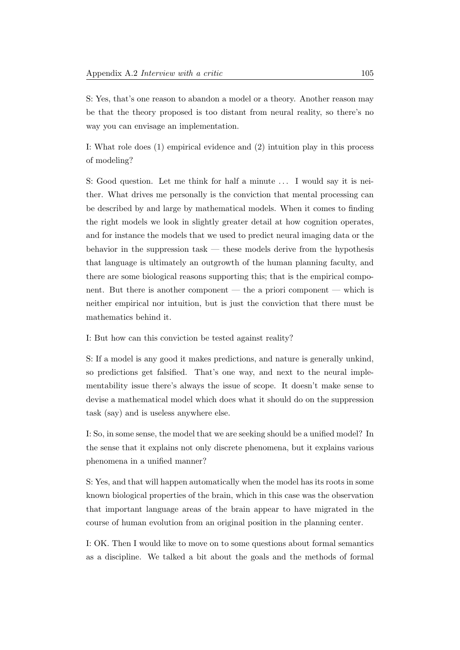S: Yes, that's one reason to abandon a model or a theory. Another reason may be that the theory proposed is too distant from neural reality, so there's no way you can envisage an implementation.

I: What role does (1) empirical evidence and (2) intuition play in this process of modeling?

S: Good question. Let me think for half a minute . . . I would say it is neither. What drives me personally is the conviction that mental processing can be described by and large by mathematical models. When it comes to finding the right models we look in slightly greater detail at how cognition operates, and for instance the models that we used to predict neural imaging data or the behavior in the suppression task — these models derive from the hypothesis that language is ultimately an outgrowth of the human planning faculty, and there are some biological reasons supporting this; that is the empirical component. But there is another component — the a priori component — which is neither empirical nor intuition, but is just the conviction that there must be mathematics behind it.

I: But how can this conviction be tested against reality?

S: If a model is any good it makes predictions, and nature is generally unkind, so predictions get falsified. That's one way, and next to the neural implementability issue there's always the issue of scope. It doesn't make sense to devise a mathematical model which does what it should do on the suppression task (say) and is useless anywhere else.

I: So, in some sense, the model that we are seeking should be a unified model? In the sense that it explains not only discrete phenomena, but it explains various phenomena in a unified manner?

S: Yes, and that will happen automatically when the model has its roots in some known biological properties of the brain, which in this case was the observation that important language areas of the brain appear to have migrated in the course of human evolution from an original position in the planning center.

I: OK. Then I would like to move on to some questions about formal semantics as a discipline. We talked a bit about the goals and the methods of formal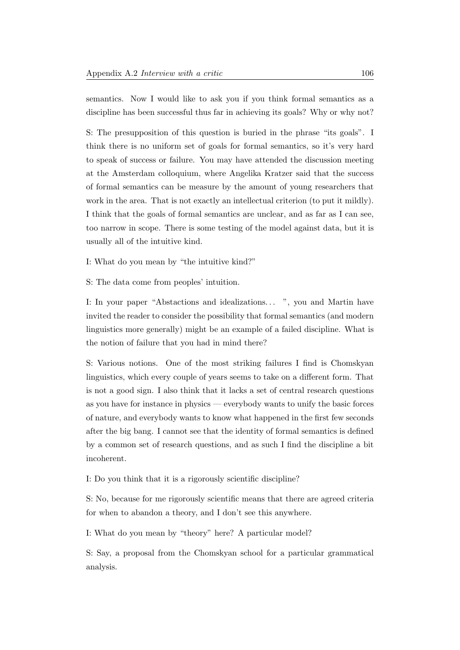semantics. Now I would like to ask you if you think formal semantics as a discipline has been successful thus far in achieving its goals? Why or why not?

S: The presupposition of this question is buried in the phrase "its goals". I think there is no uniform set of goals for formal semantics, so it's very hard to speak of success or failure. You may have attended the discussion meeting at the Amsterdam colloquium, where Angelika Kratzer said that the success of formal semantics can be measure by the amount of young researchers that work in the area. That is not exactly an intellectual criterion (to put it mildly). I think that the goals of formal semantics are unclear, and as far as I can see, too narrow in scope. There is some testing of the model against data, but it is usually all of the intuitive kind.

I: What do you mean by "the intuitive kind?"

S: The data come from peoples' intuition.

I: In your paper "Abstactions and idealizations... ", you and Martin have invited the reader to consider the possibility that formal semantics (and modern linguistics more generally) might be an example of a failed discipline. What is the notion of failure that you had in mind there?

S: Various notions. One of the most striking failures I find is Chomskyan linguistics, which every couple of years seems to take on a different form. That is not a good sign. I also think that it lacks a set of central research questions as you have for instance in physics — everybody wants to unify the basic forces of nature, and everybody wants to know what happened in the first few seconds after the big bang. I cannot see that the identity of formal semantics is defined by a common set of research questions, and as such I find the discipline a bit incoherent.

I: Do you think that it is a rigorously scientific discipline?

S: No, because for me rigorously scientific means that there are agreed criteria for when to abandon a theory, and I don't see this anywhere.

I: What do you mean by "theory" here? A particular model?

S: Say, a proposal from the Chomskyan school for a particular grammatical analysis.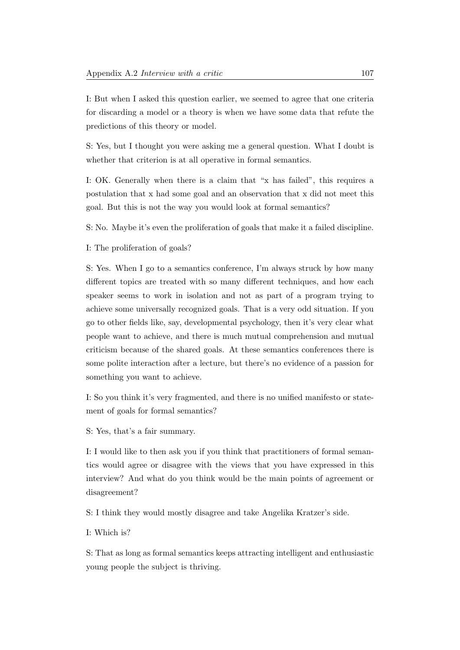I: But when I asked this question earlier, we seemed to agree that one criteria for discarding a model or a theory is when we have some data that refute the predictions of this theory or model.

S: Yes, but I thought you were asking me a general question. What I doubt is whether that criterion is at all operative in formal semantics.

I: OK. Generally when there is a claim that "x has failed", this requires a postulation that x had some goal and an observation that x did not meet this goal. But this is not the way you would look at formal semantics?

S: No. Maybe it's even the proliferation of goals that make it a failed discipline.

I: The proliferation of goals?

S: Yes. When I go to a semantics conference, I'm always struck by how many different topics are treated with so many different techniques, and how each speaker seems to work in isolation and not as part of a program trying to achieve some universally recognized goals. That is a very odd situation. If you go to other fields like, say, developmental psychology, then it's very clear what people want to achieve, and there is much mutual comprehension and mutual criticism because of the shared goals. At these semantics conferences there is some polite interaction after a lecture, but there's no evidence of a passion for something you want to achieve.

I: So you think it's very fragmented, and there is no unified manifesto or statement of goals for formal semantics?

S: Yes, that's a fair summary.

I: I would like to then ask you if you think that practitioners of formal semantics would agree or disagree with the views that you have expressed in this interview? And what do you think would be the main points of agreement or disagreement?

S: I think they would mostly disagree and take Angelika Kratzer's side.

I: Which is?

S: That as long as formal semantics keeps attracting intelligent and enthusiastic young people the subject is thriving.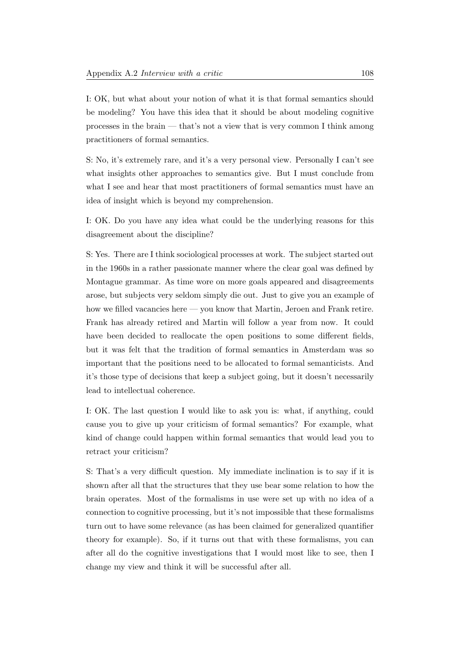I: OK, but what about your notion of what it is that formal semantics should be modeling? You have this idea that it should be about modeling cognitive processes in the brain — that's not a view that is very common I think among practitioners of formal semantics.

S: No, it's extremely rare, and it's a very personal view. Personally I can't see what insights other approaches to semantics give. But I must conclude from what I see and hear that most practitioners of formal semantics must have an idea of insight which is beyond my comprehension.

I: OK. Do you have any idea what could be the underlying reasons for this disagreement about the discipline?

S: Yes. There are I think sociological processes at work. The subject started out in the 1960s in a rather passionate manner where the clear goal was defined by Montague grammar. As time wore on more goals appeared and disagreements arose, but subjects very seldom simply die out. Just to give you an example of how we filled vacancies here — you know that Martin, Jeroen and Frank retire. Frank has already retired and Martin will follow a year from now. It could have been decided to reallocate the open positions to some different fields, but it was felt that the tradition of formal semantics in Amsterdam was so important that the positions need to be allocated to formal semanticists. And it's those type of decisions that keep a subject going, but it doesn't necessarily lead to intellectual coherence.

I: OK. The last question I would like to ask you is: what, if anything, could cause you to give up your criticism of formal semantics? For example, what kind of change could happen within formal semantics that would lead you to retract your criticism?

S: That's a very difficult question. My immediate inclination is to say if it is shown after all that the structures that they use bear some relation to how the brain operates. Most of the formalisms in use were set up with no idea of a connection to cognitive processing, but it's not impossible that these formalisms turn out to have some relevance (as has been claimed for generalized quantifier theory for example). So, if it turns out that with these formalisms, you can after all do the cognitive investigations that I would most like to see, then I change my view and think it will be successful after all.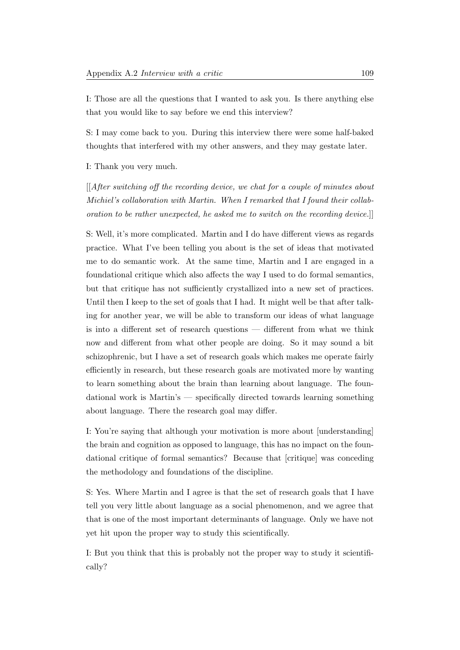I: Those are all the questions that I wanted to ask you. Is there anything else that you would like to say before we end this interview?

S: I may come back to you. During this interview there were some half-baked thoughts that interfered with my other answers, and they may gestate later.

I: Thank you very much.

[[After switching off the recording device, we chat for a couple of minutes about Michiel's collaboration with Martin. When I remarked that I found their collaboration to be rather unexpected, he asked me to switch on the recording device.]]

S: Well, it's more complicated. Martin and I do have different views as regards practice. What I've been telling you about is the set of ideas that motivated me to do semantic work. At the same time, Martin and I are engaged in a foundational critique which also affects the way I used to do formal semantics, but that critique has not sufficiently crystallized into a new set of practices. Until then I keep to the set of goals that I had. It might well be that after talking for another year, we will be able to transform our ideas of what language is into a different set of research questions — different from what we think now and different from what other people are doing. So it may sound a bit schizophrenic, but I have a set of research goals which makes me operate fairly efficiently in research, but these research goals are motivated more by wanting to learn something about the brain than learning about language. The foundational work is Martin's — specifically directed towards learning something about language. There the research goal may differ.

I: You're saying that although your motivation is more about [understanding] the brain and cognition as opposed to language, this has no impact on the foundational critique of formal semantics? Because that [critique] was conceding the methodology and foundations of the discipline.

S: Yes. Where Martin and I agree is that the set of research goals that I have tell you very little about language as a social phenomenon, and we agree that that is one of the most important determinants of language. Only we have not yet hit upon the proper way to study this scientifically.

I: But you think that this is probably not the proper way to study it scientifically?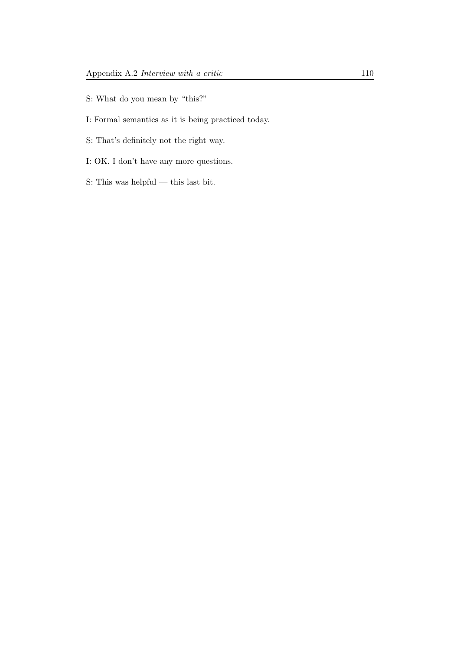- S: What do you mean by "this?"
- I: Formal semantics as it is being practiced today.
- S: That's definitely not the right way.
- I: OK. I don't have any more questions.
- S: This was helpful this last bit.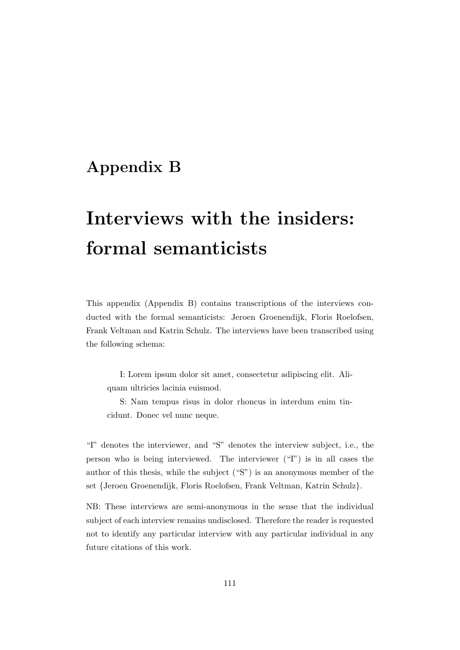# Appendix B

# Interviews with the insiders: formal semanticists

This appendix (Appendix B) contains transcriptions of the interviews conducted with the formal semanticists: Jeroen Groenendijk, Floris Roelofsen, Frank Veltman and Katrin Schulz. The interviews have been transcribed using the following schema:

I: Lorem ipsum dolor sit amet, consectetur adipiscing elit. Aliquam ultricies lacinia euismod.

S: Nam tempus risus in dolor rhoncus in interdum enim tincidunt. Donec vel nunc neque.

"I" denotes the interviewer, and "S" denotes the interview subject, i.e., the person who is being interviewed. The interviewer ("I") is in all cases the author of this thesis, while the subject ("S") is an anonymous member of the set {Jeroen Groenendijk, Floris Roelofsen, Frank Veltman, Katrin Schulz}.

NB: These interviews are semi-anonymous in the sense that the individual subject of each interview remains undisclosed. Therefore the reader is requested not to identify any particular interview with any particular individual in any future citations of this work.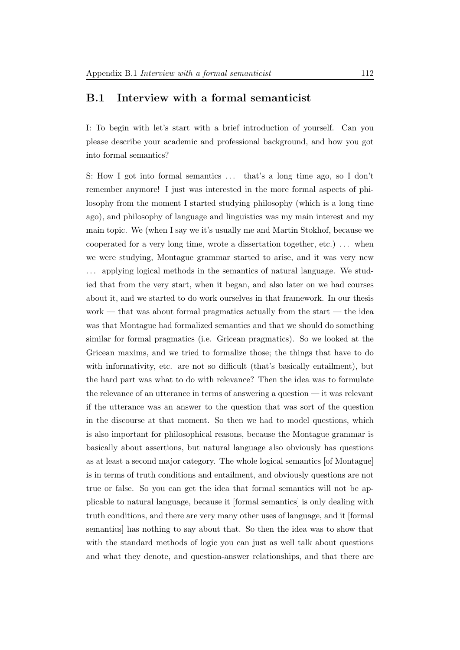### B.1 Interview with a formal semanticist

I: To begin with let's start with a brief introduction of yourself. Can you please describe your academic and professional background, and how you got into formal semantics?

S: How I got into formal semantics  $\dots$  that's a long time ago, so I don't remember anymore! I just was interested in the more formal aspects of philosophy from the moment I started studying philosophy (which is a long time ago), and philosophy of language and linguistics was my main interest and my main topic. We (when I say we it's usually me and Martin Stokhof, because we cooperated for a very long time, wrote a dissertation together, etc.) . . . when we were studying, Montague grammar started to arise, and it was very new . . . applying logical methods in the semantics of natural language. We studied that from the very start, when it began, and also later on we had courses about it, and we started to do work ourselves in that framework. In our thesis work — that was about formal pragmatics actually from the start — the idea was that Montague had formalized semantics and that we should do something similar for formal pragmatics (i.e. Gricean pragmatics). So we looked at the Gricean maxims, and we tried to formalize those; the things that have to do with informativity, etc. are not so difficult (that's basically entailment), but the hard part was what to do with relevance? Then the idea was to formulate the relevance of an utterance in terms of answering a question — it was relevant if the utterance was an answer to the question that was sort of the question in the discourse at that moment. So then we had to model questions, which is also important for philosophical reasons, because the Montague grammar is basically about assertions, but natural language also obviously has questions as at least a second major category. The whole logical semantics [of Montague] is in terms of truth conditions and entailment, and obviously questions are not true or false. So you can get the idea that formal semantics will not be applicable to natural language, because it [formal semantics] is only dealing with truth conditions, and there are very many other uses of language, and it [formal semantics] has nothing to say about that. So then the idea was to show that with the standard methods of logic you can just as well talk about questions and what they denote, and question-answer relationships, and that there are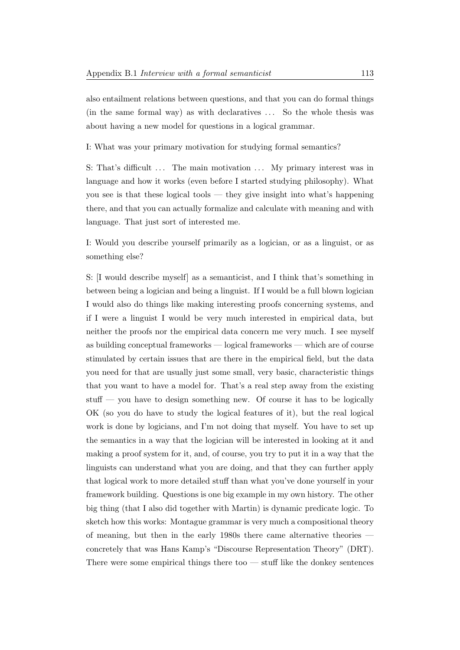also entailment relations between questions, and that you can do formal things (in the same formal way) as with declaratives . . . So the whole thesis was about having a new model for questions in a logical grammar.

I: What was your primary motivation for studying formal semantics?

S: That's difficult  $\ldots$  The main motivation  $\ldots$  My primary interest was in language and how it works (even before I started studying philosophy). What you see is that these logical tools — they give insight into what's happening there, and that you can actually formalize and calculate with meaning and with language. That just sort of interested me.

I: Would you describe yourself primarily as a logician, or as a linguist, or as something else?

S: [I would describe myself] as a semanticist, and I think that's something in between being a logician and being a linguist. If I would be a full blown logician I would also do things like making interesting proofs concerning systems, and if I were a linguist I would be very much interested in empirical data, but neither the proofs nor the empirical data concern me very much. I see myself as building conceptual frameworks — logical frameworks — which are of course stimulated by certain issues that are there in the empirical field, but the data you need for that are usually just some small, very basic, characteristic things that you want to have a model for. That's a real step away from the existing stuff — you have to design something new. Of course it has to be logically OK (so you do have to study the logical features of it), but the real logical work is done by logicians, and I'm not doing that myself. You have to set up the semantics in a way that the logician will be interested in looking at it and making a proof system for it, and, of course, you try to put it in a way that the linguists can understand what you are doing, and that they can further apply that logical work to more detailed stuff than what you've done yourself in your framework building. Questions is one big example in my own history. The other big thing (that I also did together with Martin) is dynamic predicate logic. To sketch how this works: Montague grammar is very much a compositional theory of meaning, but then in the early 1980s there came alternative theories concretely that was Hans Kamp's "Discourse Representation Theory" (DRT). There were some empirical things there too — stuff like the donkey sentences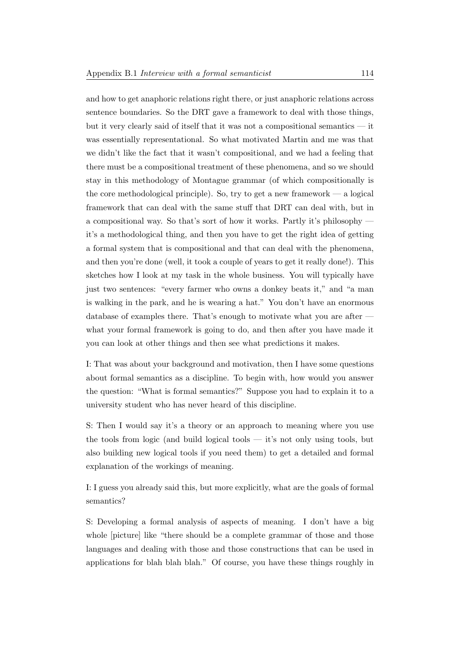and how to get anaphoric relations right there, or just anaphoric relations across sentence boundaries. So the DRT gave a framework to deal with those things, but it very clearly said of itself that it was not a compositional semantics — it was essentially representational. So what motivated Martin and me was that we didn't like the fact that it wasn't compositional, and we had a feeling that there must be a compositional treatment of these phenomena, and so we should stay in this methodology of Montague grammar (of which compositionally is the core methodological principle). So, try to get a new framework — a logical framework that can deal with the same stuff that DRT can deal with, but in a compositional way. So that's sort of how it works. Partly it's philosophy it's a methodological thing, and then you have to get the right idea of getting a formal system that is compositional and that can deal with the phenomena, and then you're done (well, it took a couple of years to get it really done!). This sketches how I look at my task in the whole business. You will typically have just two sentences: "every farmer who owns a donkey beats it," and "a man is walking in the park, and he is wearing a hat." You don't have an enormous database of examples there. That's enough to motivate what you are after what your formal framework is going to do, and then after you have made it you can look at other things and then see what predictions it makes.

I: That was about your background and motivation, then I have some questions about formal semantics as a discipline. To begin with, how would you answer the question: "What is formal semantics?" Suppose you had to explain it to a university student who has never heard of this discipline.

S: Then I would say it's a theory or an approach to meaning where you use the tools from logic (and build logical tools — it's not only using tools, but also building new logical tools if you need them) to get a detailed and formal explanation of the workings of meaning.

I: I guess you already said this, but more explicitly, what are the goals of formal semantics?

S: Developing a formal analysis of aspects of meaning. I don't have a big whole [picture] like "there should be a complete grammar of those and those languages and dealing with those and those constructions that can be used in applications for blah blah blah." Of course, you have these things roughly in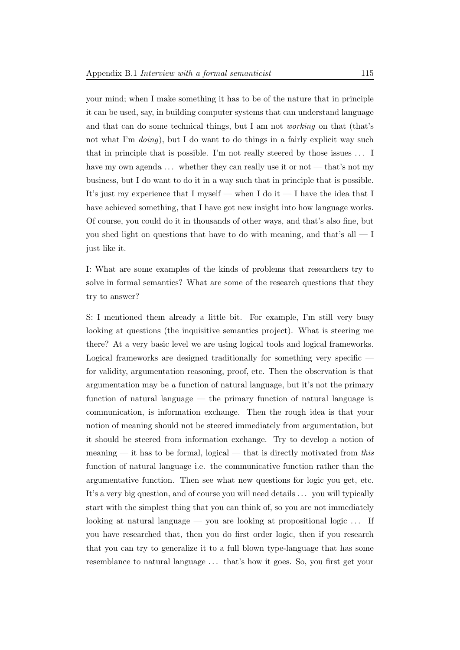your mind; when I make something it has to be of the nature that in principle it can be used, say, in building computer systems that can understand language and that can do some technical things, but I am not working on that (that's not what I'm *doing*), but I do want to do things in a fairly explicit way such that in principle that is possible. I'm not really steered by those issues . . . I have my own agenda  $\dots$  whether they can really use it or not — that's not my business, but I do want to do it in a way such that in principle that is possible. It's just my experience that I myself — when I do it — I have the idea that I have achieved something, that I have got new insight into how language works. Of course, you could do it in thousands of other ways, and that's also fine, but you shed light on questions that have to do with meaning, and that's all — I just like it.

I: What are some examples of the kinds of problems that researchers try to solve in formal semantics? What are some of the research questions that they try to answer?

S: I mentioned them already a little bit. For example, I'm still very busy looking at questions (the inquisitive semantics project). What is steering me there? At a very basic level we are using logical tools and logical frameworks. Logical frameworks are designed traditionally for something very specific for validity, argumentation reasoning, proof, etc. Then the observation is that argumentation may be a function of natural language, but it's not the primary function of natural language — the primary function of natural language is communication, is information exchange. Then the rough idea is that your notion of meaning should not be steered immediately from argumentation, but it should be steered from information exchange. Try to develop a notion of meaning  $-$  it has to be formal, logical  $-$  that is directly motivated from this function of natural language i.e. the communicative function rather than the argumentative function. Then see what new questions for logic you get, etc. It's a very big question, and of course you will need details . . . you will typically start with the simplest thing that you can think of, so you are not immediately looking at natural language — you are looking at propositional logic  $\dots$  If you have researched that, then you do first order logic, then if you research that you can try to generalize it to a full blown type-language that has some resemblance to natural language . . . that's how it goes. So, you first get your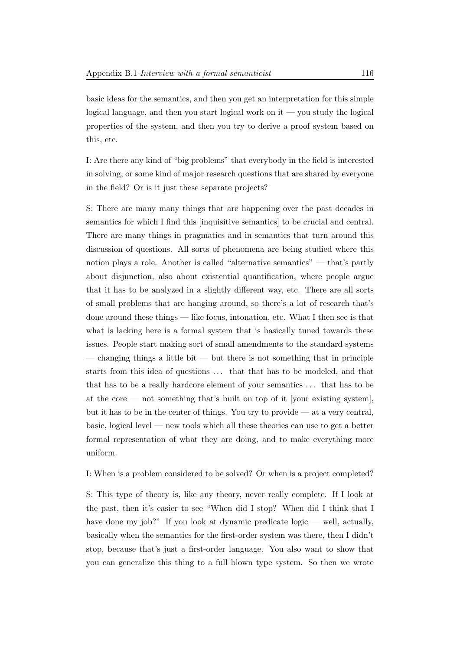basic ideas for the semantics, and then you get an interpretation for this simple logical language, and then you start logical work on it — you study the logical properties of the system, and then you try to derive a proof system based on this, etc.

I: Are there any kind of "big problems" that everybody in the field is interested in solving, or some kind of major research questions that are shared by everyone in the field? Or is it just these separate projects?

S: There are many many things that are happening over the past decades in semantics for which I find this [inquisitive semantics] to be crucial and central. There are many things in pragmatics and in semantics that turn around this discussion of questions. All sorts of phenomena are being studied where this notion plays a role. Another is called "alternative semantics" — that's partly about disjunction, also about existential quantification, where people argue that it has to be analyzed in a slightly different way, etc. There are all sorts of small problems that are hanging around, so there's a lot of research that's done around these things — like focus, intonation, etc. What I then see is that what is lacking here is a formal system that is basically tuned towards these issues. People start making sort of small amendments to the standard systems — changing things a little bit — but there is not something that in principle starts from this idea of questions . . . that that has to be modeled, and that that has to be a really hardcore element of your semantics . . . that has to be at the core — not something that's built on top of it [your existing system], but it has to be in the center of things. You try to provide — at a very central, basic, logical level — new tools which all these theories can use to get a better formal representation of what they are doing, and to make everything more uniform.

I: When is a problem considered to be solved? Or when is a project completed?

S: This type of theory is, like any theory, never really complete. If I look at the past, then it's easier to see "When did I stop? When did I think that I have done my job?" If you look at dynamic predicate logic — well, actually, basically when the semantics for the first-order system was there, then I didn't stop, because that's just a first-order language. You also want to show that you can generalize this thing to a full blown type system. So then we wrote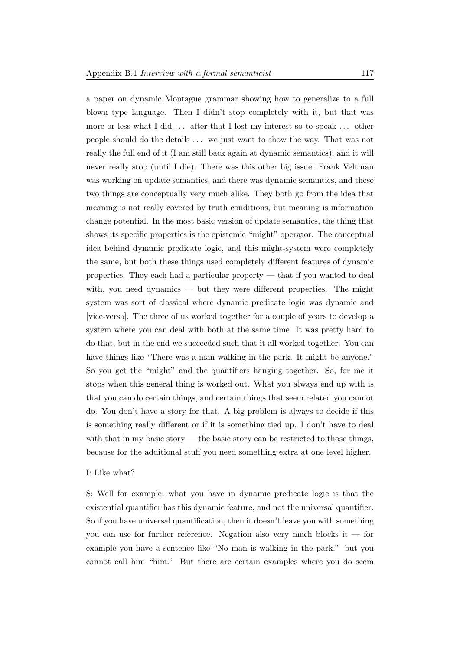a paper on dynamic Montague grammar showing how to generalize to a full blown type language. Then I didn't stop completely with it, but that was more or less what I did ... after that I lost my interest so to speak ... other people should do the details . . . we just want to show the way. That was not really the full end of it (I am still back again at dynamic semantics), and it will never really stop (until I die). There was this other big issue: Frank Veltman was working on update semantics, and there was dynamic semantics, and these two things are conceptually very much alike. They both go from the idea that meaning is not really covered by truth conditions, but meaning is information change potential. In the most basic version of update semantics, the thing that shows its specific properties is the epistemic "might" operator. The conceptual idea behind dynamic predicate logic, and this might-system were completely the same, but both these things used completely different features of dynamic properties. They each had a particular property — that if you wanted to deal with, you need dynamics — but they were different properties. The might system was sort of classical where dynamic predicate logic was dynamic and [vice-versa]. The three of us worked together for a couple of years to develop a system where you can deal with both at the same time. It was pretty hard to do that, but in the end we succeeded such that it all worked together. You can have things like "There was a man walking in the park. It might be anyone." So you get the "might" and the quantifiers hanging together. So, for me it stops when this general thing is worked out. What you always end up with is that you can do certain things, and certain things that seem related you cannot do. You don't have a story for that. A big problem is always to decide if this is something really different or if it is something tied up. I don't have to deal with that in my basic story — the basic story can be restricted to those things, because for the additional stuff you need something extra at one level higher.

#### I: Like what?

S: Well for example, what you have in dynamic predicate logic is that the existential quantifier has this dynamic feature, and not the universal quantifier. So if you have universal quantification, then it doesn't leave you with something you can use for further reference. Negation also very much blocks it — for example you have a sentence like "No man is walking in the park." but you cannot call him "him." But there are certain examples where you do seem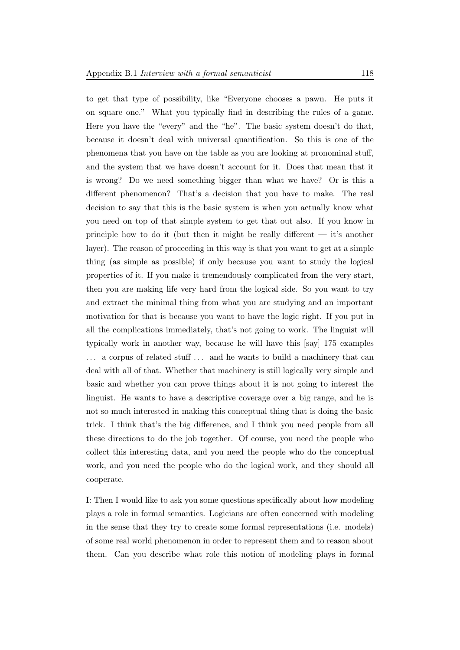to get that type of possibility, like "Everyone chooses a pawn. He puts it on square one." What you typically find in describing the rules of a game. Here you have the "every" and the "he". The basic system doesn't do that, because it doesn't deal with universal quantification. So this is one of the phenomena that you have on the table as you are looking at pronominal stuff, and the system that we have doesn't account for it. Does that mean that it is wrong? Do we need something bigger than what we have? Or is this a different phenomenon? That's a decision that you have to make. The real decision to say that this is the basic system is when you actually know what you need on top of that simple system to get that out also. If you know in principle how to do it (but then it might be really different  $-$  it's another layer). The reason of proceeding in this way is that you want to get at a simple thing (as simple as possible) if only because you want to study the logical properties of it. If you make it tremendously complicated from the very start, then you are making life very hard from the logical side. So you want to try and extract the minimal thing from what you are studying and an important motivation for that is because you want to have the logic right. If you put in all the complications immediately, that's not going to work. The linguist will typically work in another way, because he will have this [say] 175 examples ... a corpus of related stuff ... and he wants to build a machinery that can deal with all of that. Whether that machinery is still logically very simple and basic and whether you can prove things about it is not going to interest the linguist. He wants to have a descriptive coverage over a big range, and he is not so much interested in making this conceptual thing that is doing the basic trick. I think that's the big difference, and I think you need people from all these directions to do the job together. Of course, you need the people who collect this interesting data, and you need the people who do the conceptual work, and you need the people who do the logical work, and they should all cooperate.

I: Then I would like to ask you some questions specifically about how modeling plays a role in formal semantics. Logicians are often concerned with modeling in the sense that they try to create some formal representations (i.e. models) of some real world phenomenon in order to represent them and to reason about them. Can you describe what role this notion of modeling plays in formal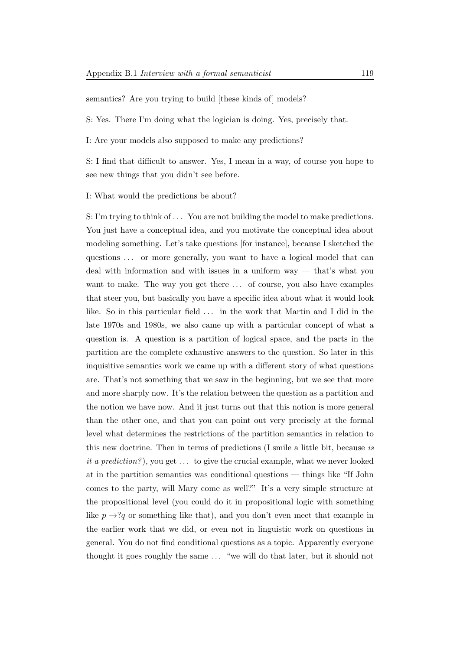semantics? Are you trying to build [these kinds of] models?

S: Yes. There I'm doing what the logician is doing. Yes, precisely that.

I: Are your models also supposed to make any predictions?

S: I find that difficult to answer. Yes, I mean in a way, of course you hope to see new things that you didn't see before.

I: What would the predictions be about?

S: I'm trying to think of . . . You are not building the model to make predictions. You just have a conceptual idea, and you motivate the conceptual idea about modeling something. Let's take questions [for instance], because I sketched the questions . . . or more generally, you want to have a logical model that can deal with information and with issues in a uniform way — that's what you want to make. The way you get there  $\dots$  of course, you also have examples that steer you, but basically you have a specific idea about what it would look like. So in this particular field . . . in the work that Martin and I did in the late 1970s and 1980s, we also came up with a particular concept of what a question is. A question is a partition of logical space, and the parts in the partition are the complete exhaustive answers to the question. So later in this inquisitive semantics work we came up with a different story of what questions are. That's not something that we saw in the beginning, but we see that more and more sharply now. It's the relation between the question as a partition and the notion we have now. And it just turns out that this notion is more general than the other one, and that you can point out very precisely at the formal level what determines the restrictions of the partition semantics in relation to this new doctrine. Then in terms of predictions (I smile a little bit, because is it a prediction?), you get  $\dots$  to give the crucial example, what we never looked at in the partition semantics was conditional questions — things like "If John comes to the party, will Mary come as well?" It's a very simple structure at the propositional level (you could do it in propositional logic with something like  $p \rightarrow ?q$  or something like that), and you don't even meet that example in the earlier work that we did, or even not in linguistic work on questions in general. You do not find conditional questions as a topic. Apparently everyone thought it goes roughly the same . . . "we will do that later, but it should not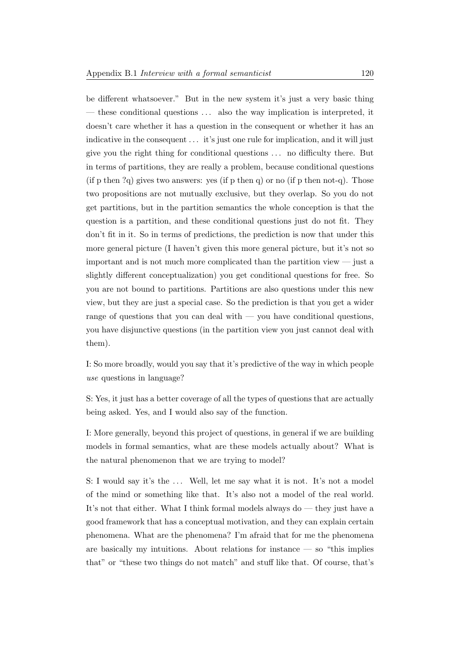be different whatsoever." But in the new system it's just a very basic thing — these conditional questions ... also the way implication is interpreted, it doesn't care whether it has a question in the consequent or whether it has an indicative in the consequent . . . it's just one rule for implication, and it will just give you the right thing for conditional questions . . . no difficulty there. But in terms of partitions, they are really a problem, because conditional questions (if p then  $?q$ ) gives two answers: yes (if p then q) or no (if p then not-q). Those two propositions are not mutually exclusive, but they overlap. So you do not get partitions, but in the partition semantics the whole conception is that the question is a partition, and these conditional questions just do not fit. They don't fit in it. So in terms of predictions, the prediction is now that under this more general picture (I haven't given this more general picture, but it's not so important and is not much more complicated than the partition view — just a slightly different conceptualization) you get conditional questions for free. So you are not bound to partitions. Partitions are also questions under this new view, but they are just a special case. So the prediction is that you get a wider range of questions that you can deal with — you have conditional questions, you have disjunctive questions (in the partition view you just cannot deal with them).

I: So more broadly, would you say that it's predictive of the way in which people use questions in language?

S: Yes, it just has a better coverage of all the types of questions that are actually being asked. Yes, and I would also say of the function.

I: More generally, beyond this project of questions, in general if we are building models in formal semantics, what are these models actually about? What is the natural phenomenon that we are trying to model?

S: I would say it's the ... Well, let me say what it is not. It's not a model of the mind or something like that. It's also not a model of the real world. It's not that either. What I think formal models always do — they just have a good framework that has a conceptual motivation, and they can explain certain phenomena. What are the phenomena? I'm afraid that for me the phenomena are basically my intuitions. About relations for instance  $-$  so "this implies that" or "these two things do not match" and stuff like that. Of course, that's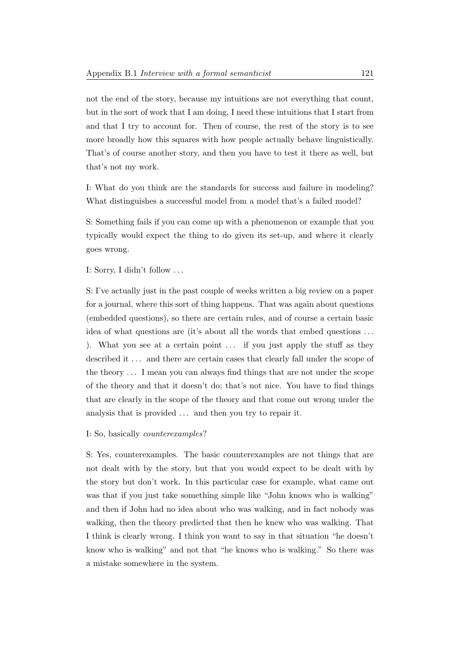not the end of the story, because my intuitions are not everything that count, but in the sort of work that I am doing, I need these intuitions that I start from and that I try to account for. Then of course, the rest of the story is to see more broadly how this squares with how people actually behave linguistically. That's of course another story, and then you have to test it there as well, but that's not my work.

I: What do you think are the standards for success and failure in modeling? What distinguishes a successful model from a model that's a failed model?

S: Something fails if you can come up with a phenomenon or example that you typically would expect the thing to do given its set-up, and where it clearly goes wrong.

I: Sorry, I didn't follow . . .

S: I've actually just in the past couple of weeks written a big review on a paper for a journal, where this sort of thing happens. That was again about questions (embedded questions), so there are certain rules, and of course a certain basic idea of what questions are (it's about all the words that embed questions . . . ). What you see at a certain point ... if you just apply the stuff as they described it  $\dots$  and there are certain cases that clearly fall under the scope of the theory . . . I mean you can always find things that are not under the scope of the theory and that it doesn't do; that's not nice. You have to find things that are clearly in the scope of the theory and that come out wrong under the analysis that is provided  $\ldots$  and then you try to repair it.

#### I: So, basically counterexamples?

S: Yes, counterexamples. The basic counterexamples are not things that are not dealt with by the story, but that you would expect to be dealt with by the story but don't work. In this particular case for example, what came out was that if you just take something simple like "John knows who is walking" and then if John had no idea about who was walking, and in fact nobody was walking, then the theory predicted that then he knew who was walking. That I think is clearly wrong. I think you want to say in that situation "he doesn't know who is walking" and not that "he knows who is walking." So there was a mistake somewhere in the system.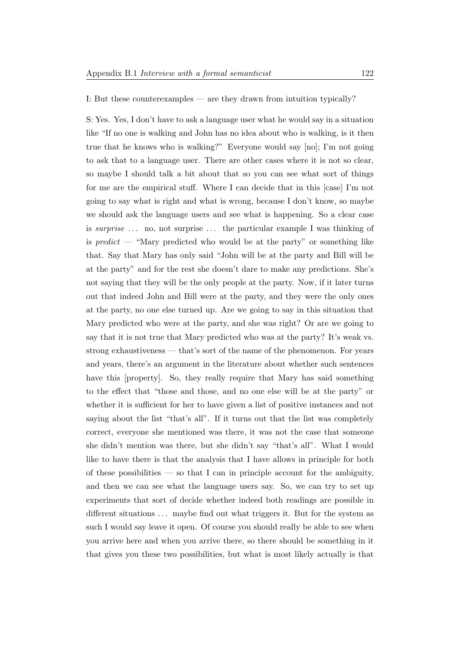I: But these counterexamples — are they drawn from intuition typically?

S: Yes. Yes, I don't have to ask a language user what he would say in a situation like "If no one is walking and John has no idea about who is walking, is it then true that he knows who is walking?" Everyone would say [no]; I'm not going to ask that to a language user. There are other cases where it is not so clear, so maybe I should talk a bit about that so you can see what sort of things for me are the empirical stuff. Where I can decide that in this [case] I'm not going to say what is right and what is wrong, because I don't know, so maybe we should ask the language users and see what is happening. So a clear case is surprise  $\ldots$  no, not surprise  $\ldots$  the particular example I was thinking of is predict — "Mary predicted who would be at the party" or something like that. Say that Mary has only said "John will be at the party and Bill will be at the party" and for the rest she doesn't dare to make any predictions. She's not saying that they will be the only people at the party. Now, if it later turns out that indeed John and Bill were at the party, and they were the only ones at the party, no one else turned up. Are we going to say in this situation that Mary predicted who were at the party, and she was right? Or are we going to say that it is not true that Mary predicted who was at the party? It's weak vs. strong exhaustiveness — that's sort of the name of the phenomenon. For years and years, there's an argument in the literature about whether such sentences have this [property]. So, they really require that Mary has said something to the effect that "those and those, and no one else will be at the party" or whether it is sufficient for her to have given a list of positive instances and not saying about the list "that's all". If it turns out that the list was completely correct, everyone she mentioned was there, it was not the case that someone she didn't mention was there, but she didn't say "that's all". What I would like to have there is that the analysis that I have allows in principle for both of these possibilities — so that I can in principle account for the ambiguity, and then we can see what the language users say. So, we can try to set up experiments that sort of decide whether indeed both readings are possible in different situations ... maybe find out what triggers it. But for the system as such I would say leave it open. Of course you should really be able to see when you arrive here and when you arrive there, so there should be something in it that gives you these two possibilities, but what is most likely actually is that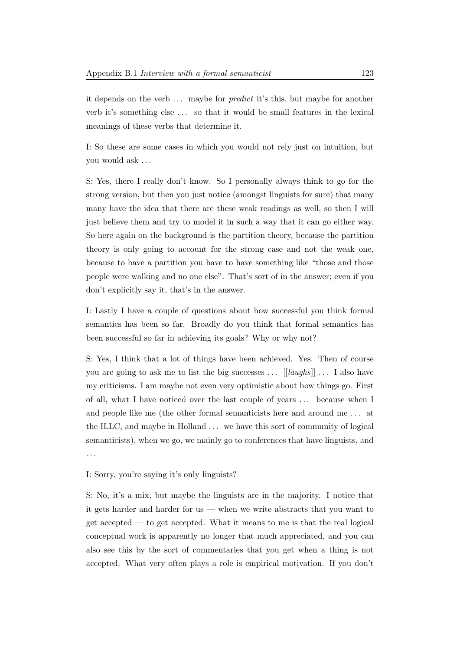it depends on the verb ... maybe for *predict* it's this, but maybe for another verb it's something else . . . so that it would be small features in the lexical meanings of these verbs that determine it.

I: So these are some cases in which you would not rely just on intuition, but you would ask . . .

S: Yes, there I really don't know. So I personally always think to go for the strong version, but then you just notice (amongst linguists for sure) that many many have the idea that there are these weak readings as well, so then I will just believe them and try to model it in such a way that it can go either way. So here again on the background is the partition theory, because the partition theory is only going to account for the strong case and not the weak one, because to have a partition you have to have something like "those and those people were walking and no one else". That's sort of in the answer; even if you don't explicitly say it, that's in the answer.

I: Lastly I have a couple of questions about how successful you think formal semantics has been so far. Broadly do you think that formal semantics has been successful so far in achieving its goals? Why or why not?

S: Yes, I think that a lot of things have been achieved. Yes. Then of course you are going to ask me to list the big successes  $\ldots$  [[laughs]]  $\ldots$  I also have my criticisms. I am maybe not even very optimistic about how things go. First of all, what I have noticed over the last couple of years . . . because when I and people like me (the other formal semanticists here and around me . . . at the ILLC, and maybe in Holland . . . we have this sort of community of logical semanticists), when we go, we mainly go to conferences that have linguists, and . . .

I: Sorry, you're saying it's only linguists?

S: No, it's a mix, but maybe the linguists are in the majority. I notice that it gets harder and harder for us — when we write abstracts that you want to get accepted — to get accepted. What it means to me is that the real logical conceptual work is apparently no longer that much appreciated, and you can also see this by the sort of commentaries that you get when a thing is not accepted. What very often plays a role is empirical motivation. If you don't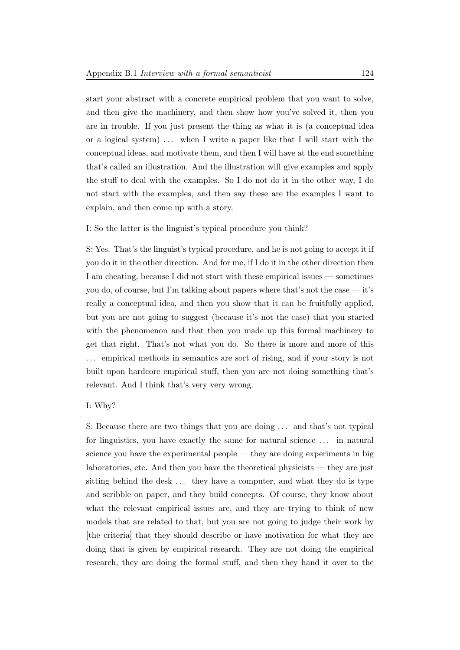start your abstract with a concrete empirical problem that you want to solve, and then give the machinery, and then show how you've solved it, then you are in trouble. If you just present the thing as what it is (a conceptual idea or a logical system)  $\ldots$  when I write a paper like that I will start with the conceptual ideas, and motivate them, and then I will have at the end something that's called an illustration. And the illustration will give examples and apply the stuff to deal with the examples. So I do not do it in the other way, I do not start with the examples, and then say these are the examples I want to explain, and then come up with a story.

I: So the latter is the linguist's typical procedure you think?

S: Yes. That's the linguist's typical procedure, and he is not going to accept it if you do it in the other direction. And for me, if I do it in the other direction then I am cheating, because I did not start with these empirical issues — sometimes you do, of course, but I'm talking about papers where that's not the case — it's really a conceptual idea, and then you show that it can be fruitfully applied, but you are not going to suggest (because it's not the case) that you started with the phenomenon and that then you made up this formal machinery to get that right. That's not what you do. So there is more and more of this ... empirical methods in semantics are sort of rising, and if your story is not built upon hardcore empirical stuff, then you are not doing something that's relevant. And I think that's very very wrong.

#### I: Why?

S: Because there are two things that you are doing . . . and that's not typical for linguistics, you have exactly the same for natural science . . . in natural science you have the experimental people — they are doing experiments in big laboratories, etc. And then you have the theoretical physicists — they are just sitting behind the desk . . . they have a computer, and what they do is type and scribble on paper, and they build concepts. Of course, they know about what the relevant empirical issues are, and they are trying to think of new models that are related to that, but you are not going to judge their work by [the criteria] that they should describe or have motivation for what they are doing that is given by empirical research. They are not doing the empirical research, they are doing the formal stuff, and then they hand it over to the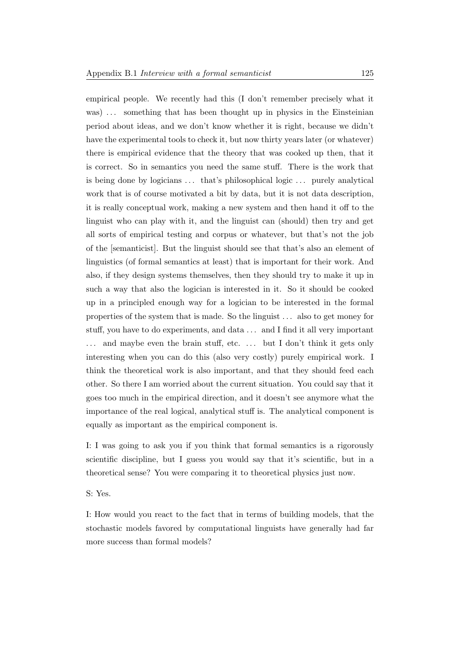empirical people. We recently had this (I don't remember precisely what it was) ... something that has been thought up in physics in the Einsteinian period about ideas, and we don't know whether it is right, because we didn't have the experimental tools to check it, but now thirty years later (or whatever) there is empirical evidence that the theory that was cooked up then, that it is correct. So in semantics you need the same stuff. There is the work that is being done by logicians ... that's philosophical logic ... purely analytical work that is of course motivated a bit by data, but it is not data description, it is really conceptual work, making a new system and then hand it off to the linguist who can play with it, and the linguist can (should) then try and get all sorts of empirical testing and corpus or whatever, but that's not the job of the [semanticist]. But the linguist should see that that's also an element of linguistics (of formal semantics at least) that is important for their work. And also, if they design systems themselves, then they should try to make it up in such a way that also the logician is interested in it. So it should be cooked up in a principled enough way for a logician to be interested in the formal properties of the system that is made. So the linguist . . . also to get money for stuff, you have to do experiments, and data . . . and I find it all very important ... and maybe even the brain stuff, etc. ... but I don't think it gets only interesting when you can do this (also very costly) purely empirical work. I think the theoretical work is also important, and that they should feed each other. So there I am worried about the current situation. You could say that it goes too much in the empirical direction, and it doesn't see anymore what the importance of the real logical, analytical stuff is. The analytical component is equally as important as the empirical component is.

I: I was going to ask you if you think that formal semantics is a rigorously scientific discipline, but I guess you would say that it's scientific, but in a theoretical sense? You were comparing it to theoretical physics just now.

S: Yes.

I: How would you react to the fact that in terms of building models, that the stochastic models favored by computational linguists have generally had far more success than formal models?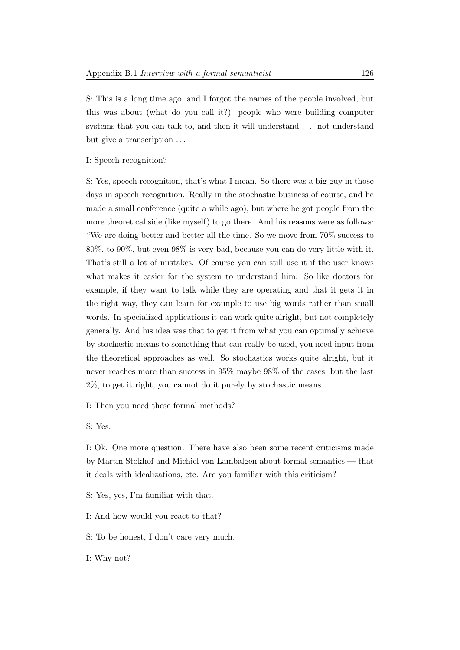S: This is a long time ago, and I forgot the names of the people involved, but this was about (what do you call it?) people who were building computer systems that you can talk to, and then it will understand . . . not understand but give a transcription  $\dots$ 

I: Speech recognition?

S: Yes, speech recognition, that's what I mean. So there was a big guy in those days in speech recognition. Really in the stochastic business of course, and he made a small conference (quite a while ago), but where he got people from the more theoretical side (like myself) to go there. And his reasons were as follows: "We are doing better and better all the time. So we move from 70% success to 80%, to 90%, but even 98% is very bad, because you can do very little with it. That's still a lot of mistakes. Of course you can still use it if the user knows what makes it easier for the system to understand him. So like doctors for example, if they want to talk while they are operating and that it gets it in the right way, they can learn for example to use big words rather than small words. In specialized applications it can work quite alright, but not completely generally. And his idea was that to get it from what you can optimally achieve by stochastic means to something that can really be used, you need input from the theoretical approaches as well. So stochastics works quite alright, but it never reaches more than success in 95% maybe 98% of the cases, but the last 2%, to get it right, you cannot do it purely by stochastic means.

I: Then you need these formal methods?

S: Yes.

I: Ok. One more question. There have also been some recent criticisms made by Martin Stokhof and Michiel van Lambalgen about formal semantics — that it deals with idealizations, etc. Are you familiar with this criticism?

S: Yes, yes, I'm familiar with that.

I: And how would you react to that?

S: To be honest, I don't care very much.

I: Why not?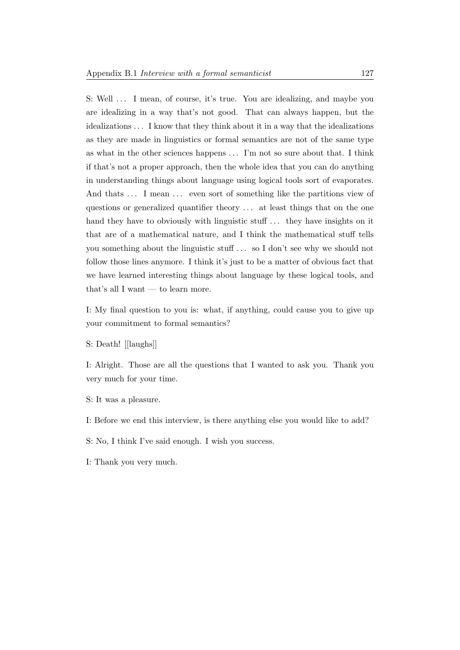S: Well ... I mean, of course, it's true. You are idealizing, and maybe you are idealizing in a way that's not good. That can always happen, but the idealizations . . . I know that they think about it in a way that the idealizations as they are made in linguistics or formal semantics are not of the same type as what in the other sciences happens . . . I'm not so sure about that. I think if that's not a proper approach, then the whole idea that you can do anything in understanding things about language using logical tools sort of evaporates. And thats ... I mean ... even sort of something like the partitions view of questions or generalized quantifier theory . . . at least things that on the one hand they have to obviously with linguistic stuff  $\dots$  they have insights on it that are of a mathematical nature, and I think the mathematical stuff tells you something about the linguistic stuff . . . so I don't see why we should not follow those lines anymore. I think it's just to be a matter of obvious fact that we have learned interesting things about language by these logical tools, and that's all I want — to learn more.

I: My final question to you is: what, if anything, could cause you to give up your commitment to formal semantics?

S: Death! [[laughs]]

I: Alright. Those are all the questions that I wanted to ask you. Thank you very much for your time.

- S: It was a pleasure.
- I: Before we end this interview, is there anything else you would like to add?
- S: No, I think I've said enough. I wish you success.
- I: Thank you very much.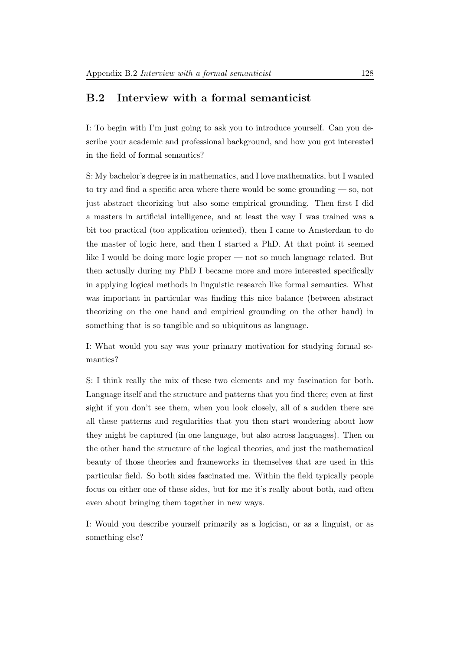## B.2 Interview with a formal semanticist

I: To begin with I'm just going to ask you to introduce yourself. Can you describe your academic and professional background, and how you got interested in the field of formal semantics?

S: My bachelor's degree is in mathematics, and I love mathematics, but I wanted to try and find a specific area where there would be some grounding — so, not just abstract theorizing but also some empirical grounding. Then first I did a masters in artificial intelligence, and at least the way I was trained was a bit too practical (too application oriented), then I came to Amsterdam to do the master of logic here, and then I started a PhD. At that point it seemed like I would be doing more logic proper — not so much language related. But then actually during my PhD I became more and more interested specifically in applying logical methods in linguistic research like formal semantics. What was important in particular was finding this nice balance (between abstract theorizing on the one hand and empirical grounding on the other hand) in something that is so tangible and so ubiquitous as language.

I: What would you say was your primary motivation for studying formal semantics?

S: I think really the mix of these two elements and my fascination for both. Language itself and the structure and patterns that you find there; even at first sight if you don't see them, when you look closely, all of a sudden there are all these patterns and regularities that you then start wondering about how they might be captured (in one language, but also across languages). Then on the other hand the structure of the logical theories, and just the mathematical beauty of those theories and frameworks in themselves that are used in this particular field. So both sides fascinated me. Within the field typically people focus on either one of these sides, but for me it's really about both, and often even about bringing them together in new ways.

I: Would you describe yourself primarily as a logician, or as a linguist, or as something else?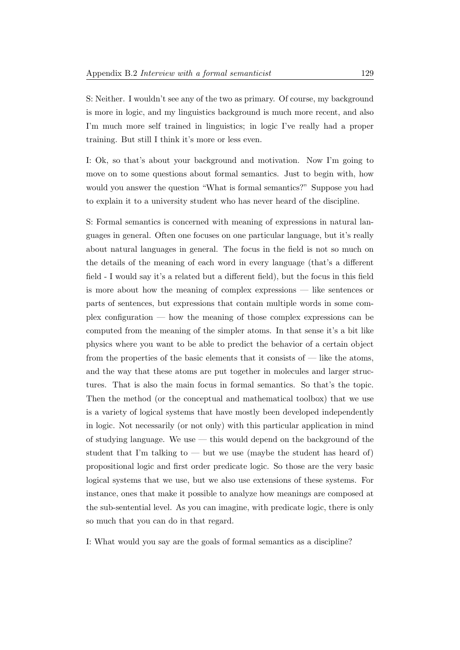S: Neither. I wouldn't see any of the two as primary. Of course, my background is more in logic, and my linguistics background is much more recent, and also I'm much more self trained in linguistics; in logic I've really had a proper training. But still I think it's more or less even.

I: Ok, so that's about your background and motivation. Now I'm going to move on to some questions about formal semantics. Just to begin with, how would you answer the question "What is formal semantics?" Suppose you had to explain it to a university student who has never heard of the discipline.

S: Formal semantics is concerned with meaning of expressions in natural languages in general. Often one focuses on one particular language, but it's really about natural languages in general. The focus in the field is not so much on the details of the meaning of each word in every language (that's a different field - I would say it's a related but a different field), but the focus in this field is more about how the meaning of complex expressions — like sentences or parts of sentences, but expressions that contain multiple words in some complex configuration — how the meaning of those complex expressions can be computed from the meaning of the simpler atoms. In that sense it's a bit like physics where you want to be able to predict the behavior of a certain object from the properties of the basic elements that it consists of — like the atoms, and the way that these atoms are put together in molecules and larger structures. That is also the main focus in formal semantics. So that's the topic. Then the method (or the conceptual and mathematical toolbox) that we use is a variety of logical systems that have mostly been developed independently in logic. Not necessarily (or not only) with this particular application in mind of studying language. We use — this would depend on the background of the student that I'm talking to  $-$  but we use (maybe the student has heard of) propositional logic and first order predicate logic. So those are the very basic logical systems that we use, but we also use extensions of these systems. For instance, ones that make it possible to analyze how meanings are composed at the sub-sentential level. As you can imagine, with predicate logic, there is only so much that you can do in that regard.

I: What would you say are the goals of formal semantics as a discipline?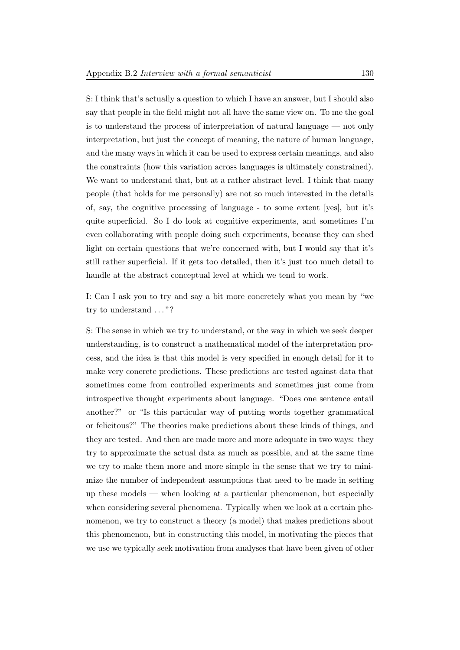S: I think that's actually a question to which I have an answer, but I should also say that people in the field might not all have the same view on. To me the goal is to understand the process of interpretation of natural language — not only interpretation, but just the concept of meaning, the nature of human language, and the many ways in which it can be used to express certain meanings, and also the constraints (how this variation across languages is ultimately constrained). We want to understand that, but at a rather abstract level. I think that many people (that holds for me personally) are not so much interested in the details of, say, the cognitive processing of language - to some extent [yes], but it's quite superficial. So I do look at cognitive experiments, and sometimes I'm even collaborating with people doing such experiments, because they can shed light on certain questions that we're concerned with, but I would say that it's still rather superficial. If it gets too detailed, then it's just too much detail to handle at the abstract conceptual level at which we tend to work.

I: Can I ask you to try and say a bit more concretely what you mean by "we try to understand . . . "?

S: The sense in which we try to understand, or the way in which we seek deeper understanding, is to construct a mathematical model of the interpretation process, and the idea is that this model is very specified in enough detail for it to make very concrete predictions. These predictions are tested against data that sometimes come from controlled experiments and sometimes just come from introspective thought experiments about language. "Does one sentence entail another?" or "Is this particular way of putting words together grammatical or felicitous?" The theories make predictions about these kinds of things, and they are tested. And then are made more and more adequate in two ways: they try to approximate the actual data as much as possible, and at the same time we try to make them more and more simple in the sense that we try to minimize the number of independent assumptions that need to be made in setting up these models — when looking at a particular phenomenon, but especially when considering several phenomena. Typically when we look at a certain phenomenon, we try to construct a theory (a model) that makes predictions about this phenomenon, but in constructing this model, in motivating the pieces that we use we typically seek motivation from analyses that have been given of other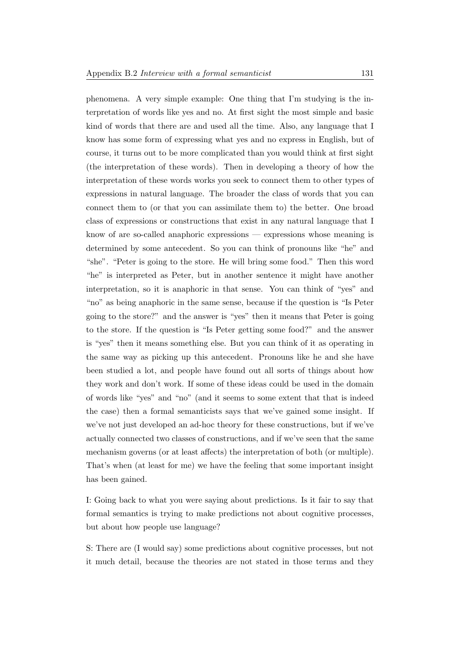phenomena. A very simple example: One thing that I'm studying is the interpretation of words like yes and no. At first sight the most simple and basic kind of words that there are and used all the time. Also, any language that I know has some form of expressing what yes and no express in English, but of course, it turns out to be more complicated than you would think at first sight (the interpretation of these words). Then in developing a theory of how the interpretation of these words works you seek to connect them to other types of expressions in natural language. The broader the class of words that you can connect them to (or that you can assimilate them to) the better. One broad class of expressions or constructions that exist in any natural language that I know of are so-called anaphoric expressions — expressions whose meaning is determined by some antecedent. So you can think of pronouns like "he" and "she". "Peter is going to the store. He will bring some food." Then this word "he" is interpreted as Peter, but in another sentence it might have another interpretation, so it is anaphoric in that sense. You can think of "yes" and "no" as being anaphoric in the same sense, because if the question is "Is Peter going to the store?" and the answer is "yes" then it means that Peter is going to the store. If the question is "Is Peter getting some food?" and the answer is "yes" then it means something else. But you can think of it as operating in the same way as picking up this antecedent. Pronouns like he and she have been studied a lot, and people have found out all sorts of things about how they work and don't work. If some of these ideas could be used in the domain of words like "yes" and "no" (and it seems to some extent that that is indeed the case) then a formal semanticists says that we've gained some insight. If we've not just developed an ad-hoc theory for these constructions, but if we've actually connected two classes of constructions, and if we've seen that the same mechanism governs (or at least affects) the interpretation of both (or multiple). That's when (at least for me) we have the feeling that some important insight has been gained.

I: Going back to what you were saying about predictions. Is it fair to say that formal semantics is trying to make predictions not about cognitive processes, but about how people use language?

S: There are (I would say) some predictions about cognitive processes, but not it much detail, because the theories are not stated in those terms and they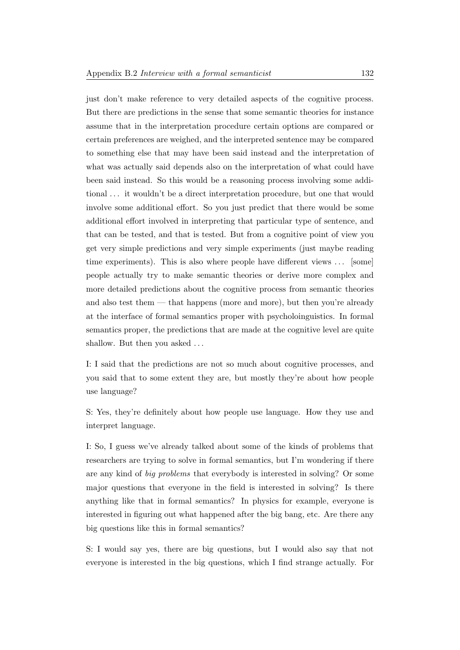just don't make reference to very detailed aspects of the cognitive process. But there are predictions in the sense that some semantic theories for instance assume that in the interpretation procedure certain options are compared or certain preferences are weighed, and the interpreted sentence may be compared to something else that may have been said instead and the interpretation of what was actually said depends also on the interpretation of what could have been said instead. So this would be a reasoning process involving some additional . . . it wouldn't be a direct interpretation procedure, but one that would involve some additional effort. So you just predict that there would be some additional effort involved in interpreting that particular type of sentence, and that can be tested, and that is tested. But from a cognitive point of view you get very simple predictions and very simple experiments (just maybe reading time experiments). This is also where people have different views ... [some] people actually try to make semantic theories or derive more complex and more detailed predictions about the cognitive process from semantic theories and also test them — that happens (more and more), but then you're already at the interface of formal semantics proper with psycholoinguistics. In formal semantics proper, the predictions that are made at the cognitive level are quite shallow. But then you asked ...

I: I said that the predictions are not so much about cognitive processes, and you said that to some extent they are, but mostly they're about how people use language?

S: Yes, they're definitely about how people use language. How they use and interpret language.

I: So, I guess we've already talked about some of the kinds of problems that researchers are trying to solve in formal semantics, but I'm wondering if there are any kind of big problems that everybody is interested in solving? Or some major questions that everyone in the field is interested in solving? Is there anything like that in formal semantics? In physics for example, everyone is interested in figuring out what happened after the big bang, etc. Are there any big questions like this in formal semantics?

S: I would say yes, there are big questions, but I would also say that not everyone is interested in the big questions, which I find strange actually. For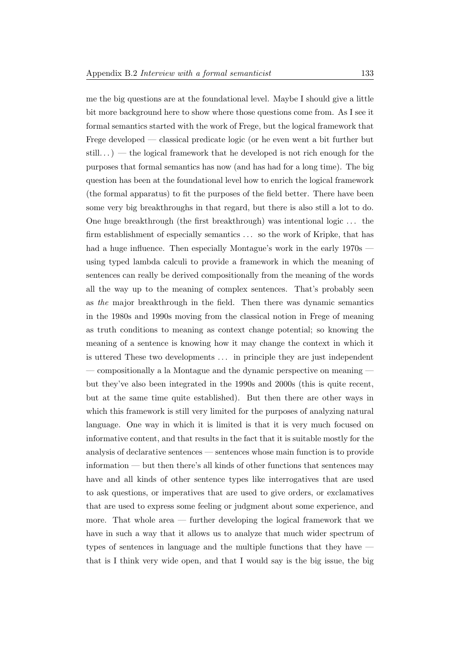me the big questions are at the foundational level. Maybe I should give a little bit more background here to show where those questions come from. As I see it formal semantics started with the work of Frege, but the logical framework that Frege developed — classical predicate logic (or he even went a bit further but still...) — the logical framework that he developed is not rich enough for the purposes that formal semantics has now (and has had for a long time). The big question has been at the foundational level how to enrich the logical framework (the formal apparatus) to fit the purposes of the field better. There have been some very big breakthroughs in that regard, but there is also still a lot to do. One huge breakthrough (the first breakthrough) was intentional logic . . . the firm establishment of especially semantics . . . so the work of Kripke, that has had a huge influence. Then especially Montague's work in the early  $1970s$  using typed lambda calculi to provide a framework in which the meaning of sentences can really be derived compositionally from the meaning of the words all the way up to the meaning of complex sentences. That's probably seen as the major breakthrough in the field. Then there was dynamic semantics in the 1980s and 1990s moving from the classical notion in Frege of meaning as truth conditions to meaning as context change potential; so knowing the meaning of a sentence is knowing how it may change the context in which it is uttered These two developments . . . in principle they are just independent — compositionally a la Montague and the dynamic perspective on meaning but they've also been integrated in the 1990s and 2000s (this is quite recent, but at the same time quite established). But then there are other ways in which this framework is still very limited for the purposes of analyzing natural language. One way in which it is limited is that it is very much focused on informative content, and that results in the fact that it is suitable mostly for the analysis of declarative sentences — sentences whose main function is to provide information — but then there's all kinds of other functions that sentences may have and all kinds of other sentence types like interrogatives that are used to ask questions, or imperatives that are used to give orders, or exclamatives that are used to express some feeling or judgment about some experience, and more. That whole area — further developing the logical framework that we have in such a way that it allows us to analyze that much wider spectrum of types of sentences in language and the multiple functions that they have that is I think very wide open, and that I would say is the big issue, the big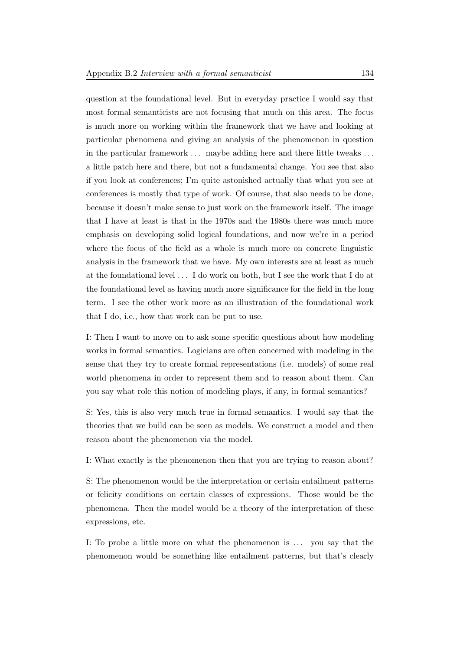question at the foundational level. But in everyday practice I would say that most formal semanticists are not focusing that much on this area. The focus is much more on working within the framework that we have and looking at particular phenomena and giving an analysis of the phenomenon in question in the particular framework ... maybe adding here and there little tweaks ... a little patch here and there, but not a fundamental change. You see that also if you look at conferences; I'm quite astonished actually that what you see at conferences is mostly that type of work. Of course, that also needs to be done, because it doesn't make sense to just work on the framework itself. The image that I have at least is that in the 1970s and the 1980s there was much more emphasis on developing solid logical foundations, and now we're in a period where the focus of the field as a whole is much more on concrete linguistic analysis in the framework that we have. My own interests are at least as much at the foundational level . . . I do work on both, but I see the work that I do at the foundational level as having much more significance for the field in the long term. I see the other work more as an illustration of the foundational work that I do, i.e., how that work can be put to use.

I: Then I want to move on to ask some specific questions about how modeling works in formal semantics. Logicians are often concerned with modeling in the sense that they try to create formal representations (i.e. models) of some real world phenomena in order to represent them and to reason about them. Can you say what role this notion of modeling plays, if any, in formal semantics?

S: Yes, this is also very much true in formal semantics. I would say that the theories that we build can be seen as models. We construct a model and then reason about the phenomenon via the model.

I: What exactly is the phenomenon then that you are trying to reason about?

S: The phenomenon would be the interpretation or certain entailment patterns or felicity conditions on certain classes of expressions. Those would be the phenomena. Then the model would be a theory of the interpretation of these expressions, etc.

I: To probe a little more on what the phenomenon is . . . you say that the phenomenon would be something like entailment patterns, but that's clearly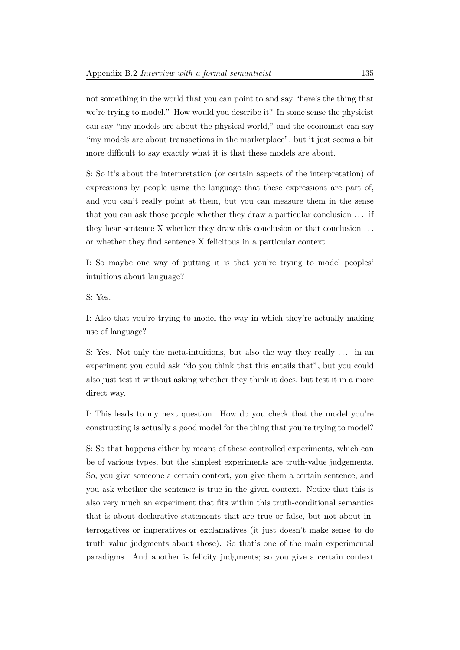not something in the world that you can point to and say "here's the thing that we're trying to model." How would you describe it? In some sense the physicist can say "my models are about the physical world," and the economist can say "my models are about transactions in the marketplace", but it just seems a bit more difficult to say exactly what it is that these models are about.

S: So it's about the interpretation (or certain aspects of the interpretation) of expressions by people using the language that these expressions are part of, and you can't really point at them, but you can measure them in the sense that you can ask those people whether they draw a particular conclusion . . . if they hear sentence X whether they draw this conclusion or that conclusion ... or whether they find sentence X felicitous in a particular context.

I: So maybe one way of putting it is that you're trying to model peoples' intuitions about language?

S: Yes.

I: Also that you're trying to model the way in which they're actually making use of language?

S: Yes. Not only the meta-intuitions, but also the way they really . . . in an experiment you could ask "do you think that this entails that", but you could also just test it without asking whether they think it does, but test it in a more direct way.

I: This leads to my next question. How do you check that the model you're constructing is actually a good model for the thing that you're trying to model?

S: So that happens either by means of these controlled experiments, which can be of various types, but the simplest experiments are truth-value judgements. So, you give someone a certain context, you give them a certain sentence, and you ask whether the sentence is true in the given context. Notice that this is also very much an experiment that fits within this truth-conditional semantics that is about declarative statements that are true or false, but not about interrogatives or imperatives or exclamatives (it just doesn't make sense to do truth value judgments about those). So that's one of the main experimental paradigms. And another is felicity judgments; so you give a certain context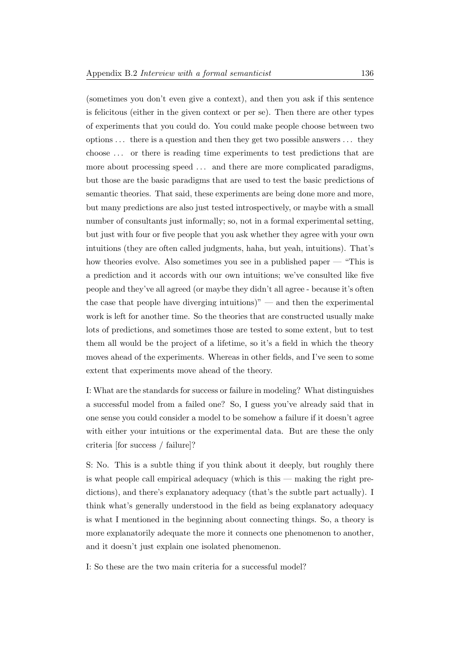(sometimes you don't even give a context), and then you ask if this sentence is felicitous (either in the given context or per se). Then there are other types of experiments that you could do. You could make people choose between two options . . . there is a question and then they get two possible answers . . . they choose . . . or there is reading time experiments to test predictions that are more about processing speed ... and there are more complicated paradigms, but those are the basic paradigms that are used to test the basic predictions of semantic theories. That said, these experiments are being done more and more, but many predictions are also just tested introspectively, or maybe with a small number of consultants just informally; so, not in a formal experimental setting, but just with four or five people that you ask whether they agree with your own intuitions (they are often called judgments, haha, but yeah, intuitions). That's how theories evolve. Also sometimes you see in a published paper — "This is a prediction and it accords with our own intuitions; we've consulted like five people and they've all agreed (or maybe they didn't all agree - because it's often the case that people have diverging intuitions)" — and then the experimental work is left for another time. So the theories that are constructed usually make lots of predictions, and sometimes those are tested to some extent, but to test them all would be the project of a lifetime, so it's a field in which the theory moves ahead of the experiments. Whereas in other fields, and I've seen to some extent that experiments move ahead of the theory.

I: What are the standards for success or failure in modeling? What distinguishes a successful model from a failed one? So, I guess you've already said that in one sense you could consider a model to be somehow a failure if it doesn't agree with either your intuitions or the experimental data. But are these the only criteria [for success / failure]?

S: No. This is a subtle thing if you think about it deeply, but roughly there is what people call empirical adequacy (which is this — making the right predictions), and there's explanatory adequacy (that's the subtle part actually). I think what's generally understood in the field as being explanatory adequacy is what I mentioned in the beginning about connecting things. So, a theory is more explanatorily adequate the more it connects one phenomenon to another, and it doesn't just explain one isolated phenomenon.

I: So these are the two main criteria for a successful model?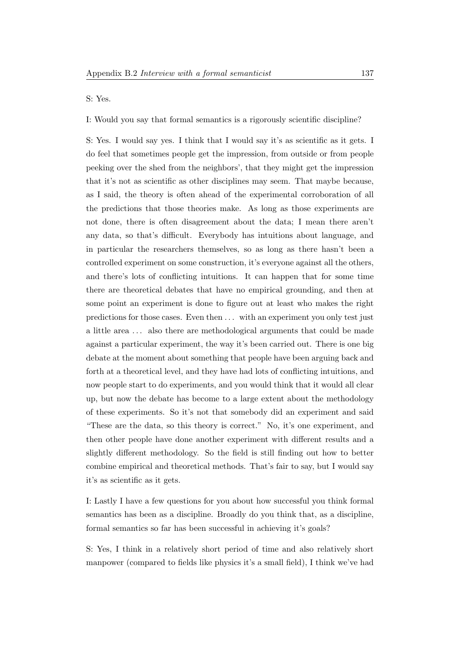S: Yes.

I: Would you say that formal semantics is a rigorously scientific discipline?

S: Yes. I would say yes. I think that I would say it's as scientific as it gets. I do feel that sometimes people get the impression, from outside or from people peeking over the shed from the neighbors', that they might get the impression that it's not as scientific as other disciplines may seem. That maybe because, as I said, the theory is often ahead of the experimental corroboration of all the predictions that those theories make. As long as those experiments are not done, there is often disagreement about the data; I mean there aren't any data, so that's difficult. Everybody has intuitions about language, and in particular the researchers themselves, so as long as there hasn't been a controlled experiment on some construction, it's everyone against all the others, and there's lots of conflicting intuitions. It can happen that for some time there are theoretical debates that have no empirical grounding, and then at some point an experiment is done to figure out at least who makes the right predictions for those cases. Even then . . . with an experiment you only test just a little area . . . also there are methodological arguments that could be made against a particular experiment, the way it's been carried out. There is one big debate at the moment about something that people have been arguing back and forth at a theoretical level, and they have had lots of conflicting intuitions, and now people start to do experiments, and you would think that it would all clear up, but now the debate has become to a large extent about the methodology of these experiments. So it's not that somebody did an experiment and said "These are the data, so this theory is correct." No, it's one experiment, and then other people have done another experiment with different results and a slightly different methodology. So the field is still finding out how to better combine empirical and theoretical methods. That's fair to say, but I would say it's as scientific as it gets.

I: Lastly I have a few questions for you about how successful you think formal semantics has been as a discipline. Broadly do you think that, as a discipline, formal semantics so far has been successful in achieving it's goals?

S: Yes, I think in a relatively short period of time and also relatively short manpower (compared to fields like physics it's a small field), I think we've had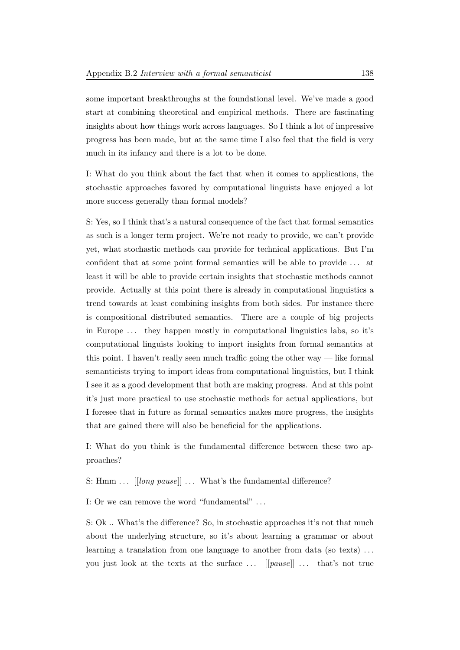some important breakthroughs at the foundational level. We've made a good start at combining theoretical and empirical methods. There are fascinating insights about how things work across languages. So I think a lot of impressive progress has been made, but at the same time I also feel that the field is very much in its infancy and there is a lot to be done.

I: What do you think about the fact that when it comes to applications, the stochastic approaches favored by computational linguists have enjoyed a lot more success generally than formal models?

S: Yes, so I think that's a natural consequence of the fact that formal semantics as such is a longer term project. We're not ready to provide, we can't provide yet, what stochastic methods can provide for technical applications. But I'm confident that at some point formal semantics will be able to provide . . . at least it will be able to provide certain insights that stochastic methods cannot provide. Actually at this point there is already in computational linguistics a trend towards at least combining insights from both sides. For instance there is compositional distributed semantics. There are a couple of big projects in Europe . . . they happen mostly in computational linguistics labs, so it's computational linguists looking to import insights from formal semantics at this point. I haven't really seen much traffic going the other way — like formal semanticists trying to import ideas from computational linguistics, but I think I see it as a good development that both are making progress. And at this point it's just more practical to use stochastic methods for actual applications, but I foresee that in future as formal semantics makes more progress, the insights that are gained there will also be beneficial for the applications.

I: What do you think is the fundamental difference between these two approaches?

S: Hmm  $\ldots$  [[long pause]]  $\ldots$  What's the fundamental difference?

I: Or we can remove the word "fundamental" . . .

S: Ok .. What's the difference? So, in stochastic approaches it's not that much about the underlying structure, so it's about learning a grammar or about learning a translation from one language to another from data (so texts) ... you just look at the texts at the surface  $\ldots$  [[pause]]  $\ldots$  that's not true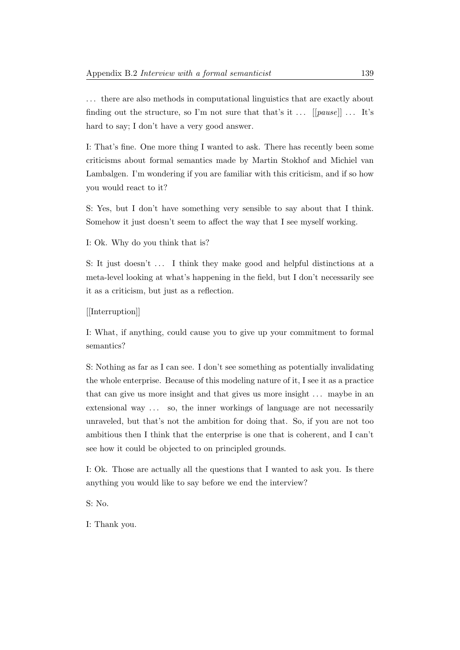. . . there are also methods in computational linguistics that are exactly about finding out the structure, so I'm not sure that that's it  $\ldots$  [[pause]]  $\ldots$  It's hard to say; I don't have a very good answer.

I: That's fine. One more thing I wanted to ask. There has recently been some criticisms about formal semantics made by Martin Stokhof and Michiel van Lambalgen. I'm wondering if you are familiar with this criticism, and if so how you would react to it?

S: Yes, but I don't have something very sensible to say about that I think. Somehow it just doesn't seem to affect the way that I see myself working.

I: Ok. Why do you think that is?

S: It just doesn't  $\dots$  I think they make good and helpful distinctions at a meta-level looking at what's happening in the field, but I don't necessarily see it as a criticism, but just as a reflection.

[[Interruption]]

I: What, if anything, could cause you to give up your commitment to formal semantics?

S: Nothing as far as I can see. I don't see something as potentially invalidating the whole enterprise. Because of this modeling nature of it, I see it as a practice that can give us more insight and that gives us more insight . . . maybe in an extensional way ... so, the inner workings of language are not necessarily unraveled, but that's not the ambition for doing that. So, if you are not too ambitious then I think that the enterprise is one that is coherent, and I can't see how it could be objected to on principled grounds.

I: Ok. Those are actually all the questions that I wanted to ask you. Is there anything you would like to say before we end the interview?

S: No.

I: Thank you.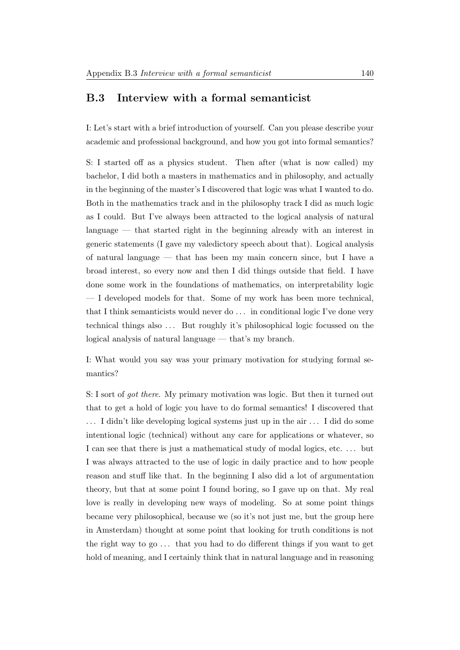# B.3 Interview with a formal semanticist

I: Let's start with a brief introduction of yourself. Can you please describe your academic and professional background, and how you got into formal semantics?

S: I started off as a physics student. Then after (what is now called) my bachelor, I did both a masters in mathematics and in philosophy, and actually in the beginning of the master's I discovered that logic was what I wanted to do. Both in the mathematics track and in the philosophy track I did as much logic as I could. But I've always been attracted to the logical analysis of natural language — that started right in the beginning already with an interest in generic statements (I gave my valedictory speech about that). Logical analysis of natural language — that has been my main concern since, but I have a broad interest, so every now and then I did things outside that field. I have done some work in the foundations of mathematics, on interpretability logic — I developed models for that. Some of my work has been more technical, that I think semanticists would never do . . . in conditional logic I've done very technical things also . . . But roughly it's philosophical logic focussed on the logical analysis of natural language — that's my branch.

I: What would you say was your primary motivation for studying formal semantics?

S: I sort of got there. My primary motivation was logic. But then it turned out that to get a hold of logic you have to do formal semantics! I discovered that . . . I didn't like developing logical systems just up in the air . . . I did do some intentional logic (technical) without any care for applications or whatever, so I can see that there is just a mathematical study of modal logics, etc. . . . but I was always attracted to the use of logic in daily practice and to how people reason and stuff like that. In the beginning I also did a lot of argumentation theory, but that at some point I found boring, so I gave up on that. My real love is really in developing new ways of modeling. So at some point things became very philosophical, because we (so it's not just me, but the group here in Amsterdam) thought at some point that looking for truth conditions is not the right way to go . . . that you had to do different things if you want to get hold of meaning, and I certainly think that in natural language and in reasoning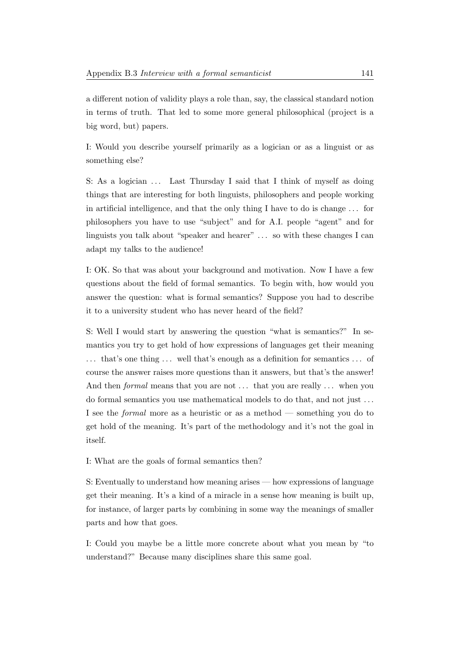a different notion of validity plays a role than, say, the classical standard notion in terms of truth. That led to some more general philosophical (project is a big word, but) papers.

I: Would you describe yourself primarily as a logician or as a linguist or as something else?

S: As a logician ... Last Thursday I said that I think of myself as doing things that are interesting for both linguists, philosophers and people working in artificial intelligence, and that the only thing I have to do is change . . . for philosophers you have to use "subject" and for A.I. people "agent" and for linguists you talk about "speaker and hearer" . . . so with these changes I can adapt my talks to the audience!

I: OK. So that was about your background and motivation. Now I have a few questions about the field of formal semantics. To begin with, how would you answer the question: what is formal semantics? Suppose you had to describe it to a university student who has never heard of the field?

S: Well I would start by answering the question "what is semantics?" In semantics you try to get hold of how expressions of languages get their meaning ... that's one thing ... well that's enough as a definition for semantics ... of course the answer raises more questions than it answers, but that's the answer! And then *formal* means that you are not ... that you are really ... when you do formal semantics you use mathematical models to do that, and not just . . . I see the formal more as a heuristic or as a method — something you do to get hold of the meaning. It's part of the methodology and it's not the goal in itself.

I: What are the goals of formal semantics then?

S: Eventually to understand how meaning arises — how expressions of language get their meaning. It's a kind of a miracle in a sense how meaning is built up, for instance, of larger parts by combining in some way the meanings of smaller parts and how that goes.

I: Could you maybe be a little more concrete about what you mean by "to understand?" Because many disciplines share this same goal.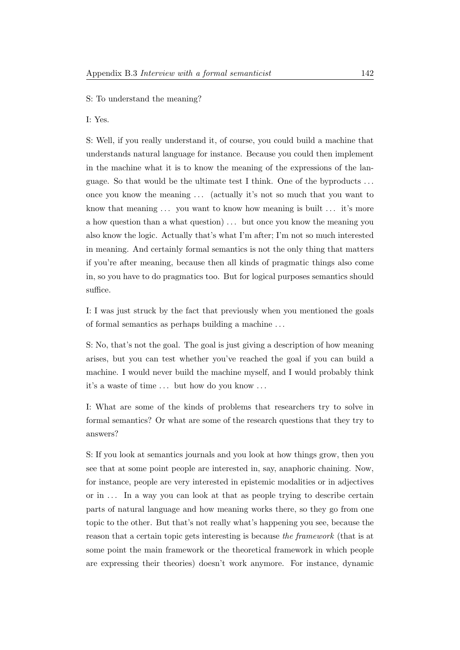### S: To understand the meaning?

I: Yes.

S: Well, if you really understand it, of course, you could build a machine that understands natural language for instance. Because you could then implement in the machine what it is to know the meaning of the expressions of the language. So that would be the ultimate test I think. One of the byproducts . . . once you know the meaning . . . (actually it's not so much that you want to know that meaning ... you want to know how meaning is built ... it's more a how question than a what question) . . . but once you know the meaning you also know the logic. Actually that's what I'm after; I'm not so much interested in meaning. And certainly formal semantics is not the only thing that matters if you're after meaning, because then all kinds of pragmatic things also come in, so you have to do pragmatics too. But for logical purposes semantics should suffice.

I: I was just struck by the fact that previously when you mentioned the goals of formal semantics as perhaps building a machine . . .

S: No, that's not the goal. The goal is just giving a description of how meaning arises, but you can test whether you've reached the goal if you can build a machine. I would never build the machine myself, and I would probably think it's a waste of time ... but how do you know ...

I: What are some of the kinds of problems that researchers try to solve in formal semantics? Or what are some of the research questions that they try to answers?

S: If you look at semantics journals and you look at how things grow, then you see that at some point people are interested in, say, anaphoric chaining. Now, for instance, people are very interested in epistemic modalities or in adjectives or in . . . In a way you can look at that as people trying to describe certain parts of natural language and how meaning works there, so they go from one topic to the other. But that's not really what's happening you see, because the reason that a certain topic gets interesting is because the framework (that is at some point the main framework or the theoretical framework in which people are expressing their theories) doesn't work anymore. For instance, dynamic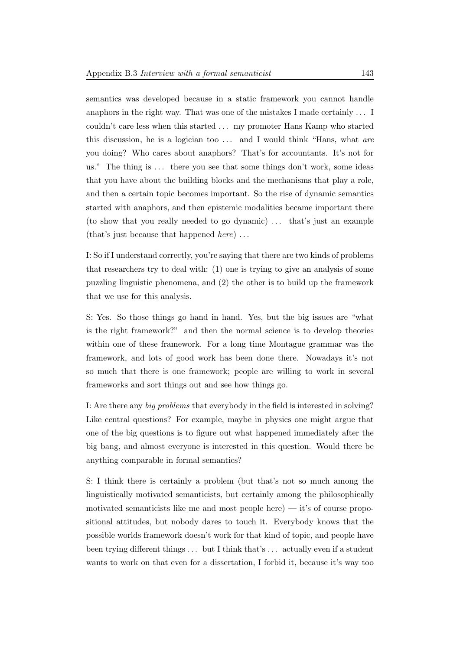semantics was developed because in a static framework you cannot handle anaphors in the right way. That was one of the mistakes I made certainly . . . I couldn't care less when this started . . . my promoter Hans Kamp who started this discussion, he is a logician too  $\dots$  and I would think "Hans, what are you doing? Who cares about anaphors? That's for accountants. It's not for us." The thing is ... there you see that some things don't work, some ideas that you have about the building blocks and the mechanisms that play a role, and then a certain topic becomes important. So the rise of dynamic semantics started with anaphors, and then epistemic modalities became important there (to show that you really needed to go dynamic) ... that's just an example (that's just because that happened here) . . .

I: So if I understand correctly, you're saying that there are two kinds of problems that researchers try to deal with: (1) one is trying to give an analysis of some puzzling linguistic phenomena, and (2) the other is to build up the framework that we use for this analysis.

S: Yes. So those things go hand in hand. Yes, but the big issues are "what is the right framework?" and then the normal science is to develop theories within one of these framework. For a long time Montague grammar was the framework, and lots of good work has been done there. Nowadays it's not so much that there is one framework; people are willing to work in several frameworks and sort things out and see how things go.

I: Are there any big problems that everybody in the field is interested in solving? Like central questions? For example, maybe in physics one might argue that one of the big questions is to figure out what happened immediately after the big bang, and almost everyone is interested in this question. Would there be anything comparable in formal semantics?

S: I think there is certainly a problem (but that's not so much among the linguistically motivated semanticists, but certainly among the philosophically motivated semanticists like me and most people here)  $-$  it's of course propositional attitudes, but nobody dares to touch it. Everybody knows that the possible worlds framework doesn't work for that kind of topic, and people have been trying different things . . . but I think that's . . . actually even if a student wants to work on that even for a dissertation, I forbid it, because it's way too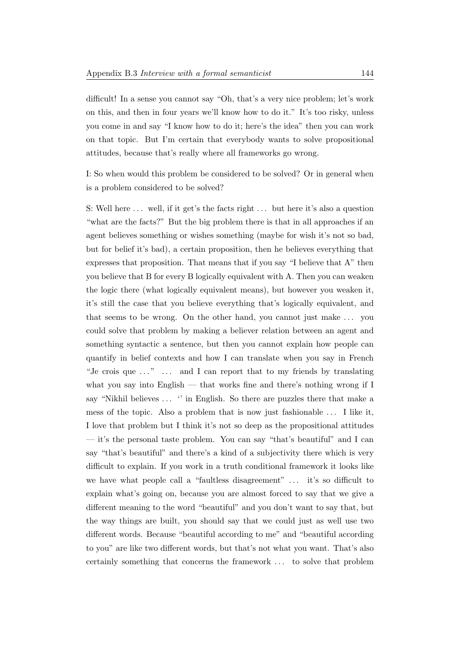difficult! In a sense you cannot say "Oh, that's a very nice problem; let's work on this, and then in four years we'll know how to do it." It's too risky, unless you come in and say "I know how to do it; here's the idea" then you can work on that topic. But I'm certain that everybody wants to solve propositional attitudes, because that's really where all frameworks go wrong.

I: So when would this problem be considered to be solved? Or in general when is a problem considered to be solved?

S: Well here ... well, if it get's the facts right ... but here it's also a question "what are the facts?" But the big problem there is that in all approaches if an agent believes something or wishes something (maybe for wish it's not so bad, but for belief it's bad), a certain proposition, then he believes everything that expresses that proposition. That means that if you say "I believe that A" then you believe that B for every B logically equivalent with A. Then you can weaken the logic there (what logically equivalent means), but however you weaken it, it's still the case that you believe everything that's logically equivalent, and that seems to be wrong. On the other hand, you cannot just make . . . you could solve that problem by making a believer relation between an agent and something syntactic a sentence, but then you cannot explain how people can quantify in belief contexts and how I can translate when you say in French "Je crois que  $\dots$ "  $\dots$  and I can report that to my friends by translating what you say into English — that works fine and there's nothing wrong if I say "Nikhil believes ... " in English. So there are puzzles there that make a mess of the topic. Also a problem that is now just fashionable . . . I like it, I love that problem but I think it's not so deep as the propositional attitudes — it's the personal taste problem. You can say "that's beautiful" and I can say "that's beautiful" and there's a kind of a subjectivity there which is very difficult to explain. If you work in a truth conditional framework it looks like we have what people call a "faultless disagreement" ... it's so difficult to explain what's going on, because you are almost forced to say that we give a different meaning to the word "beautiful" and you don't want to say that, but the way things are built, you should say that we could just as well use two different words. Because "beautiful according to me" and "beautiful according to you" are like two different words, but that's not what you want. That's also certainly something that concerns the framework . . . to solve that problem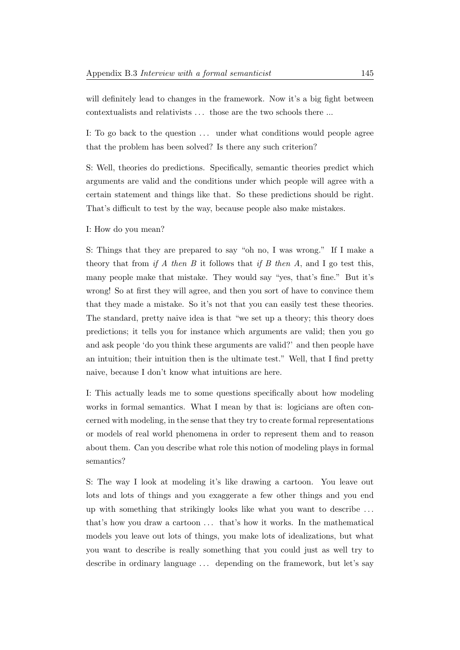will definitely lead to changes in the framework. Now it's a big fight between contextualists and relativists . . . those are the two schools there ...

I: To go back to the question ... under what conditions would people agree that the problem has been solved? Is there any such criterion?

S: Well, theories do predictions. Specifically, semantic theories predict which arguments are valid and the conditions under which people will agree with a certain statement and things like that. So these predictions should be right. That's difficult to test by the way, because people also make mistakes.

I: How do you mean?

S: Things that they are prepared to say "oh no, I was wrong." If I make a theory that from if A then B it follows that if B then A, and I go test this, many people make that mistake. They would say "yes, that's fine." But it's wrong! So at first they will agree, and then you sort of have to convince them that they made a mistake. So it's not that you can easily test these theories. The standard, pretty naive idea is that "we set up a theory; this theory does predictions; it tells you for instance which arguments are valid; then you go and ask people 'do you think these arguments are valid?' and then people have an intuition; their intuition then is the ultimate test." Well, that I find pretty naive, because I don't know what intuitions are here.

I: This actually leads me to some questions specifically about how modeling works in formal semantics. What I mean by that is: logicians are often concerned with modeling, in the sense that they try to create formal representations or models of real world phenomena in order to represent them and to reason about them. Can you describe what role this notion of modeling plays in formal semantics?

S: The way I look at modeling it's like drawing a cartoon. You leave out lots and lots of things and you exaggerate a few other things and you end up with something that strikingly looks like what you want to describe . . . that's how you draw a cartoon ... that's how it works. In the mathematical models you leave out lots of things, you make lots of idealizations, but what you want to describe is really something that you could just as well try to describe in ordinary language ... depending on the framework, but let's say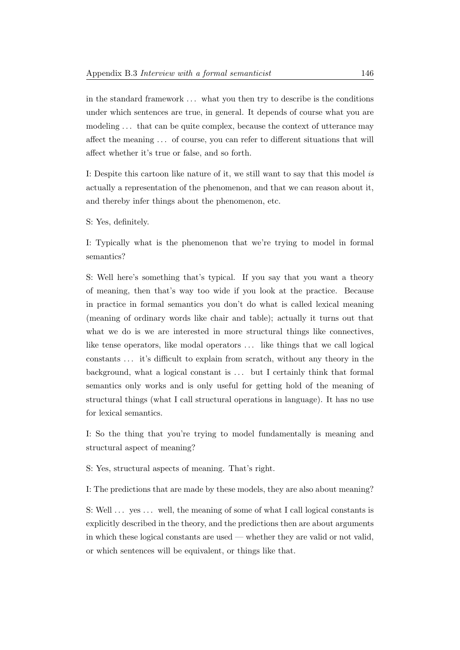in the standard framework . . . what you then try to describe is the conditions under which sentences are true, in general. It depends of course what you are modeling  $\dots$  that can be quite complex, because the context of utterance may affect the meaning . . . of course, you can refer to different situations that will affect whether it's true or false, and so forth.

I: Despite this cartoon like nature of it, we still want to say that this model is actually a representation of the phenomenon, and that we can reason about it, and thereby infer things about the phenomenon, etc.

S: Yes, definitely.

I: Typically what is the phenomenon that we're trying to model in formal semantics?

S: Well here's something that's typical. If you say that you want a theory of meaning, then that's way too wide if you look at the practice. Because in practice in formal semantics you don't do what is called lexical meaning (meaning of ordinary words like chair and table); actually it turns out that what we do is we are interested in more structural things like connectives, like tense operators, like modal operators  $\dots$  like things that we call logical constants . . . it's difficult to explain from scratch, without any theory in the background, what a logical constant is ... but I certainly think that formal semantics only works and is only useful for getting hold of the meaning of structural things (what I call structural operations in language). It has no use for lexical semantics.

I: So the thing that you're trying to model fundamentally is meaning and structural aspect of meaning?

S: Yes, structural aspects of meaning. That's right.

I: The predictions that are made by these models, they are also about meaning?

S: Well ... yes ... well, the meaning of some of what I call logical constants is explicitly described in the theory, and the predictions then are about arguments in which these logical constants are used — whether they are valid or not valid, or which sentences will be equivalent, or things like that.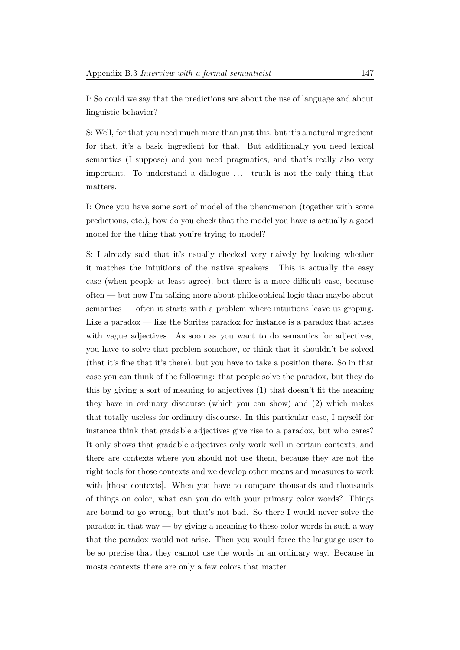I: So could we say that the predictions are about the use of language and about linguistic behavior?

S: Well, for that you need much more than just this, but it's a natural ingredient for that, it's a basic ingredient for that. But additionally you need lexical semantics (I suppose) and you need pragmatics, and that's really also very important. To understand a dialogue . . . truth is not the only thing that matters.

I: Once you have some sort of model of the phenomenon (together with some predictions, etc.), how do you check that the model you have is actually a good model for the thing that you're trying to model?

S: I already said that it's usually checked very naively by looking whether it matches the intuitions of the native speakers. This is actually the easy case (when people at least agree), but there is a more difficult case, because often — but now I'm talking more about philosophical logic than maybe about semantics — often it starts with a problem where intuitions leave us groping. Like a paradox — like the Sorites paradox for instance is a paradox that arises with vague adjectives. As soon as you want to do semantics for adjectives, you have to solve that problem somehow, or think that it shouldn't be solved (that it's fine that it's there), but you have to take a position there. So in that case you can think of the following: that people solve the paradox, but they do this by giving a sort of meaning to adjectives (1) that doesn't fit the meaning they have in ordinary discourse (which you can show) and (2) which makes that totally useless for ordinary discourse. In this particular case, I myself for instance think that gradable adjectives give rise to a paradox, but who cares? It only shows that gradable adjectives only work well in certain contexts, and there are contexts where you should not use them, because they are not the right tools for those contexts and we develop other means and measures to work with [those contexts]. When you have to compare thousands and thousands of things on color, what can you do with your primary color words? Things are bound to go wrong, but that's not bad. So there I would never solve the  $p^2$  paradox in that way — by giving a meaning to these color words in such a way that the paradox would not arise. Then you would force the language user to be so precise that they cannot use the words in an ordinary way. Because in mosts contexts there are only a few colors that matter.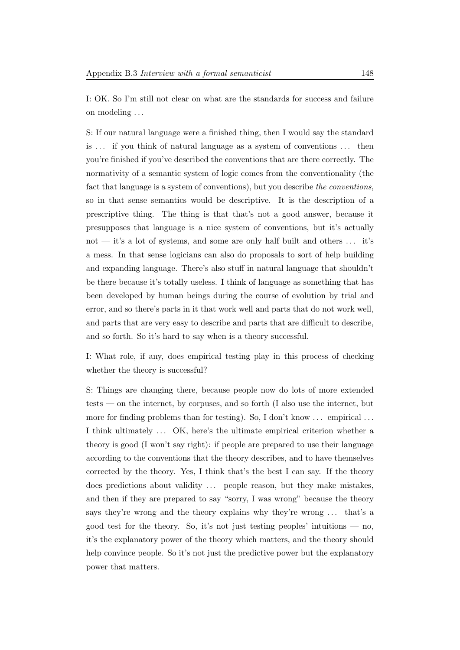I: OK. So I'm still not clear on what are the standards for success and failure on modeling . . .

S: If our natural language were a finished thing, then I would say the standard is . . . if you think of natural language as a system of conventions . . . then you're finished if you've described the conventions that are there correctly. The normativity of a semantic system of logic comes from the conventionality (the fact that language is a system of conventions), but you describe the conventions, so in that sense semantics would be descriptive. It is the description of a prescriptive thing. The thing is that that's not a good answer, because it presupposes that language is a nice system of conventions, but it's actually not — it's a lot of systems, and some are only half built and others  $\dots$  it's a mess. In that sense logicians can also do proposals to sort of help building and expanding language. There's also stuff in natural language that shouldn't be there because it's totally useless. I think of language as something that has been developed by human beings during the course of evolution by trial and error, and so there's parts in it that work well and parts that do not work well, and parts that are very easy to describe and parts that are difficult to describe, and so forth. So it's hard to say when is a theory successful.

I: What role, if any, does empirical testing play in this process of checking whether the theory is successful?

S: Things are changing there, because people now do lots of more extended tests — on the internet, by corpuses, and so forth (I also use the internet, but more for finding problems than for testing). So, I don't know ... empirical ... I think ultimately ... OK, here's the ultimate empirical criterion whether a theory is good (I won't say right): if people are prepared to use their language according to the conventions that the theory describes, and to have themselves corrected by the theory. Yes, I think that's the best I can say. If the theory does predictions about validity ... people reason, but they make mistakes, and then if they are prepared to say "sorry, I was wrong" because the theory says they're wrong and the theory explains why they're wrong . . . that's a good test for the theory. So, it's not just testing peoples' intuitions — no, it's the explanatory power of the theory which matters, and the theory should help convince people. So it's not just the predictive power but the explanatory power that matters.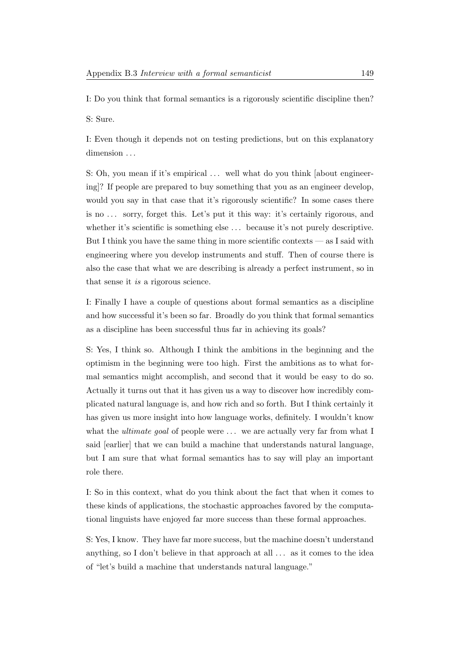I: Do you think that formal semantics is a rigorously scientific discipline then?

S: Sure.

I: Even though it depends not on testing predictions, but on this explanatory dimension ...

S: Oh, you mean if it's empirical ... well what do you think [about engineering]? If people are prepared to buy something that you as an engineer develop, would you say in that case that it's rigorously scientific? In some cases there is no . . . sorry, forget this. Let's put it this way: it's certainly rigorous, and whether it's scientific is something else  $\dots$  because it's not purely descriptive. But I think you have the same thing in more scientific contexts — as I said with engineering where you develop instruments and stuff. Then of course there is also the case that what we are describing is already a perfect instrument, so in that sense it is a rigorous science.

I: Finally I have a couple of questions about formal semantics as a discipline and how successful it's been so far. Broadly do you think that formal semantics as a discipline has been successful thus far in achieving its goals?

S: Yes, I think so. Although I think the ambitions in the beginning and the optimism in the beginning were too high. First the ambitions as to what formal semantics might accomplish, and second that it would be easy to do so. Actually it turns out that it has given us a way to discover how incredibly complicated natural language is, and how rich and so forth. But I think certainly it has given us more insight into how language works, definitely. I wouldn't know what the *ultimate goal* of people were  $\dots$  we are actually very far from what I said [earlier] that we can build a machine that understands natural language, but I am sure that what formal semantics has to say will play an important role there.

I: So in this context, what do you think about the fact that when it comes to these kinds of applications, the stochastic approaches favored by the computational linguists have enjoyed far more success than these formal approaches.

S: Yes, I know. They have far more success, but the machine doesn't understand anything, so I don't believe in that approach at all . . . as it comes to the idea of "let's build a machine that understands natural language."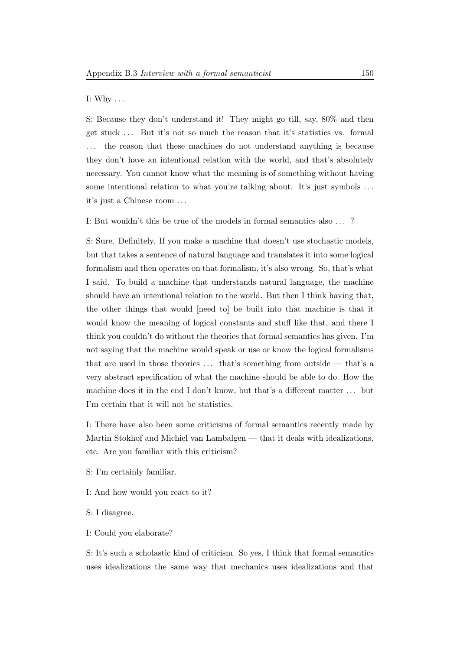#### I: Why  $\dots$

S: Because they don't understand it! They might go till, say, 80% and then get stuck . . . But it's not so much the reason that it's statistics vs. formal the reason that these machines do not understand anything is because they don't have an intentional relation with the world, and that's absolutely necessary. You cannot know what the meaning is of something without having some intentional relation to what you're talking about. It's just symbols ... it's just a Chinese room . . .

I: But wouldn't this be true of the models in formal semantics also . . . ?

S: Sure. Definitely. If you make a machine that doesn't use stochastic models, but that takes a sentence of natural language and translates it into some logical formalism and then operates on that formalism, it's also wrong. So, that's what I said. To build a machine that understands natural language, the machine should have an intentional relation to the world. But then I think having that, the other things that would [need to] be built into that machine is that it would know the meaning of logical constants and stuff like that, and there I think you couldn't do without the theories that formal semantics has given. I'm not saying that the machine would speak or use or know the logical formalisms that are used in those theories  $\dots$  that's something from outside — that's a very abstract specification of what the machine should be able to do. How the machine does it in the end I don't know, but that's a different matter . . . but I'm certain that it will not be statistics.

I: There have also been some criticisms of formal semantics recently made by Martin Stokhof and Michiel van Lambalgen — that it deals with idealizations, etc. Are you familiar with this criticism?

- S: I'm certainly familiar.
- I: And how would you react to it?
- S: I disagree.
- I: Could you elaborate?

S: It's such a scholastic kind of criticism. So yes, I think that formal semantics uses idealizations the same way that mechanics uses idealizations and that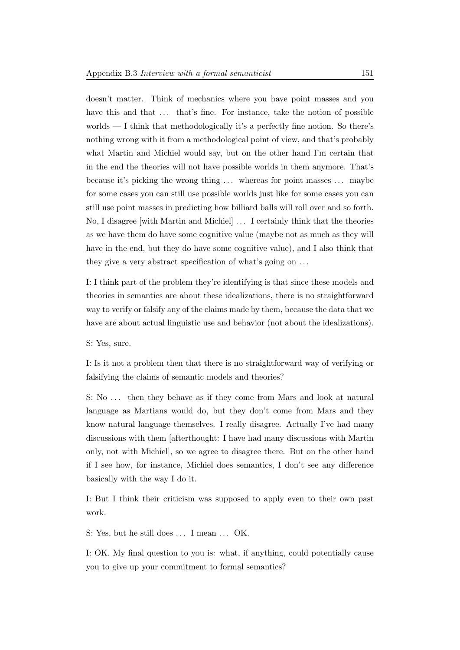doesn't matter. Think of mechanics where you have point masses and you have this and that ... that's fine. For instance, take the notion of possible worlds — I think that methodologically it's a perfectly fine notion. So there's nothing wrong with it from a methodological point of view, and that's probably what Martin and Michiel would say, but on the other hand I'm certain that in the end the theories will not have possible worlds in them anymore. That's because it's picking the wrong thing . . . whereas for point masses . . . maybe for some cases you can still use possible worlds just like for some cases you can still use point masses in predicting how billiard balls will roll over and so forth. No, I disagree [with Martin and Michiel] . . . I certainly think that the theories as we have them do have some cognitive value (maybe not as much as they will have in the end, but they do have some cognitive value), and I also think that they give a very abstract specification of what's going on . . .

I: I think part of the problem they're identifying is that since these models and theories in semantics are about these idealizations, there is no straightforward way to verify or falsify any of the claims made by them, because the data that we have are about actual linguistic use and behavior (not about the idealizations).

S: Yes, sure.

I: Is it not a problem then that there is no straightforward way of verifying or falsifying the claims of semantic models and theories?

S: No ... then they behave as if they come from Mars and look at natural language as Martians would do, but they don't come from Mars and they know natural language themselves. I really disagree. Actually I've had many discussions with them [afterthought: I have had many discussions with Martin only, not with Michiel], so we agree to disagree there. But on the other hand if I see how, for instance, Michiel does semantics, I don't see any difference basically with the way I do it.

I: But I think their criticism was supposed to apply even to their own past work.

S: Yes, but he still does ... I mean ... OK.

I: OK. My final question to you is: what, if anything, could potentially cause you to give up your commitment to formal semantics?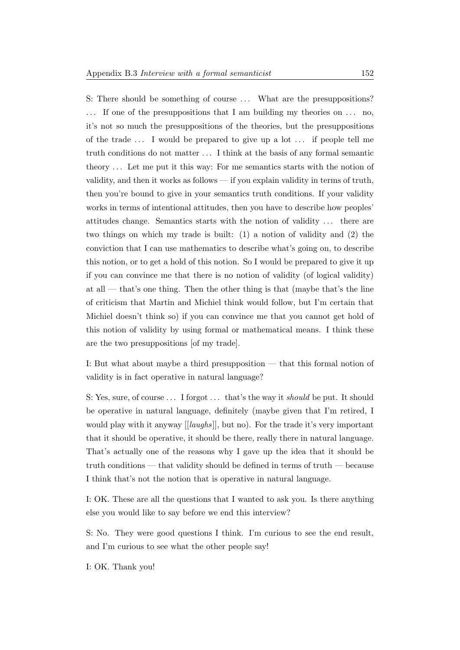S: There should be something of course ... What are the presuppositions? ... If one of the presuppositions that I am building my theories on ... no, it's not so much the presuppositions of the theories, but the presuppositions of the trade . . . I would be prepared to give up a lot . . . if people tell me truth conditions do not matter . . . I think at the basis of any formal semantic theory . . . Let me put it this way: For me semantics starts with the notion of validity, and then it works as follows — if you explain validity in terms of truth, then you're bound to give in your semantics truth conditions. If your validity works in terms of intentional attitudes, then you have to describe how peoples' attitudes change. Semantics starts with the notion of validity . . . there are two things on which my trade is built: (1) a notion of validity and (2) the conviction that I can use mathematics to describe what's going on, to describe this notion, or to get a hold of this notion. So I would be prepared to give it up if you can convince me that there is no notion of validity (of logical validity) at all — that's one thing. Then the other thing is that (maybe that's the line of criticism that Martin and Michiel think would follow, but I'm certain that Michiel doesn't think so) if you can convince me that you cannot get hold of this notion of validity by using formal or mathematical means. I think these are the two presuppositions [of my trade].

I: But what about maybe a third presupposition — that this formal notion of validity is in fact operative in natural language?

S: Yes, sure, of course ... I forgot ... that's the way it *should* be put. It should be operative in natural language, definitely (maybe given that I'm retired, I would play with it anyway [[laughs]], but no). For the trade it's very important that it should be operative, it should be there, really there in natural language. That's actually one of the reasons why I gave up the idea that it should be truth conditions — that validity should be defined in terms of truth — because I think that's not the notion that is operative in natural language.

I: OK. These are all the questions that I wanted to ask you. Is there anything else you would like to say before we end this interview?

S: No. They were good questions I think. I'm curious to see the end result, and I'm curious to see what the other people say!

I: OK. Thank you!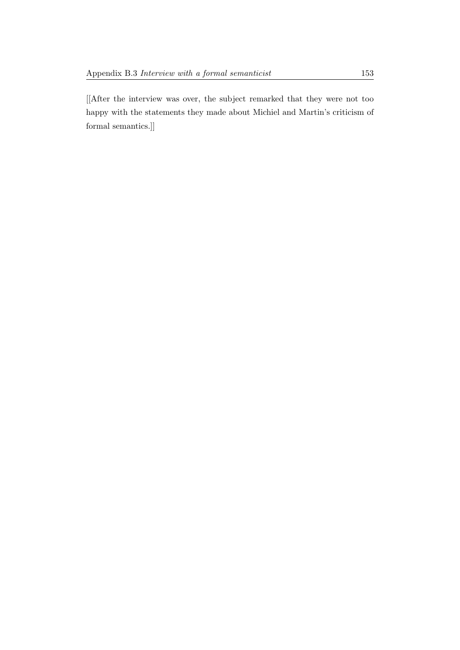[[After the interview was over, the subject remarked that they were not too happy with the statements they made about Michiel and Martin's criticism of formal semantics.]]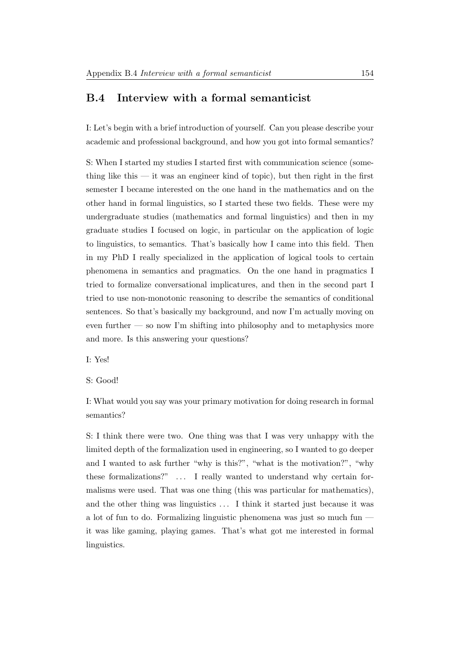## B.4 Interview with a formal semanticist

I: Let's begin with a brief introduction of yourself. Can you please describe your academic and professional background, and how you got into formal semantics?

S: When I started my studies I started first with communication science (something like this  $-$  it was an engineer kind of topic), but then right in the first semester I became interested on the one hand in the mathematics and on the other hand in formal linguistics, so I started these two fields. These were my undergraduate studies (mathematics and formal linguistics) and then in my graduate studies I focused on logic, in particular on the application of logic to linguistics, to semantics. That's basically how I came into this field. Then in my PhD I really specialized in the application of logical tools to certain phenomena in semantics and pragmatics. On the one hand in pragmatics I tried to formalize conversational implicatures, and then in the second part I tried to use non-monotonic reasoning to describe the semantics of conditional sentences. So that's basically my background, and now I'm actually moving on even further — so now I'm shifting into philosophy and to metaphysics more and more. Is this answering your questions?

I: Yes!

S: Good!

I: What would you say was your primary motivation for doing research in formal semantics?

S: I think there were two. One thing was that I was very unhappy with the limited depth of the formalization used in engineering, so I wanted to go deeper and I wanted to ask further "why is this?", "what is the motivation?", "why these formalizations?" ... I really wanted to understand why certain formalisms were used. That was one thing (this was particular for mathematics), and the other thing was linguistics . . . I think it started just because it was a lot of fun to do. Formalizing linguistic phenomena was just so much fun it was like gaming, playing games. That's what got me interested in formal linguistics.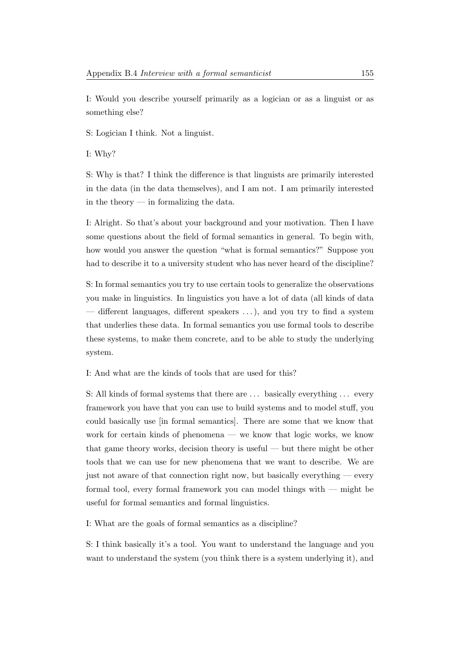I: Would you describe yourself primarily as a logician or as a linguist or as something else?

S: Logician I think. Not a linguist.

I: Why?

S: Why is that? I think the difference is that linguists are primarily interested in the data (in the data themselves), and I am not. I am primarily interested in the theory — in formalizing the data.

I: Alright. So that's about your background and your motivation. Then I have some questions about the field of formal semantics in general. To begin with, how would you answer the question "what is formal semantics?" Suppose you had to describe it to a university student who has never heard of the discipline?

S: In formal semantics you try to use certain tools to generalize the observations you make in linguistics. In linguistics you have a lot of data (all kinds of data — different languages, different speakers . . . ), and you try to find a system that underlies these data. In formal semantics you use formal tools to describe these systems, to make them concrete, and to be able to study the underlying system.

I: And what are the kinds of tools that are used for this?

S: All kinds of formal systems that there are . . . basically everything . . . every framework you have that you can use to build systems and to model stuff, you could basically use [in formal semantics]. There are some that we know that work for certain kinds of phenomena — we know that logic works, we know that game theory works, decision theory is useful — but there might be other tools that we can use for new phenomena that we want to describe. We are just not aware of that connection right now, but basically everything — every formal tool, every formal framework you can model things with — might be useful for formal semantics and formal linguistics.

I: What are the goals of formal semantics as a discipline?

S: I think basically it's a tool. You want to understand the language and you want to understand the system (you think there is a system underlying it), and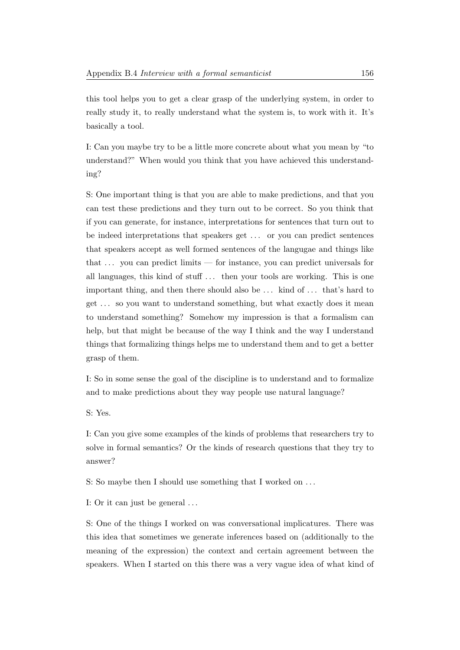this tool helps you to get a clear grasp of the underlying system, in order to really study it, to really understand what the system is, to work with it. It's basically a tool.

I: Can you maybe try to be a little more concrete about what you mean by "to understand?" When would you think that you have achieved this understanding?

S: One important thing is that you are able to make predictions, and that you can test these predictions and they turn out to be correct. So you think that if you can generate, for instance, interpretations for sentences that turn out to be indeed interpretations that speakers get . . . or you can predict sentences that speakers accept as well formed sentences of the langugae and things like that  $\ldots$  you can predict limits — for instance, you can predict universals for all languages, this kind of stuff . . . then your tools are working. This is one important thing, and then there should also be . . . kind of . . . that's hard to get . . . so you want to understand something, but what exactly does it mean to understand something? Somehow my impression is that a formalism can help, but that might be because of the way I think and the way I understand things that formalizing things helps me to understand them and to get a better grasp of them.

I: So in some sense the goal of the discipline is to understand and to formalize and to make predictions about they way people use natural language?

S: Yes.

I: Can you give some examples of the kinds of problems that researchers try to solve in formal semantics? Or the kinds of research questions that they try to answer?

S: So maybe then I should use something that I worked on . . .

I: Or it can just be general . . .

S: One of the things I worked on was conversational implicatures. There was this idea that sometimes we generate inferences based on (additionally to the meaning of the expression) the context and certain agreement between the speakers. When I started on this there was a very vague idea of what kind of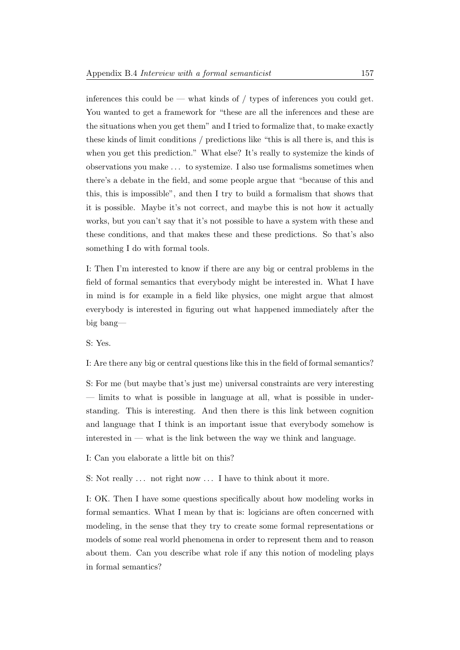inferences this could be — what kinds of  $/$  types of inferences you could get. You wanted to get a framework for "these are all the inferences and these are the situations when you get them" and I tried to formalize that, to make exactly these kinds of limit conditions / predictions like "this is all there is, and this is when you get this prediction." What else? It's really to systemize the kinds of observations you make . . . to systemize. I also use formalisms sometimes when there's a debate in the field, and some people argue that "because of this and this, this is impossible", and then I try to build a formalism that shows that it is possible. Maybe it's not correct, and maybe this is not how it actually works, but you can't say that it's not possible to have a system with these and these conditions, and that makes these and these predictions. So that's also something I do with formal tools.

I: Then I'm interested to know if there are any big or central problems in the field of formal semantics that everybody might be interested in. What I have in mind is for example in a field like physics, one might argue that almost everybody is interested in figuring out what happened immediately after the big bang—

S: Yes.

I: Are there any big or central questions like this in the field of formal semantics?

S: For me (but maybe that's just me) universal constraints are very interesting — limits to what is possible in language at all, what is possible in understanding. This is interesting. And then there is this link between cognition and language that I think is an important issue that everybody somehow is interested in  $-$  what is the link between the way we think and language.

I: Can you elaborate a little bit on this?

S: Not really ... not right now ... I have to think about it more.

I: OK. Then I have some questions specifically about how modeling works in formal semantics. What I mean by that is: logicians are often concerned with modeling, in the sense that they try to create some formal representations or models of some real world phenomena in order to represent them and to reason about them. Can you describe what role if any this notion of modeling plays in formal semantics?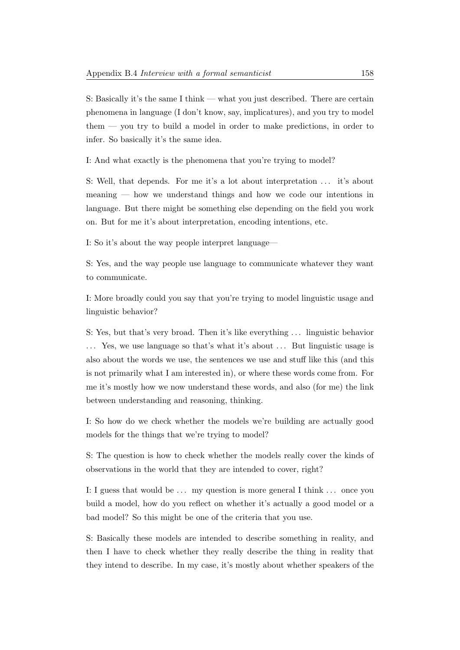S: Basically it's the same I think — what you just described. There are certain phenomena in language (I don't know, say, implicatures), and you try to model them — you try to build a model in order to make predictions, in order to infer. So basically it's the same idea.

I: And what exactly is the phenomena that you're trying to model?

S: Well, that depends. For me it's a lot about interpretation . . . it's about meaning — how we understand things and how we code our intentions in language. But there might be something else depending on the field you work on. But for me it's about interpretation, encoding intentions, etc.

I: So it's about the way people interpret language—

S: Yes, and the way people use language to communicate whatever they want to communicate.

I: More broadly could you say that you're trying to model linguistic usage and linguistic behavior?

S: Yes, but that's very broad. Then it's like everything . . . linguistic behavior ... Yes, we use language so that's what it's about ... But linguistic usage is also about the words we use, the sentences we use and stuff like this (and this is not primarily what I am interested in), or where these words come from. For me it's mostly how we now understand these words, and also (for me) the link between understanding and reasoning, thinking.

I: So how do we check whether the models we're building are actually good models for the things that we're trying to model?

S: The question is how to check whether the models really cover the kinds of observations in the world that they are intended to cover, right?

I: I guess that would be  $\dots$  my question is more general I think  $\dots$  once you build a model, how do you reflect on whether it's actually a good model or a bad model? So this might be one of the criteria that you use.

S: Basically these models are intended to describe something in reality, and then I have to check whether they really describe the thing in reality that they intend to describe. In my case, it's mostly about whether speakers of the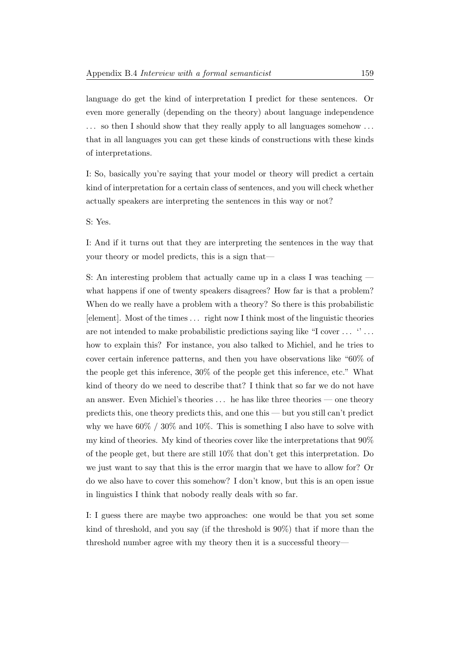language do get the kind of interpretation I predict for these sentences. Or even more generally (depending on the theory) about language independence . . . so then I should show that they really apply to all languages somehow . . . that in all languages you can get these kinds of constructions with these kinds of interpretations.

I: So, basically you're saying that your model or theory will predict a certain kind of interpretation for a certain class of sentences, and you will check whether actually speakers are interpreting the sentences in this way or not?

S: Yes.

I: And if it turns out that they are interpreting the sentences in the way that your theory or model predicts, this is a sign that—

S: An interesting problem that actually came up in a class I was teaching what happens if one of twenty speakers disagrees? How far is that a problem? When do we really have a problem with a theory? So there is this probabilistic [element]. Most of the times . . . right now I think most of the linguistic theories are not intended to make probabilistic predictions saying like "I cover . . . '' . . . how to explain this? For instance, you also talked to Michiel, and he tries to cover certain inference patterns, and then you have observations like "60% of the people get this inference, 30% of the people get this inference, etc." What kind of theory do we need to describe that? I think that so far we do not have an answer. Even Michiel's theories  $\ldots$  he has like three theories — one theory predicts this, one theory predicts this, and one this — but you still can't predict why we have  $60\%$  /  $30\%$  and  $10\%$ . This is something I also have to solve with my kind of theories. My kind of theories cover like the interpretations that 90% of the people get, but there are still 10% that don't get this interpretation. Do we just want to say that this is the error margin that we have to allow for? Or do we also have to cover this somehow? I don't know, but this is an open issue in linguistics I think that nobody really deals with so far.

I: I guess there are maybe two approaches: one would be that you set some kind of threshold, and you say (if the threshold is 90%) that if more than the threshold number agree with my theory then it is a successful theory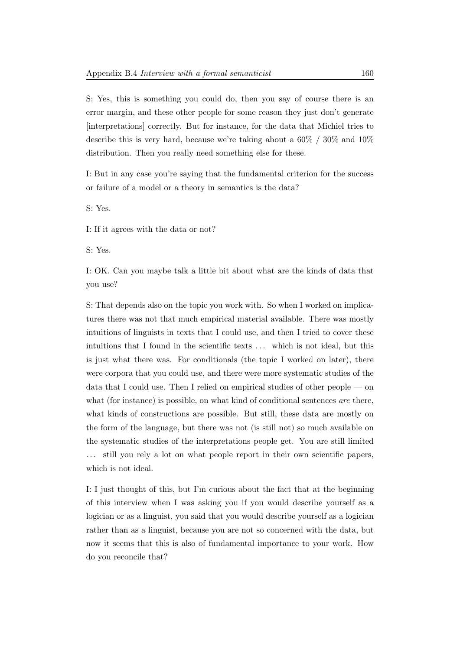S: Yes, this is something you could do, then you say of course there is an error margin, and these other people for some reason they just don't generate [interpretations] correctly. But for instance, for the data that Michiel tries to describe this is very hard, because we're taking about a 60% / 30% and 10% distribution. Then you really need something else for these.

I: But in any case you're saying that the fundamental criterion for the success or failure of a model or a theory in semantics is the data?

S: Yes.

I: If it agrees with the data or not?

S: Yes.

I: OK. Can you maybe talk a little bit about what are the kinds of data that you use?

S: That depends also on the topic you work with. So when I worked on implicatures there was not that much empirical material available. There was mostly intuitions of linguists in texts that I could use, and then I tried to cover these intuitions that I found in the scientific texts . . . which is not ideal, but this is just what there was. For conditionals (the topic I worked on later), there were corpora that you could use, and there were more systematic studies of the data that I could use. Then I relied on empirical studies of other people — on what (for instance) is possible, on what kind of conditional sentences are there, what kinds of constructions are possible. But still, these data are mostly on the form of the language, but there was not (is still not) so much available on the systematic studies of the interpretations people get. You are still limited . . . still you rely a lot on what people report in their own scientific papers, which is not ideal.

I: I just thought of this, but I'm curious about the fact that at the beginning of this interview when I was asking you if you would describe yourself as a logician or as a linguist, you said that you would describe yourself as a logician rather than as a linguist, because you are not so concerned with the data, but now it seems that this is also of fundamental importance to your work. How do you reconcile that?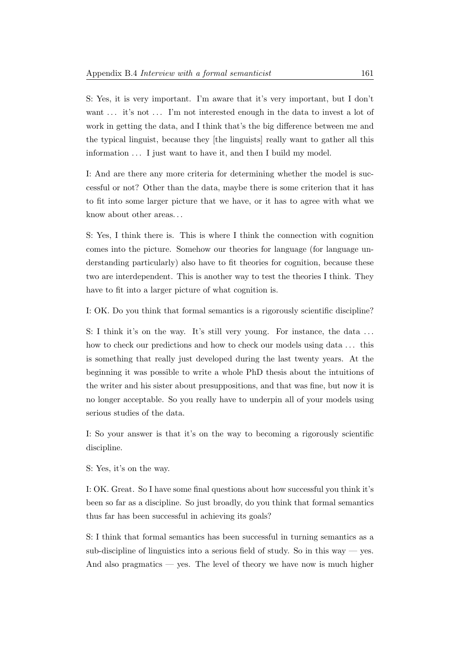S: Yes, it is very important. I'm aware that it's very important, but I don't want ... it's not ... I'm not interested enough in the data to invest a lot of work in getting the data, and I think that's the big difference between me and the typical linguist, because they [the linguists] really want to gather all this information  $\dots$  I just want to have it, and then I build my model.

I: And are there any more criteria for determining whether the model is successful or not? Other than the data, maybe there is some criterion that it has to fit into some larger picture that we have, or it has to agree with what we know about other areas. . .

S: Yes, I think there is. This is where I think the connection with cognition comes into the picture. Somehow our theories for language (for language understanding particularly) also have to fit theories for cognition, because these two are interdependent. This is another way to test the theories I think. They have to fit into a larger picture of what cognition is.

I: OK. Do you think that formal semantics is a rigorously scientific discipline?

S: I think it's on the way. It's still very young. For instance, the data ... how to check our predictions and how to check our models using data ... this is something that really just developed during the last twenty years. At the beginning it was possible to write a whole PhD thesis about the intuitions of the writer and his sister about presuppositions, and that was fine, but now it is no longer acceptable. So you really have to underpin all of your models using serious studies of the data.

I: So your answer is that it's on the way to becoming a rigorously scientific discipline.

S: Yes, it's on the way.

I: OK. Great. So I have some final questions about how successful you think it's been so far as a discipline. So just broadly, do you think that formal semantics thus far has been successful in achieving its goals?

S: I think that formal semantics has been successful in turning semantics as a sub-discipline of linguistics into a serious field of study. So in this way  $-$  yes. And also pragmatics — yes. The level of theory we have now is much higher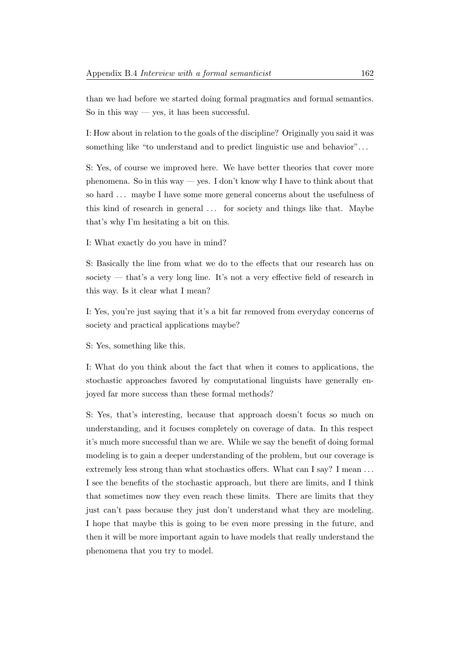than we had before we started doing formal pragmatics and formal semantics. So in this way — yes, it has been successful.

I: How about in relation to the goals of the discipline? Originally you said it was something like "to understand and to predict linguistic use and behavior". . .

S: Yes, of course we improved here. We have better theories that cover more phenomena. So in this way — yes. I don't know why I have to think about that so hard ... maybe I have some more general concerns about the usefulness of this kind of research in general ... for society and things like that. Maybe that's why I'm hesitating a bit on this.

I: What exactly do you have in mind?

S: Basically the line from what we do to the effects that our research has on society — that's a very long line. It's not a very effective field of research in this way. Is it clear what I mean?

I: Yes, you're just saying that it's a bit far removed from everyday concerns of society and practical applications maybe?

S: Yes, something like this.

I: What do you think about the fact that when it comes to applications, the stochastic approaches favored by computational linguists have generally enjoyed far more success than these formal methods?

S: Yes, that's interesting, because that approach doesn't focus so much on understanding, and it focuses completely on coverage of data. In this respect it's much more successful than we are. While we say the benefit of doing formal modeling is to gain a deeper understanding of the problem, but our coverage is extremely less strong than what stochastics offers. What can I say? I mean ... I see the benefits of the stochastic approach, but there are limits, and I think that sometimes now they even reach these limits. There are limits that they just can't pass because they just don't understand what they are modeling. I hope that maybe this is going to be even more pressing in the future, and then it will be more important again to have models that really understand the phenomena that you try to model.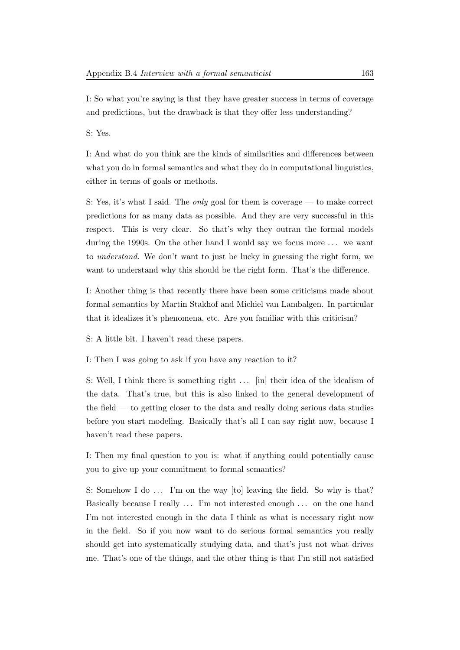I: So what you're saying is that they have greater success in terms of coverage and predictions, but the drawback is that they offer less understanding?

S: Yes.

I: And what do you think are the kinds of similarities and differences between what you do in formal semantics and what they do in computational linguistics, either in terms of goals or methods.

S: Yes, it's what I said. The only goal for them is coverage — to make correct predictions for as many data as possible. And they are very successful in this respect. This is very clear. So that's why they outran the formal models during the 1990s. On the other hand I would say we focus more ... we want to understand. We don't want to just be lucky in guessing the right form, we want to understand why this should be the right form. That's the difference.

I: Another thing is that recently there have been some criticisms made about formal semantics by Martin Stakhof and Michiel van Lambalgen. In particular that it idealizes it's phenomena, etc. Are you familiar with this criticism?

S: A little bit. I haven't read these papers.

I: Then I was going to ask if you have any reaction to it?

S: Well, I think there is something right ... [in] their idea of the idealism of the data. That's true, but this is also linked to the general development of the field — to getting closer to the data and really doing serious data studies before you start modeling. Basically that's all I can say right now, because I haven't read these papers.

I: Then my final question to you is: what if anything could potentially cause you to give up your commitment to formal semantics?

S: Somehow I do  $\ldots$  I'm on the way [to] leaving the field. So why is that? Basically because I really ... I'm not interested enough ... on the one hand I'm not interested enough in the data I think as what is necessary right now in the field. So if you now want to do serious formal semantics you really should get into systematically studying data, and that's just not what drives me. That's one of the things, and the other thing is that I'm still not satisfied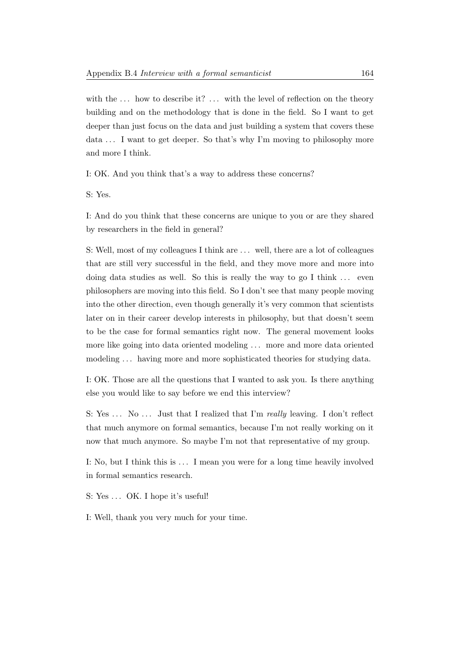with the  $\dots$  how to describe it?  $\dots$  with the level of reflection on the theory building and on the methodology that is done in the field. So I want to get deeper than just focus on the data and just building a system that covers these data ... I want to get deeper. So that's why I'm moving to philosophy more and more I think.

I: OK. And you think that's a way to address these concerns?

S: Yes.

I: And do you think that these concerns are unique to you or are they shared by researchers in the field in general?

S: Well, most of my colleagues I think are . . . well, there are a lot of colleagues that are still very successful in the field, and they move more and more into doing data studies as well. So this is really the way to go I think  $\dots$  even philosophers are moving into this field. So I don't see that many people moving into the other direction, even though generally it's very common that scientists later on in their career develop interests in philosophy, but that doesn't seem to be the case for formal semantics right now. The general movement looks more like going into data oriented modeling . . . more and more data oriented modeling . . . having more and more sophisticated theories for studying data.

I: OK. Those are all the questions that I wanted to ask you. Is there anything else you would like to say before we end this interview?

S: Yes ... No ... Just that I realized that I'm really leaving. I don't reflect that much anymore on formal semantics, because I'm not really working on it now that much anymore. So maybe I'm not that representative of my group.

I: No, but I think this is . . . I mean you were for a long time heavily involved in formal semantics research.

S: Yes ... OK. I hope it's useful!

I: Well, thank you very much for your time.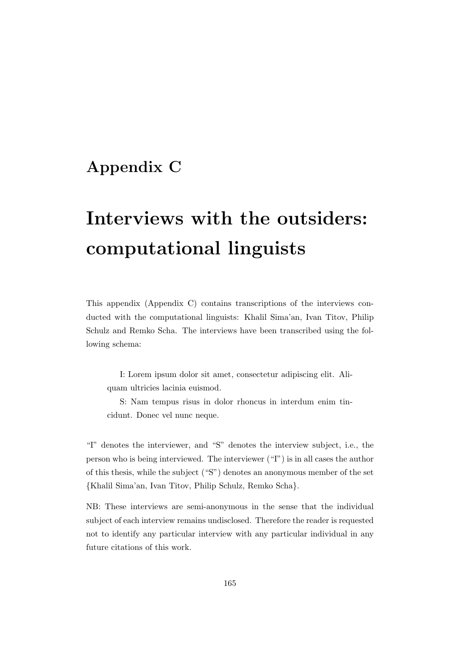# Appendix C

# Interviews with the outsiders: computational linguists

This appendix (Appendix C) contains transcriptions of the interviews conducted with the computational linguists: Khalil Sima'an, Ivan Titov, Philip Schulz and Remko Scha. The interviews have been transcribed using the following schema:

I: Lorem ipsum dolor sit amet, consectetur adipiscing elit. Aliquam ultricies lacinia euismod.

S: Nam tempus risus in dolor rhoncus in interdum enim tincidunt. Donec vel nunc neque.

"I" denotes the interviewer, and "S" denotes the interview subject, i.e., the person who is being interviewed. The interviewer ("I") is in all cases the author of this thesis, while the subject ("S") denotes an anonymous member of the set {Khalil Sima'an, Ivan Titov, Philip Schulz, Remko Scha}.

NB: These interviews are semi-anonymous in the sense that the individual subject of each interview remains undisclosed. Therefore the reader is requested not to identify any particular interview with any particular individual in any future citations of this work.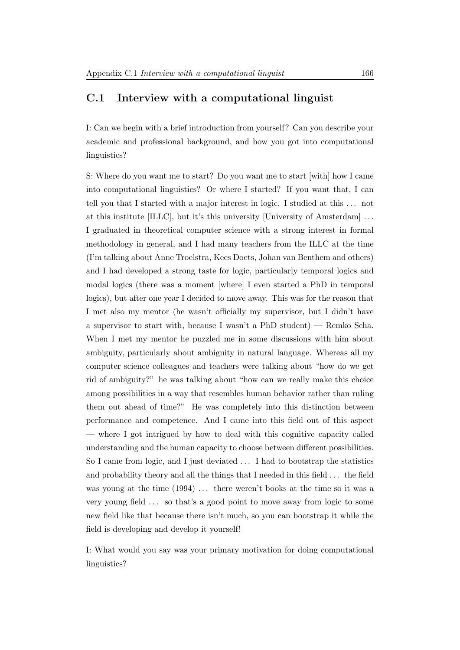# C.1 Interview with a computational linguist

I: Can we begin with a brief introduction from yourself? Can you describe your academic and professional background, and how you got into computational linguistics?

S: Where do you want me to start? Do you want me to start [with] how I came into computational linguistics? Or where I started? If you want that, I can tell you that I started with a major interest in logic. I studied at this . . . not at this institute [ILLC], but it's this university [University of Amsterdam] . . . I graduated in theoretical computer science with a strong interest in formal methodology in general, and I had many teachers from the ILLC at the time (I'm talking about Anne Troelstra, Kees Doets, Johan van Benthem and others) and I had developed a strong taste for logic, particularly temporal logics and modal logics (there was a moment [where] I even started a PhD in temporal logics), but after one year I decided to move away. This was for the reason that I met also my mentor (he wasn't officially my supervisor, but I didn't have a supervisor to start with, because I wasn't a PhD student) — Remko Scha. When I met my mentor he puzzled me in some discussions with him about ambiguity, particularly about ambiguity in natural language. Whereas all my computer science colleagues and teachers were talking about "how do we get rid of ambiguity?" he was talking about "how can we really make this choice among possibilities in a way that resembles human behavior rather than ruling them out ahead of time?" He was completely into this distinction between performance and competence. And I came into this field out of this aspect — where I got intrigued by how to deal with this cognitive capacity called understanding and the human capacity to choose between different possibilities. So I came from logic, and I just deviated . . . I had to bootstrap the statistics and probability theory and all the things that I needed in this field . . . the field was young at the time  $(1994)$ ... there weren't books at the time so it was a very young field . . . so that's a good point to move away from logic to some new field like that because there isn't much, so you can bootstrap it while the field is developing and develop it yourself!

I: What would you say was your primary motivation for doing computational linguistics?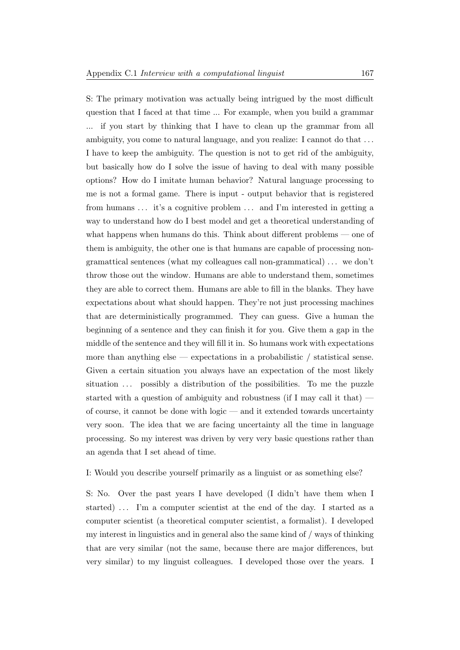S: The primary motivation was actually being intrigued by the most difficult question that I faced at that time ... For example, when you build a grammar ... if you start by thinking that I have to clean up the grammar from all ambiguity, you come to natural language, and you realize: I cannot do that . . . I have to keep the ambiguity. The question is not to get rid of the ambiguity, but basically how do I solve the issue of having to deal with many possible options? How do I imitate human behavior? Natural language processing to me is not a formal game. There is input - output behavior that is registered from humans ... it's a cognitive problem ... and I'm interested in getting a way to understand how do I best model and get a theoretical understanding of what happens when humans do this. Think about different problems — one of them is ambiguity, the other one is that humans are capable of processing nongramattical sentences (what my colleagues call non-grammatical) . . . we don't throw those out the window. Humans are able to understand them, sometimes they are able to correct them. Humans are able to fill in the blanks. They have expectations about what should happen. They're not just processing machines that are deterministically programmed. They can guess. Give a human the beginning of a sentence and they can finish it for you. Give them a gap in the middle of the sentence and they will fill it in. So humans work with expectations more than anything else — expectations in a probabilistic  $/$  statistical sense. Given a certain situation you always have an expectation of the most likely situation ... possibly a distribution of the possibilities. To me the puzzle started with a question of ambiguity and robustness (if I may call it that) of course, it cannot be done with logic — and it extended towards uncertainty very soon. The idea that we are facing uncertainty all the time in language processing. So my interest was driven by very very basic questions rather than an agenda that I set ahead of time.

### I: Would you describe yourself primarily as a linguist or as something else?

S: No. Over the past years I have developed (I didn't have them when I started)... I'm a computer scientist at the end of the day. I started as a computer scientist (a theoretical computer scientist, a formalist). I developed my interest in linguistics and in general also the same kind of / ways of thinking that are very similar (not the same, because there are major differences, but very similar) to my linguist colleagues. I developed those over the years. I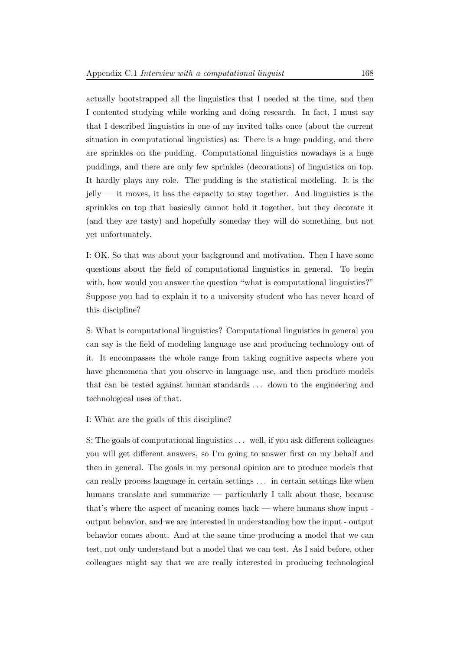actually bootstrapped all the linguistics that I needed at the time, and then I contented studying while working and doing research. In fact, I must say that I described linguistics in one of my invited talks once (about the current situation in computational linguistics) as: There is a huge pudding, and there are sprinkles on the pudding. Computational linguistics nowadays is a huge puddings, and there are only few sprinkles (decorations) of linguistics on top. It hardly plays any role. The pudding is the statistical modeling. It is the  $jelly$  — it moves, it has the capacity to stay together. And linguistics is the sprinkles on top that basically cannot hold it together, but they decorate it (and they are tasty) and hopefully someday they will do something, but not yet unfortunately.

I: OK. So that was about your background and motivation. Then I have some questions about the field of computational linguistics in general. To begin with, how would you answer the question "what is computational linguistics?" Suppose you had to explain it to a university student who has never heard of this discipline?

S: What is computational linguistics? Computational linguistics in general you can say is the field of modeling language use and producing technology out of it. It encompasses the whole range from taking cognitive aspects where you have phenomena that you observe in language use, and then produce models that can be tested against human standards . . . down to the engineering and technological uses of that.

I: What are the goals of this discipline?

S: The goals of computational linguistics . . . well, if you ask different colleagues you will get different answers, so I'm going to answer first on my behalf and then in general. The goals in my personal opinion are to produce models that can really process language in certain settings . . . in certain settings like when humans translate and summarize — particularly I talk about those, because that's where the aspect of meaning comes back — where humans show input output behavior, and we are interested in understanding how the input - output behavior comes about. And at the same time producing a model that we can test, not only understand but a model that we can test. As I said before, other colleagues might say that we are really interested in producing technological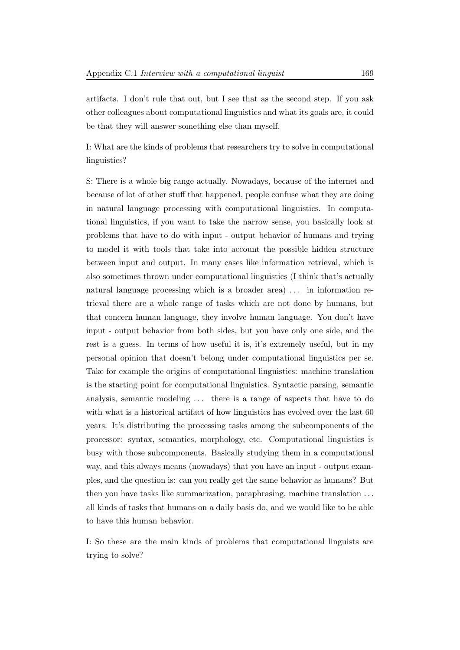artifacts. I don't rule that out, but I see that as the second step. If you ask other colleagues about computational linguistics and what its goals are, it could be that they will answer something else than myself.

I: What are the kinds of problems that researchers try to solve in computational linguistics?

S: There is a whole big range actually. Nowadays, because of the internet and because of lot of other stuff that happened, people confuse what they are doing in natural language processing with computational linguistics. In computational linguistics, if you want to take the narrow sense, you basically look at problems that have to do with input - output behavior of humans and trying to model it with tools that take into account the possible hidden structure between input and output. In many cases like information retrieval, which is also sometimes thrown under computational linguistics (I think that's actually natural language processing which is a broader area) . . . in information retrieval there are a whole range of tasks which are not done by humans, but that concern human language, they involve human language. You don't have input - output behavior from both sides, but you have only one side, and the rest is a guess. In terms of how useful it is, it's extremely useful, but in my personal opinion that doesn't belong under computational linguistics per se. Take for example the origins of computational linguistics: machine translation is the starting point for computational linguistics. Syntactic parsing, semantic analysis, semantic modeling ... there is a range of aspects that have to do with what is a historical artifact of how linguistics has evolved over the last 60 years. It's distributing the processing tasks among the subcomponents of the processor: syntax, semantics, morphology, etc. Computational linguistics is busy with those subcomponents. Basically studying them in a computational way, and this always means (nowadays) that you have an input - output examples, and the question is: can you really get the same behavior as humans? But then you have tasks like summarization, paraphrasing, machine translation . . . all kinds of tasks that humans on a daily basis do, and we would like to be able to have this human behavior.

I: So these are the main kinds of problems that computational linguists are trying to solve?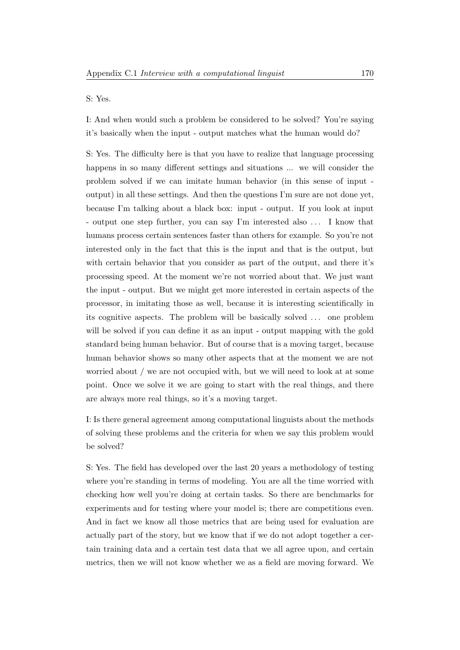S: Yes.

I: And when would such a problem be considered to be solved? You're saying it's basically when the input - output matches what the human would do?

S: Yes. The difficulty here is that you have to realize that language processing happens in so many different settings and situations ... we will consider the problem solved if we can imitate human behavior (in this sense of input output) in all these settings. And then the questions I'm sure are not done yet, because I'm talking about a black box: input - output. If you look at input - output one step further, you can say I'm interested also . . . I know that humans process certain sentences faster than others for example. So you're not interested only in the fact that this is the input and that is the output, but with certain behavior that you consider as part of the output, and there it's processing speed. At the moment we're not worried about that. We just want the input - output. But we might get more interested in certain aspects of the processor, in imitating those as well, because it is interesting scientifically in its cognitive aspects. The problem will be basically solved . . . one problem will be solved if you can define it as an input - output mapping with the gold standard being human behavior. But of course that is a moving target, because human behavior shows so many other aspects that at the moment we are not worried about / we are not occupied with, but we will need to look at at some point. Once we solve it we are going to start with the real things, and there are always more real things, so it's a moving target.

I: Is there general agreement among computational linguists about the methods of solving these problems and the criteria for when we say this problem would be solved?

S: Yes. The field has developed over the last 20 years a methodology of testing where you're standing in terms of modeling. You are all the time worried with checking how well you're doing at certain tasks. So there are benchmarks for experiments and for testing where your model is; there are competitions even. And in fact we know all those metrics that are being used for evaluation are actually part of the story, but we know that if we do not adopt together a certain training data and a certain test data that we all agree upon, and certain metrics, then we will not know whether we as a field are moving forward. We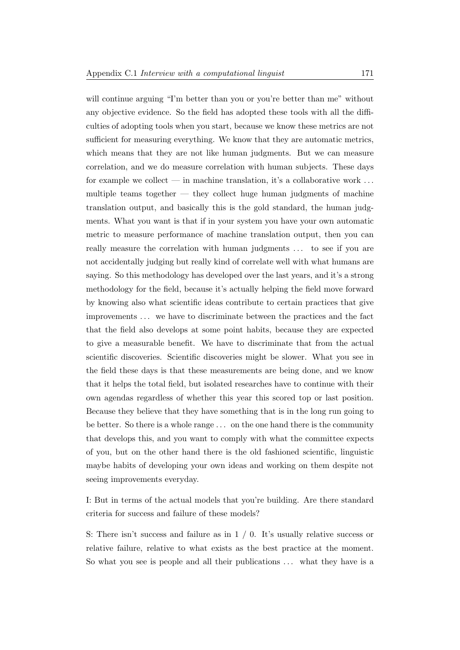will continue arguing "I'm better than you or you're better than me" without any objective evidence. So the field has adopted these tools with all the difficulties of adopting tools when you start, because we know these metrics are not sufficient for measuring everything. We know that they are automatic metrics, which means that they are not like human judgments. But we can measure correlation, and we do measure correlation with human subjects. These days for example we collect — in machine translation, it's a collaborative work  $\dots$ multiple teams together — they collect huge human judgments of machine translation output, and basically this is the gold standard, the human judgments. What you want is that if in your system you have your own automatic metric to measure performance of machine translation output, then you can really measure the correlation with human judgments ... to see if you are not accidentally judging but really kind of correlate well with what humans are saying. So this methodology has developed over the last years, and it's a strong methodology for the field, because it's actually helping the field move forward by knowing also what scientific ideas contribute to certain practices that give improvements . . . we have to discriminate between the practices and the fact that the field also develops at some point habits, because they are expected to give a measurable benefit. We have to discriminate that from the actual scientific discoveries. Scientific discoveries might be slower. What you see in the field these days is that these measurements are being done, and we know that it helps the total field, but isolated researches have to continue with their own agendas regardless of whether this year this scored top or last position. Because they believe that they have something that is in the long run going to be better. So there is a whole range . . . on the one hand there is the community that develops this, and you want to comply with what the committee expects of you, but on the other hand there is the old fashioned scientific, linguistic maybe habits of developing your own ideas and working on them despite not seeing improvements everyday.

I: But in terms of the actual models that you're building. Are there standard criteria for success and failure of these models?

S: There isn't success and failure as in  $1 / 0$ . It's usually relative success or relative failure, relative to what exists as the best practice at the moment. So what you see is people and all their publications ... what they have is a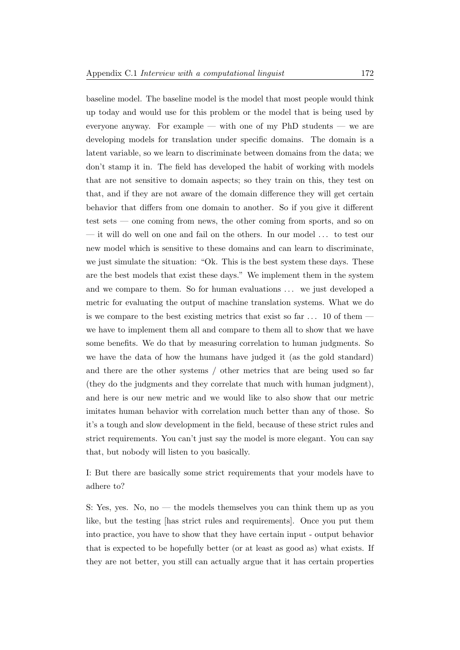baseline model. The baseline model is the model that most people would think up today and would use for this problem or the model that is being used by everyone anyway. For example — with one of my PhD students — we are developing models for translation under specific domains. The domain is a latent variable, so we learn to discriminate between domains from the data; we don't stamp it in. The field has developed the habit of working with models that are not sensitive to domain aspects; so they train on this, they test on that, and if they are not aware of the domain difference they will get certain behavior that differs from one domain to another. So if you give it different test sets — one coming from news, the other coming from sports, and so on — it will do well on one and fail on the others. In our model . . . to test our new model which is sensitive to these domains and can learn to discriminate, we just simulate the situation: "Ok. This is the best system these days. These are the best models that exist these days." We implement them in the system and we compare to them. So for human evaluations ... we just developed a metric for evaluating the output of machine translation systems. What we do is we compare to the best existing metrics that exist so far  $\dots$  10 of them  $$ we have to implement them all and compare to them all to show that we have some benefits. We do that by measuring correlation to human judgments. So we have the data of how the humans have judged it (as the gold standard) and there are the other systems / other metrics that are being used so far (they do the judgments and they correlate that much with human judgment), and here is our new metric and we would like to also show that our metric imitates human behavior with correlation much better than any of those. So it's a tough and slow development in the field, because of these strict rules and strict requirements. You can't just say the model is more elegant. You can say that, but nobody will listen to you basically.

I: But there are basically some strict requirements that your models have to adhere to?

S: Yes, yes. No, no — the models themselves you can think them up as you like, but the testing [has strict rules and requirements]. Once you put them into practice, you have to show that they have certain input - output behavior that is expected to be hopefully better (or at least as good as) what exists. If they are not better, you still can actually argue that it has certain properties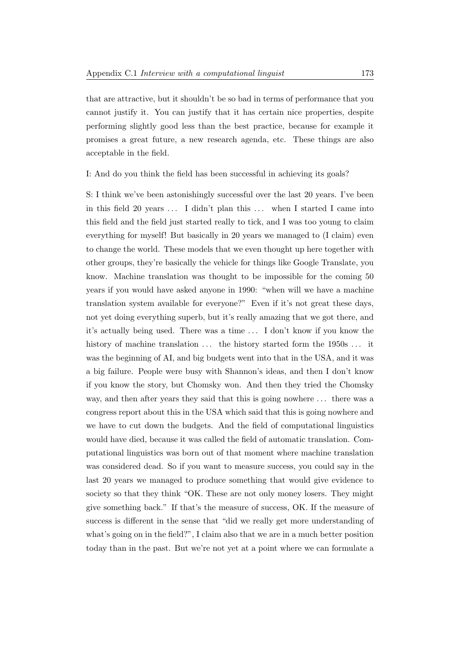that are attractive, but it shouldn't be so bad in terms of performance that you cannot justify it. You can justify that it has certain nice properties, despite performing slightly good less than the best practice, because for example it promises a great future, a new research agenda, etc. These things are also acceptable in the field.

I: And do you think the field has been successful in achieving its goals?

S: I think we've been astonishingly successful over the last 20 years. I've been in this field 20 years ... I didn't plan this ... when I started I came into this field and the field just started really to tick, and I was too young to claim everything for myself! But basically in 20 years we managed to (I claim) even to change the world. These models that we even thought up here together with other groups, they're basically the vehicle for things like Google Translate, you know. Machine translation was thought to be impossible for the coming 50 years if you would have asked anyone in 1990: "when will we have a machine translation system available for everyone?" Even if it's not great these days, not yet doing everything superb, but it's really amazing that we got there, and it's actually being used. There was a time . . . I don't know if you know the history of machine translation ... the history started form the 1950s ... it was the beginning of AI, and big budgets went into that in the USA, and it was a big failure. People were busy with Shannon's ideas, and then I don't know if you know the story, but Chomsky won. And then they tried the Chomsky way, and then after years they said that this is going nowhere . . . there was a congress report about this in the USA which said that this is going nowhere and we have to cut down the budgets. And the field of computational linguistics would have died, because it was called the field of automatic translation. Computational linguistics was born out of that moment where machine translation was considered dead. So if you want to measure success, you could say in the last 20 years we managed to produce something that would give evidence to society so that they think "OK. These are not only money losers. They might give something back." If that's the measure of success, OK. If the measure of success is different in the sense that "did we really get more understanding of what's going on in the field?", I claim also that we are in a much better position today than in the past. But we're not yet at a point where we can formulate a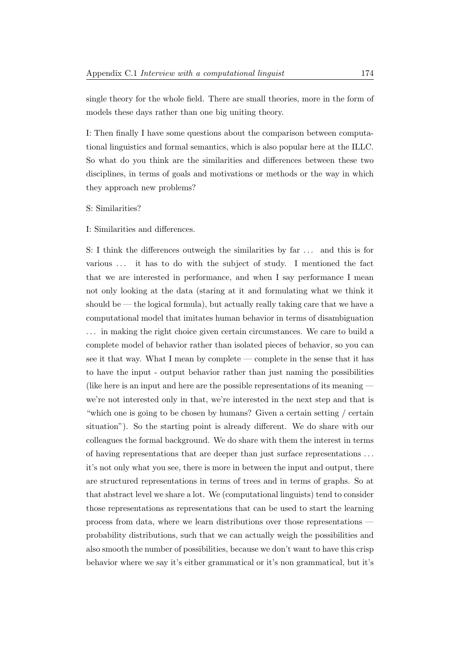single theory for the whole field. There are small theories, more in the form of models these days rather than one big uniting theory.

I: Then finally I have some questions about the comparison between computational linguistics and formal semantics, which is also popular here at the ILLC. So what do you think are the similarities and differences between these two disciplines, in terms of goals and motivations or methods or the way in which they approach new problems?

### S: Similarities?

### I: Similarities and differences.

S: I think the differences outweigh the similarities by far . . . and this is for various . . . it has to do with the subject of study. I mentioned the fact that we are interested in performance, and when I say performance I mean not only looking at the data (staring at it and formulating what we think it should be — the logical formula), but actually really taking care that we have a computational model that imitates human behavior in terms of disambiguation . . . in making the right choice given certain circumstances. We care to build a complete model of behavior rather than isolated pieces of behavior, so you can see it that way. What I mean by complete — complete in the sense that it has to have the input - output behavior rather than just naming the possibilities (like here is an input and here are the possible representations of its meaning we're not interested only in that, we're interested in the next step and that is "which one is going to be chosen by humans? Given a certain setting / certain situation"). So the starting point is already different. We do share with our colleagues the formal background. We do share with them the interest in terms of having representations that are deeper than just surface representations . . . it's not only what you see, there is more in between the input and output, there are structured representations in terms of trees and in terms of graphs. So at that abstract level we share a lot. We (computational linguists) tend to consider those representations as representations that can be used to start the learning process from data, where we learn distributions over those representations probability distributions, such that we can actually weigh the possibilities and also smooth the number of possibilities, because we don't want to have this crisp behavior where we say it's either grammatical or it's non grammatical, but it's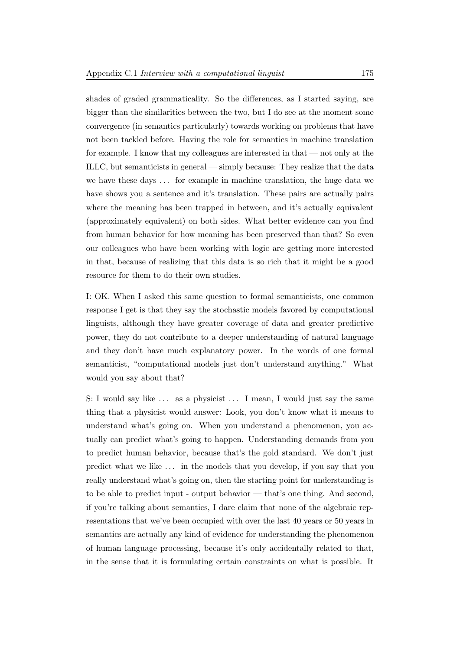shades of graded grammaticality. So the differences, as I started saying, are bigger than the similarities between the two, but I do see at the moment some convergence (in semantics particularly) towards working on problems that have not been tackled before. Having the role for semantics in machine translation for example. I know that my colleagues are interested in that — not only at the ILLC, but semanticists in general — simply because: They realize that the data we have these days ... for example in machine translation, the huge data we have shows you a sentence and it's translation. These pairs are actually pairs where the meaning has been trapped in between, and it's actually equivalent (approximately equivalent) on both sides. What better evidence can you find from human behavior for how meaning has been preserved than that? So even our colleagues who have been working with logic are getting more interested in that, because of realizing that this data is so rich that it might be a good resource for them to do their own studies.

I: OK. When I asked this same question to formal semanticists, one common response I get is that they say the stochastic models favored by computational linguists, although they have greater coverage of data and greater predictive power, they do not contribute to a deeper understanding of natural language and they don't have much explanatory power. In the words of one formal semanticist, "computational models just don't understand anything." What would you say about that?

S: I would say like ... as a physicist ... I mean, I would just say the same thing that a physicist would answer: Look, you don't know what it means to understand what's going on. When you understand a phenomenon, you actually can predict what's going to happen. Understanding demands from you to predict human behavior, because that's the gold standard. We don't just predict what we like . . . in the models that you develop, if you say that you really understand what's going on, then the starting point for understanding is to be able to predict input - output behavior — that's one thing. And second, if you're talking about semantics, I dare claim that none of the algebraic representations that we've been occupied with over the last 40 years or 50 years in semantics are actually any kind of evidence for understanding the phenomenon of human language processing, because it's only accidentally related to that, in the sense that it is formulating certain constraints on what is possible. It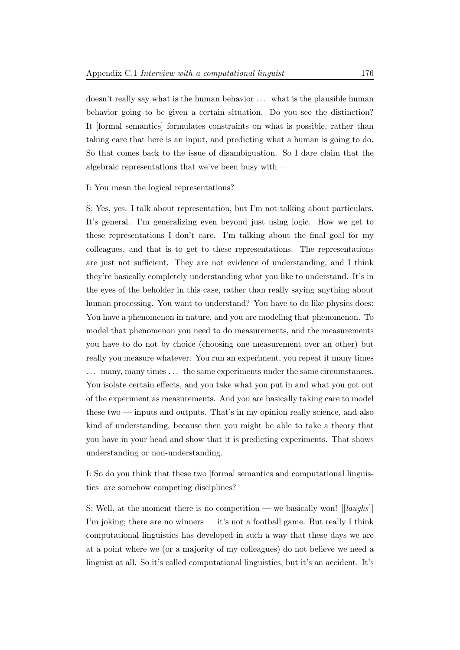doesn't really say what is the human behavior ... what is the plausible human behavior going to be given a certain situation. Do you see the distinction? It [formal semantics] formulates constraints on what is possible, rather than taking care that here is an input, and predicting what a human is going to do. So that comes back to the issue of disambiguation. So I dare claim that the algebraic representations that we've been busy with—

#### I: You mean the logical representations?

S: Yes, yes. I talk about representation, but I'm not talking about particulars. It's general. I'm generalizing even beyond just using logic. How we get to these representations I don't care. I'm talking about the final goal for my colleagues, and that is to get to these representations. The representations are just not sufficient. They are not evidence of understanding, and I think they're basically completely understanding what you like to understand. It's in the eyes of the beholder in this case, rather than really saying anything about human processing. You want to understand? You have to do like physics does: You have a phenomenon in nature, and you are modeling that phenomenon. To model that phenomenon you need to do measurements, and the measurements you have to do not by choice (choosing one measurement over an other) but really you measure whatever. You run an experiment, you repeat it many times ... many, many times ... the same experiments under the same circumstances. You isolate certain effects, and you take what you put in and what you got out of the experiment as measurements. And you are basically taking care to model these two — inputs and outputs. That's in my opinion really science, and also kind of understanding, because then you might be able to take a theory that you have in your head and show that it is predicting experiments. That shows understanding or non-understanding.

I: So do you think that these two [formal semantics and computational linguistics] are somehow competing disciplines?

S: Well, at the moment there is no competition — we basically won!  $[|{\langle \textit{lands} \rangle}|]$ I'm joking; there are no winners — it's not a football game. But really I think computational linguistics has developed in such a way that these days we are at a point where we (or a majority of my colleagues) do not believe we need a linguist at all. So it's called computational linguistics, but it's an accident. It's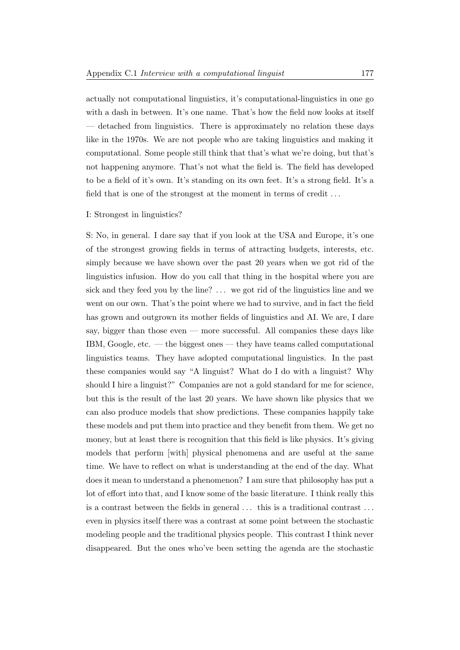actually not computational linguistics, it's computational-linguistics in one go with a dash in between. It's one name. That's how the field now looks at itself — detached from linguistics. There is approximately no relation these days like in the 1970s. We are not people who are taking linguistics and making it computational. Some people still think that that's what we're doing, but that's not happening anymore. That's not what the field is. The field has developed to be a field of it's own. It's standing on its own feet. It's a strong field. It's a field that is one of the strongest at the moment in terms of credit . . .

## I: Strongest in linguistics?

S: No, in general. I dare say that if you look at the USA and Europe, it's one of the strongest growing fields in terms of attracting budgets, interests, etc. simply because we have shown over the past 20 years when we got rid of the linguistics infusion. How do you call that thing in the hospital where you are sick and they feed you by the line? ... we got rid of the linguistics line and we went on our own. That's the point where we had to survive, and in fact the field has grown and outgrown its mother fields of linguistics and AI. We are, I dare say, bigger than those even — more successful. All companies these days like IBM, Google, etc. — the biggest ones — they have teams called computational linguistics teams. They have adopted computational linguistics. In the past these companies would say "A linguist? What do I do with a linguist? Why should I hire a linguist?" Companies are not a gold standard for me for science, but this is the result of the last 20 years. We have shown like physics that we can also produce models that show predictions. These companies happily take these models and put them into practice and they benefit from them. We get no money, but at least there is recognition that this field is like physics. It's giving models that perform [with] physical phenomena and are useful at the same time. We have to reflect on what is understanding at the end of the day. What does it mean to understand a phenomenon? I am sure that philosophy has put a lot of effort into that, and I know some of the basic literature. I think really this is a contrast between the fields in general . . . this is a traditional contrast . . . even in physics itself there was a contrast at some point between the stochastic modeling people and the traditional physics people. This contrast I think never disappeared. But the ones who've been setting the agenda are the stochastic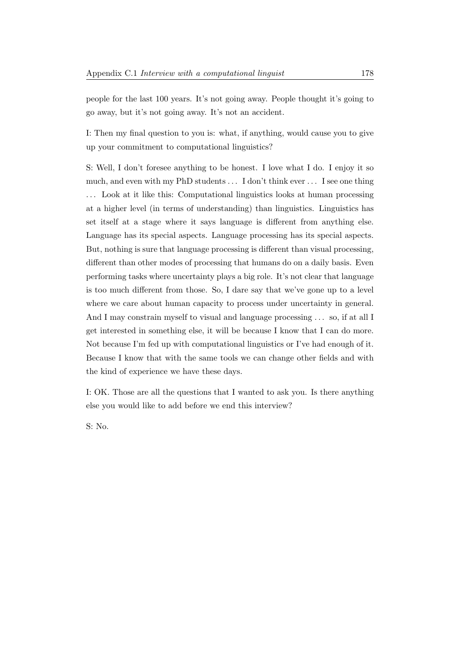people for the last 100 years. It's not going away. People thought it's going to go away, but it's not going away. It's not an accident.

I: Then my final question to you is: what, if anything, would cause you to give up your commitment to computational linguistics?

S: Well, I don't foresee anything to be honest. I love what I do. I enjoy it so much, and even with my PhD students . . . I don't think ever . . . I see one thing . . . Look at it like this: Computational linguistics looks at human processing at a higher level (in terms of understanding) than linguistics. Linguistics has set itself at a stage where it says language is different from anything else. Language has its special aspects. Language processing has its special aspects. But, nothing is sure that language processing is different than visual processing, different than other modes of processing that humans do on a daily basis. Even performing tasks where uncertainty plays a big role. It's not clear that language is too much different from those. So, I dare say that we've gone up to a level where we care about human capacity to process under uncertainty in general. And I may constrain myself to visual and language processing ... so, if at all I get interested in something else, it will be because I know that I can do more. Not because I'm fed up with computational linguistics or I've had enough of it. Because I know that with the same tools we can change other fields and with the kind of experience we have these days.

I: OK. Those are all the questions that I wanted to ask you. Is there anything else you would like to add before we end this interview?

S: No.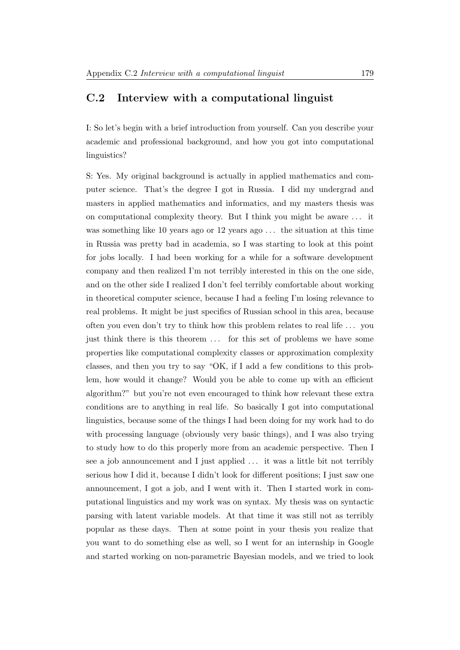# C.2 Interview with a computational linguist

I: So let's begin with a brief introduction from yourself. Can you describe your academic and professional background, and how you got into computational linguistics?

S: Yes. My original background is actually in applied mathematics and computer science. That's the degree I got in Russia. I did my undergrad and masters in applied mathematics and informatics, and my masters thesis was on computational complexity theory. But I think you might be aware . . . it was something like 10 years ago or 12 years ago ... the situation at this time in Russia was pretty bad in academia, so I was starting to look at this point for jobs locally. I had been working for a while for a software development company and then realized I'm not terribly interested in this on the one side, and on the other side I realized I don't feel terribly comfortable about working in theoretical computer science, because I had a feeling I'm losing relevance to real problems. It might be just specifics of Russian school in this area, because often you even don't try to think how this problem relates to real life . . . you just think there is this theorem ... for this set of problems we have some properties like computational complexity classes or approximation complexity classes, and then you try to say "OK, if I add a few conditions to this problem, how would it change? Would you be able to come up with an efficient algorithm?" but you're not even encouraged to think how relevant these extra conditions are to anything in real life. So basically I got into computational linguistics, because some of the things I had been doing for my work had to do with processing language (obviously very basic things), and I was also trying to study how to do this properly more from an academic perspective. Then I see a job announcement and I just applied . . . it was a little bit not terribly serious how I did it, because I didn't look for different positions; I just saw one announcement, I got a job, and I went with it. Then I started work in computational linguistics and my work was on syntax. My thesis was on syntactic parsing with latent variable models. At that time it was still not as terribly popular as these days. Then at some point in your thesis you realize that you want to do something else as well, so I went for an internship in Google and started working on non-parametric Bayesian models, and we tried to look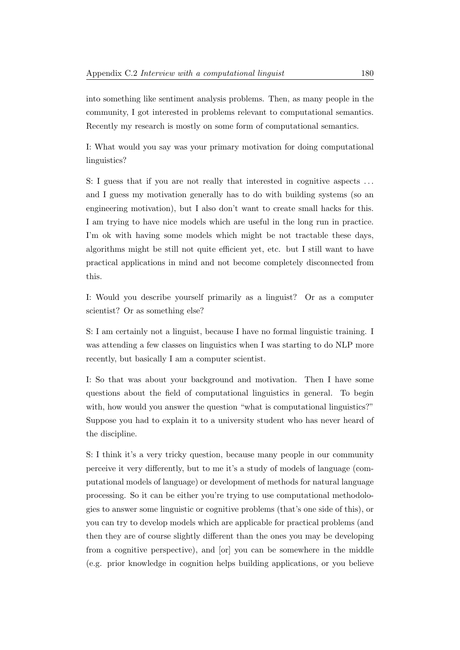into something like sentiment analysis problems. Then, as many people in the community, I got interested in problems relevant to computational semantics. Recently my research is mostly on some form of computational semantics.

I: What would you say was your primary motivation for doing computational linguistics?

S: I guess that if you are not really that interested in cognitive aspects . . . and I guess my motivation generally has to do with building systems (so an engineering motivation), but I also don't want to create small hacks for this. I am trying to have nice models which are useful in the long run in practice. I'm ok with having some models which might be not tractable these days, algorithms might be still not quite efficient yet, etc. but I still want to have practical applications in mind and not become completely disconnected from this.

I: Would you describe yourself primarily as a linguist? Or as a computer scientist? Or as something else?

S: I am certainly not a linguist, because I have no formal linguistic training. I was attending a few classes on linguistics when I was starting to do NLP more recently, but basically I am a computer scientist.

I: So that was about your background and motivation. Then I have some questions about the field of computational linguistics in general. To begin with, how would you answer the question "what is computational linguistics?" Suppose you had to explain it to a university student who has never heard of the discipline.

S: I think it's a very tricky question, because many people in our community perceive it very differently, but to me it's a study of models of language (computational models of language) or development of methods for natural language processing. So it can be either you're trying to use computational methodologies to answer some linguistic or cognitive problems (that's one side of this), or you can try to develop models which are applicable for practical problems (and then they are of course slightly different than the ones you may be developing from a cognitive perspective), and [or] you can be somewhere in the middle (e.g. prior knowledge in cognition helps building applications, or you believe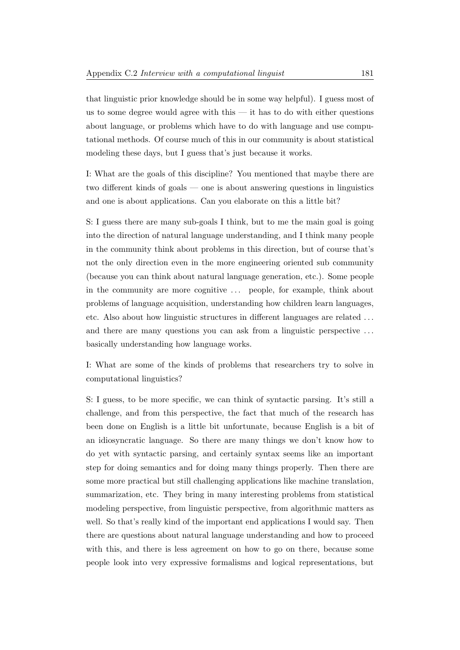that linguistic prior knowledge should be in some way helpful). I guess most of us to some degree would agree with this  $-$  it has to do with either questions about language, or problems which have to do with language and use computational methods. Of course much of this in our community is about statistical modeling these days, but I guess that's just because it works.

I: What are the goals of this discipline? You mentioned that maybe there are two different kinds of goals — one is about answering questions in linguistics and one is about applications. Can you elaborate on this a little bit?

S: I guess there are many sub-goals I think, but to me the main goal is going into the direction of natural language understanding, and I think many people in the community think about problems in this direction, but of course that's not the only direction even in the more engineering oriented sub community (because you can think about natural language generation, etc.). Some people in the community are more cognitive ... people, for example, think about problems of language acquisition, understanding how children learn languages, etc. Also about how linguistic structures in different languages are related . . . and there are many questions you can ask from a linguistic perspective . . . basically understanding how language works.

I: What are some of the kinds of problems that researchers try to solve in computational linguistics?

S: I guess, to be more specific, we can think of syntactic parsing. It's still a challenge, and from this perspective, the fact that much of the research has been done on English is a little bit unfortunate, because English is a bit of an idiosyncratic language. So there are many things we don't know how to do yet with syntactic parsing, and certainly syntax seems like an important step for doing semantics and for doing many things properly. Then there are some more practical but still challenging applications like machine translation, summarization, etc. They bring in many interesting problems from statistical modeling perspective, from linguistic perspective, from algorithmic matters as well. So that's really kind of the important end applications I would say. Then there are questions about natural language understanding and how to proceed with this, and there is less agreement on how to go on there, because some people look into very expressive formalisms and logical representations, but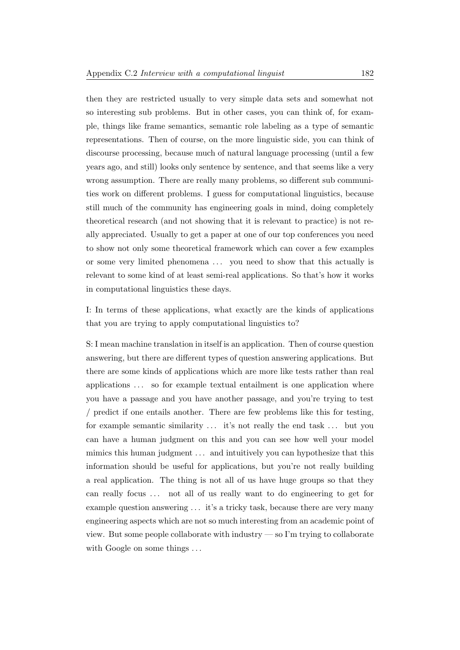then they are restricted usually to very simple data sets and somewhat not so interesting sub problems. But in other cases, you can think of, for example, things like frame semantics, semantic role labeling as a type of semantic representations. Then of course, on the more linguistic side, you can think of discourse processing, because much of natural language processing (until a few years ago, and still) looks only sentence by sentence, and that seems like a very wrong assumption. There are really many problems, so different sub communities work on different problems. I guess for computational linguistics, because still much of the community has engineering goals in mind, doing completely theoretical research (and not showing that it is relevant to practice) is not really appreciated. Usually to get a paper at one of our top conferences you need to show not only some theoretical framework which can cover a few examples or some very limited phenomena . . . you need to show that this actually is relevant to some kind of at least semi-real applications. So that's how it works in computational linguistics these days.

I: In terms of these applications, what exactly are the kinds of applications that you are trying to apply computational linguistics to?

S: I mean machine translation in itself is an application. Then of course question answering, but there are different types of question answering applications. But there are some kinds of applications which are more like tests rather than real applications . . . so for example textual entailment is one application where you have a passage and you have another passage, and you're trying to test / predict if one entails another. There are few problems like this for testing, for example semantic similarity ... it's not really the end task ... but you can have a human judgment on this and you can see how well your model mimics this human judgment ... and intuitively you can hypothesize that this information should be useful for applications, but you're not really building a real application. The thing is not all of us have huge groups so that they can really focus ... not all of us really want to do engineering to get for example question answering  $\dots$  it's a tricky task, because there are very many engineering aspects which are not so much interesting from an academic point of view. But some people collaborate with industry — so I'm trying to collaborate with Google on some things ...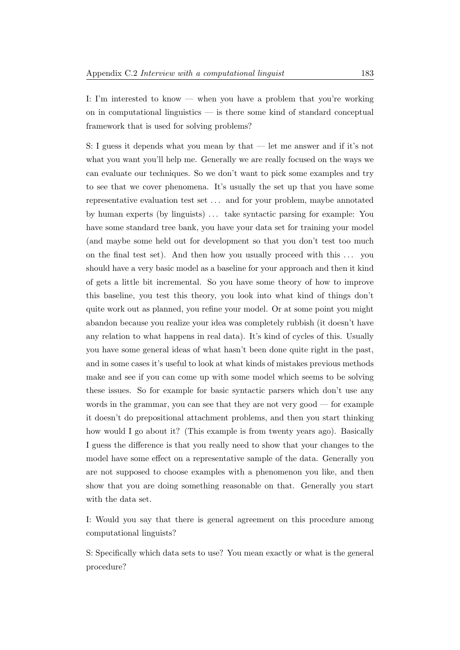I: I'm interested to know — when you have a problem that you're working on in computational linguistics — is there some kind of standard conceptual framework that is used for solving problems?

S: I guess it depends what you mean by that — let me answer and if it's not what you want you'll help me. Generally we are really focused on the ways we can evaluate our techniques. So we don't want to pick some examples and try to see that we cover phenomena. It's usually the set up that you have some representative evaluation test set . . . and for your problem, maybe annotated by human experts (by linguists) . . . take syntactic parsing for example: You have some standard tree bank, you have your data set for training your model (and maybe some held out for development so that you don't test too much on the final test set). And then how you usually proceed with this ... you should have a very basic model as a baseline for your approach and then it kind of gets a little bit incremental. So you have some theory of how to improve this baseline, you test this theory, you look into what kind of things don't quite work out as planned, you refine your model. Or at some point you might abandon because you realize your idea was completely rubbish (it doesn't have any relation to what happens in real data). It's kind of cycles of this. Usually you have some general ideas of what hasn't been done quite right in the past, and in some cases it's useful to look at what kinds of mistakes previous methods make and see if you can come up with some model which seems to be solving these issues. So for example for basic syntactic parsers which don't use any words in the grammar, you can see that they are not very good — for example it doesn't do prepositional attachment problems, and then you start thinking how would I go about it? (This example is from twenty years ago). Basically I guess the difference is that you really need to show that your changes to the model have some effect on a representative sample of the data. Generally you are not supposed to choose examples with a phenomenon you like, and then show that you are doing something reasonable on that. Generally you start with the data set.

I: Would you say that there is general agreement on this procedure among computational linguists?

S: Specifically which data sets to use? You mean exactly or what is the general procedure?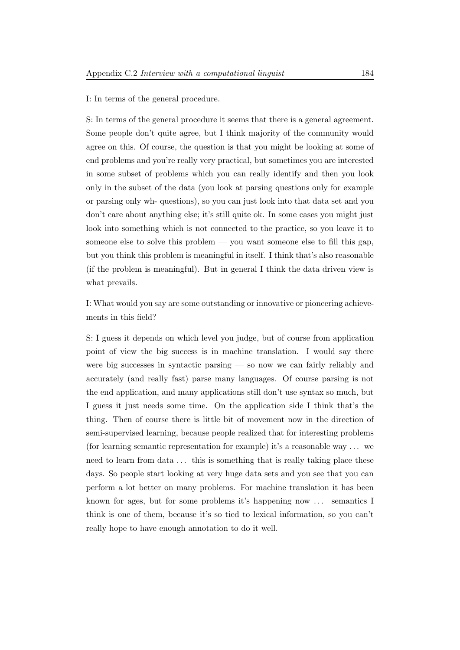I: In terms of the general procedure.

S: In terms of the general procedure it seems that there is a general agreement. Some people don't quite agree, but I think majority of the community would agree on this. Of course, the question is that you might be looking at some of end problems and you're really very practical, but sometimes you are interested in some subset of problems which you can really identify and then you look only in the subset of the data (you look at parsing questions only for example or parsing only wh- questions), so you can just look into that data set and you don't care about anything else; it's still quite ok. In some cases you might just look into something which is not connected to the practice, so you leave it to someone else to solve this problem — you want someone else to fill this gap, but you think this problem is meaningful in itself. I think that's also reasonable (if the problem is meaningful). But in general I think the data driven view is what prevails.

I: What would you say are some outstanding or innovative or pioneering achievements in this field?

S: I guess it depends on which level you judge, but of course from application point of view the big success is in machine translation. I would say there were big successes in syntactic parsing — so now we can fairly reliably and accurately (and really fast) parse many languages. Of course parsing is not the end application, and many applications still don't use syntax so much, but I guess it just needs some time. On the application side I think that's the thing. Then of course there is little bit of movement now in the direction of semi-supervised learning, because people realized that for interesting problems (for learning semantic representation for example) it's a reasonable way . . . we need to learn from data ... this is something that is really taking place these days. So people start looking at very huge data sets and you see that you can perform a lot better on many problems. For machine translation it has been known for ages, but for some problems it's happening now ... semantics I think is one of them, because it's so tied to lexical information, so you can't really hope to have enough annotation to do it well.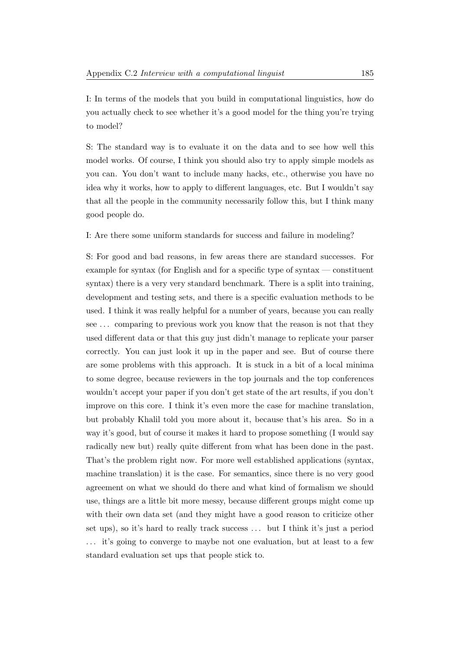I: In terms of the models that you build in computational linguistics, how do you actually check to see whether it's a good model for the thing you're trying to model?

S: The standard way is to evaluate it on the data and to see how well this model works. Of course, I think you should also try to apply simple models as you can. You don't want to include many hacks, etc., otherwise you have no idea why it works, how to apply to different languages, etc. But I wouldn't say that all the people in the community necessarily follow this, but I think many good people do.

I: Are there some uniform standards for success and failure in modeling?

S: For good and bad reasons, in few areas there are standard successes. For example for syntax (for English and for a specific type of syntax — constituent syntax) there is a very very standard benchmark. There is a split into training, development and testing sets, and there is a specific evaluation methods to be used. I think it was really helpful for a number of years, because you can really see ... comparing to previous work you know that the reason is not that they used different data or that this guy just didn't manage to replicate your parser correctly. You can just look it up in the paper and see. But of course there are some problems with this approach. It is stuck in a bit of a local minima to some degree, because reviewers in the top journals and the top conferences wouldn't accept your paper if you don't get state of the art results, if you don't improve on this core. I think it's even more the case for machine translation, but probably Khalil told you more about it, because that's his area. So in a way it's good, but of course it makes it hard to propose something (I would say radically new but) really quite different from what has been done in the past. That's the problem right now. For more well established applications (syntax, machine translation) it is the case. For semantics, since there is no very good agreement on what we should do there and what kind of formalism we should use, things are a little bit more messy, because different groups might come up with their own data set (and they might have a good reason to criticize other set ups), so it's hard to really track success . . . but I think it's just a period . . . it's going to converge to maybe not one evaluation, but at least to a few standard evaluation set ups that people stick to.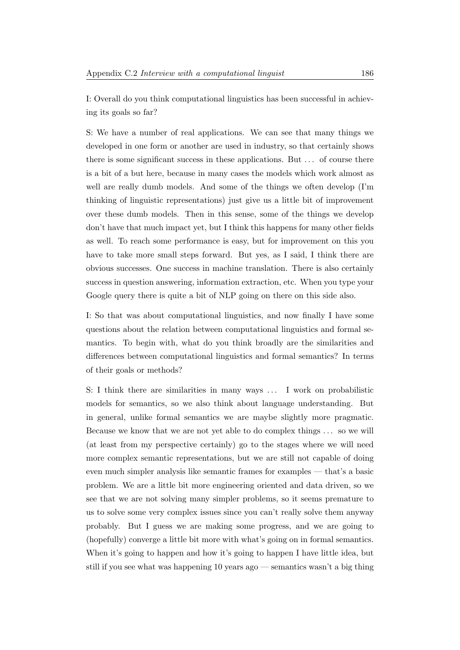I: Overall do you think computational linguistics has been successful in achieving its goals so far?

S: We have a number of real applications. We can see that many things we developed in one form or another are used in industry, so that certainly shows there is some significant success in these applications. But . . . of course there is a bit of a but here, because in many cases the models which work almost as well are really dumb models. And some of the things we often develop (I'm thinking of linguistic representations) just give us a little bit of improvement over these dumb models. Then in this sense, some of the things we develop don't have that much impact yet, but I think this happens for many other fields as well. To reach some performance is easy, but for improvement on this you have to take more small steps forward. But yes, as I said, I think there are obvious successes. One success in machine translation. There is also certainly success in question answering, information extraction, etc. When you type your Google query there is quite a bit of NLP going on there on this side also.

I: So that was about computational linguistics, and now finally I have some questions about the relation between computational linguistics and formal semantics. To begin with, what do you think broadly are the similarities and differences between computational linguistics and formal semantics? In terms of their goals or methods?

S: I think there are similarities in many ways . . . I work on probabilistic models for semantics, so we also think about language understanding. But in general, unlike formal semantics we are maybe slightly more pragmatic. Because we know that we are not yet able to do complex things . . . so we will (at least from my perspective certainly) go to the stages where we will need more complex semantic representations, but we are still not capable of doing even much simpler analysis like semantic frames for examples — that's a basic problem. We are a little bit more engineering oriented and data driven, so we see that we are not solving many simpler problems, so it seems premature to us to solve some very complex issues since you can't really solve them anyway probably. But I guess we are making some progress, and we are going to (hopefully) converge a little bit more with what's going on in formal semantics. When it's going to happen and how it's going to happen I have little idea, but still if you see what was happening 10 years ago — semantics wasn't a big thing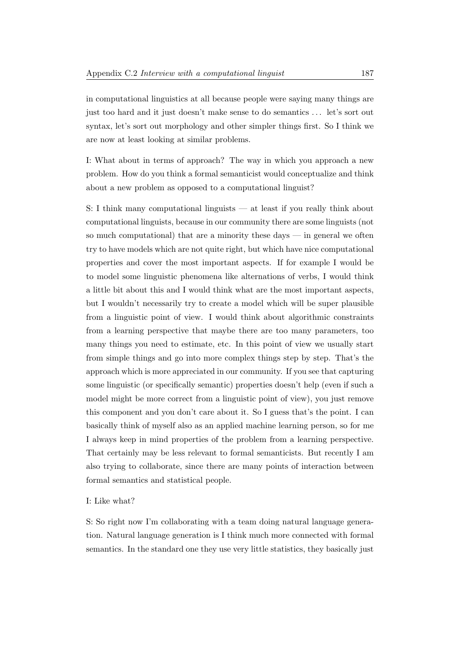in computational linguistics at all because people were saying many things are just too hard and it just doesn't make sense to do semantics . . . let's sort out syntax, let's sort out morphology and other simpler things first. So I think we are now at least looking at similar problems.

I: What about in terms of approach? The way in which you approach a new problem. How do you think a formal semanticist would conceptualize and think about a new problem as opposed to a computational linguist?

S: I think many computational linguists — at least if you really think about computational linguists, because in our community there are some linguists (not so much computational) that are a minority these days  $-$  in general we often try to have models which are not quite right, but which have nice computational properties and cover the most important aspects. If for example I would be to model some linguistic phenomena like alternations of verbs, I would think a little bit about this and I would think what are the most important aspects, but I wouldn't necessarily try to create a model which will be super plausible from a linguistic point of view. I would think about algorithmic constraints from a learning perspective that maybe there are too many parameters, too many things you need to estimate, etc. In this point of view we usually start from simple things and go into more complex things step by step. That's the approach which is more appreciated in our community. If you see that capturing some linguistic (or specifically semantic) properties doesn't help (even if such a model might be more correct from a linguistic point of view), you just remove this component and you don't care about it. So I guess that's the point. I can basically think of myself also as an applied machine learning person, so for me I always keep in mind properties of the problem from a learning perspective. That certainly may be less relevant to formal semanticists. But recently I am also trying to collaborate, since there are many points of interaction between formal semantics and statistical people.

### I: Like what?

S: So right now I'm collaborating with a team doing natural language generation. Natural language generation is I think much more connected with formal semantics. In the standard one they use very little statistics, they basically just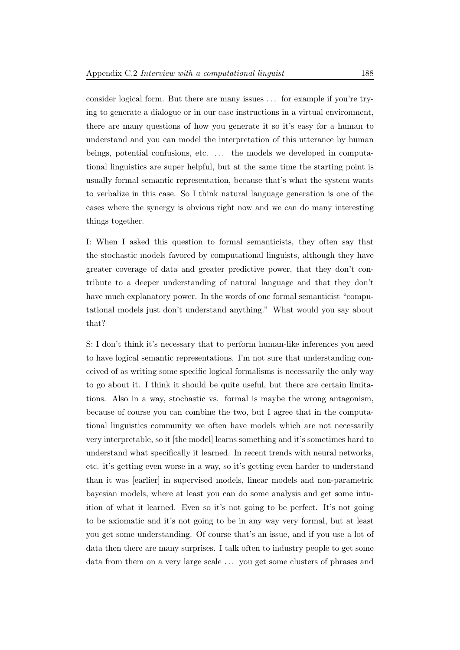consider logical form. But there are many issues . . . for example if you're trying to generate a dialogue or in our case instructions in a virtual environment, there are many questions of how you generate it so it's easy for a human to understand and you can model the interpretation of this utterance by human beings, potential confusions, etc. ... the models we developed in computational linguistics are super helpful, but at the same time the starting point is usually formal semantic representation, because that's what the system wants to verbalize in this case. So I think natural language generation is one of the cases where the synergy is obvious right now and we can do many interesting things together.

I: When I asked this question to formal semanticists, they often say that the stochastic models favored by computational linguists, although they have greater coverage of data and greater predictive power, that they don't contribute to a deeper understanding of natural language and that they don't have much explanatory power. In the words of one formal semanticist "computational models just don't understand anything." What would you say about that?

S: I don't think it's necessary that to perform human-like inferences you need to have logical semantic representations. I'm not sure that understanding conceived of as writing some specific logical formalisms is necessarily the only way to go about it. I think it should be quite useful, but there are certain limitations. Also in a way, stochastic vs. formal is maybe the wrong antagonism, because of course you can combine the two, but I agree that in the computational linguistics community we often have models which are not necessarily very interpretable, so it [the model] learns something and it's sometimes hard to understand what specifically it learned. In recent trends with neural networks, etc. it's getting even worse in a way, so it's getting even harder to understand than it was [earlier] in supervised models, linear models and non-parametric bayesian models, where at least you can do some analysis and get some intuition of what it learned. Even so it's not going to be perfect. It's not going to be axiomatic and it's not going to be in any way very formal, but at least you get some understanding. Of course that's an issue, and if you use a lot of data then there are many surprises. I talk often to industry people to get some data from them on a very large scale ... you get some clusters of phrases and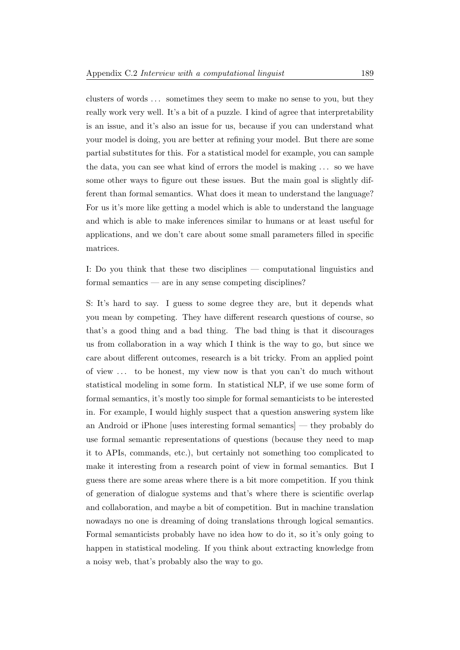clusters of words . . . sometimes they seem to make no sense to you, but they really work very well. It's a bit of a puzzle. I kind of agree that interpretability is an issue, and it's also an issue for us, because if you can understand what your model is doing, you are better at refining your model. But there are some partial substitutes for this. For a statistical model for example, you can sample the data, you can see what kind of errors the model is making . . . so we have some other ways to figure out these issues. But the main goal is slightly different than formal semantics. What does it mean to understand the language? For us it's more like getting a model which is able to understand the language and which is able to make inferences similar to humans or at least useful for applications, and we don't care about some small parameters filled in specific matrices.

I: Do you think that these two disciplines — computational linguistics and formal semantics — are in any sense competing disciplines?

S: It's hard to say. I guess to some degree they are, but it depends what you mean by competing. They have different research questions of course, so that's a good thing and a bad thing. The bad thing is that it discourages us from collaboration in a way which I think is the way to go, but since we care about different outcomes, research is a bit tricky. From an applied point of view . . . to be honest, my view now is that you can't do much without statistical modeling in some form. In statistical NLP, if we use some form of formal semantics, it's mostly too simple for formal semanticists to be interested in. For example, I would highly suspect that a question answering system like an Android or iPhone [uses interesting formal semantics] — they probably do use formal semantic representations of questions (because they need to map it to APIs, commands, etc.), but certainly not something too complicated to make it interesting from a research point of view in formal semantics. But I guess there are some areas where there is a bit more competition. If you think of generation of dialogue systems and that's where there is scientific overlap and collaboration, and maybe a bit of competition. But in machine translation nowadays no one is dreaming of doing translations through logical semantics. Formal semanticists probably have no idea how to do it, so it's only going to happen in statistical modeling. If you think about extracting knowledge from a noisy web, that's probably also the way to go.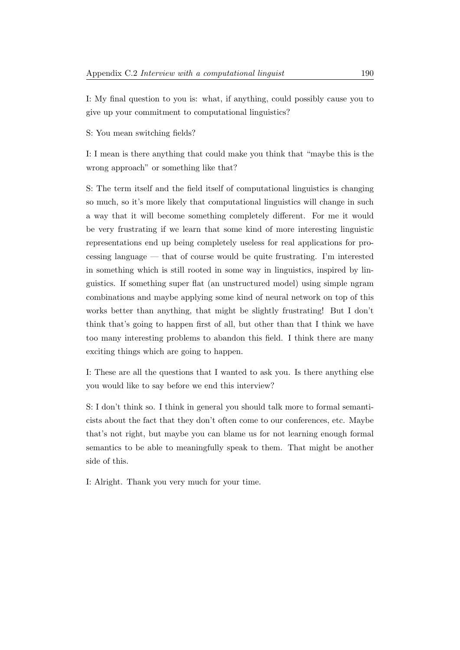I: My final question to you is: what, if anything, could possibly cause you to give up your commitment to computational linguistics?

S: You mean switching fields?

I: I mean is there anything that could make you think that "maybe this is the wrong approach" or something like that?

S: The term itself and the field itself of computational linguistics is changing so much, so it's more likely that computational linguistics will change in such a way that it will become something completely different. For me it would be very frustrating if we learn that some kind of more interesting linguistic representations end up being completely useless for real applications for processing language — that of course would be quite frustrating. I'm interested in something which is still rooted in some way in linguistics, inspired by linguistics. If something super flat (an unstructured model) using simple ngram combinations and maybe applying some kind of neural network on top of this works better than anything, that might be slightly frustrating! But I don't think that's going to happen first of all, but other than that I think we have too many interesting problems to abandon this field. I think there are many exciting things which are going to happen.

I: These are all the questions that I wanted to ask you. Is there anything else you would like to say before we end this interview?

S: I don't think so. I think in general you should talk more to formal semanticists about the fact that they don't often come to our conferences, etc. Maybe that's not right, but maybe you can blame us for not learning enough formal semantics to be able to meaningfully speak to them. That might be another side of this.

I: Alright. Thank you very much for your time.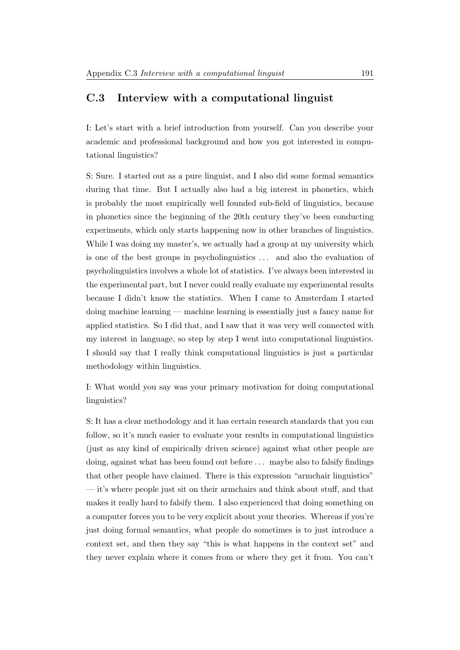# C.3 Interview with a computational linguist

I: Let's start with a brief introduction from yourself. Can you describe your academic and professional background and how you got interested in computational linguistics?

S: Sure. I started out as a pure linguist, and I also did some formal semantics during that time. But I actually also had a big interest in phonetics, which is probably the most empirically well founded sub-field of linguistics, because in phonetics since the beginning of the 20th century they've been conducting experiments, which only starts happening now in other branches of linguistics. While I was doing my master's, we actually had a group at my university which is one of the best groups in psycholinguistics . . . and also the evaluation of psycholinguistics involves a whole lot of statistics. I've always been interested in the experimental part, but I never could really evaluate my experimental results because I didn't know the statistics. When I came to Amsterdam I started doing machine learning — machine learning is essentially just a fancy name for applied statistics. So I did that, and I saw that it was very well connected with my interest in language, so step by step I went into computational linguistics. I should say that I really think computational linguistics is just a particular methodology within linguistics.

I: What would you say was your primary motivation for doing computational linguistics?

S: It has a clear methodology and it has certain research standards that you can follow, so it's much easier to evaluate your results in computational linguistics (just as any kind of empirically driven science) against what other people are doing, against what has been found out before . . . maybe also to falsify findings that other people have claimed. There is this expression "armchair linguistics" — it's where people just sit on their armchairs and think about stuff, and that makes it really hard to falsify them. I also experienced that doing something on a computer forces you to be very explicit about your theories. Whereas if you're just doing formal semantics, what people do sometimes is to just introduce a context set, and then they say "this is what happens in the context set" and they never explain where it comes from or where they get it from. You can't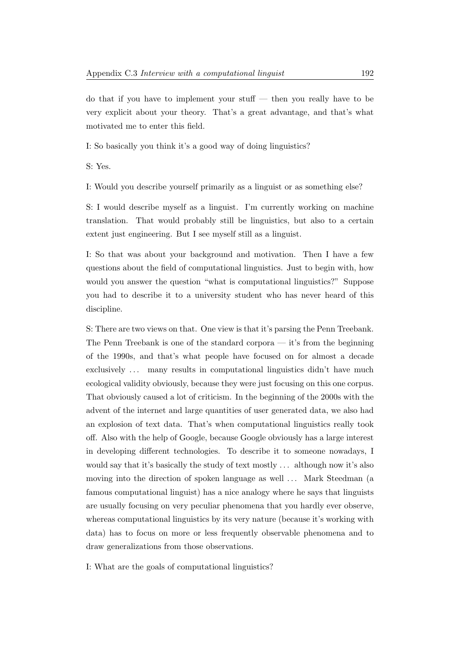do that if you have to implement your stuff — then you really have to be very explicit about your theory. That's a great advantage, and that's what motivated me to enter this field.

I: So basically you think it's a good way of doing linguistics?

S: Yes.

I: Would you describe yourself primarily as a linguist or as something else?

S: I would describe myself as a linguist. I'm currently working on machine translation. That would probably still be linguistics, but also to a certain extent just engineering. But I see myself still as a linguist.

I: So that was about your background and motivation. Then I have a few questions about the field of computational linguistics. Just to begin with, how would you answer the question "what is computational linguistics?" Suppose you had to describe it to a university student who has never heard of this discipline.

S: There are two views on that. One view is that it's parsing the Penn Treebank. The Penn Treebank is one of the standard corpora — it's from the beginning of the 1990s, and that's what people have focused on for almost a decade exclusively ... many results in computational linguistics didn't have much ecological validity obviously, because they were just focusing on this one corpus. That obviously caused a lot of criticism. In the beginning of the 2000s with the advent of the internet and large quantities of user generated data, we also had an explosion of text data. That's when computational linguistics really took off. Also with the help of Google, because Google obviously has a large interest in developing different technologies. To describe it to someone nowadays, I would say that it's basically the study of text mostly ... although now it's also moving into the direction of spoken language as well ... Mark Steedman (a famous computational linguist) has a nice analogy where he says that linguists are usually focusing on very peculiar phenomena that you hardly ever observe, whereas computational linguistics by its very nature (because it's working with data) has to focus on more or less frequently observable phenomena and to draw generalizations from those observations.

I: What are the goals of computational linguistics?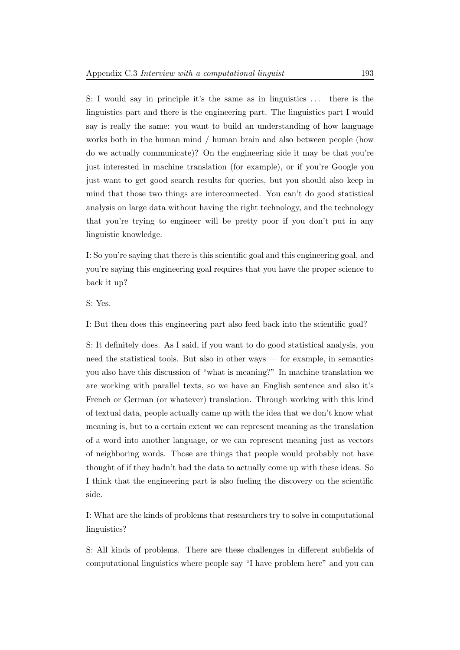S: I would say in principle it's the same as in linguistics . . . there is the linguistics part and there is the engineering part. The linguistics part I would say is really the same: you want to build an understanding of how language works both in the human mind / human brain and also between people (how do we actually communicate)? On the engineering side it may be that you're just interested in machine translation (for example), or if you're Google you just want to get good search results for queries, but you should also keep in mind that those two things are interconnected. You can't do good statistical analysis on large data without having the right technology, and the technology that you're trying to engineer will be pretty poor if you don't put in any linguistic knowledge.

I: So you're saying that there is this scientific goal and this engineering goal, and you're saying this engineering goal requires that you have the proper science to back it up?

S: Yes.

I: But then does this engineering part also feed back into the scientific goal?

S: It definitely does. As I said, if you want to do good statistical analysis, you need the statistical tools. But also in other ways — for example, in semantics you also have this discussion of "what is meaning?" In machine translation we are working with parallel texts, so we have an English sentence and also it's French or German (or whatever) translation. Through working with this kind of textual data, people actually came up with the idea that we don't know what meaning is, but to a certain extent we can represent meaning as the translation of a word into another language, or we can represent meaning just as vectors of neighboring words. Those are things that people would probably not have thought of if they hadn't had the data to actually come up with these ideas. So I think that the engineering part is also fueling the discovery on the scientific side.

I: What are the kinds of problems that researchers try to solve in computational linguistics?

S: All kinds of problems. There are these challenges in different subfields of computational linguistics where people say "I have problem here" and you can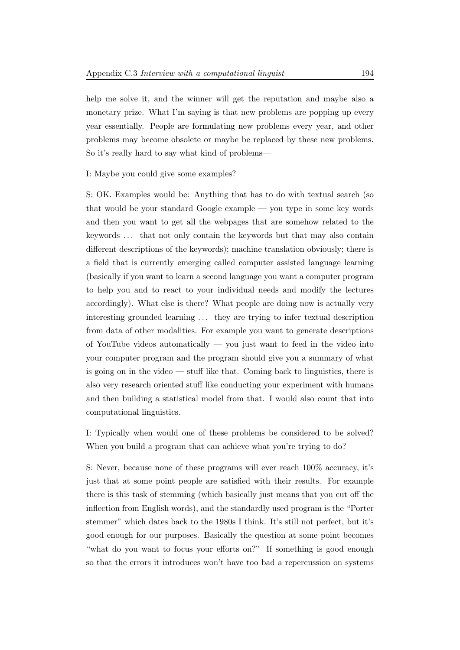help me solve it, and the winner will get the reputation and maybe also a monetary prize. What I'm saying is that new problems are popping up every year essentially. People are formulating new problems every year, and other problems may become obsolete or maybe be replaced by these new problems. So it's really hard to say what kind of problems—

I: Maybe you could give some examples?

S: OK. Examples would be: Anything that has to do with textual search (so that would be your standard Google example — you type in some key words and then you want to get all the webpages that are somehow related to the keywords . . . that not only contain the keywords but that may also contain different descriptions of the keywords); machine translation obviously; there is a field that is currently emerging called computer assisted language learning (basically if you want to learn a second language you want a computer program to help you and to react to your individual needs and modify the lectures accordingly). What else is there? What people are doing now is actually very interesting grounded learning . . . they are trying to infer textual description from data of other modalities. For example you want to generate descriptions of YouTube videos automatically — you just want to feed in the video into your computer program and the program should give you a summary of what is going on in the video — stuff like that. Coming back to linguistics, there is also very research oriented stuff like conducting your experiment with humans and then building a statistical model from that. I would also count that into computational linguistics.

I: Typically when would one of these problems be considered to be solved? When you build a program that can achieve what you're trying to do?

S: Never, because none of these programs will ever reach 100% accuracy, it's just that at some point people are satisfied with their results. For example there is this task of stemming (which basically just means that you cut off the inflection from English words), and the standardly used program is the "Porter stemmer" which dates back to the 1980s I think. It's still not perfect, but it's good enough for our purposes. Basically the question at some point becomes "what do you want to focus your efforts on?" If something is good enough so that the errors it introduces won't have too bad a repercussion on systems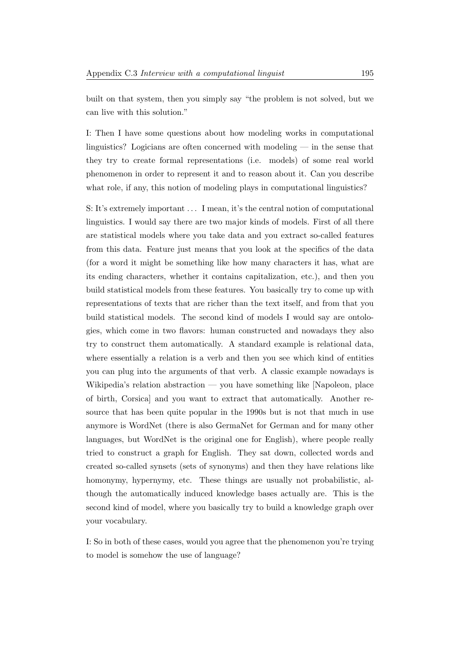built on that system, then you simply say "the problem is not solved, but we can live with this solution."

I: Then I have some questions about how modeling works in computational linguistics? Logicians are often concerned with modeling — in the sense that they try to create formal representations (i.e. models) of some real world phenomenon in order to represent it and to reason about it. Can you describe what role, if any, this notion of modeling plays in computational linguistics?

S: It's extremely important ... I mean, it's the central notion of computational linguistics. I would say there are two major kinds of models. First of all there are statistical models where you take data and you extract so-called features from this data. Feature just means that you look at the specifics of the data (for a word it might be something like how many characters it has, what are its ending characters, whether it contains capitalization, etc.), and then you build statistical models from these features. You basically try to come up with representations of texts that are richer than the text itself, and from that you build statistical models. The second kind of models I would say are ontologies, which come in two flavors: human constructed and nowadays they also try to construct them automatically. A standard example is relational data, where essentially a relation is a verb and then you see which kind of entities you can plug into the arguments of that verb. A classic example nowadays is Wikipedia's relation abstraction — you have something like [Napoleon, place of birth, Corsica] and you want to extract that automatically. Another resource that has been quite popular in the 1990s but is not that much in use anymore is WordNet (there is also GermaNet for German and for many other languages, but WordNet is the original one for English), where people really tried to construct a graph for English. They sat down, collected words and created so-called synsets (sets of synonyms) and then they have relations like homonymy, hypernymy, etc. These things are usually not probabilistic, although the automatically induced knowledge bases actually are. This is the second kind of model, where you basically try to build a knowledge graph over your vocabulary.

I: So in both of these cases, would you agree that the phenomenon you're trying to model is somehow the use of language?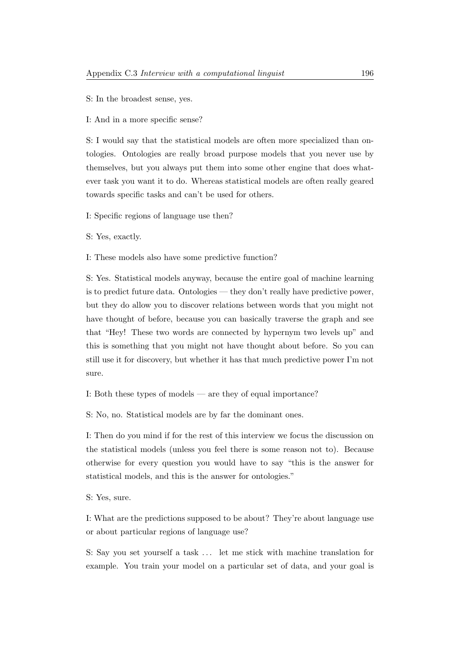S: In the broadest sense, yes.

I: And in a more specific sense?

S: I would say that the statistical models are often more specialized than ontologies. Ontologies are really broad purpose models that you never use by themselves, but you always put them into some other engine that does whatever task you want it to do. Whereas statistical models are often really geared towards specific tasks and can't be used for others.

I: Specific regions of language use then?

S: Yes, exactly.

I: These models also have some predictive function?

S: Yes. Statistical models anyway, because the entire goal of machine learning is to predict future data. Ontologies — they don't really have predictive power, but they do allow you to discover relations between words that you might not have thought of before, because you can basically traverse the graph and see that "Hey! These two words are connected by hypernym two levels up" and this is something that you might not have thought about before. So you can still use it for discovery, but whether it has that much predictive power I'm not sure.

I: Both these types of models — are they of equal importance?

S: No, no. Statistical models are by far the dominant ones.

I: Then do you mind if for the rest of this interview we focus the discussion on the statistical models (unless you feel there is some reason not to). Because otherwise for every question you would have to say "this is the answer for statistical models, and this is the answer for ontologies."

S: Yes, sure.

I: What are the predictions supposed to be about? They're about language use or about particular regions of language use?

S: Say you set yourself a task . . . let me stick with machine translation for example. You train your model on a particular set of data, and your goal is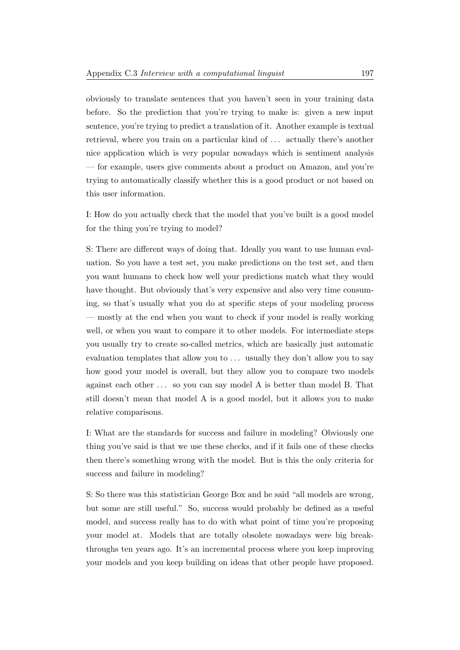obviously to translate sentences that you haven't seen in your training data before. So the prediction that you're trying to make is: given a new input sentence, you're trying to predict a translation of it. Another example is textual retrieval, where you train on a particular kind of . . . actually there's another nice application which is very popular nowadays which is sentiment analysis — for example, users give comments about a product on Amazon, and you're trying to automatically classify whether this is a good product or not based on this user information.

I: How do you actually check that the model that you've built is a good model for the thing you're trying to model?

S: There are different ways of doing that. Ideally you want to use human evaluation. So you have a test set, you make predictions on the test set, and then you want humans to check how well your predictions match what they would have thought. But obviously that's very expensive and also very time consuming, so that's usually what you do at specific steps of your modeling process — mostly at the end when you want to check if your model is really working well, or when you want to compare it to other models. For intermediate steps you usually try to create so-called metrics, which are basically just automatic evaluation templates that allow you to ... usually they don't allow you to say how good your model is overall, but they allow you to compare two models against each other . . . so you can say model A is better than model B. That still doesn't mean that model A is a good model, but it allows you to make relative comparisons.

I: What are the standards for success and failure in modeling? Obviously one thing you've said is that we use these checks, and if it fails one of these checks then there's something wrong with the model. But is this the only criteria for success and failure in modeling?

S: So there was this statistician George Box and he said "all models are wrong, but some are still useful." So, success would probably be defined as a useful model, and success really has to do with what point of time you're proposing your model at. Models that are totally obsolete nowadays were big breakthroughs ten years ago. It's an incremental process where you keep improving your models and you keep building on ideas that other people have proposed.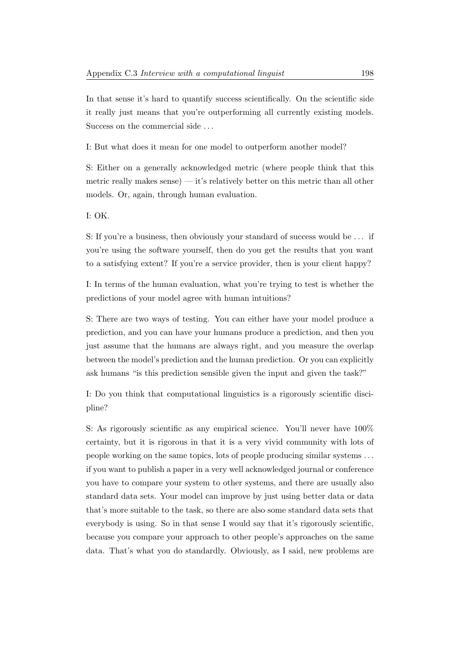In that sense it's hard to quantify success scientifically. On the scientific side it really just means that you're outperforming all currently existing models. Success on the commercial side ...

I: But what does it mean for one model to outperform another model?

S: Either on a generally acknowledged metric (where people think that this metric really makes sense) — it's relatively better on this metric than all other models. Or, again, through human evaluation.

I: OK.

S: If you're a business, then obviously your standard of success would be ... if you're using the software yourself, then do you get the results that you want to a satisfying extent? If you're a service provider, then is your client happy?

I: In terms of the human evaluation, what you're trying to test is whether the predictions of your model agree with human intuitions?

S: There are two ways of testing. You can either have your model produce a prediction, and you can have your humans produce a prediction, and then you just assume that the humans are always right, and you measure the overlap between the model's prediction and the human prediction. Or you can explicitly ask humans "is this prediction sensible given the input and given the task?"

I: Do you think that computational linguistics is a rigorously scientific discipline?

S: As rigorously scientific as any empirical science. You'll never have 100% certainty, but it is rigorous in that it is a very vivid community with lots of people working on the same topics, lots of people producing similar systems . . . if you want to publish a paper in a very well acknowledged journal or conference you have to compare your system to other systems, and there are usually also standard data sets. Your model can improve by just using better data or data that's more suitable to the task, so there are also some standard data sets that everybody is using. So in that sense I would say that it's rigorously scientific, because you compare your approach to other people's approaches on the same data. That's what you do standardly. Obviously, as I said, new problems are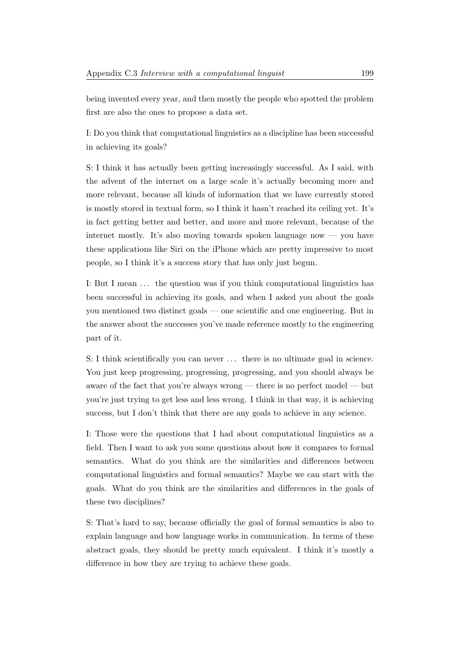being invented every year, and then mostly the people who spotted the problem first are also the ones to propose a data set.

I: Do you think that computational linguistics as a discipline has been successful in achieving its goals?

S: I think it has actually been getting increasingly successful. As I said, with the advent of the internet on a large scale it's actually becoming more and more relevant, because all kinds of information that we have currently stored is mostly stored in textual form, so I think it hasn't reached its ceiling yet. It's in fact getting better and better, and more and more relevant, because of the internet mostly. It's also moving towards spoken language now — you have these applications like Siri on the iPhone which are pretty impressive to most people, so I think it's a success story that has only just begun.

I: But I mean . . . the question was if you think computational linguistics has been successful in achieving its goals, and when I asked you about the goals you mentioned two distinct goals — one scientific and one engineering. But in the answer about the successes you've made reference mostly to the engineering part of it.

S: I think scientifically you can never ... there is no ultimate goal in science. You just keep progressing, progressing, progressing, and you should always be aware of the fact that you're always wrong — there is no perfect model — but you're just trying to get less and less wrong. I think in that way, it is achieving success, but I don't think that there are any goals to achieve in any science.

I: Those were the questions that I had about computational linguistics as a field. Then I want to ask you some questions about how it compares to formal semantics. What do you think are the similarities and differences between computational linguistics and formal semantics? Maybe we can start with the goals. What do you think are the similarities and differences in the goals of these two disciplines?

S: That's hard to say, because officially the goal of formal semantics is also to explain language and how language works in communication. In terms of these abstract goals, they should be pretty much equivalent. I think it's mostly a difference in how they are trying to achieve these goals.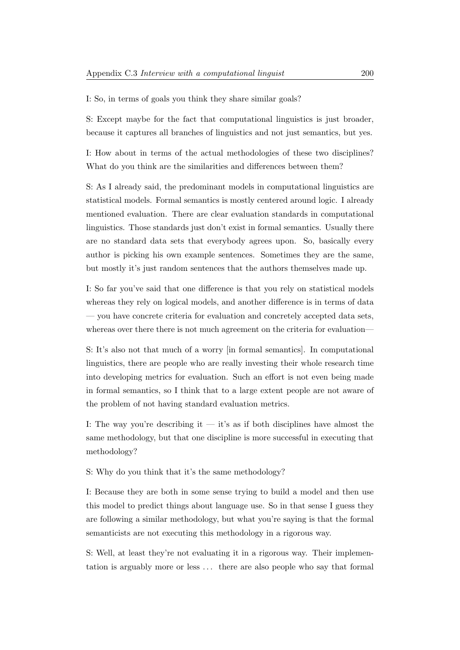I: So, in terms of goals you think they share similar goals?

S: Except maybe for the fact that computational linguistics is just broader, because it captures all branches of linguistics and not just semantics, but yes.

I: How about in terms of the actual methodologies of these two disciplines? What do you think are the similarities and differences between them?

S: As I already said, the predominant models in computational linguistics are statistical models. Formal semantics is mostly centered around logic. I already mentioned evaluation. There are clear evaluation standards in computational linguistics. Those standards just don't exist in formal semantics. Usually there are no standard data sets that everybody agrees upon. So, basically every author is picking his own example sentences. Sometimes they are the same, but mostly it's just random sentences that the authors themselves made up.

I: So far you've said that one difference is that you rely on statistical models whereas they rely on logical models, and another difference is in terms of data — you have concrete criteria for evaluation and concretely accepted data sets, whereas over there there is not much agreement on the criteria for evaluation—

S: It's also not that much of a worry [in formal semantics]. In computational linguistics, there are people who are really investing their whole research time into developing metrics for evaluation. Such an effort is not even being made in formal semantics, so I think that to a large extent people are not aware of the problem of not having standard evaluation metrics.

I: The way you're describing it  $-$  it's as if both disciplines have almost the same methodology, but that one discipline is more successful in executing that methodology?

S: Why do you think that it's the same methodology?

I: Because they are both in some sense trying to build a model and then use this model to predict things about language use. So in that sense I guess they are following a similar methodology, but what you're saying is that the formal semanticists are not executing this methodology in a rigorous way.

S: Well, at least they're not evaluating it in a rigorous way. Their implementation is arguably more or less . . . there are also people who say that formal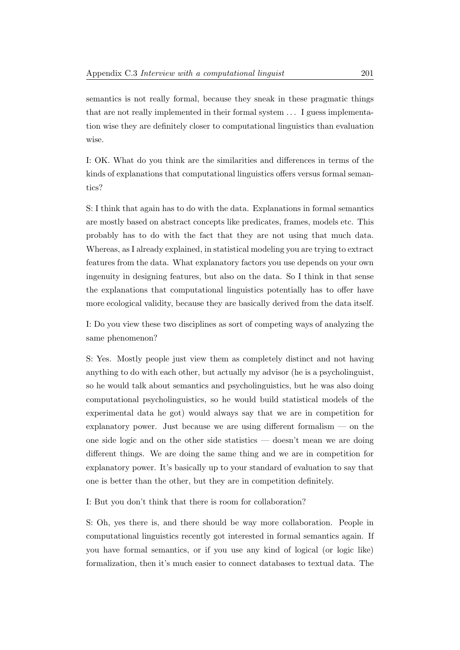semantics is not really formal, because they sneak in these pragmatic things that are not really implemented in their formal system . . . I guess implementation wise they are definitely closer to computational linguistics than evaluation wise.

I: OK. What do you think are the similarities and differences in terms of the kinds of explanations that computational linguistics offers versus formal semantics?

S: I think that again has to do with the data. Explanations in formal semantics are mostly based on abstract concepts like predicates, frames, models etc. This probably has to do with the fact that they are not using that much data. Whereas, as I already explained, in statistical modeling you are trying to extract features from the data. What explanatory factors you use depends on your own ingenuity in designing features, but also on the data. So I think in that sense the explanations that computational linguistics potentially has to offer have more ecological validity, because they are basically derived from the data itself.

I: Do you view these two disciplines as sort of competing ways of analyzing the same phenomenon?

S: Yes. Mostly people just view them as completely distinct and not having anything to do with each other, but actually my advisor (he is a psycholinguist, so he would talk about semantics and psycholinguistics, but he was also doing computational psycholinguistics, so he would build statistical models of the experimental data he got) would always say that we are in competition for explanatory power. Just because we are using different formalism — on the one side logic and on the other side statistics — doesn't mean we are doing different things. We are doing the same thing and we are in competition for explanatory power. It's basically up to your standard of evaluation to say that one is better than the other, but they are in competition definitely.

I: But you don't think that there is room for collaboration?

S: Oh, yes there is, and there should be way more collaboration. People in computational linguistics recently got interested in formal semantics again. If you have formal semantics, or if you use any kind of logical (or logic like) formalization, then it's much easier to connect databases to textual data. The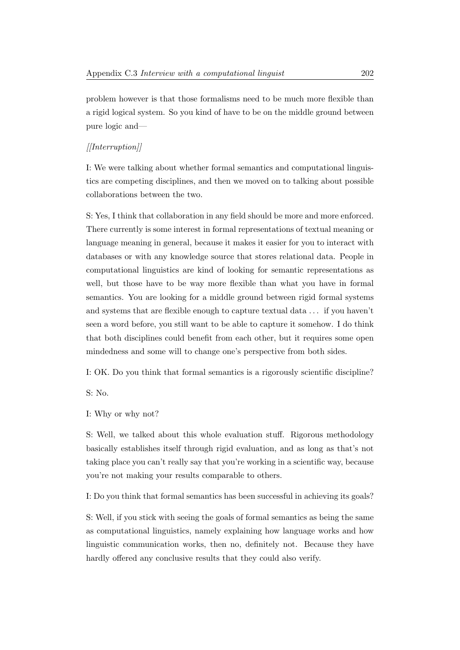problem however is that those formalisms need to be much more flexible than a rigid logical system. So you kind of have to be on the middle ground between pure logic and—

## $[|Interruption]|$

I: We were talking about whether formal semantics and computational linguistics are competing disciplines, and then we moved on to talking about possible collaborations between the two.

S: Yes, I think that collaboration in any field should be more and more enforced. There currently is some interest in formal representations of textual meaning or language meaning in general, because it makes it easier for you to interact with databases or with any knowledge source that stores relational data. People in computational linguistics are kind of looking for semantic representations as well, but those have to be way more flexible than what you have in formal semantics. You are looking for a middle ground between rigid formal systems and systems that are flexible enough to capture textual data . . . if you haven't seen a word before, you still want to be able to capture it somehow. I do think that both disciplines could benefit from each other, but it requires some open mindedness and some will to change one's perspective from both sides.

I: OK. Do you think that formal semantics is a rigorously scientific discipline?

S: No.

I: Why or why not?

S: Well, we talked about this whole evaluation stuff. Rigorous methodology basically establishes itself through rigid evaluation, and as long as that's not taking place you can't really say that you're working in a scientific way, because you're not making your results comparable to others.

I: Do you think that formal semantics has been successful in achieving its goals?

S: Well, if you stick with seeing the goals of formal semantics as being the same as computational linguistics, namely explaining how language works and how linguistic communication works, then no, definitely not. Because they have hardly offered any conclusive results that they could also verify.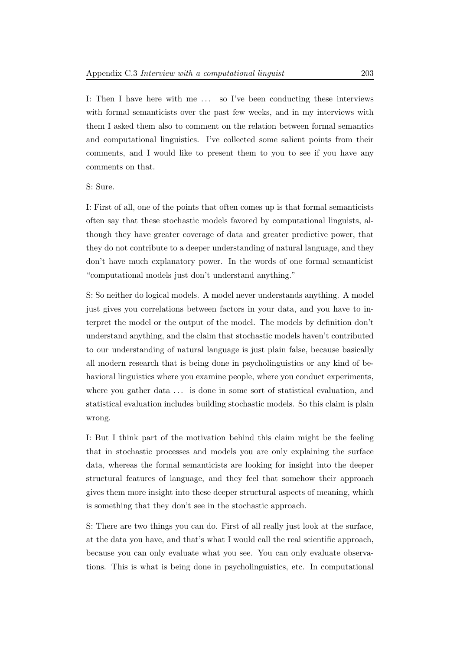I: Then I have here with me ... so I've been conducting these interviews with formal semanticists over the past few weeks, and in my interviews with them I asked them also to comment on the relation between formal semantics and computational linguistics. I've collected some salient points from their comments, and I would like to present them to you to see if you have any comments on that.

### S: Sure.

I: First of all, one of the points that often comes up is that formal semanticists often say that these stochastic models favored by computational linguists, although they have greater coverage of data and greater predictive power, that they do not contribute to a deeper understanding of natural language, and they don't have much explanatory power. In the words of one formal semanticist "computational models just don't understand anything."

S: So neither do logical models. A model never understands anything. A model just gives you correlations between factors in your data, and you have to interpret the model or the output of the model. The models by definition don't understand anything, and the claim that stochastic models haven't contributed to our understanding of natural language is just plain false, because basically all modern research that is being done in psycholinguistics or any kind of behavioral linguistics where you examine people, where you conduct experiments, where you gather data  $\dots$  is done in some sort of statistical evaluation, and statistical evaluation includes building stochastic models. So this claim is plain wrong.

I: But I think part of the motivation behind this claim might be the feeling that in stochastic processes and models you are only explaining the surface data, whereas the formal semanticists are looking for insight into the deeper structural features of language, and they feel that somehow their approach gives them more insight into these deeper structural aspects of meaning, which is something that they don't see in the stochastic approach.

S: There are two things you can do. First of all really just look at the surface, at the data you have, and that's what I would call the real scientific approach, because you can only evaluate what you see. You can only evaluate observations. This is what is being done in psycholinguistics, etc. In computational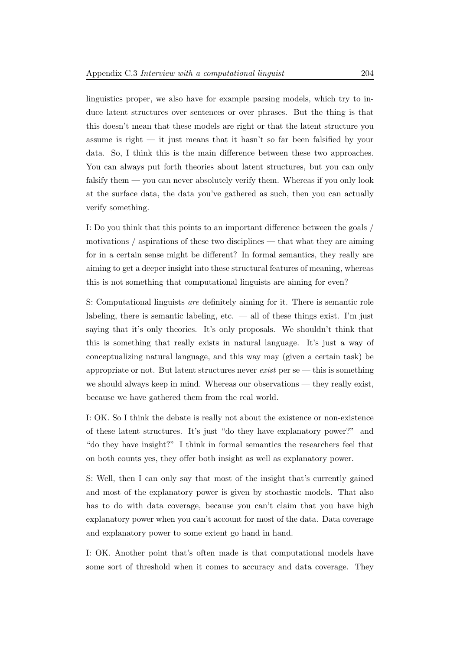linguistics proper, we also have for example parsing models, which try to induce latent structures over sentences or over phrases. But the thing is that this doesn't mean that these models are right or that the latent structure you assume is right  $-$  it just means that it hasn't so far been falsified by your data. So, I think this is the main difference between these two approaches. You can always put forth theories about latent structures, but you can only falsify them — you can never absolutely verify them. Whereas if you only look at the surface data, the data you've gathered as such, then you can actually verify something.

I: Do you think that this points to an important difference between the goals / motivations / aspirations of these two disciplines — that what they are aiming for in a certain sense might be different? In formal semantics, they really are aiming to get a deeper insight into these structural features of meaning, whereas this is not something that computational linguists are aiming for even?

S: Computational linguists are definitely aiming for it. There is semantic role labeling, there is semantic labeling, etc.  $\frac{d}{dt}$  and  $\frac{d}{dt}$  are things exist. I'm just saying that it's only theories. It's only proposals. We shouldn't think that this is something that really exists in natural language. It's just a way of conceptualizing natural language, and this way may (given a certain task) be appropriate or not. But latent structures never  $exist$  per se — this is something we should always keep in mind. Whereas our observations — they really exist, because we have gathered them from the real world.

I: OK. So I think the debate is really not about the existence or non-existence of these latent structures. It's just "do they have explanatory power?" and "do they have insight?" I think in formal semantics the researchers feel that on both counts yes, they offer both insight as well as explanatory power.

S: Well, then I can only say that most of the insight that's currently gained and most of the explanatory power is given by stochastic models. That also has to do with data coverage, because you can't claim that you have high explanatory power when you can't account for most of the data. Data coverage and explanatory power to some extent go hand in hand.

I: OK. Another point that's often made is that computational models have some sort of threshold when it comes to accuracy and data coverage. They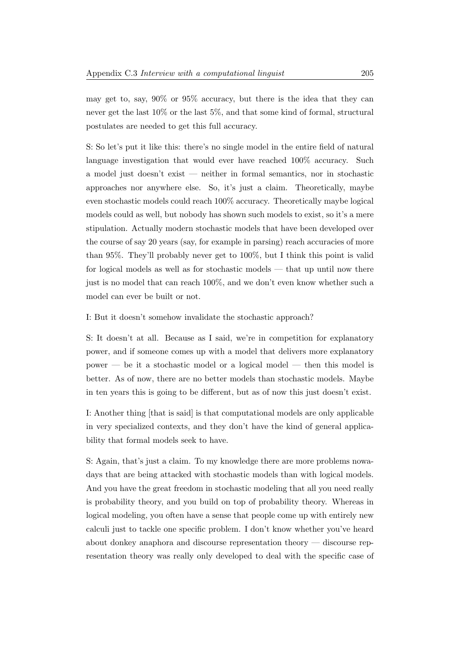may get to, say, 90% or 95% accuracy, but there is the idea that they can never get the last 10% or the last 5%, and that some kind of formal, structural postulates are needed to get this full accuracy.

S: So let's put it like this: there's no single model in the entire field of natural language investigation that would ever have reached 100% accuracy. Such a model just doesn't exist — neither in formal semantics, nor in stochastic approaches nor anywhere else. So, it's just a claim. Theoretically, maybe even stochastic models could reach 100% accuracy. Theoretically maybe logical models could as well, but nobody has shown such models to exist, so it's a mere stipulation. Actually modern stochastic models that have been developed over the course of say 20 years (say, for example in parsing) reach accuracies of more than 95%. They'll probably never get to 100%, but I think this point is valid for logical models as well as for stochastic models — that up until now there just is no model that can reach 100%, and we don't even know whether such a model can ever be built or not.

I: But it doesn't somehow invalidate the stochastic approach?

S: It doesn't at all. Because as I said, we're in competition for explanatory power, and if someone comes up with a model that delivers more explanatory power — be it a stochastic model or a logical model — then this model is better. As of now, there are no better models than stochastic models. Maybe in ten years this is going to be different, but as of now this just doesn't exist.

I: Another thing [that is said] is that computational models are only applicable in very specialized contexts, and they don't have the kind of general applicability that formal models seek to have.

S: Again, that's just a claim. To my knowledge there are more problems nowadays that are being attacked with stochastic models than with logical models. And you have the great freedom in stochastic modeling that all you need really is probability theory, and you build on top of probability theory. Whereas in logical modeling, you often have a sense that people come up with entirely new calculi just to tackle one specific problem. I don't know whether you've heard about donkey anaphora and discourse representation theory — discourse representation theory was really only developed to deal with the specific case of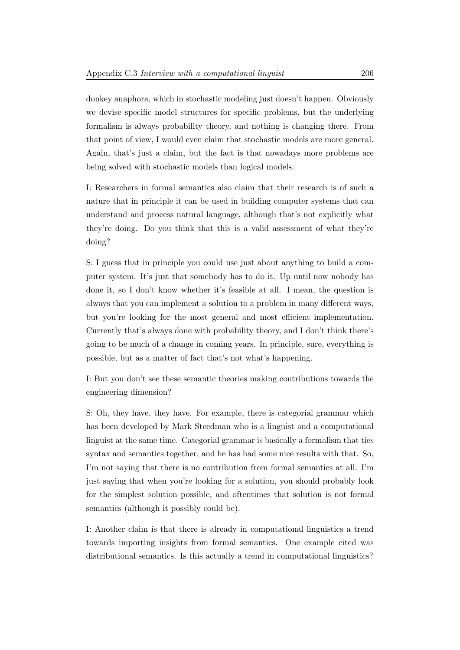donkey anaphora, which in stochastic modeling just doesn't happen. Obviously we devise specific model structures for specific problems, but the underlying formalism is always probability theory, and nothing is changing there. From that point of view, I would even claim that stochastic models are more general. Again, that's just a claim, but the fact is that nowadays more problems are being solved with stochastic models than logical models.

I: Researchers in formal semantics also claim that their research is of such a nature that in principle it can be used in building computer systems that can understand and process natural language, although that's not explicitly what they're doing. Do you think that this is a valid assessment of what they're doing?

S: I guess that in principle you could use just about anything to build a computer system. It's just that somebody has to do it. Up until now nobody has done it, so I don't know whether it's feasible at all. I mean, the question is always that you can implement a solution to a problem in many different ways, but you're looking for the most general and most efficient implementation. Currently that's always done with probability theory, and I don't think there's going to be much of a change in coming years. In principle, sure, everything is possible, but as a matter of fact that's not what's happening.

I: But you don't see these semantic theories making contributions towards the engineering dimension?

S: Oh, they have, they have. For example, there is categorial grammar which has been developed by Mark Steedman who is a linguist and a computational linguist at the same time. Categorial grammar is basically a formalism that ties syntax and semantics together, and he has had some nice results with that. So, I'm not saying that there is no contribution from formal semantics at all. I'm just saying that when you're looking for a solution, you should probably look for the simplest solution possible, and oftentimes that solution is not formal semantics (although it possibly could be).

I: Another claim is that there is already in computational linguistics a trend towards importing insights from formal semantics. One example cited was distributional semantics. Is this actually a trend in computational linguistics?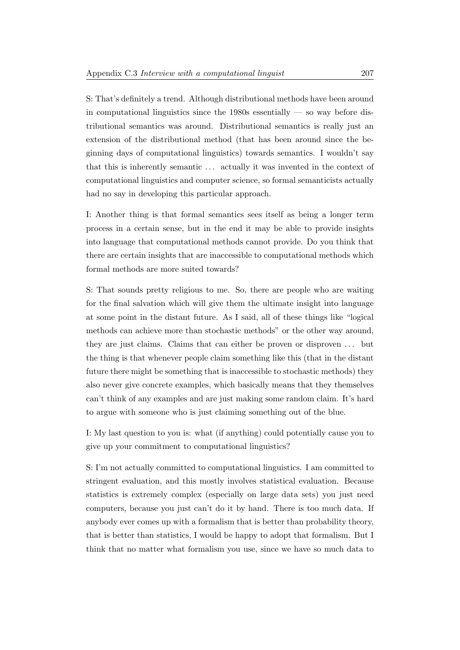S: That's definitely a trend. Although distributional methods have been around in computational linguistics since the  $1980s$  essentially — so way before distributional semantics was around. Distributional semantics is really just an extension of the distributional method (that has been around since the beginning days of computational linguistics) towards semantics. I wouldn't say that this is inherently semantic . . . actually it was invented in the context of computational linguistics and computer science, so formal semanticists actually had no say in developing this particular approach.

I: Another thing is that formal semantics sees itself as being a longer term process in a certain sense, but in the end it may be able to provide insights into language that computational methods cannot provide. Do you think that there are certain insights that are inaccessible to computational methods which formal methods are more suited towards?

S: That sounds pretty religious to me. So, there are people who are waiting for the final salvation which will give them the ultimate insight into language at some point in the distant future. As I said, all of these things like "logical methods can achieve more than stochastic methods" or the other way around, they are just claims. Claims that can either be proven or disproven . . . but the thing is that whenever people claim something like this (that in the distant future there might be something that is inaccessible to stochastic methods) they also never give concrete examples, which basically means that they themselves can't think of any examples and are just making some random claim. It's hard to argue with someone who is just claiming something out of the blue.

I: My last question to you is: what (if anything) could potentially cause you to give up your commitment to computational linguistics?

S: I'm not actually committed to computational linguistics. I am committed to stringent evaluation, and this mostly involves statistical evaluation. Because statistics is extremely complex (especially on large data sets) you just need computers, because you just can't do it by hand. There is too much data. If anybody ever comes up with a formalism that is better than probability theory, that is better than statistics, I would be happy to adopt that formalism. But I think that no matter what formalism you use, since we have so much data to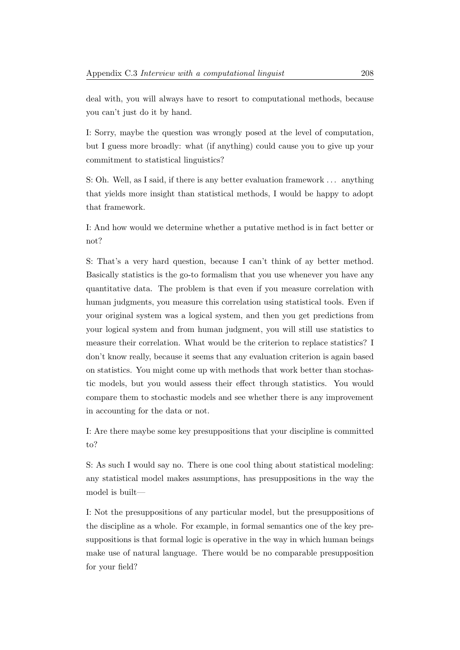deal with, you will always have to resort to computational methods, because you can't just do it by hand.

I: Sorry, maybe the question was wrongly posed at the level of computation, but I guess more broadly: what (if anything) could cause you to give up your commitment to statistical linguistics?

S: Oh. Well, as I said, if there is any better evaluation framework . . . anything that yields more insight than statistical methods, I would be happy to adopt that framework.

I: And how would we determine whether a putative method is in fact better or not?

S: That's a very hard question, because I can't think of ay better method. Basically statistics is the go-to formalism that you use whenever you have any quantitative data. The problem is that even if you measure correlation with human judgments, you measure this correlation using statistical tools. Even if your original system was a logical system, and then you get predictions from your logical system and from human judgment, you will still use statistics to measure their correlation. What would be the criterion to replace statistics? I don't know really, because it seems that any evaluation criterion is again based on statistics. You might come up with methods that work better than stochastic models, but you would assess their effect through statistics. You would compare them to stochastic models and see whether there is any improvement in accounting for the data or not.

I: Are there maybe some key presuppositions that your discipline is committed to?

S: As such I would say no. There is one cool thing about statistical modeling: any statistical model makes assumptions, has presuppositions in the way the model is built—

I: Not the presuppositions of any particular model, but the presuppositions of the discipline as a whole. For example, in formal semantics one of the key presuppositions is that formal logic is operative in the way in which human beings make use of natural language. There would be no comparable presupposition for your field?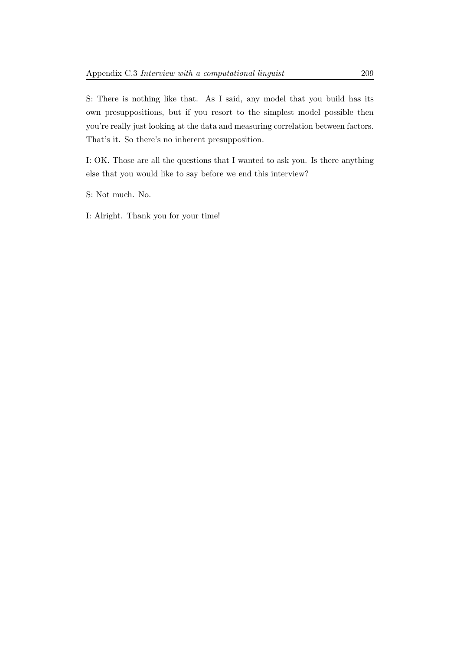S: There is nothing like that. As I said, any model that you build has its own presuppositions, but if you resort to the simplest model possible then you're really just looking at the data and measuring correlation between factors. That's it. So there's no inherent presupposition.

I: OK. Those are all the questions that I wanted to ask you. Is there anything else that you would like to say before we end this interview?

S: Not much. No.

I: Alright. Thank you for your time!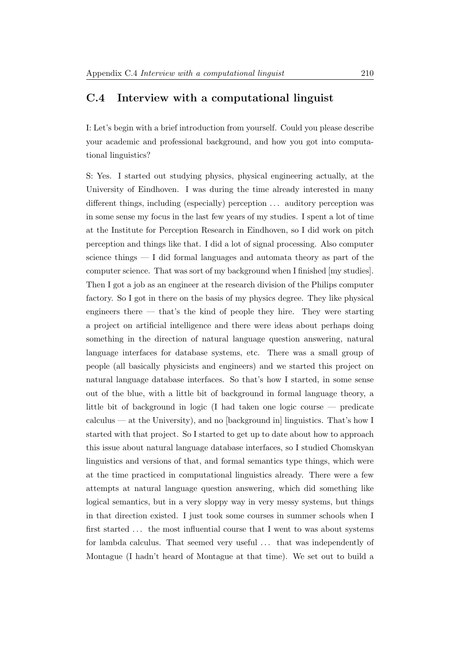## C.4 Interview with a computational linguist

I: Let's begin with a brief introduction from yourself. Could you please describe your academic and professional background, and how you got into computational linguistics?

S: Yes. I started out studying physics, physical engineering actually, at the University of Eindhoven. I was during the time already interested in many different things, including (especially) perception  $\dots$  auditory perception was in some sense my focus in the last few years of my studies. I spent a lot of time at the Institute for Perception Research in Eindhoven, so I did work on pitch perception and things like that. I did a lot of signal processing. Also computer science things  $-1$  did formal languages and automata theory as part of the computer science. That was sort of my background when I finished [my studies]. Then I got a job as an engineer at the research division of the Philips computer factory. So I got in there on the basis of my physics degree. They like physical engineers there — that's the kind of people they hire. They were starting a project on artificial intelligence and there were ideas about perhaps doing something in the direction of natural language question answering, natural language interfaces for database systems, etc. There was a small group of people (all basically physicists and engineers) and we started this project on natural language database interfaces. So that's how I started, in some sense out of the blue, with a little bit of background in formal language theory, a little bit of background in logic (I had taken one logic course — predicate calculus — at the University), and no [background in] linguistics. That's how I started with that project. So I started to get up to date about how to approach this issue about natural language database interfaces, so I studied Chomskyan linguistics and versions of that, and formal semantics type things, which were at the time practiced in computational linguistics already. There were a few attempts at natural language question answering, which did something like logical semantics, but in a very sloppy way in very messy systems, but things in that direction existed. I just took some courses in summer schools when I first started ... the most influential course that I went to was about systems for lambda calculus. That seemed very useful ... that was independently of Montague (I hadn't heard of Montague at that time). We set out to build a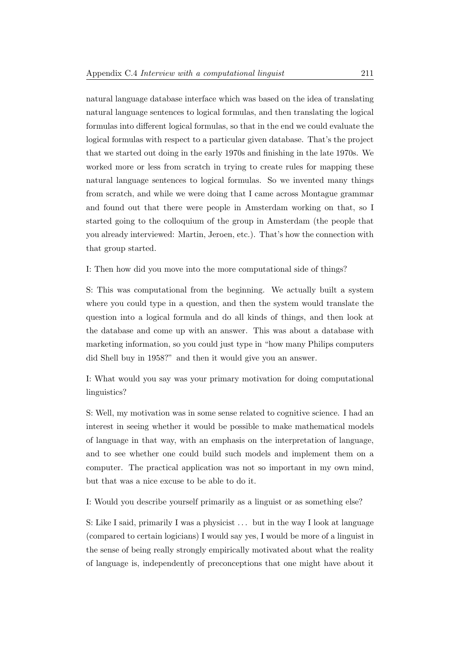natural language database interface which was based on the idea of translating natural language sentences to logical formulas, and then translating the logical formulas into different logical formulas, so that in the end we could evaluate the logical formulas with respect to a particular given database. That's the project that we started out doing in the early 1970s and finishing in the late 1970s. We worked more or less from scratch in trying to create rules for mapping these natural language sentences to logical formulas. So we invented many things from scratch, and while we were doing that I came across Montague grammar and found out that there were people in Amsterdam working on that, so I started going to the colloquium of the group in Amsterdam (the people that you already interviewed: Martin, Jeroen, etc.). That's how the connection with that group started.

I: Then how did you move into the more computational side of things?

S: This was computational from the beginning. We actually built a system where you could type in a question, and then the system would translate the question into a logical formula and do all kinds of things, and then look at the database and come up with an answer. This was about a database with marketing information, so you could just type in "how many Philips computers did Shell buy in 1958?" and then it would give you an answer.

I: What would you say was your primary motivation for doing computational linguistics?

S: Well, my motivation was in some sense related to cognitive science. I had an interest in seeing whether it would be possible to make mathematical models of language in that way, with an emphasis on the interpretation of language, and to see whether one could build such models and implement them on a computer. The practical application was not so important in my own mind, but that was a nice excuse to be able to do it.

I: Would you describe yourself primarily as a linguist or as something else?

S: Like I said, primarily I was a physicist . . . but in the way I look at language (compared to certain logicians) I would say yes, I would be more of a linguist in the sense of being really strongly empirically motivated about what the reality of language is, independently of preconceptions that one might have about it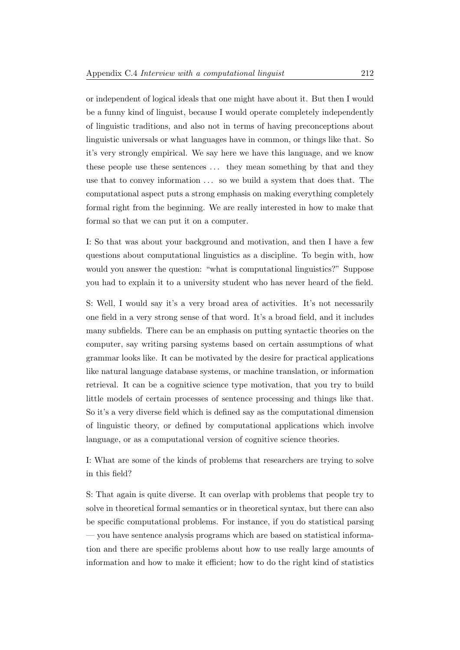or independent of logical ideals that one might have about it. But then I would be a funny kind of linguist, because I would operate completely independently of linguistic traditions, and also not in terms of having preconceptions about linguistic universals or what languages have in common, or things like that. So it's very strongly empirical. We say here we have this language, and we know these people use these sentences ... they mean something by that and they use that to convey information . . . so we build a system that does that. The computational aspect puts a strong emphasis on making everything completely formal right from the beginning. We are really interested in how to make that formal so that we can put it on a computer.

I: So that was about your background and motivation, and then I have a few questions about computational linguistics as a discipline. To begin with, how would you answer the question: "what is computational linguistics?" Suppose you had to explain it to a university student who has never heard of the field.

S: Well, I would say it's a very broad area of activities. It's not necessarily one field in a very strong sense of that word. It's a broad field, and it includes many subfields. There can be an emphasis on putting syntactic theories on the computer, say writing parsing systems based on certain assumptions of what grammar looks like. It can be motivated by the desire for practical applications like natural language database systems, or machine translation, or information retrieval. It can be a cognitive science type motivation, that you try to build little models of certain processes of sentence processing and things like that. So it's a very diverse field which is defined say as the computational dimension of linguistic theory, or defined by computational applications which involve language, or as a computational version of cognitive science theories.

I: What are some of the kinds of problems that researchers are trying to solve in this field?

S: That again is quite diverse. It can overlap with problems that people try to solve in theoretical formal semantics or in theoretical syntax, but there can also be specific computational problems. For instance, if you do statistical parsing — you have sentence analysis programs which are based on statistical information and there are specific problems about how to use really large amounts of information and how to make it efficient; how to do the right kind of statistics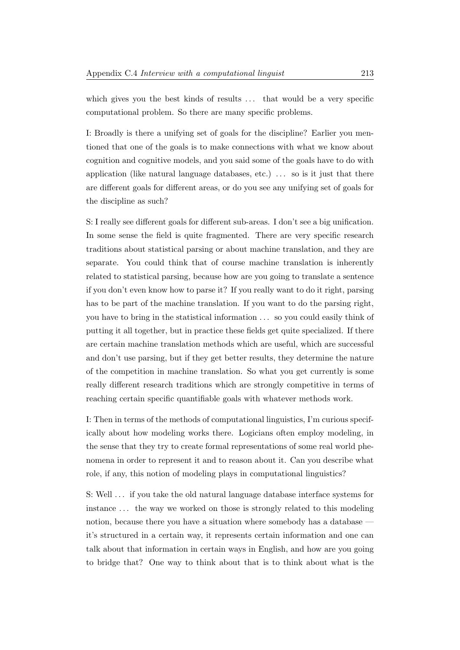which gives you the best kinds of results ... that would be a very specific computational problem. So there are many specific problems.

I: Broadly is there a unifying set of goals for the discipline? Earlier you mentioned that one of the goals is to make connections with what we know about cognition and cognitive models, and you said some of the goals have to do with application (like natural language databases, etc.)  $\ldots$  so is it just that there are different goals for different areas, or do you see any unifying set of goals for the discipline as such?

S: I really see different goals for different sub-areas. I don't see a big unification. In some sense the field is quite fragmented. There are very specific research traditions about statistical parsing or about machine translation, and they are separate. You could think that of course machine translation is inherently related to statistical parsing, because how are you going to translate a sentence if you don't even know how to parse it? If you really want to do it right, parsing has to be part of the machine translation. If you want to do the parsing right, you have to bring in the statistical information . . . so you could easily think of putting it all together, but in practice these fields get quite specialized. If there are certain machine translation methods which are useful, which are successful and don't use parsing, but if they get better results, they determine the nature of the competition in machine translation. So what you get currently is some really different research traditions which are strongly competitive in terms of reaching certain specific quantifiable goals with whatever methods work.

I: Then in terms of the methods of computational linguistics, I'm curious specifically about how modeling works there. Logicians often employ modeling, in the sense that they try to create formal representations of some real world phenomena in order to represent it and to reason about it. Can you describe what role, if any, this notion of modeling plays in computational linguistics?

S: Well . . . if you take the old natural language database interface systems for instance . . . the way we worked on those is strongly related to this modeling notion, because there you have a situation where somebody has a database it's structured in a certain way, it represents certain information and one can talk about that information in certain ways in English, and how are you going to bridge that? One way to think about that is to think about what is the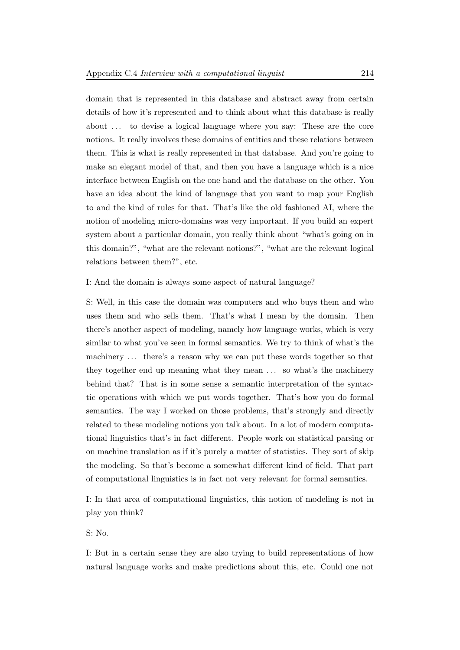domain that is represented in this database and abstract away from certain details of how it's represented and to think about what this database is really about . . . to devise a logical language where you say: These are the core notions. It really involves these domains of entities and these relations between them. This is what is really represented in that database. And you're going to make an elegant model of that, and then you have a language which is a nice interface between English on the one hand and the database on the other. You have an idea about the kind of language that you want to map your English to and the kind of rules for that. That's like the old fashioned AI, where the notion of modeling micro-domains was very important. If you build an expert system about a particular domain, you really think about "what's going on in this domain?", "what are the relevant notions?", "what are the relevant logical relations between them?", etc.

## I: And the domain is always some aspect of natural language?

S: Well, in this case the domain was computers and who buys them and who uses them and who sells them. That's what I mean by the domain. Then there's another aspect of modeling, namely how language works, which is very similar to what you've seen in formal semantics. We try to think of what's the machinery ... there's a reason why we can put these words together so that they together end up meaning what they mean . . . so what's the machinery behind that? That is in some sense a semantic interpretation of the syntactic operations with which we put words together. That's how you do formal semantics. The way I worked on those problems, that's strongly and directly related to these modeling notions you talk about. In a lot of modern computational linguistics that's in fact different. People work on statistical parsing or on machine translation as if it's purely a matter of statistics. They sort of skip the modeling. So that's become a somewhat different kind of field. That part of computational linguistics is in fact not very relevant for formal semantics.

I: In that area of computational linguistics, this notion of modeling is not in play you think?

S: No.

I: But in a certain sense they are also trying to build representations of how natural language works and make predictions about this, etc. Could one not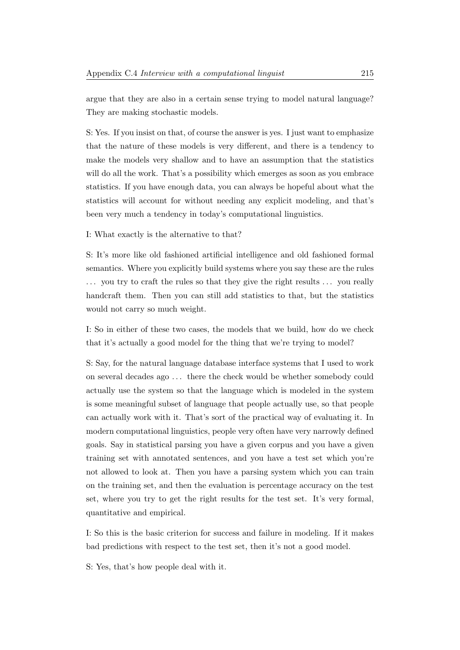argue that they are also in a certain sense trying to model natural language? They are making stochastic models.

S: Yes. If you insist on that, of course the answer is yes. I just want to emphasize that the nature of these models is very different, and there is a tendency to make the models very shallow and to have an assumption that the statistics will do all the work. That's a possibility which emerges as soon as you embrace statistics. If you have enough data, you can always be hopeful about what the statistics will account for without needing any explicit modeling, and that's been very much a tendency in today's computational linguistics.

I: What exactly is the alternative to that?

S: It's more like old fashioned artificial intelligence and old fashioned formal semantics. Where you explicitly build systems where you say these are the rules ... you try to craft the rules so that they give the right results ... you really handcraft them. Then you can still add statistics to that, but the statistics would not carry so much weight.

I: So in either of these two cases, the models that we build, how do we check that it's actually a good model for the thing that we're trying to model?

S: Say, for the natural language database interface systems that I used to work on several decades ago . . . there the check would be whether somebody could actually use the system so that the language which is modeled in the system is some meaningful subset of language that people actually use, so that people can actually work with it. That's sort of the practical way of evaluating it. In modern computational linguistics, people very often have very narrowly defined goals. Say in statistical parsing you have a given corpus and you have a given training set with annotated sentences, and you have a test set which you're not allowed to look at. Then you have a parsing system which you can train on the training set, and then the evaluation is percentage accuracy on the test set, where you try to get the right results for the test set. It's very formal, quantitative and empirical.

I: So this is the basic criterion for success and failure in modeling. If it makes bad predictions with respect to the test set, then it's not a good model.

S: Yes, that's how people deal with it.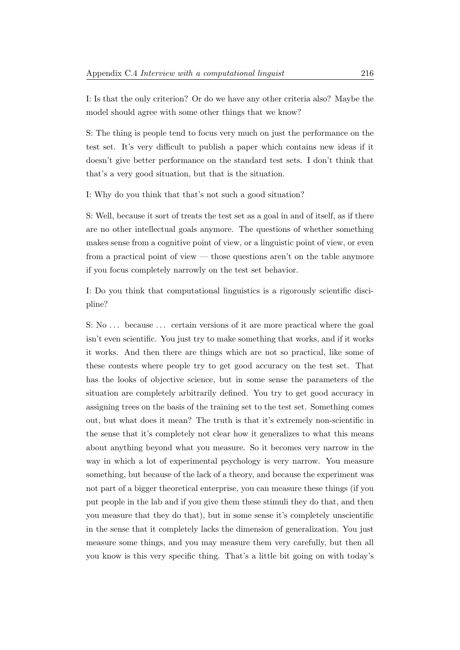I: Is that the only criterion? Or do we have any other criteria also? Maybe the model should agree with some other things that we know?

S: The thing is people tend to focus very much on just the performance on the test set. It's very difficult to publish a paper which contains new ideas if it doesn't give better performance on the standard test sets. I don't think that that's a very good situation, but that is the situation.

I: Why do you think that that's not such a good situation?

S: Well, because it sort of treats the test set as a goal in and of itself, as if there are no other intellectual goals anymore. The questions of whether something makes sense from a cognitive point of view, or a linguistic point of view, or even from a practical point of view — those questions aren't on the table anymore if you focus completely narrowly on the test set behavior.

I: Do you think that computational linguistics is a rigorously scientific discipline?

S: No ... because ... certain versions of it are more practical where the goal isn't even scientific. You just try to make something that works, and if it works it works. And then there are things which are not so practical, like some of these contests where people try to get good accuracy on the test set. That has the looks of objective science, but in some sense the parameters of the situation are completely arbitrarily defined. You try to get good accuracy in assigning trees on the basis of the training set to the test set. Something comes out, but what does it mean? The truth is that it's extremely non-scientific in the sense that it's completely not clear how it generalizes to what this means about anything beyond what you measure. So it becomes very narrow in the way in which a lot of experimental psychology is very narrow. You measure something, but because of the lack of a theory, and because the experiment was not part of a bigger theoretical enterprise, you can measure these things (if you put people in the lab and if you give them these stimuli they do that, and then you measure that they do that), but in some sense it's completely unscientific in the sense that it completely lacks the dimension of generalization. You just measure some things, and you may measure them very carefully, but then all you know is this very specific thing. That's a little bit going on with today's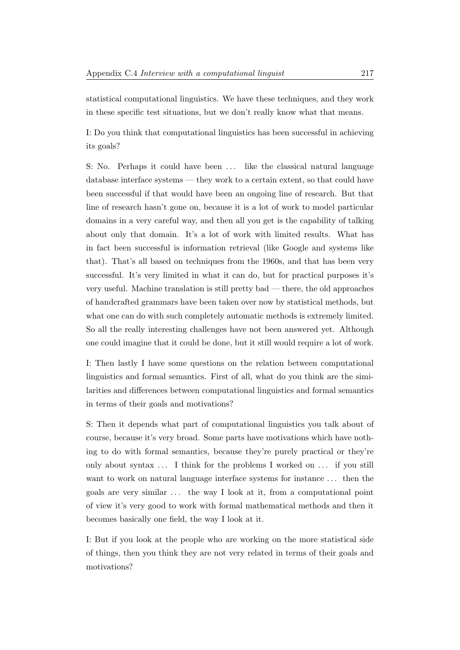statistical computational linguistics. We have these techniques, and they work in these specific test situations, but we don't really know what that means.

I: Do you think that computational linguistics has been successful in achieving its goals?

S: No. Perhaps it could have been ... like the classical natural language database interface systems — they work to a certain extent, so that could have been successful if that would have been an ongoing line of research. But that line of research hasn't gone on, because it is a lot of work to model particular domains in a very careful way, and then all you get is the capability of talking about only that domain. It's a lot of work with limited results. What has in fact been successful is information retrieval (like Google and systems like that). That's all based on techniques from the 1960s, and that has been very successful. It's very limited in what it can do, but for practical purposes it's very useful. Machine translation is still pretty bad — there, the old approaches of handcrafted grammars have been taken over now by statistical methods, but what one can do with such completely automatic methods is extremely limited. So all the really interesting challenges have not been answered yet. Although one could imagine that it could be done, but it still would require a lot of work.

I: Then lastly I have some questions on the relation between computational linguistics and formal semantics. First of all, what do you think are the similarities and differences between computational linguistics and formal semantics in terms of their goals and motivations?

S: Then it depends what part of computational linguistics you talk about of course, because it's very broad. Some parts have motivations which have nothing to do with formal semantics, because they're purely practical or they're only about syntax  $\dots$  I think for the problems I worked on  $\dots$  if you still want to work on natural language interface systems for instance . . . then the goals are very similar ... the way I look at it, from a computational point of view it's very good to work with formal mathematical methods and then it becomes basically one field, the way I look at it.

I: But if you look at the people who are working on the more statistical side of things, then you think they are not very related in terms of their goals and motivations?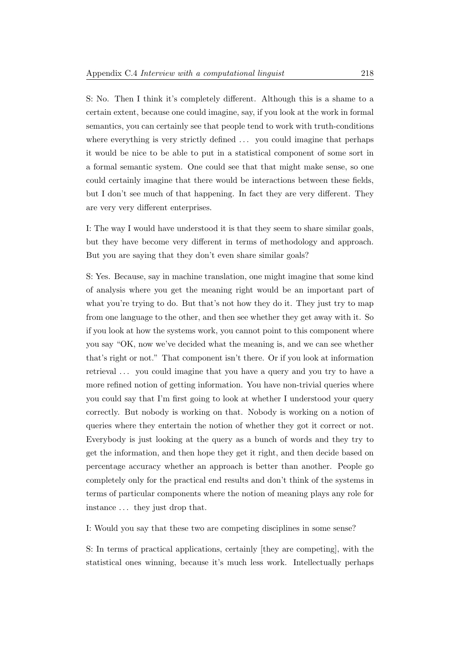S: No. Then I think it's completely different. Although this is a shame to a certain extent, because one could imagine, say, if you look at the work in formal semantics, you can certainly see that people tend to work with truth-conditions where everything is very strictly defined  $\dots$  you could imagine that perhaps it would be nice to be able to put in a statistical component of some sort in a formal semantic system. One could see that that might make sense, so one could certainly imagine that there would be interactions between these fields, but I don't see much of that happening. In fact they are very different. They are very very different enterprises.

I: The way I would have understood it is that they seem to share similar goals, but they have become very different in terms of methodology and approach. But you are saying that they don't even share similar goals?

S: Yes. Because, say in machine translation, one might imagine that some kind of analysis where you get the meaning right would be an important part of what you're trying to do. But that's not how they do it. They just try to map from one language to the other, and then see whether they get away with it. So if you look at how the systems work, you cannot point to this component where you say "OK, now we've decided what the meaning is, and we can see whether that's right or not." That component isn't there. Or if you look at information retrieval ... you could imagine that you have a query and you try to have a more refined notion of getting information. You have non-trivial queries where you could say that I'm first going to look at whether I understood your query correctly. But nobody is working on that. Nobody is working on a notion of queries where they entertain the notion of whether they got it correct or not. Everybody is just looking at the query as a bunch of words and they try to get the information, and then hope they get it right, and then decide based on percentage accuracy whether an approach is better than another. People go completely only for the practical end results and don't think of the systems in terms of particular components where the notion of meaning plays any role for instance . . . they just drop that.

I: Would you say that these two are competing disciplines in some sense?

S: In terms of practical applications, certainly [they are competing], with the statistical ones winning, because it's much less work. Intellectually perhaps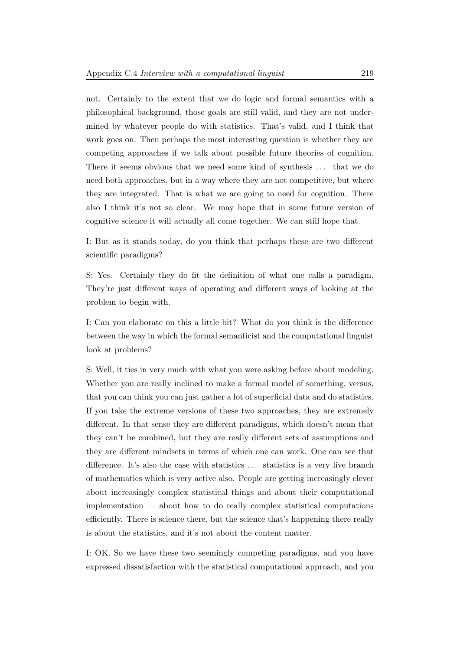not. Certainly to the extent that we do logic and formal semantics with a philosophical background, those goals are still valid, and they are not undermined by whatever people do with statistics. That's valid, and I think that work goes on. Then perhaps the most interesting question is whether they are competing approaches if we talk about possible future theories of cognition. There it seems obvious that we need some kind of synthesis ... that we do need both approaches, but in a way where they are not competitive, but where they are integrated. That is what we are going to need for cognition. There also I think it's not so clear. We may hope that in some future version of cognitive science it will actually all come together. We can still hope that.

I: But as it stands today, do you think that perhaps these are two different scientific paradigms?

S: Yes. Certainly they do fit the definition of what one calls a paradigm. They're just different ways of operating and different ways of looking at the problem to begin with.

I: Can you elaborate on this a little bit? What do you think is the difference between the way in which the formal semanticist and the computational linguist look at problems?

S: Well, it ties in very much with what you were asking before about modeling. Whether you are really inclined to make a formal model of something, versus, that you can think you can just gather a lot of superficial data and do statistics. If you take the extreme versions of these two approaches, they are extremely different. In that sense they are different paradigms, which doesn't mean that they can't be combined, but they are really different sets of assumptions and they are different mindsets in terms of which one can work. One can see that difference. It's also the case with statistics ... statistics is a very live branch of mathematics which is very active also. People are getting increasingly clever about increasingly complex statistical things and about their computational implementation — about how to do really complex statistical computations efficiently. There is science there, but the science that's happening there really is about the statistics, and it's not about the content matter.

I: OK. So we have these two seemingly competing paradigms, and you have expressed dissatisfaction with the statistical computational approach, and you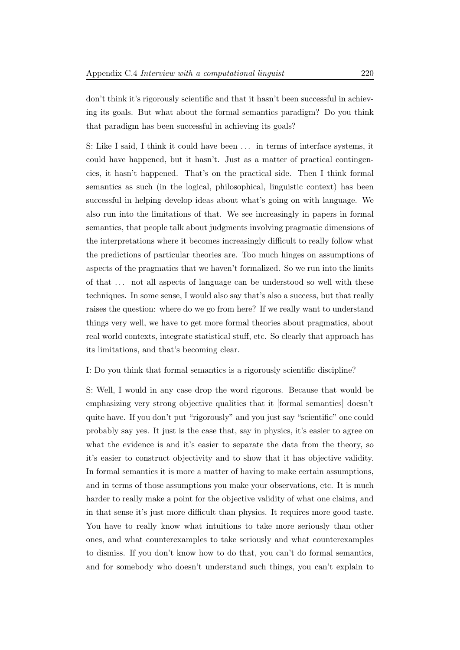don't think it's rigorously scientific and that it hasn't been successful in achieving its goals. But what about the formal semantics paradigm? Do you think that paradigm has been successful in achieving its goals?

S: Like I said, I think it could have been ... in terms of interface systems, it could have happened, but it hasn't. Just as a matter of practical contingencies, it hasn't happened. That's on the practical side. Then I think formal semantics as such (in the logical, philosophical, linguistic context) has been successful in helping develop ideas about what's going on with language. We also run into the limitations of that. We see increasingly in papers in formal semantics, that people talk about judgments involving pragmatic dimensions of the interpretations where it becomes increasingly difficult to really follow what the predictions of particular theories are. Too much hinges on assumptions of aspects of the pragmatics that we haven't formalized. So we run into the limits of that . . . not all aspects of language can be understood so well with these techniques. In some sense, I would also say that's also a success, but that really raises the question: where do we go from here? If we really want to understand things very well, we have to get more formal theories about pragmatics, about real world contexts, integrate statistical stuff, etc. So clearly that approach has its limitations, and that's becoming clear.

## I: Do you think that formal semantics is a rigorously scientific discipline?

S: Well, I would in any case drop the word rigorous. Because that would be emphasizing very strong objective qualities that it [formal semantics] doesn't quite have. If you don't put "rigorously" and you just say "scientific" one could probably say yes. It just is the case that, say in physics, it's easier to agree on what the evidence is and it's easier to separate the data from the theory, so it's easier to construct objectivity and to show that it has objective validity. In formal semantics it is more a matter of having to make certain assumptions, and in terms of those assumptions you make your observations, etc. It is much harder to really make a point for the objective validity of what one claims, and in that sense it's just more difficult than physics. It requires more good taste. You have to really know what intuitions to take more seriously than other ones, and what counterexamples to take seriously and what counterexamples to dismiss. If you don't know how to do that, you can't do formal semantics, and for somebody who doesn't understand such things, you can't explain to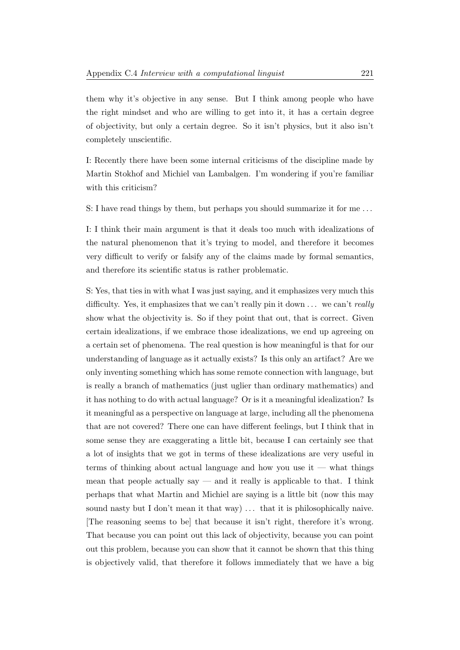them why it's objective in any sense. But I think among people who have the right mindset and who are willing to get into it, it has a certain degree of objectivity, but only a certain degree. So it isn't physics, but it also isn't completely unscientific.

I: Recently there have been some internal criticisms of the discipline made by Martin Stokhof and Michiel van Lambalgen. I'm wondering if you're familiar with this criticism?

S: I have read things by them, but perhaps you should summarize it for me . . .

I: I think their main argument is that it deals too much with idealizations of the natural phenomenon that it's trying to model, and therefore it becomes very difficult to verify or falsify any of the claims made by formal semantics, and therefore its scientific status is rather problematic.

S: Yes, that ties in with what I was just saying, and it emphasizes very much this difficulty. Yes, it emphasizes that we can't really pin it down  $\dots$  we can't really show what the objectivity is. So if they point that out, that is correct. Given certain idealizations, if we embrace those idealizations, we end up agreeing on a certain set of phenomena. The real question is how meaningful is that for our understanding of language as it actually exists? Is this only an artifact? Are we only inventing something which has some remote connection with language, but is really a branch of mathematics (just uglier than ordinary mathematics) and it has nothing to do with actual language? Or is it a meaningful idealization? Is it meaningful as a perspective on language at large, including all the phenomena that are not covered? There one can have different feelings, but I think that in some sense they are exaggerating a little bit, because I can certainly see that a lot of insights that we got in terms of these idealizations are very useful in terms of thinking about actual language and how you use it — what things mean that people actually say  $-$  and it really is applicable to that. I think perhaps that what Martin and Michiel are saying is a little bit (now this may sound nasty but I don't mean it that way) ... that it is philosophically naive. [The reasoning seems to be] that because it isn't right, therefore it's wrong. That because you can point out this lack of objectivity, because you can point out this problem, because you can show that it cannot be shown that this thing is objectively valid, that therefore it follows immediately that we have a big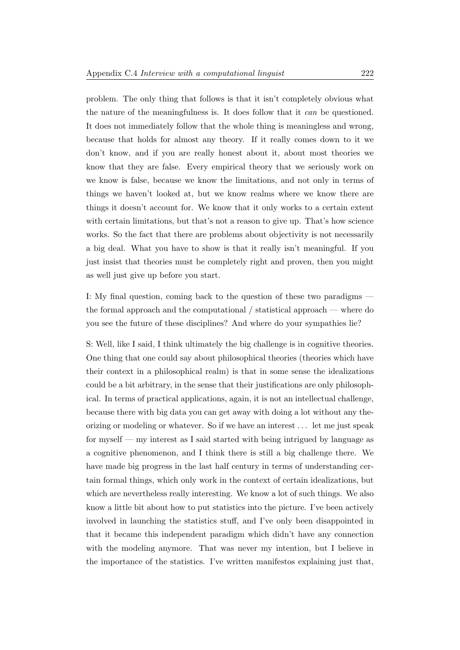problem. The only thing that follows is that it isn't completely obvious what the nature of the meaningfulness is. It does follow that it can be questioned. It does not immediately follow that the whole thing is meaningless and wrong, because that holds for almost any theory. If it really comes down to it we don't know, and if you are really honest about it, about most theories we know that they are false. Every empirical theory that we seriously work on we know is false, because we know the limitations, and not only in terms of things we haven't looked at, but we know realms where we know there are things it doesn't account for. We know that it only works to a certain extent with certain limitations, but that's not a reason to give up. That's how science works. So the fact that there are problems about objectivity is not necessarily a big deal. What you have to show is that it really isn't meaningful. If you just insist that theories must be completely right and proven, then you might as well just give up before you start.

I: My final question, coming back to the question of these two paradigms the formal approach and the computational / statistical approach — where do you see the future of these disciplines? And where do your sympathies lie?

S: Well, like I said, I think ultimately the big challenge is in cognitive theories. One thing that one could say about philosophical theories (theories which have their context in a philosophical realm) is that in some sense the idealizations could be a bit arbitrary, in the sense that their justifications are only philosophical. In terms of practical applications, again, it is not an intellectual challenge, because there with big data you can get away with doing a lot without any theorizing or modeling or whatever. So if we have an interest . . . let me just speak for myself — my interest as I said started with being intrigued by language as a cognitive phenomenon, and I think there is still a big challenge there. We have made big progress in the last half century in terms of understanding certain formal things, which only work in the context of certain idealizations, but which are nevertheless really interesting. We know a lot of such things. We also know a little bit about how to put statistics into the picture. I've been actively involved in launching the statistics stuff, and I've only been disappointed in that it became this independent paradigm which didn't have any connection with the modeling anymore. That was never my intention, but I believe in the importance of the statistics. I've written manifestos explaining just that,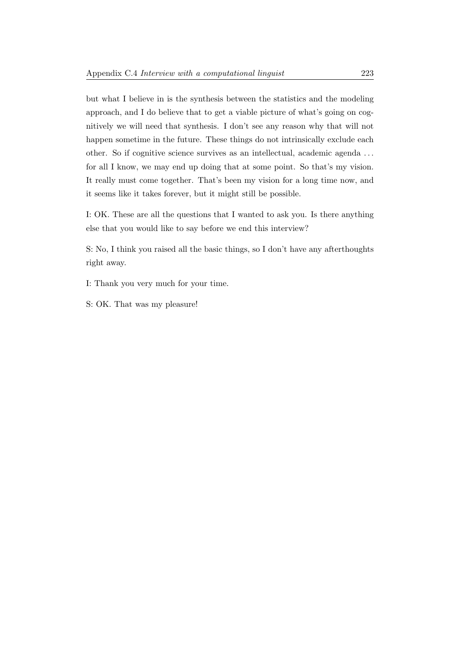but what I believe in is the synthesis between the statistics and the modeling approach, and I do believe that to get a viable picture of what's going on cognitively we will need that synthesis. I don't see any reason why that will not happen sometime in the future. These things do not intrinsically exclude each other. So if cognitive science survives as an intellectual, academic agenda . . . for all I know, we may end up doing that at some point. So that's my vision. It really must come together. That's been my vision for a long time now, and it seems like it takes forever, but it might still be possible.

I: OK. These are all the questions that I wanted to ask you. Is there anything else that you would like to say before we end this interview?

S: No, I think you raised all the basic things, so I don't have any afterthoughts right away.

I: Thank you very much for your time.

S: OK. That was my pleasure!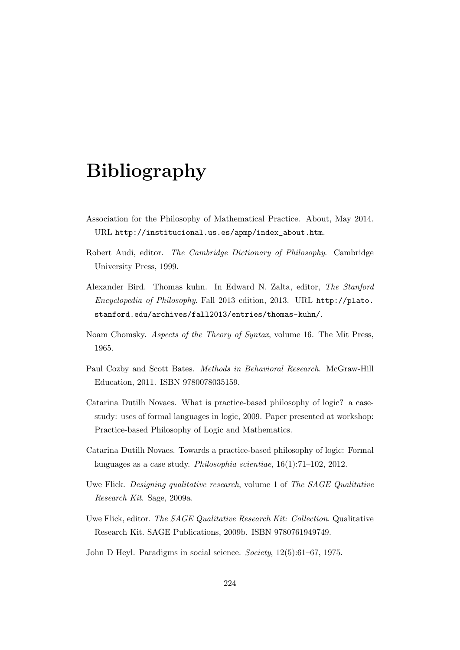## Bibliography

- Association for the Philosophy of Mathematical Practice. About, May 2014. URL [http://institucional.us.es/apmp/index\\_about.htm](http://institucional.us.es/apmp/index_about.htm).
- Robert Audi, editor. The Cambridge Dictionary of Philosophy. Cambridge University Press, 1999.
- Alexander Bird. Thomas kuhn. In Edward N. Zalta, editor, The Stanford Encyclopedia of Philosophy. Fall 2013 edition, 2013. URL [http://plato.](http://plato.stanford.edu/archives/fall2013/entries/thomas-kuhn/) [stanford.edu/archives/fall2013/entries/thomas-kuhn/](http://plato.stanford.edu/archives/fall2013/entries/thomas-kuhn/).
- Noam Chomsky. Aspects of the Theory of Syntax, volume 16. The Mit Press, 1965.
- Paul Cozby and Scott Bates. Methods in Behavioral Research. McGraw-Hill Education, 2011. ISBN 9780078035159.
- Catarina Dutilh Novaes. What is practice-based philosophy of logic? a casestudy: uses of formal languages in logic, 2009. Paper presented at workshop: Practice-based Philosophy of Logic and Mathematics.
- Catarina Dutilh Novaes. Towards a practice-based philosophy of logic: Formal languages as a case study. Philosophia scientiae, 16(1):71–102, 2012.
- Uwe Flick. Designing qualitative research, volume 1 of The SAGE Qualitative Research Kit. Sage, 2009a.
- Uwe Flick, editor. The SAGE Qualitative Research Kit: Collection. Qualitative Research Kit. SAGE Publications, 2009b. ISBN 9780761949749.
- John D Heyl. Paradigms in social science. Society, 12(5):61–67, 1975.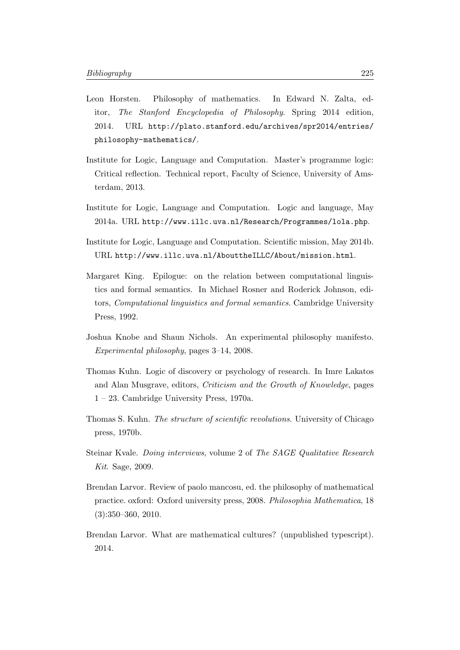- Leon Horsten. Philosophy of mathematics. In Edward N. Zalta, editor, The Stanford Encyclopedia of Philosophy. Spring 2014 edition, 2014. URL [http://plato.stanford.edu/archives/spr2014/entries/](http://plato.stanford.edu/archives/spr2014/entries/philosophy-mathematics/) [philosophy-mathematics/](http://plato.stanford.edu/archives/spr2014/entries/philosophy-mathematics/).
- Institute for Logic, Language and Computation. Master's programme logic: Critical reflection. Technical report, Faculty of Science, University of Amsterdam, 2013.
- Institute for Logic, Language and Computation. Logic and language, May 2014a. URL <http://www.illc.uva.nl/Research/Programmes/lola.php>.
- Institute for Logic, Language and Computation. Scientific mission, May 2014b. URL <http://www.illc.uva.nl/AbouttheILLC/About/mission.html>.
- Margaret King. Epilogue: on the relation between computational linguistics and formal semantics. In Michael Rosner and Roderick Johnson, editors, Computational linguistics and formal semantics. Cambridge University Press, 1992.
- Joshua Knobe and Shaun Nichols. An experimental philosophy manifesto. Experimental philosophy, pages 3–14, 2008.
- Thomas Kuhn. Logic of discovery or psychology of research. In Imre Lakatos and Alan Musgrave, editors, Criticism and the Growth of Knowledge, pages 1 – 23. Cambridge University Press, 1970a.
- Thomas S. Kuhn. The structure of scientific revolutions. University of Chicago press, 1970b.
- Steinar Kvale. Doing interviews, volume 2 of The SAGE Qualitative Research Kit. Sage, 2009.
- Brendan Larvor. Review of paolo mancosu, ed. the philosophy of mathematical practice. oxford: Oxford university press, 2008. Philosophia Mathematica, 18 (3):350–360, 2010.
- Brendan Larvor. What are mathematical cultures? (unpublished typescript). 2014.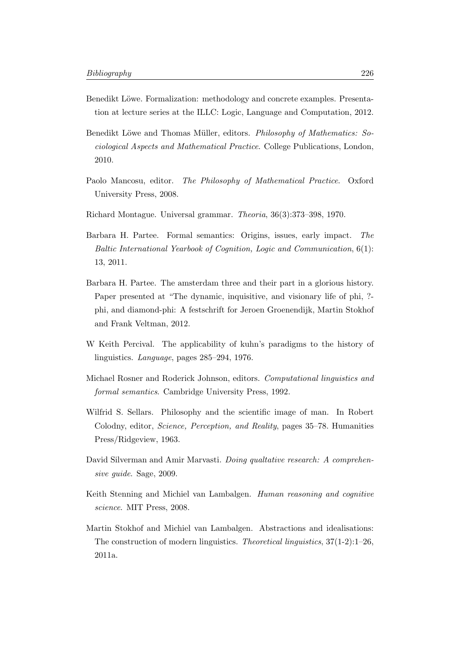- Benedikt Löwe. Formalization: methodology and concrete examples. Presentation at lecture series at the ILLC: Logic, Language and Computation, 2012.
- Benedikt Löwe and Thomas Müller, editors. *Philosophy of Mathematics: So*ciological Aspects and Mathematical Practice. College Publications, London, 2010.
- Paolo Mancosu, editor. The Philosophy of Mathematical Practice. Oxford University Press, 2008.
- Richard Montague. Universal grammar. Theoria, 36(3):373–398, 1970.
- Barbara H. Partee. Formal semantics: Origins, issues, early impact. The Baltic International Yearbook of Cognition, Logic and Communication, 6(1): 13, 2011.
- Barbara H. Partee. The amsterdam three and their part in a glorious history. Paper presented at "The dynamic, inquisitive, and visionary life of phi, ?phi, and diamond-phi: A festschrift for Jeroen Groenendijk, Martin Stokhof and Frank Veltman, 2012.
- W Keith Percival. The applicability of kuhn's paradigms to the history of linguistics. Language, pages 285–294, 1976.
- Michael Rosner and Roderick Johnson, editors. Computational linguistics and formal semantics. Cambridge University Press, 1992.
- Wilfrid S. Sellars. Philosophy and the scientific image of man. In Robert Colodny, editor, Science, Perception, and Reality, pages 35–78. Humanities Press/Ridgeview, 1963.
- David Silverman and Amir Marvasti. Doing qualtative research: A comprehensive guide. Sage, 2009.
- Keith Stenning and Michiel van Lambalgen. Human reasoning and cognitive science. MIT Press, 2008.
- Martin Stokhof and Michiel van Lambalgen. Abstractions and idealisations: The construction of modern linguistics. Theoretical linguistics,  $37(1-2)$ :  $1-26$ , 2011a.